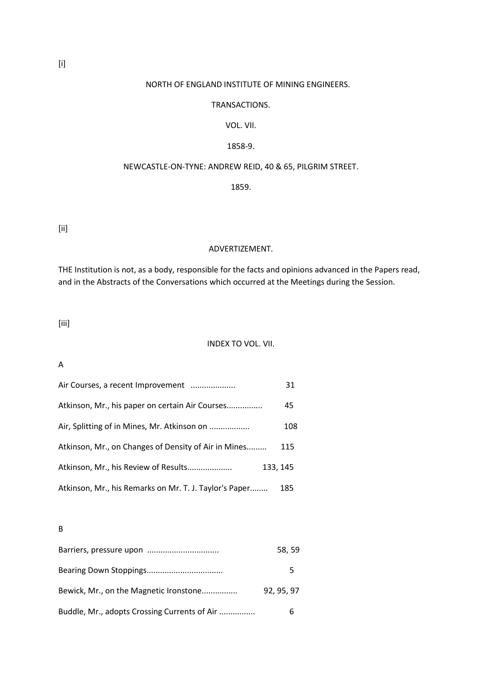# NORTH OF ENGLAND INSTITUTE OF MINING ENGINEERS.

### TRANSACTIONS.

### VOL. VII.

### 1858-9.

### NEWCASTLE-ON-TYNE: ANDREW REID, 40 & 65, PILGRIM STREET.

### 1859.

[ii]

#### ADVERTIZEMENT.

THE Institution is not, as a body, responsible for the facts and opinions advanced in the Papers read, and in the Abstracts of the Conversations which occurred at the Meetings during the Session.

[iii]

#### INDEX TO VOL. VII.

# A

| Air Courses, a recent Improvement                      | 31       |
|--------------------------------------------------------|----------|
| Atkinson, Mr., his paper on certain Air Courses        | 45       |
| Air, Splitting of in Mines, Mr. Atkinson on            | 108      |
| Atkinson, Mr., on Changes of Density of Air in Mines   | 115      |
| Atkinson, Mr., his Review of Results                   | 133, 145 |
| Atkinson, Mr., his Remarks on Mr. T. J. Taylor's Paper | 185      |

B

| Barriers, pressure upon                      | 58, 59   |
|----------------------------------------------|----------|
|                                              | ↖        |
| Bewick, Mr., on the Magnetic Ironstone       | 92.95.97 |
| Buddle, Mr., adopts Crossing Currents of Air | h        |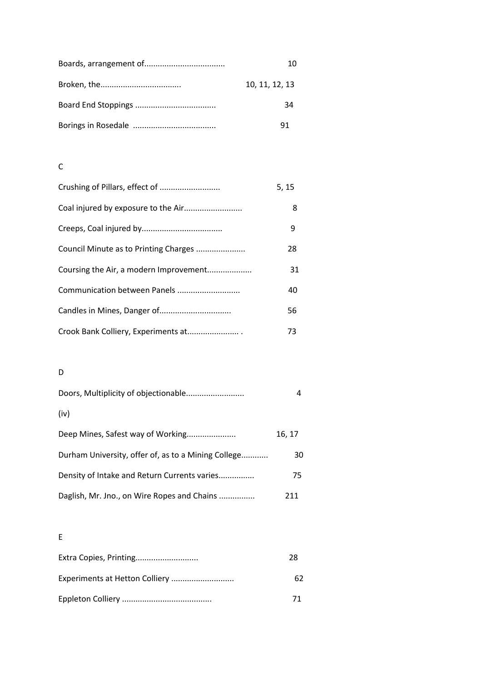| 10             |
|----------------|
| 10, 11, 12, 13 |
| 34             |
|                |

# C

| Crushing of Pillars, effect of         | 5, 15 |
|----------------------------------------|-------|
| Coal injured by exposure to the Air    | 8     |
|                                        | 9     |
| Council Minute as to Printing Charges  | 28    |
| Coursing the Air, a modern Improvement | 31    |
| Communication between Panels           | 40    |
| Candles in Mines, Danger of            | 56    |
| Crook Bank Colliery, Experiments at    | 73    |

# D

| (iv)                                                |        |
|-----------------------------------------------------|--------|
| Deep Mines, Safest way of Working                   | 16, 17 |
| Durham University, offer of, as to a Mining College | 30     |
| Density of Intake and Return Currents varies        | 75     |
| Daglish, Mr. Jno., on Wire Ropes and Chains         | 211    |

E

| Extra Copies, Printing         | 28 |
|--------------------------------|----|
| Experiments at Hetton Colliery | 62 |
|                                |    |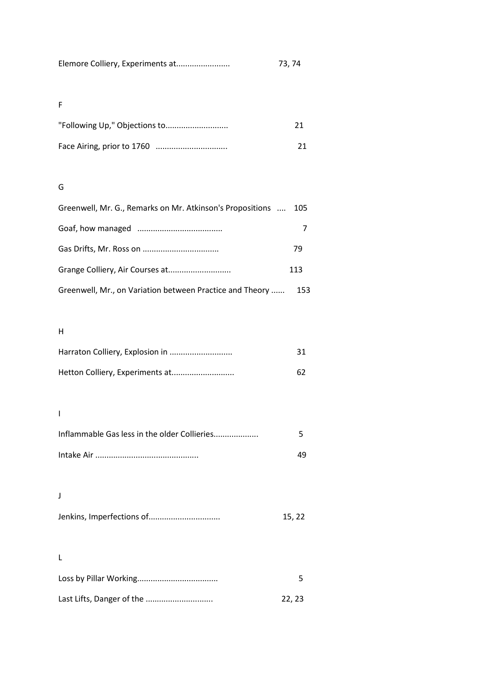| Elemore Colliery, Experiments at | 73, 74 |
|----------------------------------|--------|
|----------------------------------|--------|

# F

# G

| Greenwell, Mr. G., Remarks on Mr. Atkinson's Propositions | 105 |
|-----------------------------------------------------------|-----|
|                                                           |     |
|                                                           | 79  |
|                                                           | 113 |
| Greenwell, Mr., on Variation between Practice and Theory  | 153 |

# H

| -31 |
|-----|
| 62. |

# I

| Inflammable Gas less in the older Collieries |    |
|----------------------------------------------|----|
|                                              | 49 |

# J

|  | 15, 22 |
|--|--------|
|--|--------|

# L

| Last Lifts, Danger of the | 22.23 |
|---------------------------|-------|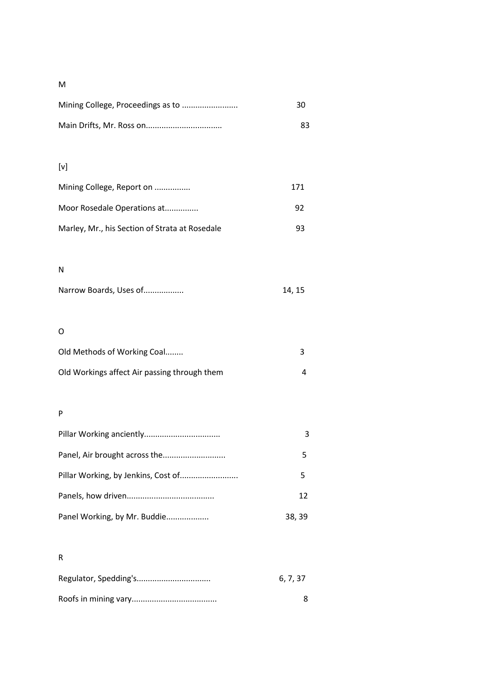# M

| -30 |
|-----|
| 83. |

# [v]

| Mining College, Report on                      | 171 |
|------------------------------------------------|-----|
| Moor Rosedale Operations at                    | 92  |
| Marley, Mr., his Section of Strata at Rosedale | qз  |

# N

| Narrow Boards, Uses of | 14, 15 |
|------------------------|--------|
|                        |        |

# O

| Old Methods of Working Coal                  |  |
|----------------------------------------------|--|
| Old Workings affect Air passing through them |  |

# P

|                              | 5      |
|------------------------------|--------|
|                              | 12     |
| Panel Working, by Mr. Buddie | 38, 39 |

# R

| 6.7.37 |
|--------|
|        |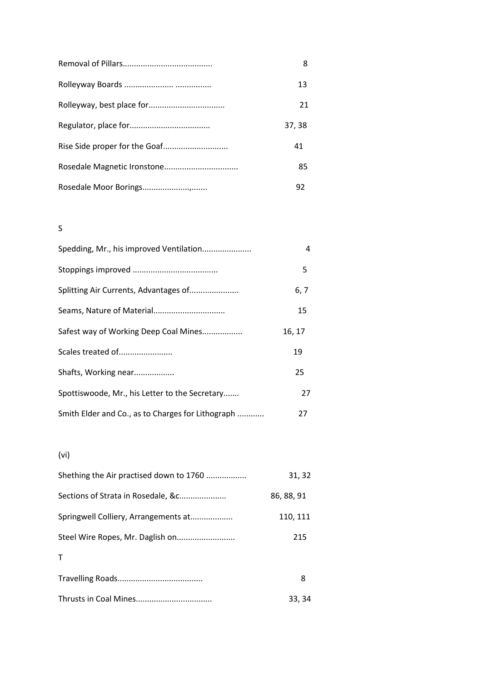| 8      |
|--------|
| 13     |
| 21     |
| 37, 38 |
| 41     |
| 85     |
| 92     |

# S

| Spedding, Mr., his improved Ventilation           | 4      |
|---------------------------------------------------|--------|
|                                                   | 5      |
| Splitting Air Currents, Advantages of             | 6, 7   |
| Seams, Nature of Material                         | 15     |
| Safest way of Working Deep Coal Mines             | 16, 17 |
| Scales treated of                                 | 19     |
| Shafts, Working near                              | 25     |
| Spottiswoode, Mr., his Letter to the Secretary    | 27     |
| Smith Elder and Co., as to Charges for Lithograph | 27     |

# (vi)

| Shething the Air practised down to 1760 | 31, 32     |
|-----------------------------------------|------------|
| Sections of Strata in Rosedale, &c      | 86, 88, 91 |
| Springwell Colliery, Arrangements at    | 110, 111   |
|                                         | 215        |
| Т                                       |            |
|                                         | 8          |
|                                         | 33, 34     |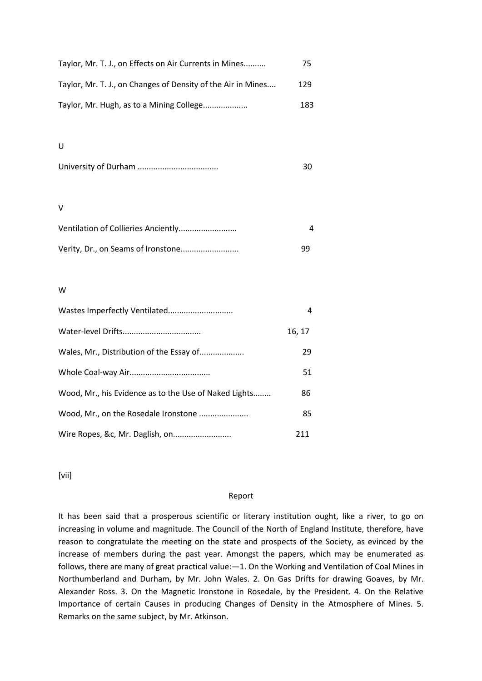| Taylor, Mr. T. J., on Effects on Air Currents in Mines       | 75  |
|--------------------------------------------------------------|-----|
| Taylor, Mr. T. J., on Changes of Density of the Air in Mines | 129 |
| Taylor, Mr. Hugh, as to a Mining College                     | 183 |

#### U

|--|--|

#### V

| ٩q |
|----|

### W

|                                                       | 4      |
|-------------------------------------------------------|--------|
|                                                       | 16, 17 |
| Wales, Mr., Distribution of the Essay of              | 29     |
|                                                       | 51     |
| Wood, Mr., his Evidence as to the Use of Naked Lights | 86     |
| Wood, Mr., on the Rosedale Ironstone                  | 85     |
| Wire Ropes, &c, Mr. Daglish, on                       | 211    |

[vii]

#### Report

It has been said that a prosperous scientific or literary institution ought, like a river, to go on increasing in volume and magnitude. The Council of the North of England Institute, therefore, have reason to congratulate the meeting on the state and prospects of the Society, as evinced by the increase of members during the past year. Amongst the papers, which may be enumerated as follows, there are many of great practical value: - 1. On the Working and Ventilation of Coal Mines in Northumberland and Durham, by Mr. John Wales. 2. On Gas Drifts for drawing Goaves, by Mr. Alexander Ross. 3. On the Magnetic Ironstone in Rosedale, by the President. 4. On the Relative Importance of certain Causes in producing Changes of Density in the Atmosphere of Mines. 5. Remarks on the same subject, by Mr. Atkinson.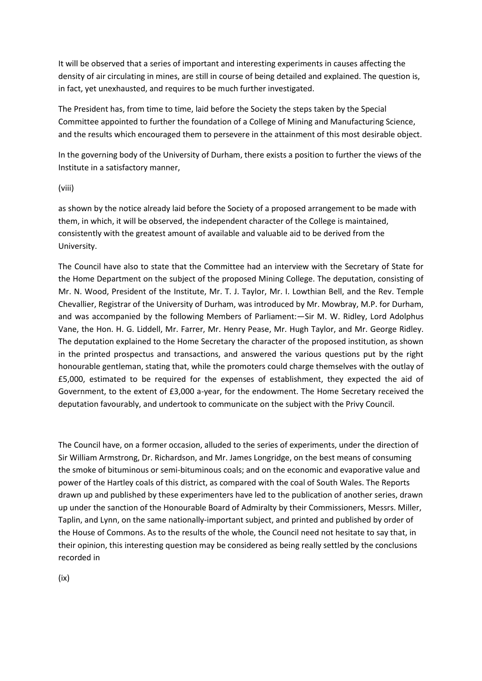It will be observed that a series of important and interesting experiments in causes affecting the density of air circulating in mines, are still in course of being detailed and explained. The question is, in fact, yet unexhausted, and requires to be much further investigated.

The President has, from time to time, laid before the Society the steps taken by the Special Committee appointed to further the foundation of a College of Mining and Manufacturing Science, and the results which encouraged them to persevere in the attainment of this most desirable object.

In the governing body of the University of Durham, there exists a position to further the views of the Institute in a satisfactory manner,

#### (viii)

as shown by the notice already laid before the Society of a proposed arrangement to be made with them, in which, it will be observed, the independent character of the College is maintained, consistently with the greatest amount of available and valuable aid to be derived from the University.

The Council have also to state that the Committee had an interview with the Secretary of State for the Home Department on the subject of the proposed Mining College. The deputation, consisting of Mr. N. Wood, President of the Institute, Mr. T. J. Taylor, Mr. I. Lowthian Bell, and the Rev. Temple Chevallier, Registrar of the University of Durham, was introduced by Mr. Mowbray, M.P. for Durham, and was accompanied by the following Members of Parliament:—Sir M. W. Ridley, Lord Adolphus Vane, the Hon. H. G. Liddell, Mr. Farrer, Mr. Henry Pease, Mr. Hugh Taylor, and Mr. George Ridley. The deputation explained to the Home Secretary the character of the proposed institution, as shown in the printed prospectus and transactions, and answered the various questions put by the right honourable gentleman, stating that, while the promoters could charge themselves with the outlay of £5,000, estimated to be required for the expenses of establishment, they expected the aid of Government, to the extent of £3,000 a-year, for the endowment. The Home Secretary received the deputation favourably, and undertook to communicate on the subject with the Privy Council.

The Council have, on a former occasion, alluded to the series of experiments, under the direction of Sir William Armstrong, Dr. Richardson, and Mr. James Longridge, on the best means of consuming the smoke of bituminous or semi-bituminous coals; and on the economic and evaporative value and power of the Hartley coals of this district, as compared with the coal of South Wales. The Reports drawn up and published by these experimenters have led to the publication of another series, drawn up under the sanction of the Honourable Board of Admiralty by their Commissioners, Messrs. Miller, Taplin, and Lynn, on the same nationally-important subject, and printed and published by order of the House of Commons. As to the results of the whole, the Council need not hesitate to say that, in their opinion, this interesting question may be considered as being really settled by the conclusions recorded in

(ix)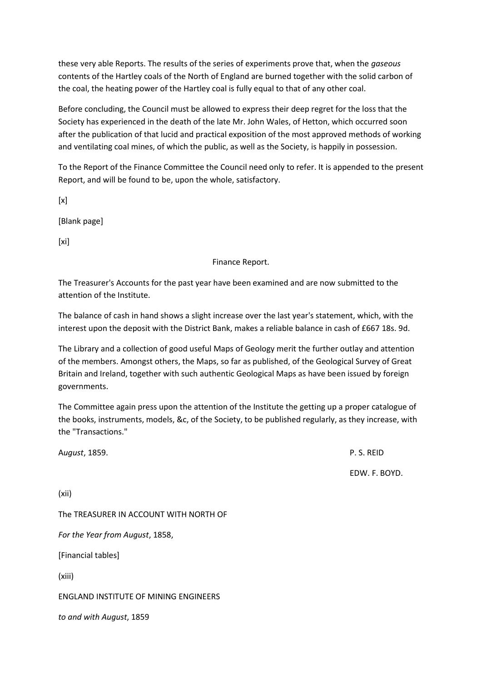these very able Reports. The results of the series of experiments prove that, when the *gaseous*  contents of the Hartley coals of the North of England are burned together with the solid carbon of the coal, the heating power of the Hartley coal is fully equal to that of any other coal.

Before concluding, the Council must be allowed to express their deep regret for the loss that the Society has experienced in the death of the late Mr. John Wales, of Hetton, which occurred soon after the publication of that lucid and practical exposition of the most approved methods of working and ventilating coal mines, of which the public, as well as the Society, is happily in possession.

To the Report of the Finance Committee the Council need only to refer. It is appended to the present Report, and will be found to be, upon the whole, satisfactory.

 $[x]$ 

[Blank page]

 $[x_i]$ 

Finance Report.

The Treasurer's Accounts for the past year have been examined and are now submitted to the attention of the Institute.

The balance of cash in hand shows a slight increase over the last year's statement, which, with the interest upon the deposit with the District Bank, makes a reliable balance in cash of £667 18s. 9d.

The Library and a collection of good useful Maps of Geology merit the further outlay and attention of the members. Amongst others, the Maps, so far as published, of the Geological Survey of Great Britain and Ireland, together with such authentic Geological Maps as have been issued by foreign governments.

The Committee again press upon the attention of the Institute the getting up a proper catalogue of the books, instruments, models, &c, of the Society, to be published regularly, as they increase, with the "Transactions."

A*ugust*, 1859. P. S. REID EDW. F. BOYD. (xii) The TREASURER IN ACCOUNT WITH NORTH OF *For the Year from August*, 1858, [Financial tables] (xiii) ENGLAND INSTITUTE OF MINING ENGINEERS *to and with August*, 1859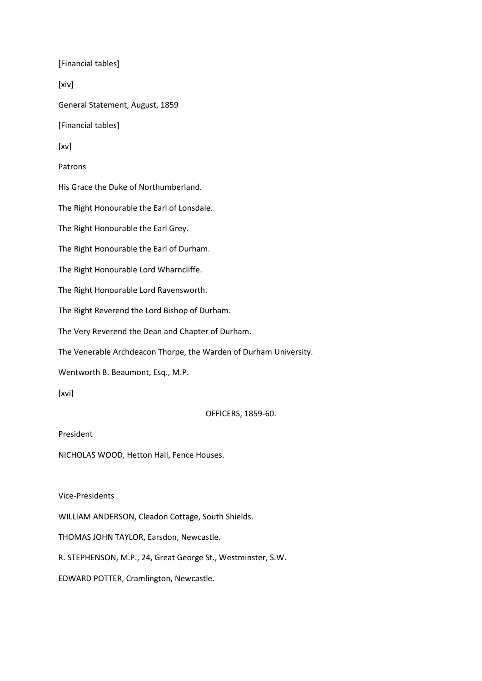[Financial tables] [xiv] General Statement, August, 1859 [Financial tables] [xv] Patrons His Grace the Duke of Northumberland. The Right Honourable the Earl of Lonsdale. The Right Honourable the Earl Grey. The Right Honourable the Earl of Durham. The Right Honourable Lord Wharncliffe. The Right Honourable Lord Ravensworth. The Right Reverend the Lord Bishop of Durham. The Very Reverend the Dean and Chapter of Durham. The Venerable Archdeacon Thorpe, the Warden of Durham University. Wentworth B. Beaumont, Esq., M.P. [xvi] OFFICERS, 1859-60. President

NICHOLAS WOOD, Hetton Hall, Fence Houses.

Vice-Presidents

WILLIAM ANDERSON, Cleadon Cottage, South Shields.

THOMAS JOHN TAYLOR, Earsdon, Newcastle.

R. STEPHENSON, M.P., 24, Great George St., Westminster, S.W.

EDWARD POTTER, Cramlington, Newcastle.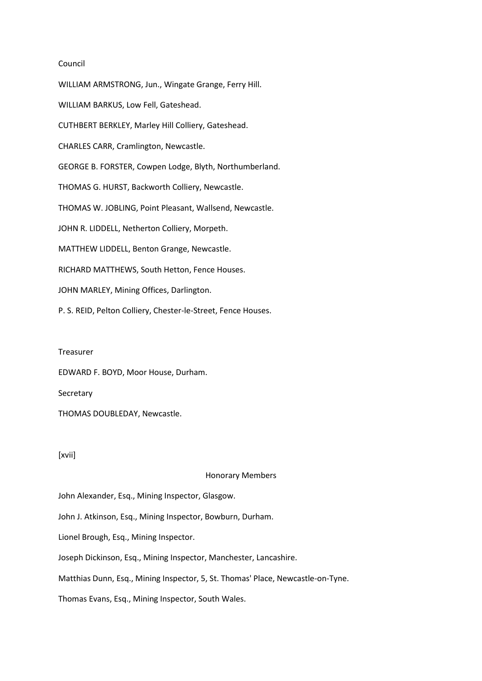#### Council

WILLIAM ARMSTRONG, Jun., Wingate Grange, Ferry Hill. WILLIAM BARKUS, Low Fell, Gateshead. CUTHBERT BERKLEY, Marley Hill Colliery, Gateshead. CHARLES CARR, Cramlington, Newcastle. GEORGE B. FORSTER, Cowpen Lodge, Blyth, Northumberland. THOMAS G. HURST, Backworth Colliery, Newcastle. THOMAS W. JOBLING, Point Pleasant, Wallsend, Newcastle. JOHN R. LIDDELL, Netherton Colliery, Morpeth. MATTHEW LIDDELL, Benton Grange, Newcastle. RICHARD MATTHEWS, South Hetton, Fence Houses. JOHN MARLEY, Mining Offices, Darlington. P. S. REID, Pelton Colliery, Chester-le-Street, Fence Houses.

#### Treasurer

EDWARD F. BOYD, Moor House, Durham.

#### Secretary

THOMAS DOUBLEDAY, Newcastle.

### [xvii]

#### Honorary Members

John Alexander, Esq., Mining Inspector, Glasgow.

John J. Atkinson, Esq., Mining Inspector, Bowburn, Durham.

Lionel Brough, Esq., Mining Inspector.

Joseph Dickinson, Esq., Mining Inspector, Manchester, Lancashire.

Matthias Dunn, Esq., Mining Inspector, 5, St. Thomas' Place, Newcastle-on-Tyne.

Thomas Evans, Esq., Mining Inspector, South Wales.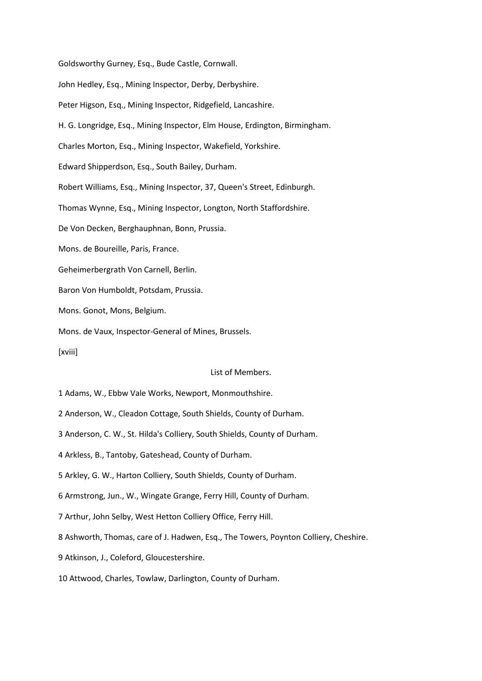Goldsworthy Gurney, Esq., Bude Castle, Cornwall. John Hedley, Esq., Mining Inspector, Derby, Derbyshire. Peter Higson, Esq., Mining Inspector, Ridgefield, Lancashire. H. G. Longridge, Esq., Mining Inspector, Elm House, Erdington, Birmingham. Charles Morton, Esq., Mining Inspector, Wakefield, Yorkshire. Edward Shipperdson, Esq., South Bailey, Durham. Robert Williams, Esq., Mining Inspector, 37, Queen's Street, Edinburgh. Thomas Wynne, Esq., Mining Inspector, Longton, North Staffordshire. De Von Decken, Berghauphnan, Bonn, Prussia. Mons. de Boureille, Paris, France. Geheimerbergrath Von Carnell, Berlin. Baron Von Humboldt, Potsdam, Prussia. Mons. Gonot, Mons, Belgium. Mons. de Vaux, Inspector-General of Mines, Brussels. [xviii]

List of Members.

1 Adams, W., Ebbw Vale Works, Newport, Monmouthshire.

2 Anderson, W., Cleadon Cottage, South Shields, County of Durham.

3 Anderson, C. W., St. Hilda's Colliery, South Shields, County of Durham.

4 Arkless, B., Tantoby, Gateshead, County of Durham.

5 Arkley, G. W., Harton Colliery, South Shields, County of Durham.

6 Armstrong, Jun., W., Wingate Grange, Ferry Hill, County of Durham.

7 Arthur, John Selby, West Hetton Colliery Office, Ferry Hill.

8 Ashworth, Thomas, care of J. Hadwen, Esq., The Towers, Poynton Colliery, Cheshire.

9 Atkinson, J., Coleford, Gloucestershire.

10 Attwood, Charles, Towlaw, Darlington, County of Durham.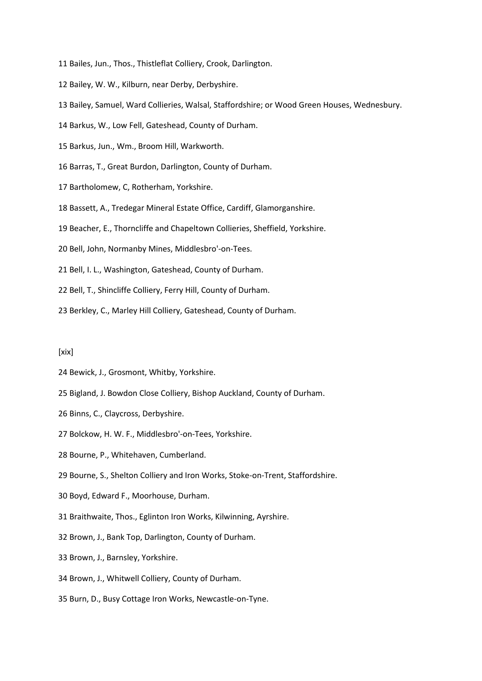- 11 Bailes, Jun., Thos., Thistleflat Colliery, Crook, Darlington.
- 12 Bailey, W. W., Kilburn, near Derby, Derbyshire.
- 13 Bailey, Samuel, Ward Collieries, Walsal, Staffordshire; or Wood Green Houses, Wednesbury.
- 14 Barkus, W., Low Fell, Gateshead, County of Durham.
- 15 Barkus, Jun., Wm., Broom Hill, Warkworth.
- 16 Barras, T., Great Burdon, Darlington, County of Durham.
- 17 Bartholomew, C, Rotherham, Yorkshire.
- 18 Bassett, A., Tredegar Mineral Estate Office, Cardiff, Glamorganshire.
- 19 Beacher, E., Thorncliffe and Chapeltown Collieries, Sheffield, Yorkshire.
- 20 Bell, John, Normanby Mines, Middlesbro'-on-Tees.
- 21 Bell, I. L., Washington, Gateshead, County of Durham.
- 22 Bell, T., Shincliffe Colliery, Ferry Hill, County of Durham.
- 23 Berkley, C., Marley Hill Colliery, Gateshead, County of Durham.

#### [xix]

- 24 Bewick, J., Grosmont, Whitby, Yorkshire.
- 25 Bigland, J. Bowdon Close Colliery, Bishop Auckland, County of Durham.
- 26 Binns, C., Claycross, Derbyshire.
- 27 Bolckow, H. W. F., Middlesbro'-on-Tees, Yorkshire.
- 28 Bourne, P., Whitehaven, Cumberland.
- 29 Bourne, S., Shelton Colliery and Iron Works, Stoke-on-Trent, Staffordshire.
- 30 Boyd, Edward F., Moorhouse, Durham.
- 31 Braithwaite, Thos., Eglinton Iron Works, Kilwinning, Ayrshire.
- 32 Brown, J., Bank Top, Darlington, County of Durham.
- 33 Brown, J., Barnsley, Yorkshire.
- 34 Brown, J., Whitwell Colliery, County of Durham.
- 35 Burn, D., Busy Cottage Iron Works, Newcastle-on-Tyne.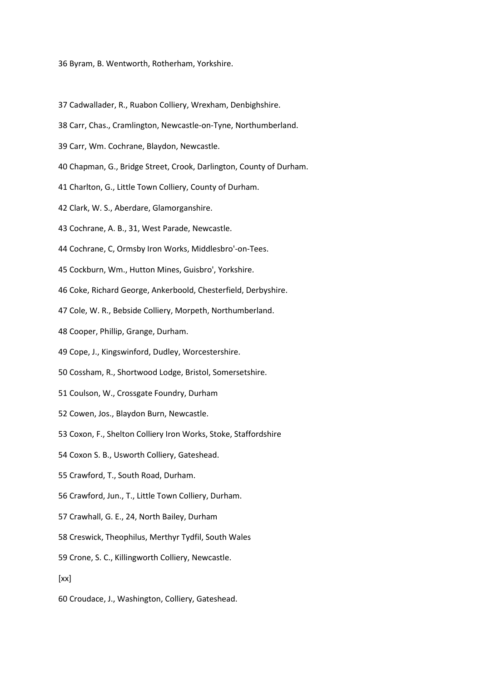36 Byram, B. Wentworth, Rotherham, Yorkshire.

- 37 Cadwallader, R., Ruabon Colliery, Wrexham, Denbighshire.
- 38 Carr, Chas., Cramlington, Newcastle-on-Tyne, Northumberland.
- 39 Carr, Wm. Cochrane, Blaydon, Newcastle.
- 40 Chapman, G., Bridge Street, Crook, Darlington, County of Durham.
- 41 Charlton, G., Little Town Colliery, County of Durham.
- 42 Clark, W. S., Aberdare, Glamorganshire.
- 43 Cochrane, A. B., 31, West Parade, Newcastle.
- 44 Cochrane, C, Ormsby Iron Works, Middlesbro'-on-Tees.
- 45 Cockburn, Wm., Hutton Mines, Guisbro', Yorkshire.
- 46 Coke, Richard George, Ankerboold, Chesterfield, Derbyshire.
- 47 Cole, W. R., Bebside Colliery, Morpeth, Northumberland.
- 48 Cooper, Phillip, Grange, Durham.
- 49 Cope, J., Kingswinford, Dudley, Worcestershire.
- 50 Cossham, R., Shortwood Lodge, Bristol, Somersetshire.
- 51 Coulson, W., Crossgate Foundry, Durham
- 52 Cowen, Jos., Blaydon Burn, Newcastle.
- 53 Coxon, F., Shelton Colliery Iron Works, Stoke, Staffordshire
- 54 Coxon S. B., Usworth Colliery, Gateshead.
- 55 Crawford, T., South Road, Durham.
- 56 Crawford, Jun., T., Little Town Colliery, Durham.
- 57 Crawhall, G. E., 24, North Bailey, Durham
- 58 Creswick, Theophilus, Merthyr Tydfil, South Wales
- 59 Crone, S. C., Killingworth Colliery, Newcastle.
- [xx]
- 60 Croudace, J., Washington, Colliery, Gateshead.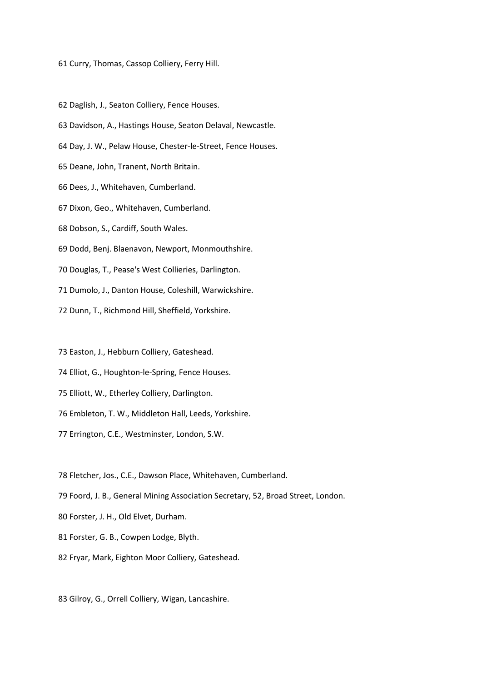61 Curry, Thomas, Cassop Colliery, Ferry Hill.

62 Daglish, J., Seaton Colliery, Fence Houses.

- 63 Davidson, A., Hastings House, Seaton Delaval, Newcastle.
- 64 Day, J. W., Pelaw House, Chester-le-Street, Fence Houses.
- 65 Deane, John, Tranent, North Britain.
- 66 Dees, J., Whitehaven, Cumberland.
- 67 Dixon, Geo., Whitehaven, Cumberland.
- 68 Dobson, S., Cardiff, South Wales.
- 69 Dodd, Benj. Blaenavon, Newport, Monmouthshire.
- 70 Douglas, T., Pease's West Collieries, Darlington.
- 71 Dumolo, J., Danton House, Coleshill, Warwickshire.
- 72 Dunn, T., Richmond Hill, Sheffield, Yorkshire.

73 Easton, J., Hebburn Colliery, Gateshead.

- 74 Elliot, G., Houghton-le-Spring, Fence Houses.
- 75 Elliott, W., Etherley Colliery, Darlington.
- 76 Embleton, T. W., Middleton Hall, Leeds, Yorkshire.
- 77 Errington, C.E., Westminster, London, S.W.

78 Fletcher, Jos., C.E., Dawson Place, Whitehaven, Cumberland.

- 79 Foord, J. B., General Mining Association Secretary, 52, Broad Street, London.
- 80 Forster, J. H., Old Elvet, Durham.
- 81 Forster, G. B., Cowpen Lodge, Blyth.
- 82 Fryar, Mark, Eighton Moor Colliery, Gateshead.

83 Gilroy, G., Orrell Colliery, Wigan, Lancashire.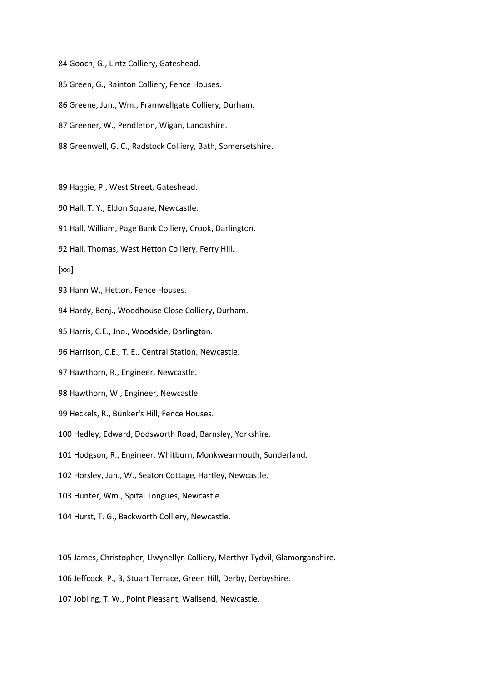84 Gooch, G., Lintz Colliery, Gateshead.

85 Green, G., Rainton Colliery, Fence Houses.

86 Greene, Jun., Wm., Framwellgate Colliery, Durham.

87 Greener, W., Pendleton, Wigan, Lancashire.

88 Greenwell, G. C., Radstock Colliery, Bath, Somersetshire.

89 Haggie, P., West Street, Gateshead.

90 Hall, T. Y., Eldon Square, Newcastle.

91 Hall, William, Page Bank Colliery, Crook, Darlington.

92 Hall, Thomas, West Hetton Colliery, Ferry Hill.

[xxi]

93 Hann W., Hetton, Fence Houses.

94 Hardy, Benj., Woodhouse Close Colliery, Durham.

95 Harris, C.E., Jno., Woodside, Darlington.

96 Harrison, C.E., T. E., Central Station, Newcastle.

97 Hawthorn, R., Engineer, Newcastle.

98 Hawthorn, W., Engineer, Newcastle.

99 Heckels, R., Bunker's Hill, Fence Houses.

100 Hedley, Edward, Dodsworth Road, Barnsley, Yorkshire.

101 Hodgson, R., Engineer, Whitburn, Monkwearmouth, Sunderland.

102 Horsley, Jun., W., Seaton Cottage, Hartley, Newcastle.

103 Hunter, Wm., Spital Tongues, Newcastle.

104 Hurst, T. G., Backworth Colliery, Newcastle.

105 James, Christopher, Llwynellyn Colliery, Merthyr Tydvil, Glamorganshire.

106 Jeffcock, P., 3, Stuart Terrace, Green Hill, Derby, Derbyshire.

107 Jobling, T. W., Point Pleasant, Wallsend, Newcastle.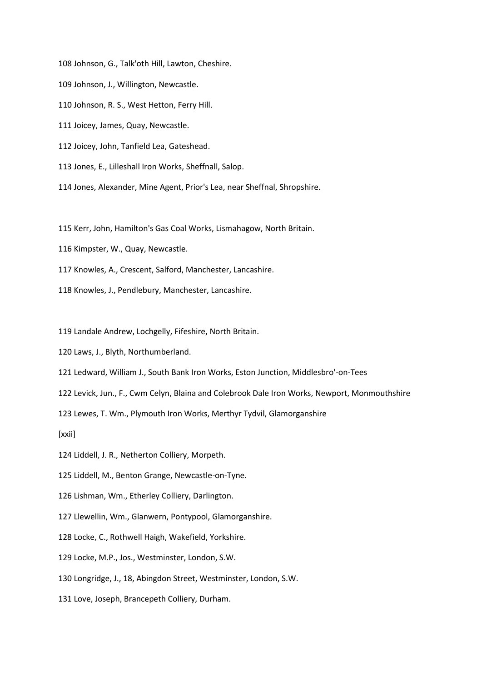108 Johnson, G., Talk'oth Hill, Lawton, Cheshire.

- 109 Johnson, J., Willington, Newcastle.
- 110 Johnson, R. S., West Hetton, Ferry Hill.
- 111 Joicey, James, Quay, Newcastle.
- 112 Joicey, John, Tanfield Lea, Gateshead.
- 113 Jones, E., Lilleshall Iron Works, Sheffnall, Salop.
- 114 Jones, Alexander, Mine Agent, Prior's Lea, near Sheffnal, Shropshire.

115 Kerr, John, Hamilton's Gas Coal Works, Lismahagow, North Britain.

- 116 Kimpster, W., Quay, Newcastle.
- 117 Knowles, A., Crescent, Salford, Manchester, Lancashire.
- 118 Knowles, J., Pendlebury, Manchester, Lancashire.

119 Landale Andrew, Lochgelly, Fifeshire, North Britain.

- 120 Laws, J., Blyth, Northumberland.
- 121 Ledward, William J., South Bank Iron Works, Eston Junction, Middlesbro'-on-Tees
- 122 Levick, Jun., F., Cwm Celyn, Blaina and Colebrook Dale Iron Works, Newport, Monmouthshire

123 Lewes, T. Wm., Plymouth Iron Works, Merthyr Tydvil, Glamorganshire

[xxii]

124 Liddell, J. R., Netherton Colliery, Morpeth.

125 Liddell, M., Benton Grange, Newcastle-on-Tyne.

126 Lishman, Wm., Etherley Colliery, Darlington.

127 Llewellin, Wm., Glanwern, Pontypool, Glamorganshire.

128 Locke, C., Rothwell Haigh, Wakefield, Yorkshire.

129 Locke, M.P., Jos., Westminster, London, S.W.

130 Longridge, J., 18, Abingdon Street, Westminster, London, S.W.

131 Love, Joseph, Brancepeth Colliery, Durham.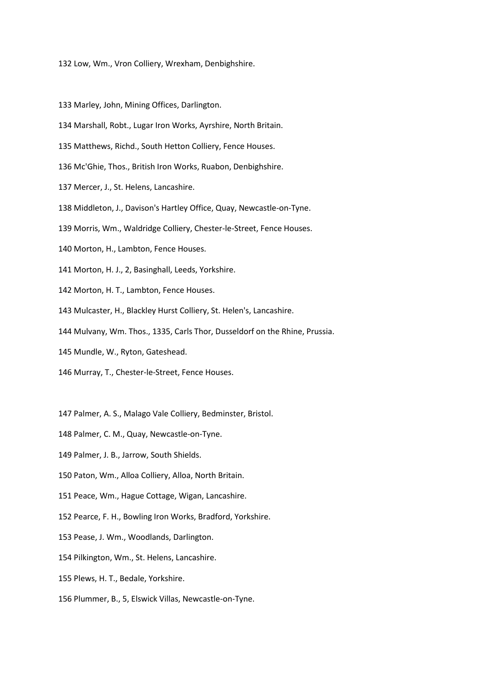132 Low, Wm., Vron Colliery, Wrexham, Denbighshire.

133 Marley, John, Mining Offices, Darlington.

- 134 Marshall, Robt., Lugar Iron Works, Ayrshire, North Britain.
- 135 Matthews, Richd., South Hetton Colliery, Fence Houses.
- 136 Mc'Ghie, Thos., British Iron Works, Ruabon, Denbighshire.
- 137 Mercer, J., St. Helens, Lancashire.
- 138 Middleton, J., Davison's Hartley Office, Quay, Newcastle-on-Tyne.
- 139 Morris, Wm., Waldridge Colliery, Chester-le-Street, Fence Houses.
- 140 Morton, H., Lambton, Fence Houses.
- 141 Morton, H. J., 2, Basinghall, Leeds, Yorkshire.
- 142 Morton, H. T., Lambton, Fence Houses.
- 143 Mulcaster, H., Blackley Hurst Colliery, St. Helen's, Lancashire.
- 144 Mulvany, Wm. Thos., 1335, Carls Thor, Dusseldorf on the Rhine, Prussia.
- 145 Mundle, W., Ryton, Gateshead.
- 146 Murray, T., Chester-le-Street, Fence Houses.
- 147 Palmer, A. S., Malago Vale Colliery, Bedminster, Bristol.
- 148 Palmer, C. M., Quay, Newcastle-on-Tyne.
- 149 Palmer, J. B., Jarrow, South Shields.
- 150 Paton, Wm., Alloa Colliery, Alloa, North Britain.
- 151 Peace, Wm., Hague Cottage, Wigan, Lancashire.
- 152 Pearce, F. H., Bowling Iron Works, Bradford, Yorkshire.
- 153 Pease, J. Wm., Woodlands, Darlington.
- 154 Pilkington, Wm., St. Helens, Lancashire.
- 155 Plews, H. T., Bedale, Yorkshire.
- 156 Plummer, B., 5, Elswick Villas, Newcastle-on-Tyne.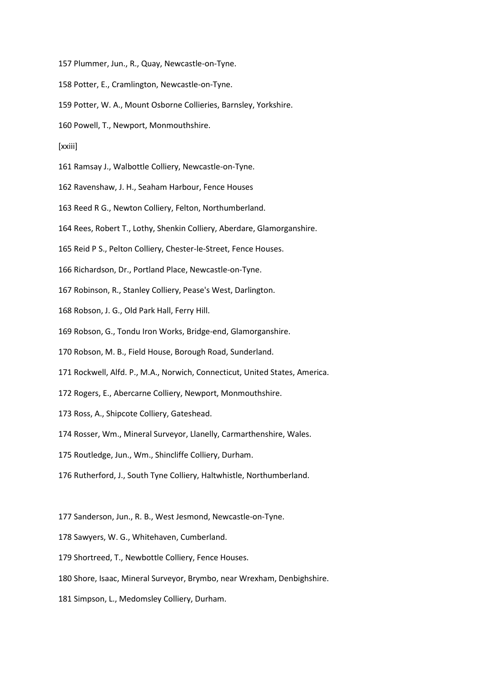157 Plummer, Jun., R., Quay, Newcastle-on-Tyne.

- 158 Potter, E., Cramlington, Newcastle-on-Tyne.
- 159 Potter, W. A., Mount Osborne Collieries, Barnsley, Yorkshire.
- 160 Powell, T., Newport, Monmouthshire.
- [xxiii]
- 161 Ramsay J., Walbottle Colliery, Newcastle-on-Tyne.
- 162 Ravenshaw, J. H., Seaham Harbour, Fence Houses
- 163 Reed R G., Newton Colliery, Felton, Northumberland.
- 164 Rees, Robert T., Lothy, Shenkin Colliery, Aberdare, Glamorganshire.
- 165 Reid P S., Pelton Colliery, Chester-le-Street, Fence Houses.
- 166 Richardson, Dr., Portland Place, Newcastle-on-Tyne.
- 167 Robinson, R., Stanley Colliery, Pease's West, Darlington.
- 168 Robson, J. G., Old Park Hall, Ferry Hill.
- 169 Robson, G., Tondu Iron Works, Bridge-end, Glamorganshire.
- 170 Robson, M. B., Field House, Borough Road, Sunderland.
- 171 Rockwell, Alfd. P., M.A., Norwich, Connecticut, United States, America.
- 172 Rogers, E., Abercarne Colliery, Newport, Monmouthshire.
- 173 Ross, A., Shipcote Colliery, Gateshead.
- 174 Rosser, Wm., Mineral Surveyor, Llanelly, Carmarthenshire, Wales.
- 175 Routledge, Jun., Wm., Shincliffe Colliery, Durham.
- 176 Rutherford, J., South Tyne Colliery, Haltwhistle, Northumberland.
- 177 Sanderson, Jun., R. B., West Jesmond, Newcastle-on-Tyne.
- 178 Sawyers, W. G., Whitehaven, Cumberland.
- 179 Shortreed, T., Newbottle Colliery, Fence Houses.
- 180 Shore, Isaac, Mineral Surveyor, Brymbo, near Wrexham, Denbighshire.
- 181 Simpson, L., Medomsley Colliery, Durham.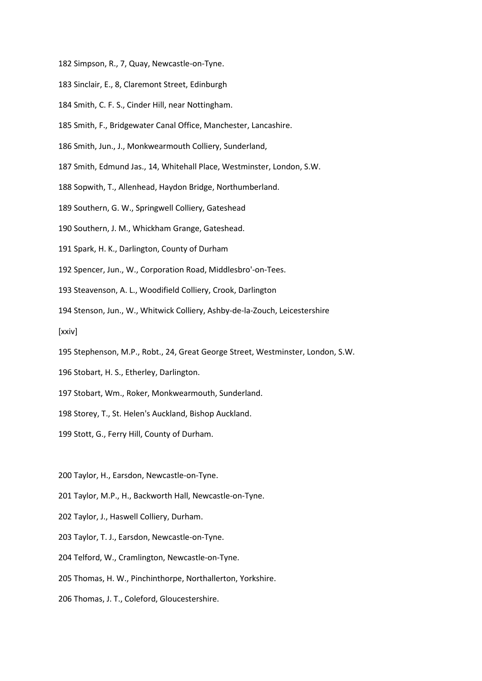182 Simpson, R., 7, Quay, Newcastle-on-Tyne.

- 183 Sinclair, E., 8, Claremont Street, Edinburgh
- 184 Smith, C. F. S., Cinder Hill, near Nottingham.
- 185 Smith, F., Bridgewater Canal Office, Manchester, Lancashire.
- 186 Smith, Jun., J., Monkwearmouth Colliery, Sunderland,
- 187 Smith, Edmund Jas., 14, Whitehall Place, Westminster, London, S.W.
- 188 Sopwith, T., Allenhead, Haydon Bridge, Northumberland.
- 189 Southern, G. W., Springwell Colliery, Gateshead
- 190 Southern, J. M., Whickham Grange, Gateshead.
- 191 Spark, H. K., Darlington, County of Durham
- 192 Spencer, Jun., W., Corporation Road, Middlesbro'-on-Tees.
- 193 Steavenson, A. L., Woodifield Colliery, Crook, Darlington
- 194 Stenson, Jun., W., Whitwick Colliery, Ashby-de-la-Zouch, Leicestershire

[xxiv]

- 195 Stephenson, M.P., Robt., 24, Great George Street, Westminster, London, S.W.
- 196 Stobart, H. S., Etherley, Darlington.
- 197 Stobart, Wm., Roker, Monkwearmouth, Sunderland.
- 198 Storey, T., St. Helen's Auckland, Bishop Auckland.
- 199 Stott, G., Ferry Hill, County of Durham.

200 Taylor, H., Earsdon, Newcastle-on-Tyne.

- 201 Taylor, M.P., H., Backworth Hall, Newcastle-on-Tyne.
- 202 Taylor, J., Haswell Colliery, Durham.
- 203 Taylor, T. J., Earsdon, Newcastle-on-Tyne.
- 204 Telford, W., Cramlington, Newcastle-on-Tyne.
- 205 Thomas, H. W., Pinchinthorpe, Northallerton, Yorkshire.
- 206 Thomas, J. T., Coleford, Gloucestershire.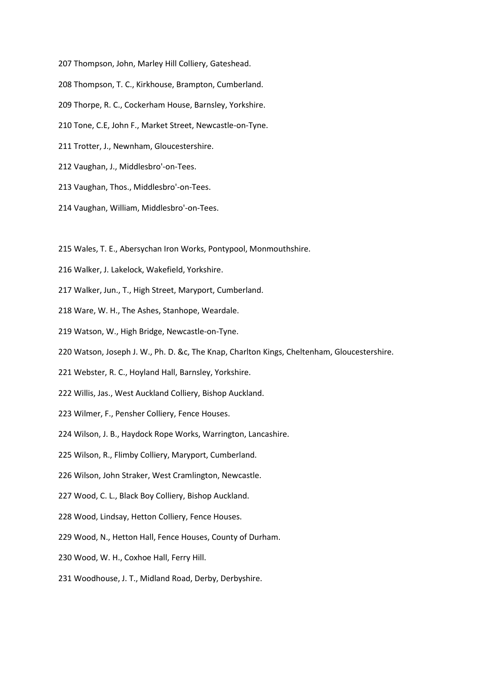- 207 Thompson, John, Marley Hill Colliery, Gateshead.
- 208 Thompson, T. C., Kirkhouse, Brampton, Cumberland.
- 209 Thorpe, R. C., Cockerham House, Barnsley, Yorkshire.
- 210 Tone, C.E, John F., Market Street, Newcastle-on-Tyne.
- 211 Trotter, J., Newnham, Gloucestershire.
- 212 Vaughan, J., Middlesbro'-on-Tees.
- 213 Vaughan, Thos., Middlesbro'-on-Tees.
- 214 Vaughan, William, Middlesbro'-on-Tees.
- 215 Wales, T. E., Abersychan Iron Works, Pontypool, Monmouthshire.
- 216 Walker, J. Lakelock, Wakefield, Yorkshire.
- 217 Walker, Jun., T., High Street, Maryport, Cumberland.
- 218 Ware, W. H., The Ashes, Stanhope, Weardale.
- 219 Watson, W., High Bridge, Newcastle-on-Tyne.
- 220 Watson, Joseph J. W., Ph. D. &c, The Knap, Charlton Kings, Cheltenham, Gloucestershire.
- 221 Webster, R. C., Hoyland Hall, Barnsley, Yorkshire.
- 222 Willis, Jas., West Auckland Colliery, Bishop Auckland.
- 223 Wilmer, F., Pensher Colliery, Fence Houses.
- 224 Wilson, J. B., Haydock Rope Works, Warrington, Lancashire.
- 225 Wilson, R., Flimby Colliery, Maryport, Cumberland.
- 226 Wilson, John Straker, West Cramlington, Newcastle.
- 227 Wood, C. L., Black Boy Colliery, Bishop Auckland.
- 228 Wood, Lindsay, Hetton Colliery, Fence Houses.
- 229 Wood, N., Hetton Hall, Fence Houses, County of Durham.
- 230 Wood, W. H., Coxhoe Hall, Ferry Hill.
- 231 Woodhouse, J. T., Midland Road, Derby, Derbyshire.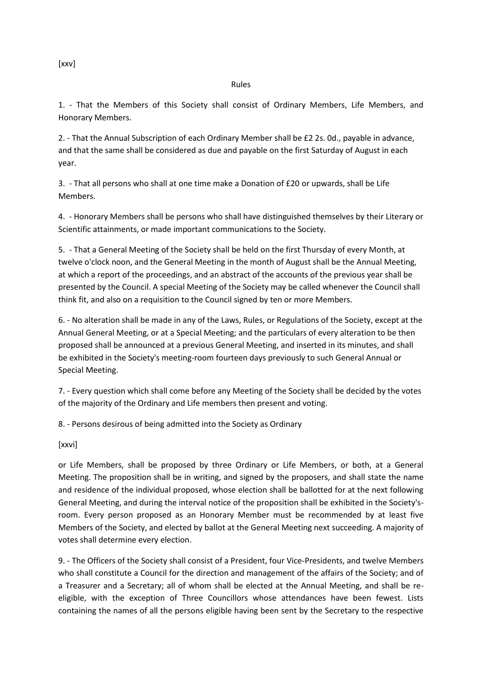[xxv]

#### Rules

1. - That the Members of this Society shall consist of Ordinary Members, Life Members, and Honorary Members.

2. - That the Annual Subscription of each Ordinary Member shall be £2 2s. 0d., payable in advance, and that the same shall be considered as due and payable on the first Saturday of August in each year.

3. - That all persons who shall at one time make a Donation of £20 or upwards, shall be Life Members.

4. - Honorary Members shall be persons who shall have distinguished themselves by their Literary or Scientific attainments, or made important communications to the Society.

5. - That a General Meeting of the Society shall be held on the first Thursday of every Month, at twelve o'clock noon, and the General Meeting in the month of August shall be the Annual Meeting, at which a report of the proceedings, and an abstract of the accounts of the previous year shall be presented by the Council. A special Meeting of the Society may be called whenever the Council shall think fit, and also on a requisition to the Council signed by ten or more Members.

6. - No alteration shall be made in any of the Laws, Rules, or Regulations of the Society, except at the Annual General Meeting, or at a Special Meeting; and the particulars of every alteration to be then proposed shall be announced at a previous General Meeting, and inserted in its minutes, and shall be exhibited in the Society's meeting-room fourteen days previously to such General Annual or Special Meeting.

7. - Every question which shall come before any Meeting of the Society shall be decided by the votes of the majority of the Ordinary and Life members then present and voting.

8. - Persons desirous of being admitted into the Society as Ordinary

[xxvi]

or Life Members, shall be proposed by three Ordinary or Life Members, or both, at a General Meeting. The proposition shall be in writing, and signed by the proposers, and shall state the name and residence of the individual proposed, whose election shall be ballotted for at the next following General Meeting, and during the interval notice of the proposition shall be exhibited in the Society'sroom. Every person proposed as an Honorary Member must be recommended by at least five Members of the Society, and elected by ballot at the General Meeting next succeeding. A majority of votes shall determine every election.

9. - The Officers of the Society shall consist of a President, four Vice-Presidents, and twelve Members who shall constitute a Council for the direction and management of the affairs of the Society; and of a Treasurer and a Secretary; all of whom shall be elected at the Annual Meeting, and shall be reeligible, with the exception of Three Councillors whose attendances have been fewest. Lists containing the names of all the persons eligible having been sent by the Secretary to the respective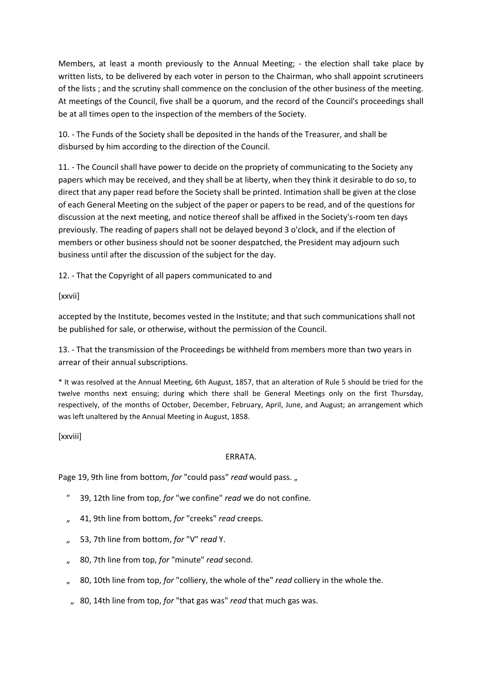Members, at least a month previously to the Annual Meeting; - the election shall take place by written lists, to be delivered by each voter in person to the Chairman, who shall appoint scrutineers of the lists ; and the scrutiny shall commence on the conclusion of the other business of the meeting. At meetings of the Council, five shall be a quorum, and the record of the Council's proceedings shall be at all times open to the inspection of the members of the Society.

10. - The Funds of the Society shall be deposited in the hands of the Treasurer, and shall be disbursed by him according to the direction of the Council.

11. - The Council shall have power to decide on the propriety of communicating to the Society any papers which may be received, and they shall be at liberty, when they think it desirable to do so, to direct that any paper read before the Society shall be printed. Intimation shall be given at the close of each General Meeting on the subject of the paper or papers to be read, and of the questions for discussion at the next meeting, and notice thereof shall be affixed in the Society's-room ten days previously. The reading of papers shall not be delayed beyond 3 o'clock, and if the election of members or other business should not be sooner despatched, the President may adjourn such business until after the discussion of the subject for the day.

12. - That the Copyright of all papers communicated to and

[xxvii]

accepted by the Institute, becomes vested in the Institute; and that such communications shall not be published for sale, or otherwise, without the permission of the Council.

13. - That the transmission of the Proceedings be withheld from members more than two years in arrear of their annual subscriptions.

\* It was resolved at the Annual Meeting, 6th August, 1857, that an alteration of Rule 5 should be tried for the twelve months next ensuing; during which there shall be General Meetings only on the first Thursday, respectively, of the months of October, December, February, April, June, and August; an arrangement which was left unaltered by the Annual Meeting in August, 1858.

[xxviii]

## ERRATA.

Page 19, 9th line from bottom, *for* "could pass" *read* would pass.

- " 39, 12th line from top, *for* "we confine" *read* we do not confine.
- " 41, 9th line from bottom, *for* "creeks" *read* creeps.
- " 53, 7th line from bottom, *for* "V" *read* Y.
- 80, 7th line from top, for "minute" read second.
- " 80, 10th line from top, *for* "colliery, the whole of the" *read* colliery in the whole the.
- " 80, 14th line from top, *for* "that gas was" *read* that much gas was.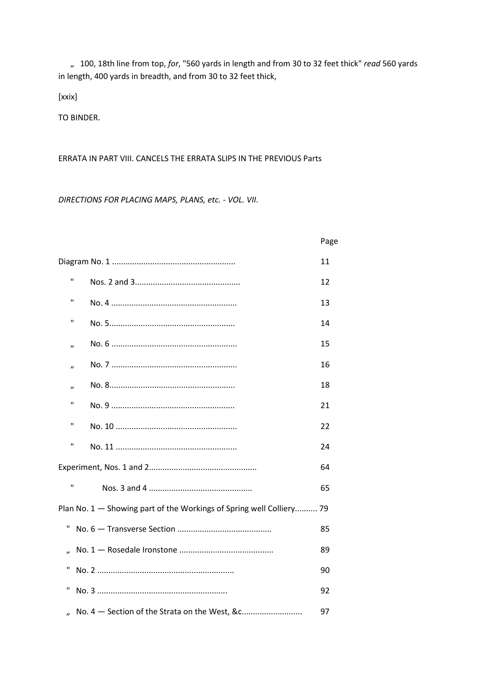" 100, 18th line from top, *for*, "560 yards in length and from 30 to 32 feet thick" *read* 560 yards in length, 400 yards in breadth, and from 30 to 32 feet thick,

[xxix]

TO BINDER.

ERRATA IN PART VIII. CANCELS THE ERRATA SLIPS IN THE PREVIOUS Parts

*DIRECTIONS FOR PLACING MAPS, PLANS, etc. - VOL. VII*.

|                     |                                                                      | Page |
|---------------------|----------------------------------------------------------------------|------|
|                     |                                                                      | 11   |
| $\mathbf{H}$        |                                                                      | 12   |
| п                   |                                                                      | 13   |
| п                   |                                                                      | 14   |
| $\boldsymbol{\eta}$ |                                                                      | 15   |
| $\boldsymbol{\eta}$ |                                                                      | 16   |
| $\boldsymbol{\eta}$ |                                                                      | 18   |
| п                   |                                                                      | 21   |
| п                   |                                                                      | 22   |
| п                   |                                                                      | 24   |
|                     |                                                                      | 64   |
| $\mathbf{H}$        |                                                                      | 65   |
|                     | Plan No. 1 - Showing part of the Workings of Spring well Colliery 79 |      |
| П                   |                                                                      | 85   |
|                     |                                                                      | 89   |
| П                   |                                                                      | 90   |
| П                   |                                                                      | 92   |
| "                   | No. 4 - Section of the Strata on the West, &c                        | 97   |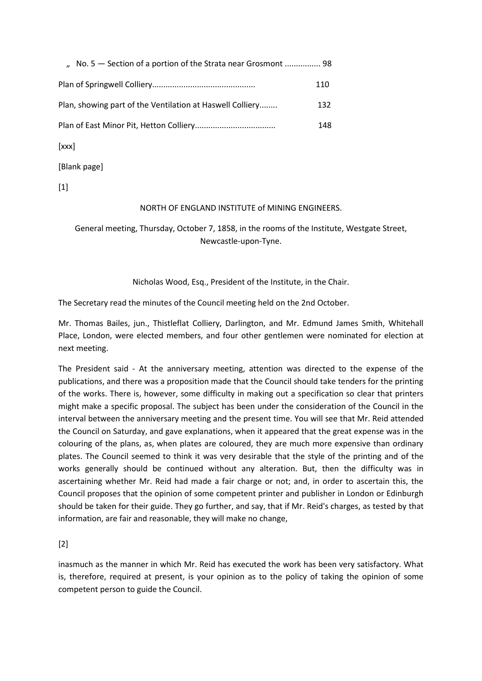| No. 5 – Section of a portion of the Strata near Grosmont  98 |     |
|--------------------------------------------------------------|-----|
|                                                              | 110 |
| Plan, showing part of the Ventilation at Haswell Colliery    | 132 |
|                                                              | 148 |
| [xxx]                                                        |     |

[Blank page]

[1]

## NORTH OF ENGLAND INSTITUTE of MINING ENGINEERS.

General meeting, Thursday, October 7, 1858, in the rooms of the Institute, Westgate Street, Newcastle-upon-Tyne.

## Nicholas Wood, Esq., President of the Institute, in the Chair.

The Secretary read the minutes of the Council meeting held on the 2nd October.

Mr. Thomas Bailes, jun., Thistleflat Colliery, Darlington, and Mr. Edmund James Smith, Whitehall Place, London, were elected members, and four other gentlemen were nominated for election at next meeting.

The President said - At the anniversary meeting, attention was directed to the expense of the publications, and there was a proposition made that the Council should take tenders for the printing of the works. There is, however, some difficulty in making out a specification so clear that printers might make a specific proposal. The subject has been under the consideration of the Council in the interval between the anniversary meeting and the present time. You will see that Mr. Reid attended the Council on Saturday, and gave explanations, when it appeared that the great expense was in the colouring of the plans, as, when plates are coloured, they are much more expensive than ordinary plates. The Council seemed to think it was very desirable that the style of the printing and of the works generally should be continued without any alteration. But, then the difficulty was in ascertaining whether Mr. Reid had made a fair charge or not; and, in order to ascertain this, the Council proposes that the opinion of some competent printer and publisher in London or Edinburgh should be taken for their guide. They go further, and say, that if Mr. Reid's charges, as tested by that information, are fair and reasonable, they will make no change,

[2]

inasmuch as the manner in which Mr. Reid has executed the work has been very satisfactory. What is, therefore, required at present, is your opinion as to the policy of taking the opinion of some competent person to guide the Council.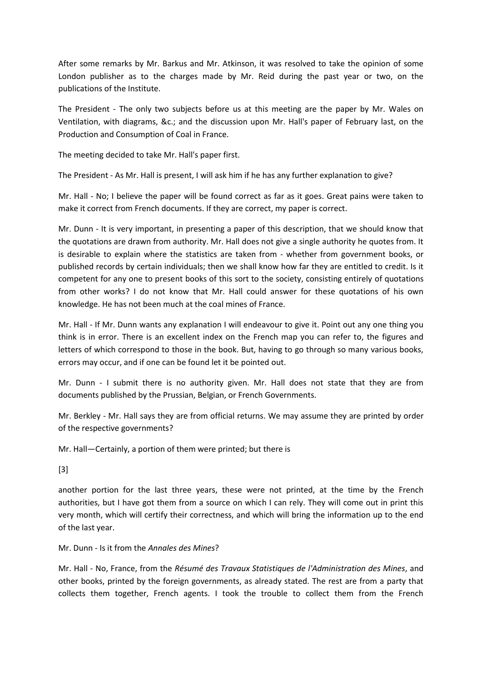After some remarks by Mr. Barkus and Mr. Atkinson, it was resolved to take the opinion of some London publisher as to the charges made by Mr. Reid during the past year or two, on the publications of the Institute.

The President - The only two subjects before us at this meeting are the paper by Mr. Wales on Ventilation, with diagrams, &c.; and the discussion upon Mr. Hall's paper of February last, on the Production and Consumption of Coal in France.

The meeting decided to take Mr. Hall's paper first.

The President - As Mr. Hall is present, I will ask him if he has any further explanation to give?

Mr. Hall - No; I believe the paper will be found correct as far as it goes. Great pains were taken to make it correct from French documents. If they are correct, my paper is correct.

Mr. Dunn - It is very important, in presenting a paper of this description, that we should know that the quotations are drawn from authority. Mr. Hall does not give a single authority he quotes from. It is desirable to explain where the statistics are taken from - whether from government books, or published records by certain individuals; then we shall know how far they are entitled to credit. Is it competent for any one to present books of this sort to the society, consisting entirely of quotations from other works? I do not know that Mr. Hall could answer for these quotations of his own knowledge. He has not been much at the coal mines of France.

Mr. Hall - If Mr. Dunn wants any explanation I will endeavour to give it. Point out any one thing you think is in error. There is an excellent index on the French map you can refer to, the figures and letters of which correspond to those in the book. But, having to go through so many various books, errors may occur, and if one can be found let it be pointed out.

Mr. Dunn - I submit there is no authority given. Mr. Hall does not state that they are from documents published by the Prussian, Belgian, or French Governments.

Mr. Berkley - Mr. Hall says they are from official returns. We may assume they are printed by order of the respective governments?

Mr. Hall—Certainly, a portion of them were printed; but there is

[3]

another portion for the last three years, these were not printed, at the time by the French authorities, but I have got them from a source on which I can rely. They will come out in print this very month, which will certify their correctness, and which will bring the information up to the end of the last year.

## Mr. Dunn - Is it from the *Annales des Mines*?

Mr. Hall - No, France, from the *Résumé des Travaux Statistiques de l'Administration des Mines*, and other books, printed by the foreign governments, as already stated. The rest are from a party that collects them together, French agents. I took the trouble to collect them from the French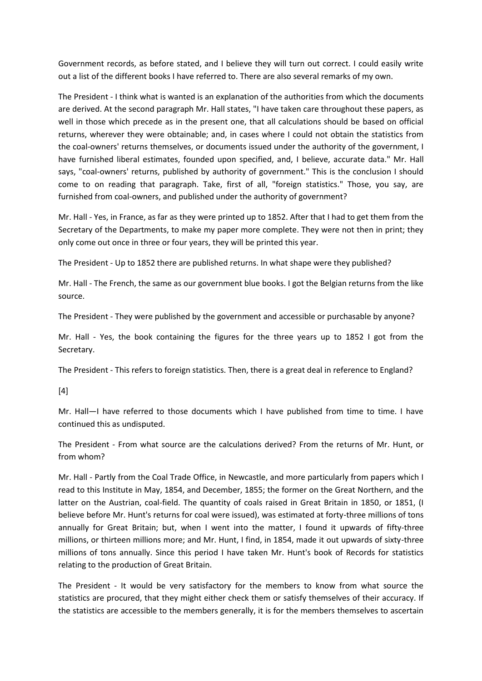Government records, as before stated, and I believe they will turn out correct. I could easily write out a list of the different books I have referred to. There are also several remarks of my own.

The President - I think what is wanted is an explanation of the authorities from which the documents are derived. At the second paragraph Mr. Hall states, "I have taken care throughout these papers, as well in those which precede as in the present one, that all calculations should be based on official returns, wherever they were obtainable; and, in cases where I could not obtain the statistics from the coal-owners' returns themselves, or documents issued under the authority of the government, I have furnished liberal estimates, founded upon specified, and, I believe, accurate data." Mr. Hall says, "coal-owners' returns, published by authority of government." This is the conclusion I should come to on reading that paragraph. Take, first of all, "foreign statistics." Those, you say, are furnished from coal-owners, and published under the authority of government?

Mr. Hall - Yes, in France, as far as they were printed up to 1852. After that I had to get them from the Secretary of the Departments, to make my paper more complete. They were not then in print; they only come out once in three or four years, they will be printed this year.

The President - Up to 1852 there are published returns. In what shape were they published?

Mr. Hall - The French, the same as our government blue books. I got the Belgian returns from the like source.

The President - They were published by the government and accessible or purchasable by anyone?

Mr. Hall - Yes, the book containing the figures for the three years up to 1852 I got from the Secretary.

The President - This refers to foreign statistics. Then, there is a great deal in reference to England?

[4]

Mr. Hall—I have referred to those documents which I have published from time to time. I have continued this as undisputed.

The President - From what source are the calculations derived? From the returns of Mr. Hunt, or from whom?

Mr. Hall - Partly from the Coal Trade Office, in Newcastle, and more particularly from papers which I read to this Institute in May, 1854, and December, 1855; the former on the Great Northern, and the latter on the Austrian, coal-field. The quantity of coals raised in Great Britain in 1850, or 1851, (I believe before Mr. Hunt's returns for coal were issued), was estimated at forty-three millions of tons annually for Great Britain; but, when I went into the matter, I found it upwards of fifty-three millions, or thirteen millions more; and Mr. Hunt, I find, in 1854, made it out upwards of sixty-three millions of tons annually. Since this period I have taken Mr. Hunt's book of Records for statistics relating to the production of Great Britain.

The President - It would be very satisfactory for the members to know from what source the statistics are procured, that they might either check them or satisfy themselves of their accuracy. If the statistics are accessible to the members generally, it is for the members themselves to ascertain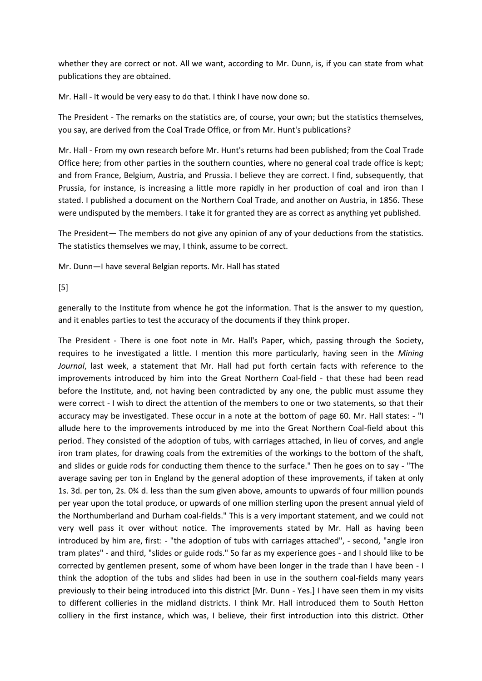whether they are correct or not. All we want, according to Mr. Dunn, is, if you can state from what publications they are obtained.

Mr. Hall - It would be very easy to do that. I think I have now done so.

The President - The remarks on the statistics are, of course, your own; but the statistics themselves, you say, are derived from the Coal Trade Office, or from Mr. Hunt's publications?

Mr. Hall - From my own research before Mr. Hunt's returns had been published; from the Coal Trade Office here; from other parties in the southern counties, where no general coal trade office is kept; and from France, Belgium, Austria, and Prussia. I believe they are correct. I find, subsequently, that Prussia, for instance, is increasing a little more rapidly in her production of coal and iron than I stated. I published a document on the Northern Coal Trade, and another on Austria, in 1856. These were undisputed by the members. I take it for granted they are as correct as anything yet published.

The President— The members do not give any opinion of any of your deductions from the statistics. The statistics themselves we may, I think, assume to be correct.

Mr. Dunn—I have several Belgian reports. Mr. Hall has stated

[5]

generally to the Institute from whence he got the information. That is the answer to my question, and it enables parties to test the accuracy of the documents if they think proper.

The President - There is one foot note in Mr. Hall's Paper, which, passing through the Society, requires to he investigated a little. I mention this more particularly, having seen in the *Mining Journal*, last week, a statement that Mr. Hall had put forth certain facts with reference to the improvements introduced by him into the Great Northern Coal-field - that these had been read before the Institute, and, not having been contradicted by any one, the public must assume they were correct - I wish to direct the attention of the members to one or two statements, so that their accuracy may be investigated. These occur in a note at the bottom of page 60. Mr. Hall states: - "I allude here to the improvements introduced by me into the Great Northern Coal-field about this period. They consisted of the adoption of tubs, with carriages attached, in lieu of corves, and angle iron tram plates, for drawing coals from the extremities of the workings to the bottom of the shaft, and slides or guide rods for conducting them thence to the surface." Then he goes on to say - "The average saving per ton in England by the general adoption of these improvements, if taken at only 1s. 3d. per ton, 2s. 0¾ d. less than the sum given above, amounts to upwards of four million pounds per year upon the total produce, or upwards of one million sterling upon the present annual yield of the Northumberland and Durham coal-fields." This is a very important statement, and we could not very well pass it over without notice. The improvements stated by Mr. Hall as having been introduced by him are, first: - "the adoption of tubs with carriages attached", - second, "angle iron tram plates" - and third, "slides or guide rods." So far as my experience goes - and I should like to be corrected by gentlemen present, some of whom have been longer in the trade than I have been - I think the adoption of the tubs and slides had been in use in the southern coal-fields many years previously to their being introduced into this district [Mr. Dunn - Yes.] I have seen them in my visits to different collieries in the midland districts. I think Mr. Hall introduced them to South Hetton colliery in the first instance, which was, I believe, their first introduction into this district. Other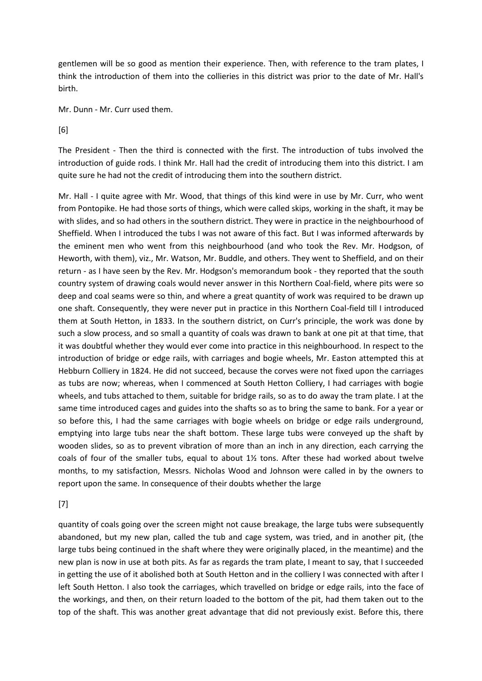gentlemen will be so good as mention their experience. Then, with reference to the tram plates, I think the introduction of them into the collieries in this district was prior to the date of Mr. Hall's birth.

Mr. Dunn - Mr. Curr used them.

[6]

The President - Then the third is connected with the first. The introduction of tubs involved the introduction of guide rods. I think Mr. Hall had the credit of introducing them into this district. I am quite sure he had not the credit of introducing them into the southern district.

Mr. Hall - I quite agree with Mr. Wood, that things of this kind were in use by Mr. Curr, who went from Pontopike. He had those sorts of things, which were called skips, working in the shaft, it may be with slides, and so had others in the southern district. They were in practice in the neighbourhood of Sheffield. When I introduced the tubs I was not aware of this fact. But I was informed afterwards by the eminent men who went from this neighbourhood (and who took the Rev. Mr. Hodgson, of Heworth, with them), viz., Mr. Watson, Mr. Buddle, and others. They went to Sheffield, and on their return - as I have seen by the Rev. Mr. Hodgson's memorandum book - they reported that the south country system of drawing coals would never answer in this Northern Coal-field, where pits were so deep and coal seams were so thin, and where a great quantity of work was required to be drawn up one shaft. Consequently, they were never put in practice in this Northern Coal-field till I introduced them at South Hetton, in 1833. In the southern district, on Curr's principle, the work was done by such a slow process, and so small a quantity of coals was drawn to bank at one pit at that time, that it was doubtful whether they would ever come into practice in this neighbourhood. In respect to the introduction of bridge or edge rails, with carriages and bogie wheels, Mr. Easton attempted this at Hebburn Colliery in 1824. He did not succeed, because the corves were not fixed upon the carriages as tubs are now; whereas, when I commenced at South Hetton Colliery, I had carriages with bogie wheels, and tubs attached to them, suitable for bridge rails, so as to do away the tram plate. I at the same time introduced cages and guides into the shafts so as to bring the same to bank. For a year or so before this, I had the same carriages with bogie wheels on bridge or edge rails underground, emptying into large tubs near the shaft bottom. These large tubs were conveyed up the shaft by wooden slides, so as to prevent vibration of more than an inch in any direction, each carrying the coals of four of the smaller tubs, equal to about 1½ tons. After these had worked about twelve months, to my satisfaction, Messrs. Nicholas Wood and Johnson were called in by the owners to report upon the same. In consequence of their doubts whether the large

#### [7]

quantity of coals going over the screen might not cause breakage, the large tubs were subsequently abandoned, but my new plan, called the tub and cage system, was tried, and in another pit, (the large tubs being continued in the shaft where they were originally placed, in the meantime) and the new plan is now in use at both pits. As far as regards the tram plate, I meant to say, that I succeeded in getting the use of it abolished both at South Hetton and in the colliery I was connected with after I left South Hetton. I also took the carriages, which travelled on bridge or edge rails, into the face of the workings, and then, on their return loaded to the bottom of the pit, had them taken out to the top of the shaft. This was another great advantage that did not previously exist. Before this, there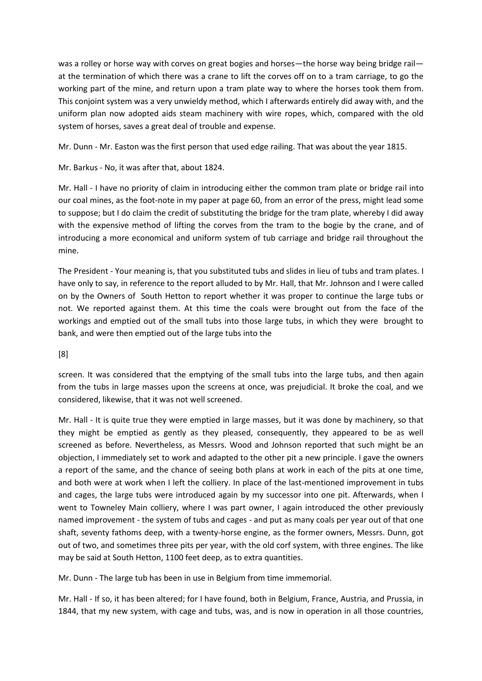was a rolley or horse way with corves on great bogies and horses—the horse way being bridge rail at the termination of which there was a crane to lift the corves off on to a tram carriage, to go the working part of the mine, and return upon a tram plate way to where the horses took them from. This conjoint system was a very unwieldy method, which I afterwards entirely did away with, and the uniform plan now adopted aids steam machinery with wire ropes, which, compared with the old system of horses, saves a great deal of trouble and expense.

Mr. Dunn - Mr. Easton was the first person that used edge railing. That was about the year 1815.

Mr. Barkus - No, it was after that, about 1824.

Mr. Hall - I have no priority of claim in introducing either the common tram plate or bridge rail into our coal mines, as the foot-note in my paper at page 60, from an error of the press, might lead some to suppose; but I do claim the credit of substituting the bridge for the tram plate, whereby I did away with the expensive method of lifting the corves from the tram to the bogie by the crane, and of introducing a more economical and uniform system of tub carriage and bridge rail throughout the mine.

The President - Your meaning is, that you substituted tubs and slides in lieu of tubs and tram plates. I have only to say, in reference to the report alluded to by Mr. Hall, that Mr. Johnson and I were called on by the Owners of South Hetton to report whether it was proper to continue the large tubs or not. We reported against them. At this time the coals were brought out from the face of the workings and emptied out of the small tubs into those large tubs, in which they were brought to bank, and were then emptied out of the large tubs into the

[8]

screen. It was considered that the emptying of the small tubs into the large tubs, and then again from the tubs in large masses upon the screens at once, was prejudicial. It broke the coal, and we considered, likewise, that it was not well screened.

Mr. Hall - It is quite true they were emptied in large masses, but it was done by machinery, so that they might be emptied as gently as they pleased, consequently, they appeared to be as well screened as before. Nevertheless, as Messrs. Wood and Johnson reported that such might be an objection, I immediately set to work and adapted to the other pit a new principle. I gave the owners a report of the same, and the chance of seeing both plans at work in each of the pits at one time, and both were at work when I left the colliery. In place of the last-mentioned improvement in tubs and cages, the large tubs were introduced again by my successor into one pit. Afterwards, when I went to Towneley Main colliery, where I was part owner, I again introduced the other previously named improvement - the system of tubs and cages - and put as many coals per year out of that one shaft, seventy fathoms deep, with a twenty-horse engine, as the former owners, Messrs. Dunn, got out of two, and sometimes three pits per year, with the old corf system, with three engines. The like may be said at South Hetton, 1100 feet deep, as to extra quantities.

Mr. Dunn - The large tub has been in use in Belgium from time immemorial.

Mr. Hall - If so, it has been altered; for I have found, both in Belgium, France, Austria, and Prussia, in 1844, that my new system, with cage and tubs, was, and is now in operation in all those countries,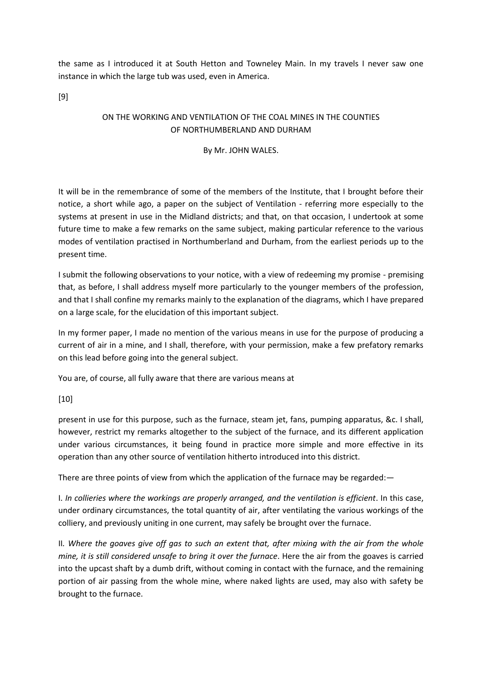the same as I introduced it at South Hetton and Towneley Main. In my travels I never saw one instance in which the large tub was used, even in America.

[9]

# ON THE WORKING AND VENTILATION OF THE COAL MINES IN THE COUNTIES OF NORTHUMBERLAND AND DURHAM

### By Mr. JOHN WALES.

It will be in the remembrance of some of the members of the Institute, that I brought before their notice, a short while ago, a paper on the subject of Ventilation - referring more especially to the systems at present in use in the Midland districts; and that, on that occasion, I undertook at some future time to make a few remarks on the same subject, making particular reference to the various modes of ventilation practised in Northumberland and Durham, from the earliest periods up to the present time.

I submit the following observations to your notice, with a view of redeeming my promise - premising that, as before, I shall address myself more particularly to the younger members of the profession, and that I shall confine my remarks mainly to the explanation of the diagrams, which I have prepared on a large scale, for the elucidation of this important subject.

In my former paper, I made no mention of the various means in use for the purpose of producing a current of air in a mine, and I shall, therefore, with your permission, make a few prefatory remarks on this lead before going into the general subject.

You are, of course, all fully aware that there are various means at

## [10]

present in use for this purpose, such as the furnace, steam jet, fans, pumping apparatus, &c. I shall, however, restrict my remarks altogether to the subject of the furnace, and its different application under various circumstances, it being found in practice more simple and more effective in its operation than any other source of ventilation hitherto introduced into this district.

There are three points of view from which the application of the furnace may be regarded:—

I. *In collieries where the workings are properly arranged, and the ventilation is efficient*. In this case, under ordinary circumstances, the total quantity of air, after ventilating the various workings of the colliery, and previously uniting in one current, may safely be brought over the furnace.

II*. Where the goaves give off gas to such an extent that, after mixing with the air from the whole mine, it is still considered unsafe to bring it over the furnace*. Here the air from the goaves is carried into the upcast shaft by a dumb drift, without coming in contact with the furnace, and the remaining portion of air passing from the whole mine, where naked lights are used, may also with safety be brought to the furnace.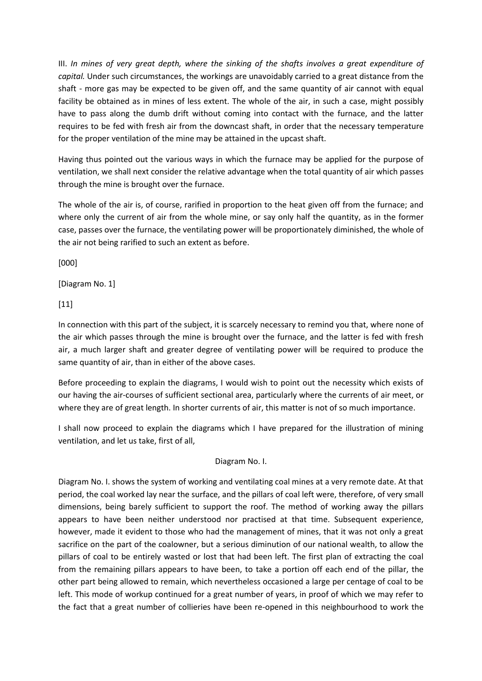III. *In mines of very great depth, where the sinking of the shafts involves a great expenditure of capital.* Under such circumstances, the workings are unavoidably carried to a great distance from the shaft - more gas may be expected to be given off, and the same quantity of air cannot with equal facility be obtained as in mines of less extent. The whole of the air, in such a case, might possibly have to pass along the dumb drift without coming into contact with the furnace, and the latter requires to be fed with fresh air from the downcast shaft, in order that the necessary temperature for the proper ventilation of the mine may be attained in the upcast shaft.

Having thus pointed out the various ways in which the furnace may be applied for the purpose of ventilation, we shall next consider the relative advantage when the total quantity of air which passes through the mine is brought over the furnace.

The whole of the air is, of course, rarified in proportion to the heat given off from the furnace; and where only the current of air from the whole mine, or say only half the quantity, as in the former case, passes over the furnace, the ventilating power will be proportionately diminished, the whole of the air not being rarified to such an extent as before.

[000]

[Diagram No. 1]

[11]

In connection with this part of the subject, it is scarcely necessary to remind you that, where none of the air which passes through the mine is brought over the furnace, and the latter is fed with fresh air, a much larger shaft and greater degree of ventilating power will be required to produce the same quantity of air, than in either of the above cases.

Before proceeding to explain the diagrams, I would wish to point out the necessity which exists of our having the air-courses of sufficient sectional area, particularly where the currents of air meet, or where they are of great length. In shorter currents of air, this matter is not of so much importance.

I shall now proceed to explain the diagrams which I have prepared for the illustration of mining ventilation, and let us take, first of all,

Diagram No. I.

Diagram No. I. shows the system of working and ventilating coal mines at a very remote date. At that period, the coal worked lay near the surface, and the pillars of coal left were, therefore, of very small dimensions, being barely sufficient to support the roof. The method of working away the pillars appears to have been neither understood nor practised at that time. Subsequent experience, however, made it evident to those who had the management of mines, that it was not only a great sacrifice on the part of the coalowner, but a serious diminution of our national wealth, to allow the pillars of coal to be entirely wasted or lost that had been left. The first plan of extracting the coal from the remaining pillars appears to have been, to take a portion off each end of the pillar, the other part being allowed to remain, which nevertheless occasioned a large per centage of coal to be left. This mode of workup continued for a great number of years, in proof of which we may refer to the fact that a great number of collieries have been re-opened in this neighbourhood to work the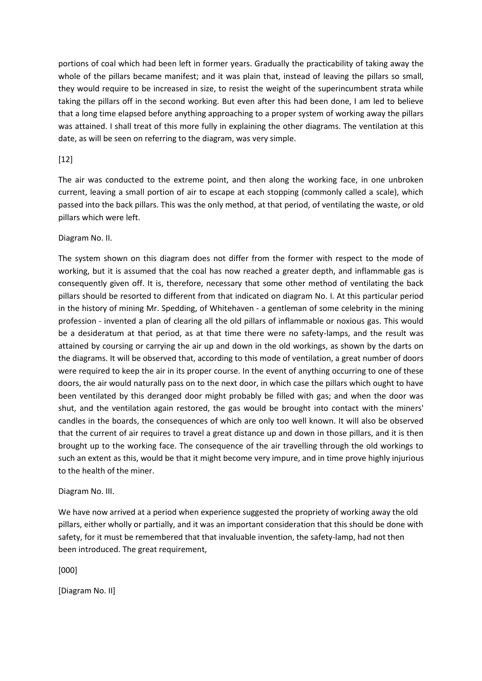portions of coal which had been left in former years. Gradually the practicability of taking away the whole of the pillars became manifest; and it was plain that, instead of leaving the pillars so small, they would require to be increased in size, to resist the weight of the superincumbent strata while taking the pillars off in the second working. But even after this had been done, I am led to believe that a long time elapsed before anything approaching to a proper system of working away the pillars was attained. I shall treat of this more fully in explaining the other diagrams. The ventilation at this date, as will be seen on referring to the diagram, was very simple.

## $[12]$

The air was conducted to the extreme point, and then along the working face, in one unbroken current, leaving a small portion of air to escape at each stopping (commonly called a scale), which passed into the back pillars. This was the only method, at that period, of ventilating the waste, or old pillars which were left.

### Diagram No. II.

The system shown on this diagram does not differ from the former with respect to the mode of working, but it is assumed that the coal has now reached a greater depth, and inflammable gas is consequently given off. It is, therefore, necessary that some other method of ventilating the back pillars should be resorted to different from that indicated on diagram No. I. At this particular period in the history of mining Mr. Spedding, of Whitehaven - a gentleman of some celebrity in the mining profession - invented a plan of clearing all the old pillars of inflammable or noxious gas. This would be a desideratum at that period, as at that time there were no safety-lamps, and the result was attained by coursing or carrying the air up and down in the old workings, as shown by the darts on the diagrams. It will be observed that, according to this mode of ventilation, a great number of doors were required to keep the air in its proper course. In the event of anything occurring to one of these doors, the air would naturally pass on to the next door, in which case the pillars which ought to have been ventilated by this deranged door might probably be filled with gas; and when the door was shut, and the ventilation again restored, the gas would be brought into contact with the miners' candles in the boards, the consequences of which are only too well known. It will also be observed that the current of air requires to travel a great distance up and down in those pillars, and it is then brought up to the working face. The consequence of the air travelling through the old workings to such an extent as this, would be that it might become very impure, and in time prove highly injurious to the health of the miner.

#### Diagram No. III.

We have now arrived at a period when experience suggested the propriety of working away the old pillars, either wholly or partially, and it was an important consideration that this should be done with safety, for it must be remembered that that invaluable invention, the safety-lamp, had not then been introduced. The great requirement,

[000]

[Diagram No. II]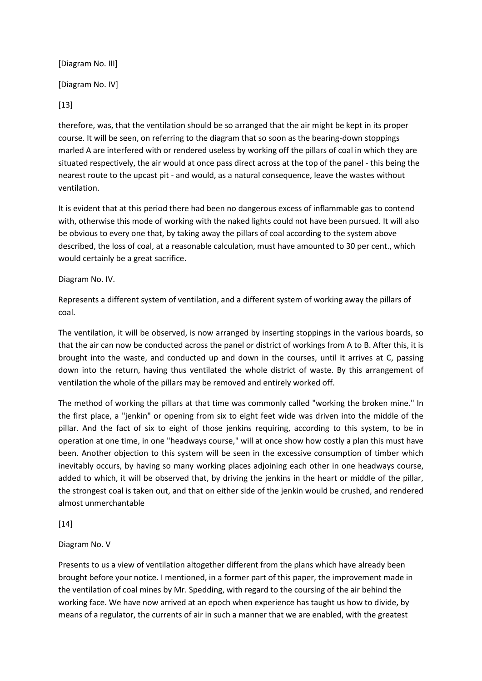[Diagram No. III]

[Diagram No. IV]

[13]

therefore, was, that the ventilation should be so arranged that the air might be kept in its proper course. It will be seen, on referring to the diagram that so soon as the bearing-down stoppings marled A are interfered with or rendered useless by working off the pillars of coal in which they are situated respectively, the air would at once pass direct across at the top of the panel - this being the nearest route to the upcast pit - and would, as a natural consequence, leave the wastes without ventilation.

It is evident that at this period there had been no dangerous excess of inflammable gas to contend with, otherwise this mode of working with the naked lights could not have been pursued. It will also be obvious to every one that, by taking away the pillars of coal according to the system above described, the loss of coal, at a reasonable calculation, must have amounted to 30 per cent., which would certainly be a great sacrifice.

# Diagram No. IV.

Represents a different system of ventilation, and a different system of working away the pillars of coal.

The ventilation, it will be observed, is now arranged by inserting stoppings in the various boards, so that the air can now be conducted across the panel or district of workings from A to B. After this, it is brought into the waste, and conducted up and down in the courses, until it arrives at C, passing down into the return, having thus ventilated the whole district of waste. By this arrangement of ventilation the whole of the pillars may be removed and entirely worked off.

The method of working the pillars at that time was commonly called "working the broken mine." In the first place, a "jenkin" or opening from six to eight feet wide was driven into the middle of the pillar. And the fact of six to eight of those jenkins requiring, according to this system, to be in operation at one time, in one "headways course," will at once show how costly a plan this must have been. Another objection to this system will be seen in the excessive consumption of timber which inevitably occurs, by having so many working places adjoining each other in one headways course, added to which, it will be observed that, by driving the jenkins in the heart or middle of the pillar, the strongest coal is taken out, and that on either side of the jenkin would be crushed, and rendered almost unmerchantable

[14]

# Diagram No. V

Presents to us a view of ventilation altogether different from the plans which have already been brought before your notice. I mentioned, in a former part of this paper, the improvement made in the ventilation of coal mines by Mr. Spedding, with regard to the coursing of the air behind the working face. We have now arrived at an epoch when experience has taught us how to divide, by means of a regulator, the currents of air in such a manner that we are enabled, with the greatest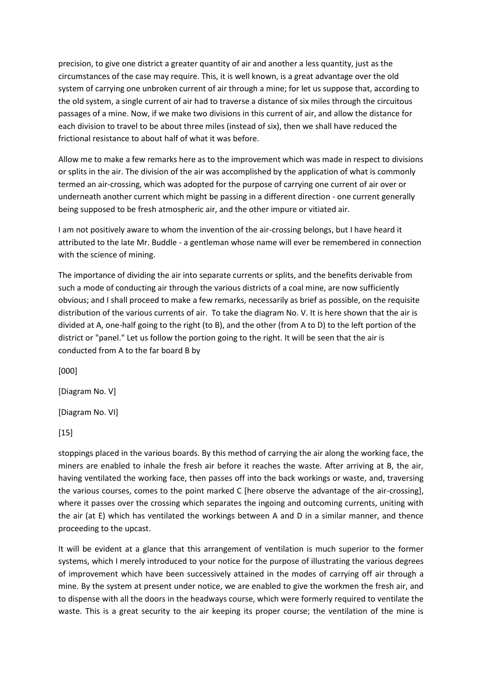precision, to give one district a greater quantity of air and another a less quantity, just as the circumstances of the case may require. This, it is well known, is a great advantage over the old system of carrying one unbroken current of air through a mine; for let us suppose that, according to the old system, a single current of air had to traverse a distance of six miles through the circuitous passages of a mine. Now, if we make two divisions in this current of air, and allow the distance for each division to travel to be about three miles (instead of six), then we shall have reduced the frictional resistance to about half of what it was before.

Allow me to make a few remarks here as to the improvement which was made in respect to divisions or splits in the air. The division of the air was accomplished by the application of what is commonly termed an air-crossing, which was adopted for the purpose of carrying one current of air over or underneath another current which might be passing in a different direction - one current generally being supposed to be fresh atmospheric air, and the other impure or vitiated air.

I am not positively aware to whom the invention of the air-crossing belongs, but I have heard it attributed to the late Mr. Buddle - a gentleman whose name will ever be remembered in connection with the science of mining.

The importance of dividing the air into separate currents or splits, and the benefits derivable from such a mode of conducting air through the various districts of a coal mine, are now sufficiently obvious; and I shall proceed to make a few remarks, necessarily as brief as possible, on the requisite distribution of the various currents of air. To take the diagram No. V. It is here shown that the air is divided at A, one-half going to the right (to B), and the other (from A to D) to the left portion of the district or "panel." Let us follow the portion going to the right. It will be seen that the air is conducted from A to the far board B by

[000]

[Diagram No. V]

[Diagram No. VI]

 $[15]$ 

stoppings placed in the various boards. By this method of carrying the air along the working face, the miners are enabled to inhale the fresh air before it reaches the waste. After arriving at B, the air, having ventilated the working face, then passes off into the back workings or waste, and, traversing the various courses, comes to the point marked C [here observe the advantage of the air-crossing], where it passes over the crossing which separates the ingoing and outcoming currents, uniting with the air (at E) which has ventilated the workings between A and D in a similar manner, and thence proceeding to the upcast.

It will be evident at a glance that this arrangement of ventilation is much superior to the former systems, which I merely introduced to your notice for the purpose of illustrating the various degrees of improvement which have been successively attained in the modes of carrying off air through a mine. By the system at present under notice, we are enabled to give the workmen the fresh air, and to dispense with all the doors in the headways course, which were formerly required to ventilate the waste. This is a great security to the air keeping its proper course; the ventilation of the mine is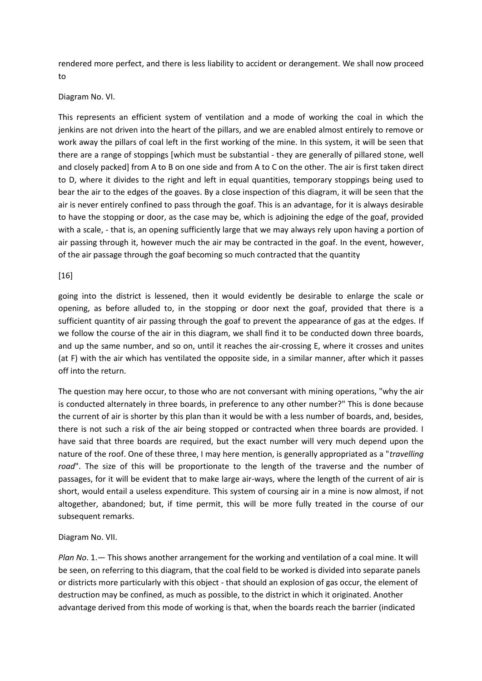rendered more perfect, and there is less liability to accident or derangement. We shall now proceed to

#### Diagram No. VI.

This represents an efficient system of ventilation and a mode of working the coal in which the jenkins are not driven into the heart of the pillars, and we are enabled almost entirely to remove or work away the pillars of coal left in the first working of the mine. In this system, it will be seen that there are a range of stoppings [which must be substantial - they are generally of pillared stone, well and closely packed] from A to B on one side and from A to C on the other. The air is first taken direct to D, where it divides to the right and left in equal quantities, temporary stoppings being used to bear the air to the edges of the goaves. By a close inspection of this diagram, it will be seen that the air is never entirely confined to pass through the goaf. This is an advantage, for it is always desirable to have the stopping or door, as the case may be, which is adjoining the edge of the goaf, provided with a scale, - that is, an opening sufficiently large that we may always rely upon having a portion of air passing through it, however much the air may be contracted in the goaf. In the event, however, of the air passage through the goaf becoming so much contracted that the quantity

#### [16]

going into the district is lessened, then it would evidently be desirable to enlarge the scale or opening, as before alluded to, in the stopping or door next the goaf, provided that there is a sufficient quantity of air passing through the goaf to prevent the appearance of gas at the edges. If we follow the course of the air in this diagram, we shall find it to be conducted down three boards, and up the same number, and so on, until it reaches the air-crossing E, where it crosses and unites (at F) with the air which has ventilated the opposite side, in a similar manner, after which it passes off into the return.

The question may here occur, to those who are not conversant with mining operations, "why the air is conducted alternately in three boards, in preference to any other number?" This is done because the current of air is shorter by this plan than it would be with a less number of boards, and, besides, there is not such a risk of the air being stopped or contracted when three boards are provided. I have said that three boards are required, but the exact number will very much depend upon the nature of the roof. One of these three, I may here mention, is generally appropriated as a "*travelling road*". The size of this will be proportionate to the length of the traverse and the number of passages, for it will be evident that to make large air-ways, where the length of the current of air is short, would entail a useless expenditure. This system of coursing air in a mine is now almost, if not altogether, abandoned; but, if time permit, this will be more fully treated in the course of our subsequent remarks.

#### Diagram No. VII.

*Plan No*. 1.— This shows another arrangement for the working and ventilation of a coal mine. It will be seen, on referring to this diagram, that the coal field to be worked is divided into separate panels or districts more particularly with this object - that should an explosion of gas occur, the element of destruction may be confined, as much as possible, to the district in which it originated. Another advantage derived from this mode of working is that, when the boards reach the barrier (indicated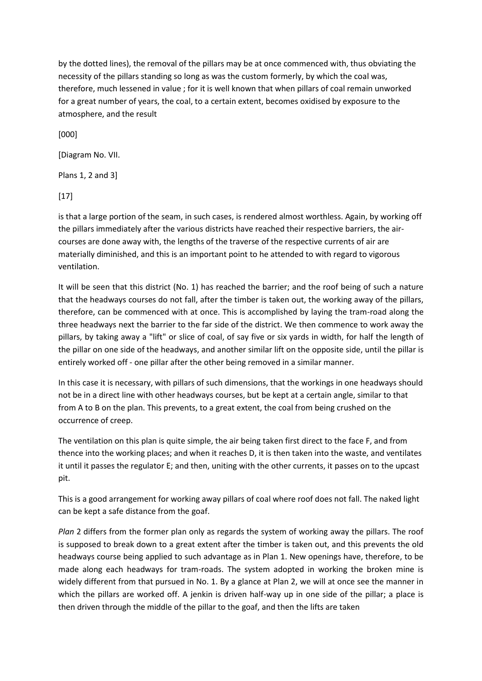by the dotted lines), the removal of the pillars may be at once commenced with, thus obviating the necessity of the pillars standing so long as was the custom formerly, by which the coal was, therefore, much lessened in value ; for it is well known that when pillars of coal remain unworked for a great number of years, the coal, to a certain extent, becomes oxidised by exposure to the atmosphere, and the result

[000]

[Diagram No. VII.

Plans 1, 2 and 3]

[17]

is that a large portion of the seam, in such cases, is rendered almost worthless. Again, by working off the pillars immediately after the various districts have reached their respective barriers, the aircourses are done away with, the lengths of the traverse of the respective currents of air are materially diminished, and this is an important point to he attended to with regard to vigorous ventilation.

It will be seen that this district (No. 1) has reached the barrier; and the roof being of such a nature that the headways courses do not fall, after the timber is taken out, the working away of the pillars, therefore, can be commenced with at once. This is accomplished by laying the tram-road along the three headways next the barrier to the far side of the district. We then commence to work away the pillars, by taking away a "lift" or slice of coal, of say five or six yards in width, for half the length of the pillar on one side of the headways, and another similar lift on the opposite side, until the pillar is entirely worked off - one pillar after the other being removed in a similar manner.

In this case it is necessary, with pillars of such dimensions, that the workings in one headways should not be in a direct line with other headways courses, but be kept at a certain angle, similar to that from A to B on the plan. This prevents, to a great extent, the coal from being crushed on the occurrence of creep.

The ventilation on this plan is quite simple, the air being taken first direct to the face F, and from thence into the working places; and when it reaches D, it is then taken into the waste, and ventilates it until it passes the regulator E; and then, uniting with the other currents, it passes on to the upcast pit.

This is a good arrangement for working away pillars of coal where roof does not fall. The naked light can be kept a safe distance from the goaf.

*Plan* 2 differs from the former plan only as regards the system of working away the pillars. The roof is supposed to break down to a great extent after the timber is taken out, and this prevents the old headways course being applied to such advantage as in Plan 1. New openings have, therefore, to be made along each headways for tram-roads. The system adopted in working the broken mine is widely different from that pursued in No. 1. By a glance at Plan 2, we will at once see the manner in which the pillars are worked off. A jenkin is driven half-way up in one side of the pillar; a place is then driven through the middle of the pillar to the goaf, and then the lifts are taken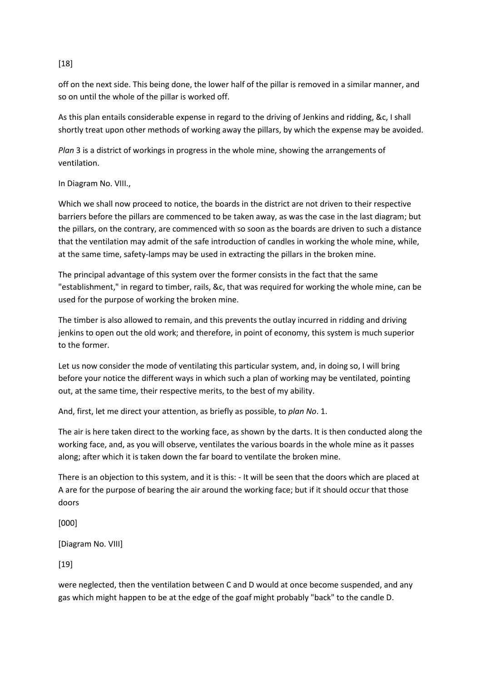# [18]

off on the next side. This being done, the lower half of the pillar is removed in a similar manner, and so on until the whole of the pillar is worked off.

As this plan entails considerable expense in regard to the driving of Jenkins and ridding, &c, I shall shortly treat upon other methods of working away the pillars, by which the expense may be avoided.

*Plan* 3 is a district of workings in progress in the whole mine, showing the arrangements of ventilation.

### In Diagram No. VIII.,

Which we shall now proceed to notice, the boards in the district are not driven to their respective barriers before the pillars are commenced to be taken away, as was the case in the last diagram; but the pillars, on the contrary, are commenced with so soon as the boards are driven to such a distance that the ventilation may admit of the safe introduction of candles in working the whole mine, while, at the same time, safety-lamps may be used in extracting the pillars in the broken mine.

The principal advantage of this system over the former consists in the fact that the same "establishment," in regard to timber, rails, &c, that was required for working the whole mine, can be used for the purpose of working the broken mine.

The timber is also allowed to remain, and this prevents the outlay incurred in ridding and driving jenkins to open out the old work; and therefore, in point of economy, this system is much superior to the former.

Let us now consider the mode of ventilating this particular system, and, in doing so, I will bring before your notice the different ways in which such a plan of working may be ventilated, pointing out, at the same time, their respective merits, to the best of my ability.

And, first, let me direct your attention, as briefly as possible, to *plan No*. 1.

The air is here taken direct to the working face, as shown by the darts. It is then conducted along the working face, and, as you will observe, ventilates the various boards in the whole mine as it passes along; after which it is taken down the far board to ventilate the broken mine.

There is an objection to this system, and it is this: - It will be seen that the doors which are placed at A are for the purpose of bearing the air around the working face; but if it should occur that those doors

[000]

[Diagram No. VIII]

[19]

were neglected, then the ventilation between C and D would at once become suspended, and any gas which might happen to be at the edge of the goaf might probably "back" to the candle D.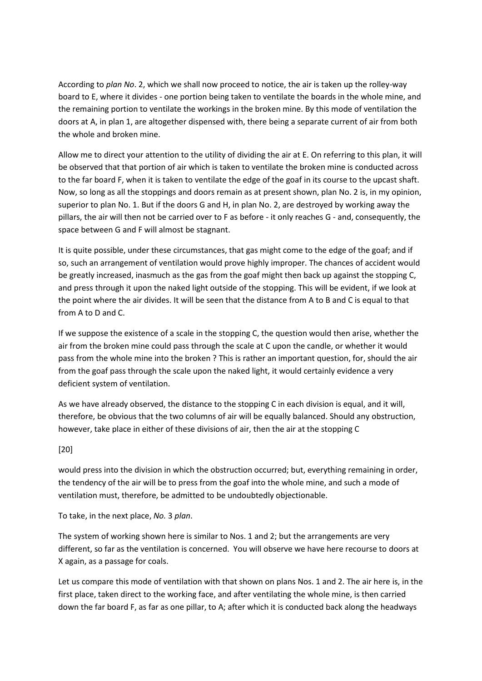According to *plan No*. 2, which we shall now proceed to notice, the air is taken up the rolley-way board to E, where it divides - one portion being taken to ventilate the boards in the whole mine, and the remaining portion to ventilate the workings in the broken mine. By this mode of ventilation the doors at A, in plan 1, are altogether dispensed with, there being a separate current of air from both the whole and broken mine.

Allow me to direct your attention to the utility of dividing the air at E. On referring to this plan, it will be observed that that portion of air which is taken to ventilate the broken mine is conducted across to the far board F, when it is taken to ventilate the edge of the goaf in its course to the upcast shaft. Now, so long as all the stoppings and doors remain as at present shown, plan No. 2 is, in my opinion, superior to plan No. 1. But if the doors G and H, in plan No. 2, are destroyed by working away the pillars, the air will then not be carried over to F as before - it only reaches G - and, consequently, the space between G and F will almost be stagnant.

It is quite possible, under these circumstances, that gas might come to the edge of the goaf; and if so, such an arrangement of ventilation would prove highly improper. The chances of accident would be greatly increased, inasmuch as the gas from the goaf might then back up against the stopping C, and press through it upon the naked light outside of the stopping. This will be evident, if we look at the point where the air divides. It will be seen that the distance from A to B and C is equal to that from A to D and C.

If we suppose the existence of a scale in the stopping C, the question would then arise, whether the air from the broken mine could pass through the scale at C upon the candle, or whether it would pass from the whole mine into the broken ? This is rather an important question, for, should the air from the goaf pass through the scale upon the naked light, it would certainly evidence a very deficient system of ventilation.

As we have already observed, the distance to the stopping C in each division is equal, and it will, therefore, be obvious that the two columns of air will be equally balanced. Should any obstruction, however, take place in either of these divisions of air, then the air at the stopping C

# [20]

would press into the division in which the obstruction occurred; but, everything remaining in order, the tendency of the air will be to press from the goaf into the whole mine, and such a mode of ventilation must, therefore, be admitted to be undoubtedly objectionable.

To take, in the next place, *No.* 3 *plan*.

The system of working shown here is similar to Nos. 1 and 2; but the arrangements are very different, so far as the ventilation is concerned. You will observe we have here recourse to doors at X again, as a passage for coals.

Let us compare this mode of ventilation with that shown on plans Nos. 1 and 2. The air here is, in the first place, taken direct to the working face, and after ventilating the whole mine, is then carried down the far board F, as far as one pillar, to A; after which it is conducted back along the headways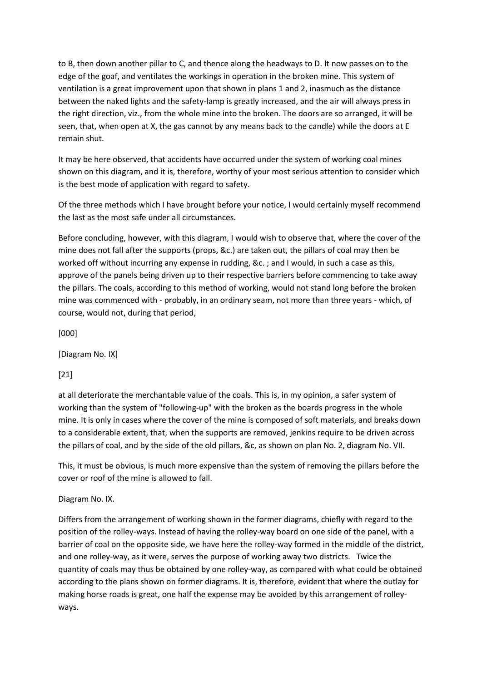to B, then down another pillar to C, and thence along the headways to D. It now passes on to the edge of the goaf, and ventilates the workings in operation in the broken mine. This system of ventilation is a great improvement upon that shown in plans 1 and 2, inasmuch as the distance between the naked lights and the safety-lamp is greatly increased, and the air will always press in the right direction, viz., from the whole mine into the broken. The doors are so arranged, it will be seen, that, when open at X, the gas cannot by any means back to the candle) while the doors at E remain shut.

It may be here observed, that accidents have occurred under the system of working coal mines shown on this diagram, and it is, therefore, worthy of your most serious attention to consider which is the best mode of application with regard to safety.

Of the three methods which I have brought before your notice, I would certainly myself recommend the last as the most safe under all circumstances.

Before concluding, however, with this diagram, I would wish to observe that, where the cover of the mine does not fall after the supports (props, &c.) are taken out, the pillars of coal may then be worked off without incurring any expense in rudding, &c. ; and I would, in such a case as this, approve of the panels being driven up to their respective barriers before commencing to take away the pillars. The coals, according to this method of working, would not stand long before the broken mine was commenced with - probably, in an ordinary seam, not more than three years - which, of course, would not, during that period,

[000]

[Diagram No. IX]

[21]

at all deteriorate the merchantable value of the coals. This is, in my opinion, a safer system of working than the system of "following-up" with the broken as the boards progress in the whole mine. It is only in cases where the cover of the mine is composed of soft materials, and breaks down to a considerable extent, that, when the supports are removed, jenkins require to be driven across the pillars of coal, and by the side of the old pillars, &c, as shown on plan No. 2, diagram No. VII.

This, it must be obvious, is much more expensive than the system of removing the pillars before the cover or roof of the mine is allowed to fall.

# Diagram No. IX.

Differs from the arrangement of working shown in the former diagrams, chiefly with regard to the position of the rolley-ways. Instead of having the rolley-way board on one side of the panel, with a barrier of coal on the opposite side, we have here the rolley-way formed in the middle of the district, and one rolley-way, as it were, serves the purpose of working away two districts. Twice the quantity of coals may thus be obtained by one rolley-way, as compared with what could be obtained according to the plans shown on former diagrams. It is, therefore, evident that where the outlay for making horse roads is great, one half the expense may be avoided by this arrangement of rolleyways.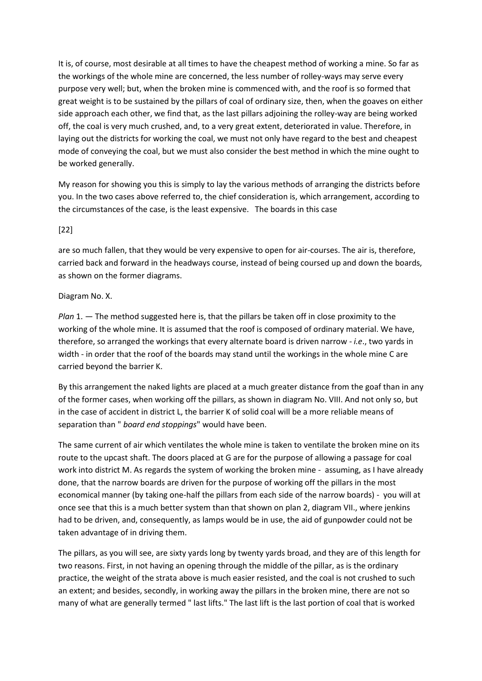It is, of course, most desirable at all times to have the cheapest method of working a mine. So far as the workings of the whole mine are concerned, the less number of rolley-ways may serve every purpose very well; but, when the broken mine is commenced with, and the roof is so formed that great weight is to be sustained by the pillars of coal of ordinary size, then, when the goaves on either side approach each other, we find that, as the last pillars adjoining the rolley-way are being worked off, the coal is very much crushed, and, to a very great extent, deteriorated in value. Therefore, in laying out the districts for working the coal, we must not only have regard to the best and cheapest mode of conveying the coal, but we must also consider the best method in which the mine ought to be worked generally.

My reason for showing you this is simply to lay the various methods of arranging the districts before you. In the two cases above referred to, the chief consideration is, which arrangement, according to the circumstances of the case, is the least expensive. The boards in this case

### [22]

are so much fallen, that they would be very expensive to open for air-courses. The air is, therefore, carried back and forward in the headways course, instead of being coursed up and down the boards, as shown on the former diagrams.

### Diagram No. X.

*Plan* 1. — The method suggested here is, that the pillars be taken off in close proximity to the working of the whole mine. It is assumed that the roof is composed of ordinary material. We have, therefore, so arranged the workings that every alternate board is driven narrow - *i.e*., two yards in width - in order that the roof of the boards may stand until the workings in the whole mine C are carried beyond the barrier K.

By this arrangement the naked lights are placed at a much greater distance from the goaf than in any of the former cases, when working off the pillars, as shown in diagram No. VIII. And not only so, but in the case of accident in district L, the barrier K of solid coal will be a more reliable means of separation than " *board end stoppings*" would have been.

The same current of air which ventilates the whole mine is taken to ventilate the broken mine on its route to the upcast shaft. The doors placed at G are for the purpose of allowing a passage for coal work into district M. As regards the system of working the broken mine - assuming, as I have already done, that the narrow boards are driven for the purpose of working off the pillars in the most economical manner (by taking one-half the pillars from each side of the narrow boards) - you will at once see that this is a much better system than that shown on plan 2, diagram VII., where jenkins had to be driven, and, consequently, as lamps would be in use, the aid of gunpowder could not be taken advantage of in driving them.

The pillars, as you will see, are sixty yards long by twenty yards broad, and they are of this length for two reasons. First, in not having an opening through the middle of the pillar, as is the ordinary practice, the weight of the strata above is much easier resisted, and the coal is not crushed to such an extent; and besides, secondly, in working away the pillars in the broken mine, there are not so many of what are generally termed " last lifts." The last lift is the last portion of coal that is worked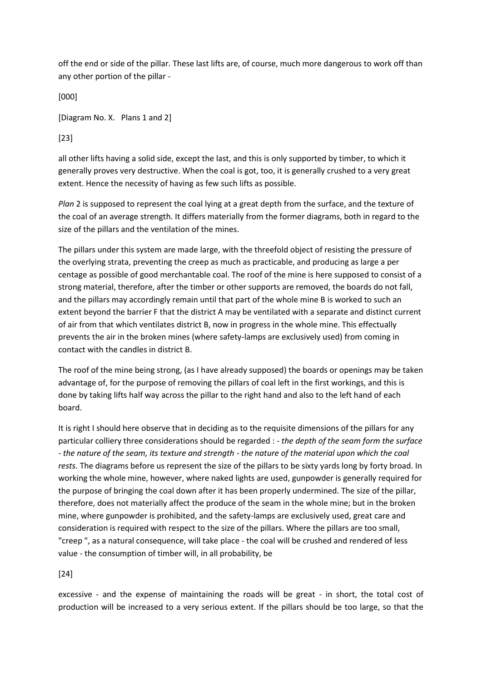off the end or side of the pillar. These last lifts are, of course, much more dangerous to work off than any other portion of the pillar -

[000]

[Diagram No. X. Plans 1 and 2]

[23]

all other lifts having a solid side, except the last, and this is only supported by timber, to which it generally proves very destructive. When the coal is got, too, it is generally crushed to a very great extent. Hence the necessity of having as few such lifts as possible.

*Plan* 2 is supposed to represent the coal lying at a great depth from the surface, and the texture of the coal of an average strength. It differs materially from the former diagrams, both in regard to the size of the pillars and the ventilation of the mines.

The pillars under this system are made large, with the threefold object of resisting the pressure of the overlying strata, preventing the creep as much as practicable, and producing as large a per centage as possible of good merchantable coal. The roof of the mine is here supposed to consist of a strong material, therefore, after the timber or other supports are removed, the boards do not fall, and the pillars may accordingly remain until that part of the whole mine B is worked to such an extent beyond the barrier F that the district A may be ventilated with a separate and distinct current of air from that which ventilates district B, now in progress in the whole mine. This effectually prevents the air in the broken mines (where safety-lamps are exclusively used) from coming in contact with the candles in district B.

The roof of the mine being strong, (as I have already supposed) the boards or openings may be taken advantage of, for the purpose of removing the pillars of coal left in the first workings, and this is done by taking lifts half way across the pillar to the right hand and also to the left hand of each board.

It is right I should here observe that in deciding as to the requisite dimensions of the pillars for any particular colliery three considerations should be regarded : - *the depth of the seam form the surface - the nature of the seam, its texture and strength - the nature of the material upon which the coal rests.* The diagrams before us represent the size of the pillars to be sixty yards long by forty broad. In working the whole mine, however, where naked lights are used, gunpowder is generally required for the purpose of bringing the coal down after it has been properly undermined. The size of the pillar, therefore, does not materially affect the produce of the seam in the whole mine; but in the broken mine, where gunpowder is prohibited, and the safety-lamps are exclusively used, great care and consideration is required with respect to the size of the pillars. Where the pillars are too small, "creep ", as a natural consequence, will take place - the coal will be crushed and rendered of less value - the consumption of timber will, in all probability, be

[24]

excessive - and the expense of maintaining the roads will be great - in short, the total cost of production will be increased to a very serious extent. If the pillars should be too large, so that the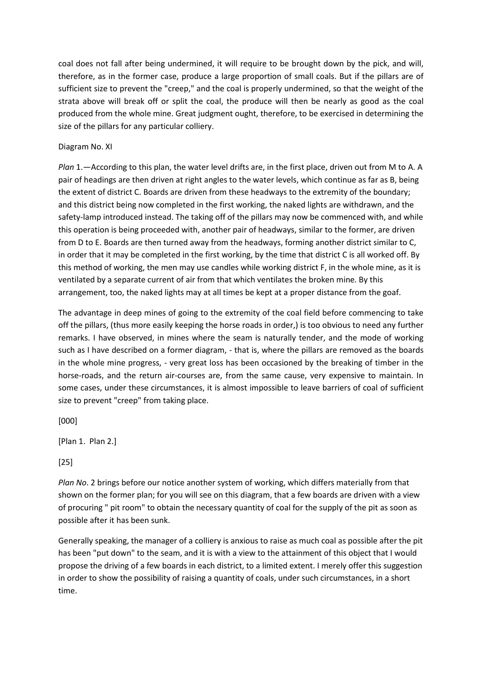coal does not fall after being undermined, it will require to be brought down by the pick, and will, therefore, as in the former case, produce a large proportion of small coals. But if the pillars are of sufficient size to prevent the "creep," and the coal is properly undermined, so that the weight of the strata above will break off or split the coal, the produce will then be nearly as good as the coal produced from the whole mine. Great judgment ought, therefore, to be exercised in determining the size of the pillars for any particular colliery.

### Diagram No. XI

*Plan* 1.—According to this plan, the water level drifts are, in the first place, driven out from M to A. A pair of headings are then driven at right angles to the water levels, which continue as far as B, being the extent of district C. Boards are driven from these headways to the extremity of the boundary; and this district being now completed in the first working, the naked lights are withdrawn, and the safety-lamp introduced instead. The taking off of the pillars may now be commenced with, and while this operation is being proceeded with, another pair of headways, similar to the former, are driven from D to E. Boards are then turned away from the headways, forming another district similar to C, in order that it may be completed in the first working, by the time that district C is all worked off. By this method of working, the men may use candles while working district F, in the whole mine, as it is ventilated by a separate current of air from that which ventilates the broken mine. By this arrangement, too, the naked lights may at all times be kept at a proper distance from the goaf.

The advantage in deep mines of going to the extremity of the coal field before commencing to take off the pillars, (thus more easily keeping the horse roads in order,) is too obvious to need any further remarks. I have observed, in mines where the seam is naturally tender, and the mode of working such as I have described on a former diagram, - that is, where the pillars are removed as the boards in the whole mine progress, - very great loss has been occasioned by the breaking of timber in the horse-roads, and the return air-courses are, from the same cause, very expensive to maintain. In some cases, under these circumstances, it is almost impossible to leave barriers of coal of sufficient size to prevent "creep" from taking place.

[000]

[Plan 1. Plan 2.]

[25]

*Plan No*. 2 brings before our notice another system of working, which differs materially from that shown on the former plan; for you will see on this diagram, that a few boards are driven with a view of procuring " pit room" to obtain the necessary quantity of coal for the supply of the pit as soon as possible after it has been sunk.

Generally speaking, the manager of a colliery is anxious to raise as much coal as possible after the pit has been "put down" to the seam, and it is with a view to the attainment of this object that I would propose the driving of a few boards in each district, to a limited extent. I merely offer this suggestion in order to show the possibility of raising a quantity of coals, under such circumstances, in a short time.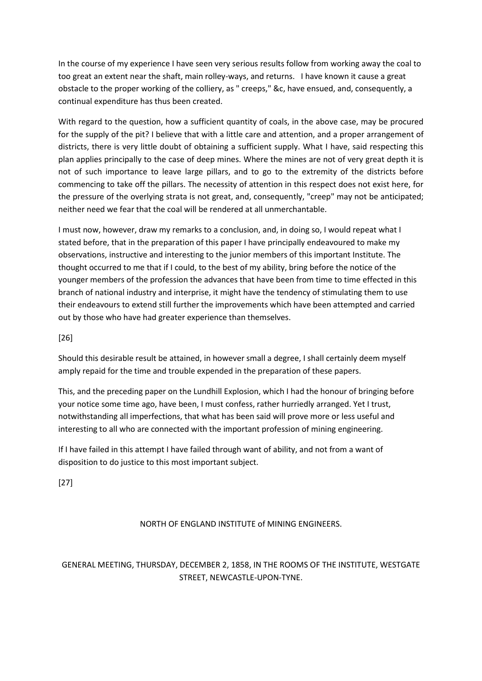In the course of my experience I have seen very serious results follow from working away the coal to too great an extent near the shaft, main rolley-ways, and returns. I have known it cause a great obstacle to the proper working of the colliery, as " creeps," &c, have ensued, and, consequently, a continual expenditure has thus been created.

With regard to the question, how a sufficient quantity of coals, in the above case, may be procured for the supply of the pit? I believe that with a little care and attention, and a proper arrangement of districts, there is very little doubt of obtaining a sufficient supply. What I have, said respecting this plan applies principally to the case of deep mines. Where the mines are not of very great depth it is not of such importance to leave large pillars, and to go to the extremity of the districts before commencing to take off the pillars. The necessity of attention in this respect does not exist here, for the pressure of the overlying strata is not great, and, consequently, "creep" may not be anticipated; neither need we fear that the coal will be rendered at all unmerchantable.

I must now, however, draw my remarks to a conclusion, and, in doing so, I would repeat what I stated before, that in the preparation of this paper I have principally endeavoured to make my observations, instructive and interesting to the junior members of this important Institute. The thought occurred to me that if I could, to the best of my ability, bring before the notice of the younger members of the profession the advances that have been from time to time effected in this branch of national industry and interprise, it might have the tendency of stimulating them to use their endeavours to extend still further the improvements which have been attempted and carried out by those who have had greater experience than themselves.

# [26]

Should this desirable result be attained, in however small a degree, I shall certainly deem myself amply repaid for the time and trouble expended in the preparation of these papers.

This, and the preceding paper on the Lundhill Explosion, which I had the honour of bringing before your notice some time ago, have been, I must confess, rather hurriedly arranged. Yet I trust, notwithstanding all imperfections, that what has been said will prove more or less useful and interesting to all who are connected with the important profession of mining engineering.

If I have failed in this attempt I have failed through want of ability, and not from a want of disposition to do justice to this most important subject.

[27]

# NORTH OF ENGLAND INSTITUTE of MINING ENGINEERS.

# GENERAL MEETING, THURSDAY, DECEMBER 2, 1858, IN THE ROOMS OF THE INSTITUTE, WESTGATE STREET, NEWCASTLE-UPON-TYNE.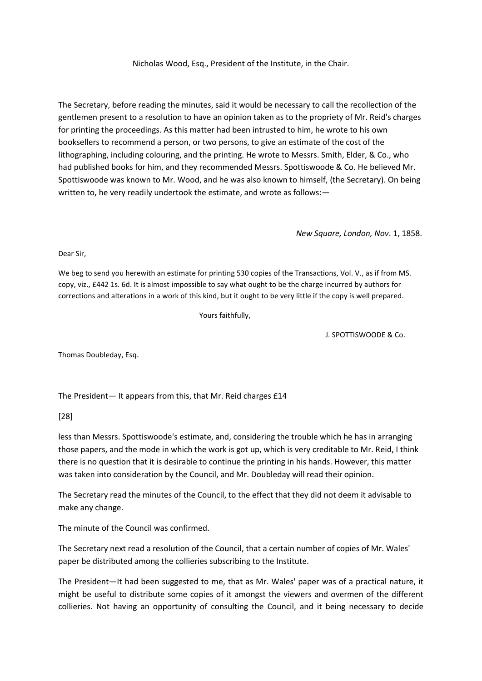Nicholas Wood, Esq., President of the Institute, in the Chair.

The Secretary, before reading the minutes, said it would be necessary to call the recollection of the gentlemen present to a resolution to have an opinion taken as to the propriety of Mr. Reid's charges for printing the proceedings. As this matter had been intrusted to him, he wrote to his own booksellers to recommend a person, or two persons, to give an estimate of the cost of the lithographing, including colouring, and the printing. He wrote to Messrs. Smith, Elder, & Co., who had published books for him, and they recommended Messrs. Spottiswoode & Co. He believed Mr. Spottiswoode was known to Mr. Wood, and he was also known to himself, (the Secretary). On being written to, he very readily undertook the estimate, and wrote as follows:—

*New Square, London, Nov*. 1, 1858.

Dear Sir,

We beg to send you herewith an estimate for printing 530 copies of the Transactions, Vol. V., as if from MS. copy, viz., £442 1s. 6d. It is almost impossible to say what ought to be the charge incurred by authors for corrections and alterations in a work of this kind, but it ought to be very little if the copy is well prepared.

Yours faithfully,

J. SPOTTISWOODE & Co.

Thomas Doubleday, Esq.

The President— It appears from this, that Mr. Reid charges £14

[28]

less than Messrs. Spottiswoode's estimate, and, considering the trouble which he has in arranging those papers, and the mode in which the work is got up, which is very creditable to Mr. Reid, I think there is no question that it is desirable to continue the printing in his hands. However, this matter was taken into consideration by the Council, and Mr. Doubleday will read their opinion.

The Secretary read the minutes of the Council, to the effect that they did not deem it advisable to make any change.

The minute of the Council was confirmed.

The Secretary next read a resolution of the Council, that a certain number of copies of Mr. Wales' paper be distributed among the collieries subscribing to the Institute.

The President—It had been suggested to me, that as Mr. Wales' paper was of a practical nature, it might be useful to distribute some copies of it amongst the viewers and overmen of the different collieries. Not having an opportunity of consulting the Council, and it being necessary to decide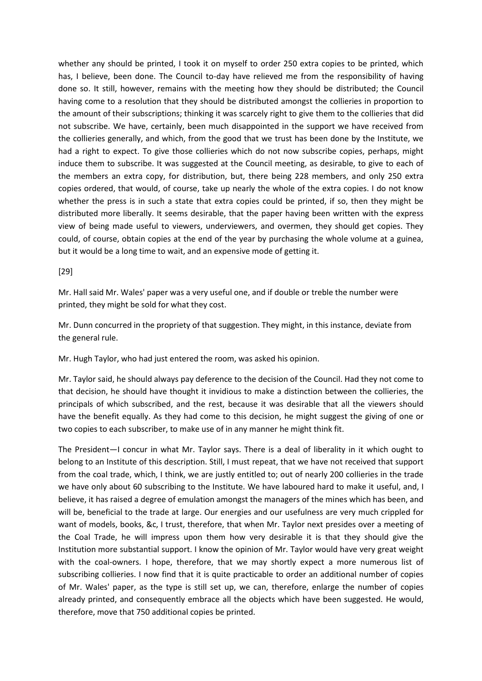whether any should be printed, I took it on myself to order 250 extra copies to be printed, which has, I believe, been done. The Council to-day have relieved me from the responsibility of having done so. It still, however, remains with the meeting how they should be distributed; the Council having come to a resolution that they should be distributed amongst the collieries in proportion to the amount of their subscriptions; thinking it was scarcely right to give them to the collieries that did not subscribe. We have, certainly, been much disappointed in the support we have received from the collieries generally, and which, from the good that we trust has been done by the Institute, we had a right to expect. To give those collieries which do not now subscribe copies, perhaps, might induce them to subscribe. It was suggested at the Council meeting, as desirable, to give to each of the members an extra copy, for distribution, but, there being 228 members, and only 250 extra copies ordered, that would, of course, take up nearly the whole of the extra copies. I do not know whether the press is in such a state that extra copies could be printed, if so, then they might be distributed more liberally. It seems desirable, that the paper having been written with the express view of being made useful to viewers, underviewers, and overmen, they should get copies. They could, of course, obtain copies at the end of the year by purchasing the whole volume at a guinea, but it would be a long time to wait, and an expensive mode of getting it.

#### [29]

Mr. Hall said Mr. Wales' paper was a very useful one, and if double or treble the number were printed, they might be sold for what they cost.

Mr. Dunn concurred in the propriety of that suggestion. They might, in this instance, deviate from the general rule.

Mr. Hugh Taylor, who had just entered the room, was asked his opinion.

Mr. Taylor said, he should always pay deference to the decision of the Council. Had they not come to that decision, he should have thought it invidious to make a distinction between the collieries, the principals of which subscribed, and the rest, because it was desirable that all the viewers should have the benefit equally. As they had come to this decision, he might suggest the giving of one or two copies to each subscriber, to make use of in any manner he might think fit.

The President—I concur in what Mr. Taylor says. There is a deal of liberality in it which ought to belong to an Institute of this description. Still, I must repeat, that we have not received that support from the coal trade, which, I think, we are justly entitled to; out of nearly 200 collieries in the trade we have only about 60 subscribing to the Institute. We have laboured hard to make it useful, and, I believe, it has raised a degree of emulation amongst the managers of the mines which has been, and will be, beneficial to the trade at large. Our energies and our usefulness are very much crippled for want of models, books, &c, I trust, therefore, that when Mr. Taylor next presides over a meeting of the Coal Trade, he will impress upon them how very desirable it is that they should give the Institution more substantial support. I know the opinion of Mr. Taylor would have very great weight with the coal-owners. I hope, therefore, that we may shortly expect a more numerous list of subscribing collieries. I now find that it is quite practicable to order an additional number of copies of Mr. Wales' paper, as the type is still set up, we can, therefore, enlarge the number of copies already printed, and consequently embrace all the objects which have been suggested. He would, therefore, move that 750 additional copies be printed.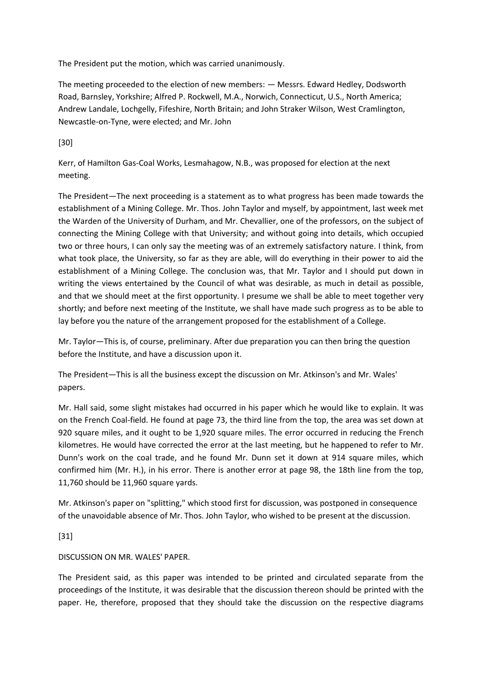The President put the motion, which was carried unanimously.

The meeting proceeded to the election of new members: — Messrs. Edward Hedley, Dodsworth Road, Barnsley, Yorkshire; Alfred P. Rockwell, M.A., Norwich, Connecticut, U.S., North America; Andrew Landale, Lochgelly, Fifeshire, North Britain; and John Straker Wilson, West Cramlington, Newcastle-on-Tyne, were elected; and Mr. John

[30]

Kerr, of Hamilton Gas-Coal Works, Lesmahagow, N.B., was proposed for election at the next meeting.

The President—The next proceeding is a statement as to what progress has been made towards the establishment of a Mining College. Mr. Thos. John Taylor and myself, by appointment, last week met the Warden of the University of Durham, and Mr. Chevallier, one of the professors, on the subject of connecting the Mining College with that University; and without going into details, which occupied two or three hours, I can only say the meeting was of an extremely satisfactory nature. I think, from what took place, the University, so far as they are able, will do everything in their power to aid the establishment of a Mining College. The conclusion was, that Mr. Taylor and I should put down in writing the views entertained by the Council of what was desirable, as much in detail as possible, and that we should meet at the first opportunity. I presume we shall be able to meet together very shortly; and before next meeting of the Institute, we shall have made such progress as to be able to lay before you the nature of the arrangement proposed for the establishment of a College.

Mr. Taylor—This is, of course, preliminary. After due preparation you can then bring the question before the Institute, and have a discussion upon it.

The President—This is all the business except the discussion on Mr. Atkinson's and Mr. Wales' papers.

Mr. Hall said, some slight mistakes had occurred in his paper which he would like to explain. It was on the French Coal-field. He found at page 73, the third line from the top, the area was set down at 920 square miles, and it ought to be 1,920 square miles. The error occurred in reducing the French kilometres. He would have corrected the error at the last meeting, but he happened to refer to Mr. Dunn's work on the coal trade, and he found Mr. Dunn set it down at 914 square miles, which confirmed him (Mr. H.), in his error. There is another error at page 98, the 18th line from the top, 11,760 should be 11,960 square yards.

Mr. Atkinson's paper on "splitting," which stood first for discussion, was postponed in consequence of the unavoidable absence of Mr. Thos. John Taylor, who wished to be present at the discussion.

[31]

# DISCUSSION ON MR. WALES' PAPER.

The President said, as this paper was intended to be printed and circulated separate from the proceedings of the Institute, it was desirable that the discussion thereon should be printed with the paper. He, therefore, proposed that they should take the discussion on the respective diagrams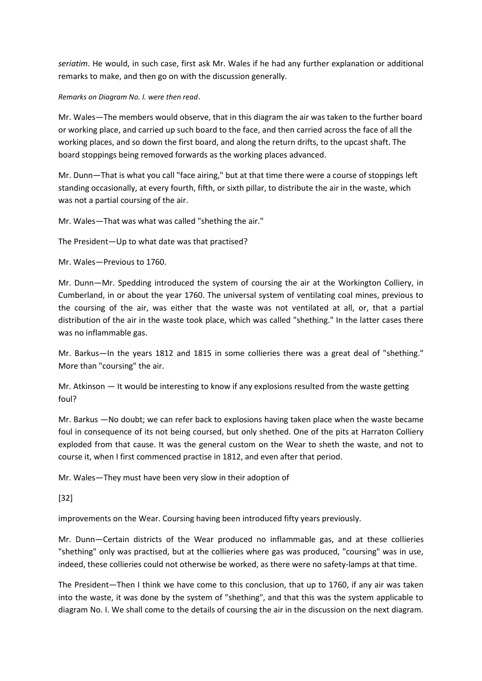*seriatim*. He would, in such case, first ask Mr. Wales if he had any further explanation or additional remarks to make, and then go on with the discussion generally.

#### *Remarks on Diagram No. I. were then read*.

Mr. Wales—The members would observe, that in this diagram the air was taken to the further board or working place, and carried up such board to the face, and then carried across the face of all the working places, and so down the first board, and along the return drifts, to the upcast shaft. The board stoppings being removed forwards as the working places advanced.

Mr. Dunn—That is what you call "face airing," but at that time there were a course of stoppings left standing occasionally, at every fourth, fifth, or sixth pillar, to distribute the air in the waste, which was not a partial coursing of the air.

Mr. Wales—That was what was called "shething the air."

The President—Up to what date was that practised?

Mr. Wales—Previous to 1760.

Mr. Dunn—Mr. Spedding introduced the system of coursing the air at the Workington Colliery, in Cumberland, in or about the year 1760. The universal system of ventilating coal mines, previous to the coursing of the air, was either that the waste was not ventilated at all, or, that a partial distribution of the air in the waste took place, which was called "shething." In the latter cases there was no inflammable gas.

Mr. Barkus—In the years 1812 and 1815 in some collieries there was a great deal of "shething." More than "coursing" the air.

Mr. Atkinson — It would be interesting to know if any explosions resulted from the waste getting foul?

Mr. Barkus —No doubt; we can refer back to explosions having taken place when the waste became foul in consequence of its not being coursed, but only shethed. One of the pits at Harraton Colliery exploded from that cause. It was the general custom on the Wear to sheth the waste, and not to course it, when I first commenced practise in 1812, and even after that period.

Mr. Wales—They must have been very slow in their adoption of

[32]

improvements on the Wear. Coursing having been introduced fifty years previously.

Mr. Dunn—Certain districts of the Wear produced no inflammable gas, and at these collieries "shething" only was practised, but at the collieries where gas was produced, "coursing" was in use, indeed, these collieries could not otherwise be worked, as there were no safety-lamps at that time.

The President—Then I think we have come to this conclusion, that up to 1760, if any air was taken into the waste, it was done by the system of "shething", and that this was the system applicable to diagram No. I. We shall come to the details of coursing the air in the discussion on the next diagram.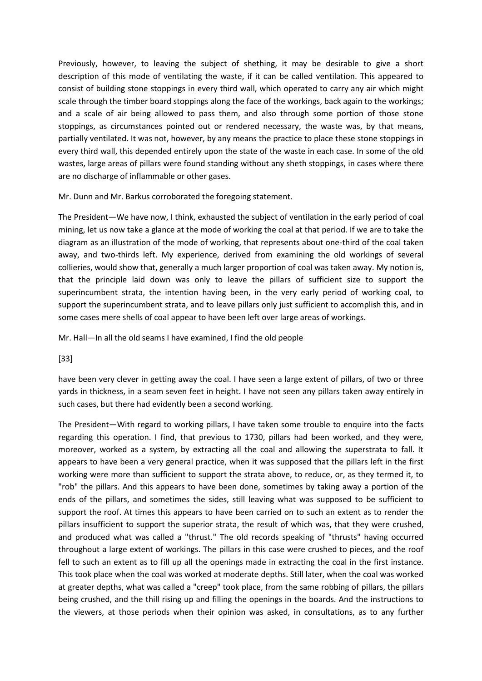Previously, however, to leaving the subject of shething, it may be desirable to give a short description of this mode of ventilating the waste, if it can be called ventilation. This appeared to consist of building stone stoppings in every third wall, which operated to carry any air which might scale through the timber board stoppings along the face of the workings, back again to the workings; and a scale of air being allowed to pass them, and also through some portion of those stone stoppings, as circumstances pointed out or rendered necessary, the waste was, by that means, partially ventilated. It was not, however, by any means the practice to place these stone stoppings in every third wall, this depended entirely upon the state of the waste in each case. In some of the old wastes, large areas of pillars were found standing without any sheth stoppings, in cases where there are no discharge of inflammable or other gases.

Mr. Dunn and Mr. Barkus corroborated the foregoing statement.

The President—We have now, I think, exhausted the subject of ventilation in the early period of coal mining, let us now take a glance at the mode of working the coal at that period. If we are to take the diagram as an illustration of the mode of working, that represents about one-third of the coal taken away, and two-thirds left. My experience, derived from examining the old workings of several collieries, would show that, generally a much larger proportion of coal was taken away. My notion is, that the principle laid down was only to leave the pillars of sufficient size to support the superincumbent strata, the intention having been, in the very early period of working coal, to support the superincumbent strata, and to leave pillars only just sufficient to accomplish this, and in some cases mere shells of coal appear to have been left over large areas of workings.

Mr. Hall—In all the old seams I have examined, I find the old people

[33]

have been very clever in getting away the coal. I have seen a large extent of pillars, of two or three yards in thickness, in a seam seven feet in height. I have not seen any pillars taken away entirely in such cases, but there had evidently been a second working.

The President—With regard to working pillars, I have taken some trouble to enquire into the facts regarding this operation. I find, that previous to 1730, pillars had been worked, and they were, moreover, worked as a system, by extracting all the coal and allowing the superstrata to fall. It appears to have been a very general practice, when it was supposed that the pillars left in the first working were more than sufficient to support the strata above, to reduce, or, as they termed it, to "rob" the pillars. And this appears to have been done, sometimes by taking away a portion of the ends of the pillars, and sometimes the sides, still leaving what was supposed to be sufficient to support the roof. At times this appears to have been carried on to such an extent as to render the pillars insufficient to support the superior strata, the result of which was, that they were crushed, and produced what was called a "thrust." The old records speaking of "thrusts" having occurred throughout a large extent of workings. The pillars in this case were crushed to pieces, and the roof fell to such an extent as to fill up all the openings made in extracting the coal in the first instance. This took place when the coal was worked at moderate depths. Still later, when the coal was worked at greater depths, what was called a "creep" took place, from the same robbing of pillars, the pillars being crushed, and the thill rising up and filling the openings in the boards. And the instructions to the viewers, at those periods when their opinion was asked, in consultations, as to any further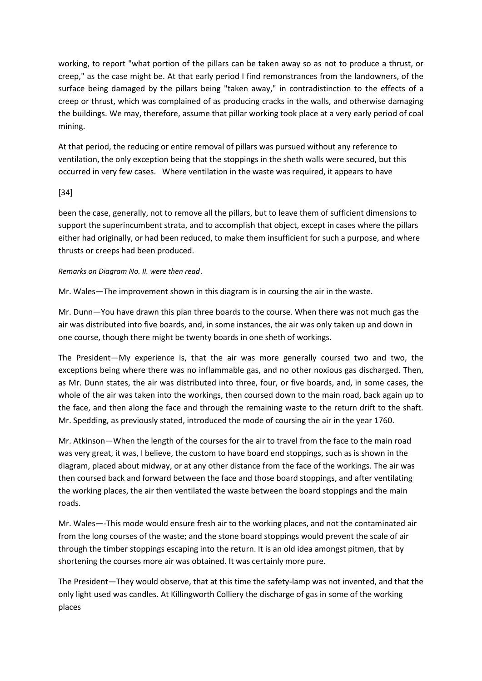working, to report "what portion of the pillars can be taken away so as not to produce a thrust, or creep," as the case might be. At that early period I find remonstrances from the landowners, of the surface being damaged by the pillars being "taken away," in contradistinction to the effects of a creep or thrust, which was complained of as producing cracks in the walls, and otherwise damaging the buildings. We may, therefore, assume that pillar working took place at a very early period of coal mining.

At that period, the reducing or entire removal of pillars was pursued without any reference to ventilation, the only exception being that the stoppings in the sheth walls were secured, but this occurred in very few cases. Where ventilation in the waste was required, it appears to have

# [34]

been the case, generally, not to remove all the pillars, but to leave them of sufficient dimensions to support the superincumbent strata, and to accomplish that object, except in cases where the pillars either had originally, or had been reduced, to make them insufficient for such a purpose, and where thrusts or creeps had been produced.

#### *Remarks on Diagram No. II. were then read*.

Mr. Wales—The improvement shown in this diagram is in coursing the air in the waste.

Mr. Dunn—You have drawn this plan three boards to the course. When there was not much gas the air was distributed into five boards, and, in some instances, the air was only taken up and down in one course, though there might be twenty boards in one sheth of workings.

The President—My experience is, that the air was more generally coursed two and two, the exceptions being where there was no inflammable gas, and no other noxious gas discharged. Then, as Mr. Dunn states, the air was distributed into three, four, or five boards, and, in some cases, the whole of the air was taken into the workings, then coursed down to the main road, back again up to the face, and then along the face and through the remaining waste to the return drift to the shaft. Mr. Spedding, as previously stated, introduced the mode of coursing the air in the year 1760.

Mr. Atkinson—When the length of the courses for the air to travel from the face to the main road was very great, it was, I believe, the custom to have board end stoppings, such as is shown in the diagram, placed about midway, or at any other distance from the face of the workings. The air was then coursed back and forward between the face and those board stoppings, and after ventilating the working places, the air then ventilated the waste between the board stoppings and the main roads.

Mr. Wales—-This mode would ensure fresh air to the working places, and not the contaminated air from the long courses of the waste; and the stone board stoppings would prevent the scale of air through the timber stoppings escaping into the return. It is an old idea amongst pitmen, that by shortening the courses more air was obtained. It was certainly more pure.

The President—They would observe, that at this time the safety-lamp was not invented, and that the only light used was candles. At Killingworth Colliery the discharge of gas in some of the working places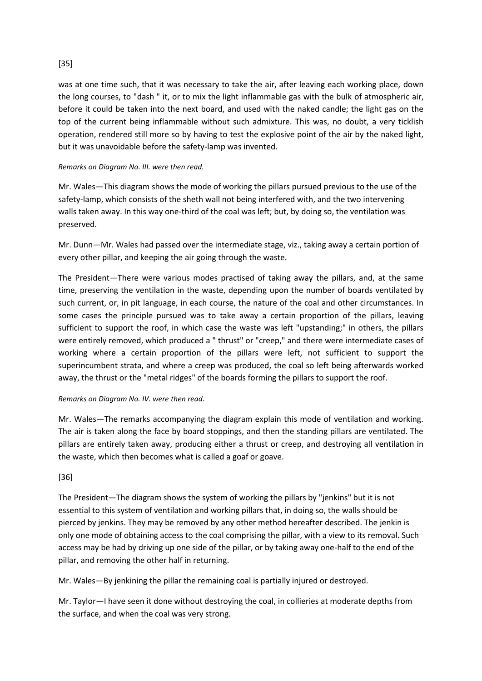# [35]

was at one time such, that it was necessary to take the air, after leaving each working place, down the long courses, to "dash " it, or to mix the light inflammable gas with the bulk of atmospheric air, before it could be taken into the next board, and used with the naked candle; the light gas on the top of the current being inflammable without such admixture. This was, no doubt, a very ticklish operation, rendered still more so by having to test the explosive point of the air by the naked light, but it was unavoidable before the safety-lamp was invented.

### *Remarks on Diagram No. III. were then read.*

Mr. Wales—This diagram shows the mode of working the pillars pursued previous to the use of the safety-lamp, which consists of the sheth wall not being interfered with, and the two intervening walls taken away. In this way one-third of the coal was left; but, by doing so, the ventilation was preserved.

Mr. Dunn—Mr. Wales had passed over the intermediate stage, viz., taking away a certain portion of every other pillar, and keeping the air going through the waste.

The President—There were various modes practised of taking away the pillars, and, at the same time, preserving the ventilation in the waste, depending upon the number of boards ventilated by such current, or, in pit language, in each course, the nature of the coal and other circumstances. In some cases the principle pursued was to take away a certain proportion of the pillars, leaving sufficient to support the roof, in which case the waste was left "upstanding;" in others, the pillars were entirely removed, which produced a " thrust" or "creep," and there were intermediate cases of working where a certain proportion of the pillars were left, not sufficient to support the superincumbent strata, and where a creep was produced, the coal so left being afterwards worked away, the thrust or the "metal ridges" of the boards forming the pillars to support the roof.

#### *Remarks on Diagram No. IV. were then read*.

Mr. Wales—The remarks accompanying the diagram explain this mode of ventilation and working. The air is taken along the face by board stoppings, and then the standing pillars are ventilated. The pillars are entirely taken away, producing either a thrust or creep, and destroying all ventilation in the waste, which then becomes what is called a goaf or goave.

# [36]

The President—The diagram shows the system of working the pillars by "jenkins" but it is not essential to this system of ventilation and working pillars that, in doing so, the walls should be pierced by jenkins. They may be removed by any other method hereafter described. The jenkin is only one mode of obtaining access to the coal comprising the pillar, with a view to its removal. Such access may be had by driving up one side of the pillar, or by taking away one-half to the end of the pillar, and removing the other half in returning.

Mr. Wales—By jenkining the pillar the remaining coal is partially injured or destroyed.

Mr. Taylor—I have seen it done without destroying the coal, in collieries at moderate depths from the surface, and when the coal was very strong.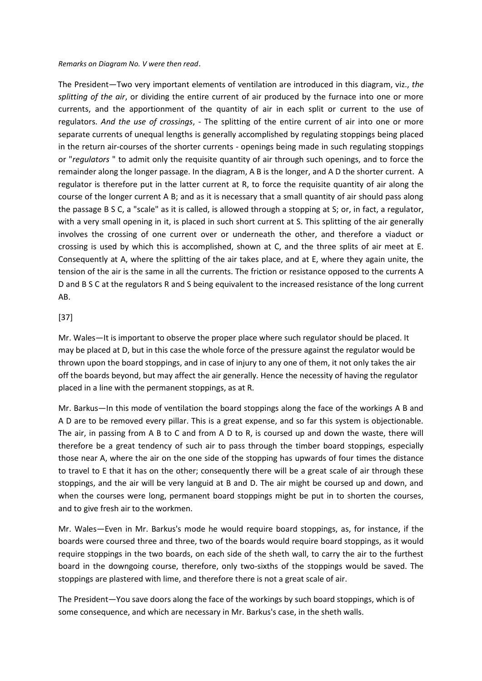*Remarks on Diagram No. V were then read*.

The President—Two very important elements of ventilation are introduced in this diagram, viz., *the splitting of the air*, or dividing the entire current of air produced by the furnace into one or more currents, and the apportionment of the quantity of air in each split or current to the use of regulators. *And the use of crossings*, - The splitting of the entire current of air into one or more separate currents of unequal lengths is generally accomplished by regulating stoppings being placed in the return air-courses of the shorter currents - openings being made in such regulating stoppings or "*regulators* " to admit only the requisite quantity of air through such openings, and to force the remainder along the longer passage. In the diagram, A B is the longer, and A D the shorter current. A regulator is therefore put in the latter current at R, to force the requisite quantity of air along the course of the longer current A B; and as it is necessary that a small quantity of air should pass along the passage B S C, a "scale" as it is called, is allowed through a stopping at S; or, in fact, a regulator, with a very small opening in it, is placed in such short current at S. This splitting of the air generally involves the crossing of one current over or underneath the other, and therefore a viaduct or crossing is used by which this is accomplished, shown at C, and the three splits of air meet at E. Consequently at A, where the splitting of the air takes place, and at E, where they again unite, the tension of the air is the same in all the currents. The friction or resistance opposed to the currents A D and B S C at the regulators R and S being equivalent to the increased resistance of the long current AB.

### [37]

Mr. Wales—It is important to observe the proper place where such regulator should be placed. It may be placed at D, but in this case the whole force of the pressure against the regulator would be thrown upon the board stoppings, and in case of injury to any one of them, it not only takes the air off the boards beyond, but may affect the air generally. Hence the necessity of having the regulator placed in a line with the permanent stoppings, as at R.

Mr. Barkus—In this mode of ventilation the board stoppings along the face of the workings A B and A D are to be removed every pillar. This is a great expense, and so far this system is objectionable. The air, in passing from A B to C and from A D to R, is coursed up and down the waste, there will therefore be a great tendency of such air to pass through the timber board stoppings, especially those near A, where the air on the one side of the stopping has upwards of four times the distance to travel to E that it has on the other; consequently there will be a great scale of air through these stoppings, and the air will be very languid at B and D. The air might be coursed up and down, and when the courses were long, permanent board stoppings might be put in to shorten the courses, and to give fresh air to the workmen.

Mr. Wales—Even in Mr. Barkus's mode he would require board stoppings, as, for instance, if the boards were coursed three and three, two of the boards would require board stoppings, as it would require stoppings in the two boards, on each side of the sheth wall, to carry the air to the furthest board in the downgoing course, therefore, only two-sixths of the stoppings would be saved. The stoppings are plastered with lime, and therefore there is not a great scale of air.

The President—You save doors along the face of the workings by such board stoppings, which is of some consequence, and which are necessary in Mr. Barkus's case, in the sheth walls.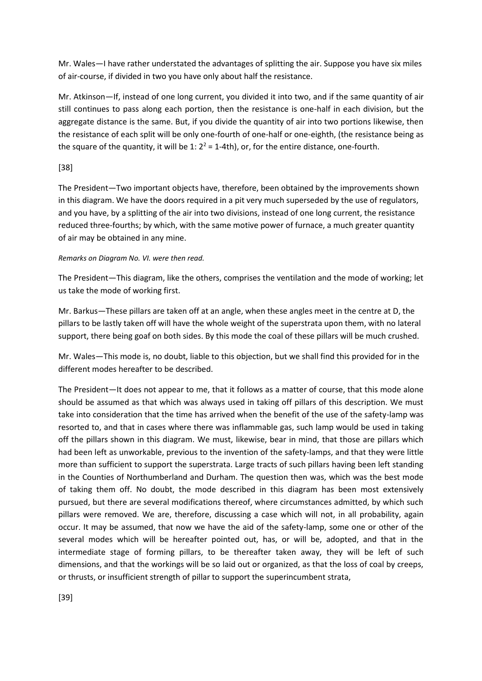Mr. Wales—I have rather understated the advantages of splitting the air. Suppose you have six miles of air-course, if divided in two you have only about half the resistance.

Mr. Atkinson—If, instead of one long current, you divided it into two, and if the same quantity of air still continues to pass along each portion, then the resistance is one-half in each division, but the aggregate distance is the same. But, if you divide the quantity of air into two portions likewise, then the resistance of each split will be only one-fourth of one-half or one-eighth, (the resistance being as the square of the quantity, it will be 1:  $2^2$  = 1-4th), or, for the entire distance, one-fourth.

# [38]

The President—Two important objects have, therefore, been obtained by the improvements shown in this diagram. We have the doors required in a pit very much superseded by the use of regulators, and you have, by a splitting of the air into two divisions, instead of one long current, the resistance reduced three-fourths; by which, with the same motive power of furnace, a much greater quantity of air may be obtained in any mine.

### *Remarks on Diagram No. VI. were then read.*

The President—This diagram, like the others, comprises the ventilation and the mode of working; let us take the mode of working first.

Mr. Barkus—These pillars are taken off at an angle, when these angles meet in the centre at D, the pillars to be lastly taken off will have the whole weight of the superstrata upon them, with no lateral support, there being goaf on both sides. By this mode the coal of these pillars will be much crushed.

Mr. Wales—This mode is, no doubt, liable to this objection, but we shall find this provided for in the different modes hereafter to be described.

The President—It does not appear to me, that it follows as a matter of course, that this mode alone should be assumed as that which was always used in taking off pillars of this description. We must take into consideration that the time has arrived when the benefit of the use of the safety-lamp was resorted to, and that in cases where there was inflammable gas, such lamp would be used in taking off the pillars shown in this diagram. We must, likewise, bear in mind, that those are pillars which had been left as unworkable, previous to the invention of the safety-lamps, and that they were little more than sufficient to support the superstrata. Large tracts of such pillars having been left standing in the Counties of Northumberland and Durham. The question then was, which was the best mode of taking them off. No doubt, the mode described in this diagram has been most extensively pursued, but there are several modifications thereof, where circumstances admitted, by which such pillars were removed. We are, therefore, discussing a case which will not, in all probability, again occur. It may be assumed, that now we have the aid of the safety-lamp, some one or other of the several modes which will be hereafter pointed out, has, or will be, adopted, and that in the intermediate stage of forming pillars, to be thereafter taken away, they will be left of such dimensions, and that the workings will be so laid out or organized, as that the loss of coal by creeps, or thrusts, or insufficient strength of pillar to support the superincumbent strata,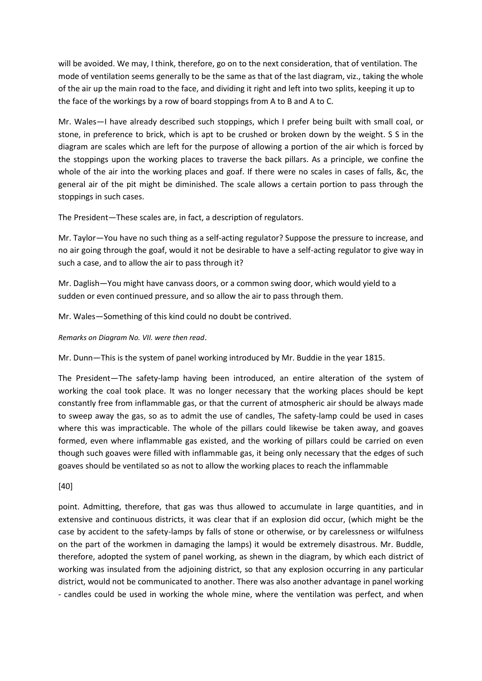will be avoided. We may, I think, therefore, go on to the next consideration, that of ventilation. The mode of ventilation seems generally to be the same as that of the last diagram, viz., taking the whole of the air up the main road to the face, and dividing it right and left into two splits, keeping it up to the face of the workings by a row of board stoppings from A to B and A to C.

Mr. Wales—I have already described such stoppings, which I prefer being built with small coal, or stone, in preference to brick, which is apt to be crushed or broken down by the weight. S S in the diagram are scales which are left for the purpose of allowing a portion of the air which is forced by the stoppings upon the working places to traverse the back pillars. As a principle, we confine the whole of the air into the working places and goaf. If there were no scales in cases of falls, &c, the general air of the pit might be diminished. The scale allows a certain portion to pass through the stoppings in such cases.

The President—These scales are, in fact, a description of regulators.

Mr. Taylor—You have no such thing as a self-acting regulator? Suppose the pressure to increase, and no air going through the goaf, would it not be desirable to have a self-acting regulator to give way in such a case, and to allow the air to pass through it?

Mr. Daglish—You might have canvass doors, or a common swing door, which would yield to a sudden or even continued pressure, and so allow the air to pass through them.

Mr. Wales—Something of this kind could no doubt be contrived.

*Remarks on Diagram No. VII. were then read*.

Mr. Dunn—This is the system of panel working introduced by Mr. Buddie in the year 1815.

The President—The safety-lamp having been introduced, an entire alteration of the system of working the coal took place. It was no longer necessary that the working places should be kept constantly free from inflammable gas, or that the current of atmospheric air should be always made to sweep away the gas, so as to admit the use of candles, The safety-lamp could be used in cases where this was impracticable. The whole of the pillars could likewise be taken away, and goaves formed, even where inflammable gas existed, and the working of pillars could be carried on even though such goaves were filled with inflammable gas, it being only necessary that the edges of such goaves should be ventilated so as not to allow the working places to reach the inflammable

[40]

point. Admitting, therefore, that gas was thus allowed to accumulate in large quantities, and in extensive and continuous districts, it was clear that if an explosion did occur, (which might be the case by accident to the safety-lamps by falls of stone or otherwise, or by carelessness or wilfulness on the part of the workmen in damaging the lamps) it would be extremely disastrous. Mr. Buddle, therefore, adopted the system of panel working, as shewn in the diagram, by which each district of working was insulated from the adjoining district, so that any explosion occurring in any particular district, would not be communicated to another. There was also another advantage in panel working - candles could be used in working the whole mine, where the ventilation was perfect, and when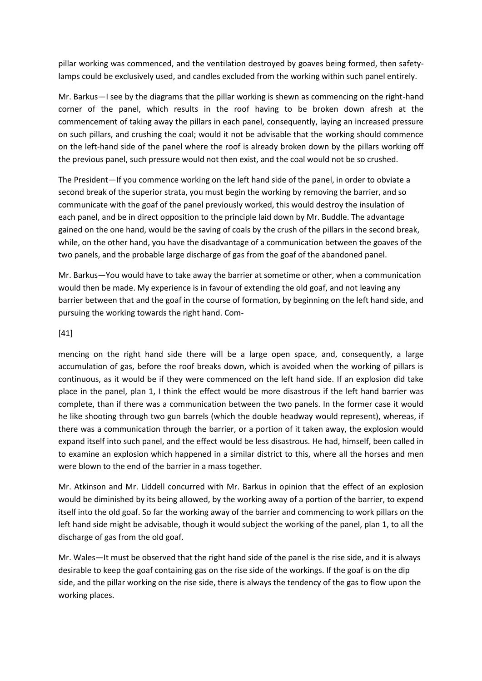pillar working was commenced, and the ventilation destroyed by goaves being formed, then safetylamps could be exclusively used, and candles excluded from the working within such panel entirely.

Mr. Barkus—I see by the diagrams that the pillar working is shewn as commencing on the right-hand corner of the panel, which results in the roof having to be broken down afresh at the commencement of taking away the pillars in each panel, consequently, laying an increased pressure on such pillars, and crushing the coal; would it not be advisable that the working should commence on the left-hand side of the panel where the roof is already broken down by the pillars working off the previous panel, such pressure would not then exist, and the coal would not be so crushed.

The President—If you commence working on the left hand side of the panel, in order to obviate a second break of the superior strata, you must begin the working by removing the barrier, and so communicate with the goaf of the panel previously worked, this would destroy the insulation of each panel, and be in direct opposition to the principle laid down by Mr. Buddle. The advantage gained on the one hand, would be the saving of coals by the crush of the pillars in the second break, while, on the other hand, you have the disadvantage of a communication between the goaves of the two panels, and the probable large discharge of gas from the goaf of the abandoned panel.

Mr. Barkus—You would have to take away the barrier at sometime or other, when a communication would then be made. My experience is in favour of extending the old goaf, and not leaving any barrier between that and the goaf in the course of formation, by beginning on the left hand side, and pursuing the working towards the right hand. Com-

### [41]

mencing on the right hand side there will be a large open space, and, consequently, a large accumulation of gas, before the roof breaks down, which is avoided when the working of pillars is continuous, as it would be if they were commenced on the left hand side. If an explosion did take place in the panel, plan 1, I think the effect would be more disastrous if the left hand barrier was complete, than if there was a communication between the two panels. In the former case it would he like shooting through two gun barrels (which the double headway would represent), whereas, if there was a communication through the barrier, or a portion of it taken away, the explosion would expand itself into such panel, and the effect would be less disastrous. He had, himself, been called in to examine an explosion which happened in a similar district to this, where all the horses and men were blown to the end of the barrier in a mass together.

Mr. Atkinson and Mr. Liddell concurred with Mr. Barkus in opinion that the effect of an explosion would be diminished by its being allowed, by the working away of a portion of the barrier, to expend itself into the old goaf. So far the working away of the barrier and commencing to work pillars on the left hand side might be advisable, though it would subject the working of the panel, plan 1, to all the discharge of gas from the old goaf.

Mr. Wales—It must be observed that the right hand side of the panel is the rise side, and it is always desirable to keep the goaf containing gas on the rise side of the workings. If the goaf is on the dip side, and the pillar working on the rise side, there is always the tendency of the gas to flow upon the working places.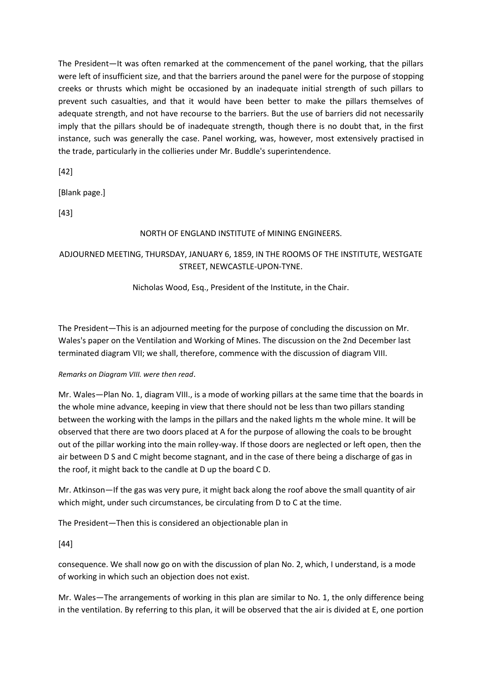The President—It was often remarked at the commencement of the panel working, that the pillars were left of insufficient size, and that the barriers around the panel were for the purpose of stopping creeks or thrusts which might be occasioned by an inadequate initial strength of such pillars to prevent such casualties, and that it would have been better to make the pillars themselves of adequate strength, and not have recourse to the barriers. But the use of barriers did not necessarily imply that the pillars should be of inadequate strength, though there is no doubt that, in the first instance, such was generally the case. Panel working, was, however, most extensively practised in the trade, particularly in the collieries under Mr. Buddle's superintendence.

[42]

[Blank page.]

[43]

# NORTH OF ENGLAND INSTITUTE of MINING ENGINEERS.

# ADJOURNED MEETING, THURSDAY, JANUARY 6, 1859, IN THE ROOMS OF THE INSTITUTE, WESTGATE STREET, NEWCASTLE-UPON-TYNE.

Nicholas Wood, Esq., President of the Institute, in the Chair.

The President—This is an adjourned meeting for the purpose of concluding the discussion on Mr. Wales's paper on the Ventilation and Working of Mines. The discussion on the 2nd December last terminated diagram VII; we shall, therefore, commence with the discussion of diagram VIII.

# *Remarks on Diagram VIII. were then read*.

Mr. Wales—Plan No. 1, diagram VIII., is a mode of working pillars at the same time that the boards in the whole mine advance, keeping in view that there should not be less than two pillars standing between the working with the lamps in the pillars and the naked lights m the whole mine. It will be observed that there are two doors placed at A for the purpose of allowing the coals to be brought out of the pillar working into the main rolley-way. If those doors are neglected or left open, then the air between D S and C might become stagnant, and in the case of there being a discharge of gas in the roof, it might back to the candle at D up the board C D.

Mr. Atkinson—If the gas was very pure, it might back along the roof above the small quantity of air which might, under such circumstances, be circulating from D to C at the time.

The President—Then this is considered an objectionable plan in

[44]

consequence. We shall now go on with the discussion of plan No. 2, which, I understand, is a mode of working in which such an objection does not exist.

Mr. Wales—The arrangements of working in this plan are similar to No. 1, the only difference being in the ventilation. By referring to this plan, it will be observed that the air is divided at E, one portion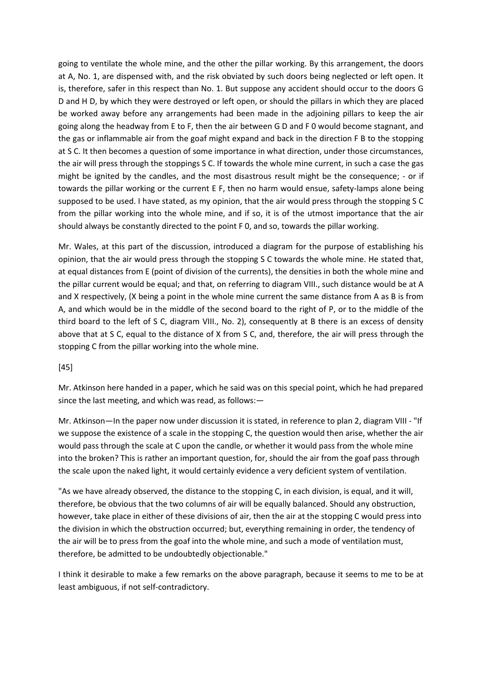going to ventilate the whole mine, and the other the pillar working. By this arrangement, the doors at A, No. 1, are dispensed with, and the risk obviated by such doors being neglected or left open. It is, therefore, safer in this respect than No. 1. But suppose any accident should occur to the doors G D and H D, by which they were destroyed or left open, or should the pillars in which they are placed be worked away before any arrangements had been made in the adjoining pillars to keep the air going along the headway from E to F, then the air between G D and F 0 would become stagnant, and the gas or inflammable air from the goaf might expand and back in the direction F B to the stopping at S C. It then becomes a question of some importance in what direction, under those circumstances, the air will press through the stoppings S C. If towards the whole mine current, in such a case the gas might be ignited by the candles, and the most disastrous result might be the consequence; - or if towards the pillar working or the current E F, then no harm would ensue, safety-lamps alone being supposed to be used. I have stated, as my opinion, that the air would press through the stopping S C from the pillar working into the whole mine, and if so, it is of the utmost importance that the air should always be constantly directed to the point F 0, and so, towards the pillar working.

Mr. Wales, at this part of the discussion, introduced a diagram for the purpose of establishing his opinion, that the air would press through the stopping S C towards the whole mine. He stated that, at equal distances from E (point of division of the currents), the densities in both the whole mine and the pillar current would be equal; and that, on referring to diagram VIII., such distance would be at A and X respectively, (X being a point in the whole mine current the same distance from A as B is from A, and which would be in the middle of the second board to the right of P, or to the middle of the third board to the left of S C, diagram VIII., No. 2), consequently at B there is an excess of density above that at S C, equal to the distance of X from S C, and, therefore, the air will press through the stopping C from the pillar working into the whole mine.

#### [45]

Mr. Atkinson here handed in a paper, which he said was on this special point, which he had prepared since the last meeting, and which was read, as follows:—

Mr. Atkinson—In the paper now under discussion it is stated, in reference to plan 2, diagram VIII - "If we suppose the existence of a scale in the stopping C, the question would then arise, whether the air would pass through the scale at C upon the candle, or whether it would pass from the whole mine into the broken? This is rather an important question, for, should the air from the goaf pass through the scale upon the naked light, it would certainly evidence a very deficient system of ventilation.

"As we have already observed, the distance to the stopping C, in each division, is equal, and it will, therefore, be obvious that the two columns of air will be equally balanced. Should any obstruction, however, take place in either of these divisions of air, then the air at the stopping C would press into the division in which the obstruction occurred; but, everything remaining in order, the tendency of the air will be to press from the goaf into the whole mine, and such a mode of ventilation must, therefore, be admitted to be undoubtedly objectionable."

I think it desirable to make a few remarks on the above paragraph, because it seems to me to be at least ambiguous, if not self-contradictory.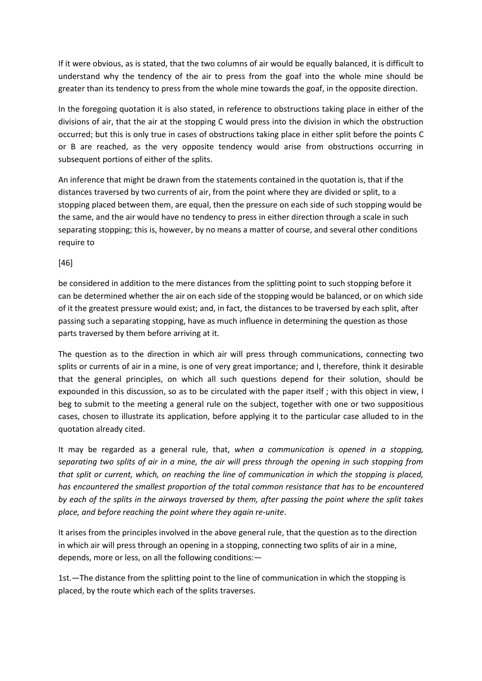If it were obvious, as is stated, that the two columns of air would be equally balanced, it is difficult to understand why the tendency of the air to press from the goaf into the whole mine should be greater than its tendency to press from the whole mine towards the goaf, in the opposite direction.

In the foregoing quotation it is also stated, in reference to obstructions taking place in either of the divisions of air, that the air at the stopping C would press into the division in which the obstruction occurred; but this is only true in cases of obstructions taking place in either split before the points C or B are reached, as the very opposite tendency would arise from obstructions occurring in subsequent portions of either of the splits.

An inference that might be drawn from the statements contained in the quotation is, that if the distances traversed by two currents of air, from the point where they are divided or split, to a stopping placed between them, are equal, then the pressure on each side of such stopping would be the same, and the air would have no tendency to press in either direction through a scale in such separating stopping; this is, however, by no means a matter of course, and several other conditions require to

[46]

be considered in addition to the mere distances from the splitting point to such stopping before it can be determined whether the air on each side of the stopping would be balanced, or on which side of it the greatest pressure would exist; and, in fact, the distances to be traversed by each split, after passing such a separating stopping, have as much influence in determining the question as those parts traversed by them before arriving at it.

The question as to the direction in which air will press through communications, connecting two splits or currents of air in a mine, is one of very great importance; and I, therefore, think it desirable that the general principles, on which all such questions depend for their solution, should be expounded in this discussion, so as to be circulated with the paper itself ; with this object in view, I beg to submit to the meeting a general rule on the subject, together with one or two suppositious cases, chosen to illustrate its application, before applying it to the particular case alluded to in the quotation already cited.

It may be regarded as a general rule, that, *when a communication is opened in a stopping, separating two splits of air in a mine, the air will press through the opening in such stopping from that split or current, which, on reaching the line of communication in which the stopping is placed, has encountered the smallest proportion of the total common resistance that has to be encountered by each of the splits in the airways traversed by them, after passing the point where the split takes place, and before reaching the point where they again re-unite*.

It arises from the principles involved in the above general rule, that the question as to the direction in which air will press through an opening in a stopping, connecting two splits of air in a mine, depends, more or less, on all the following conditions:—

1st.—The distance from the splitting point to the line of communication in which the stopping is placed, by the route which each of the splits traverses.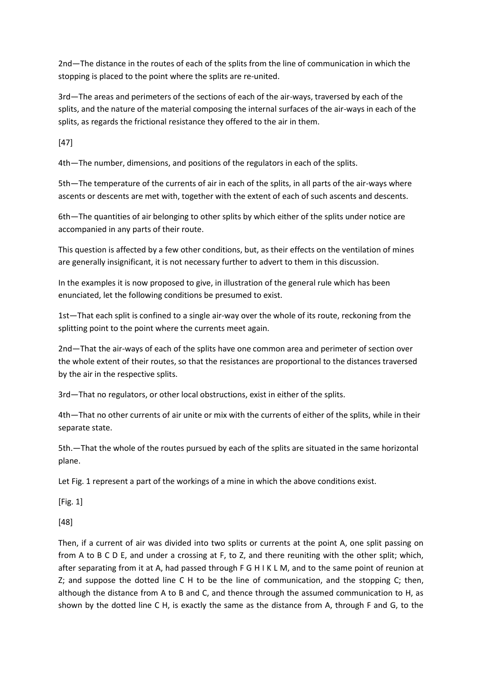2nd—The distance in the routes of each of the splits from the line of communication in which the stopping is placed to the point where the splits are re-united.

3rd—The areas and perimeters of the sections of each of the air-ways, traversed by each of the splits, and the nature of the material composing the internal surfaces of the air-ways in each of the splits, as regards the frictional resistance they offered to the air in them.

[47]

4th—The number, dimensions, and positions of the regulators in each of the splits.

5th—The temperature of the currents of air in each of the splits, in all parts of the air-ways where ascents or descents are met with, together with the extent of each of such ascents and descents.

6th—The quantities of air belonging to other splits by which either of the splits under notice are accompanied in any parts of their route.

This question is affected by a few other conditions, but, as their effects on the ventilation of mines are generally insignificant, it is not necessary further to advert to them in this discussion.

In the examples it is now proposed to give, in illustration of the general rule which has been enunciated, let the following conditions be presumed to exist.

1st—That each split is confined to a single air-way over the whole of its route, reckoning from the splitting point to the point where the currents meet again.

2nd—That the air-ways of each of the splits have one common area and perimeter of section over the whole extent of their routes, so that the resistances are proportional to the distances traversed by the air in the respective splits.

3rd—That no regulators, or other local obstructions, exist in either of the splits.

4th—That no other currents of air unite or mix with the currents of either of the splits, while in their separate state.

5th.—That the whole of the routes pursued by each of the splits are situated in the same horizontal plane.

Let Fig. 1 represent a part of the workings of a mine in which the above conditions exist.

[Fig. 1]

[48]

Then, if a current of air was divided into two splits or currents at the point A, one split passing on from A to B C D E, and under a crossing at F, to Z, and there reuniting with the other split; which, after separating from it at A, had passed through F G H I K L M, and to the same point of reunion at Z; and suppose the dotted line C H to be the line of communication, and the stopping C; then, although the distance from A to B and C, and thence through the assumed communication to H, as shown by the dotted line C H, is exactly the same as the distance from A, through F and G, to the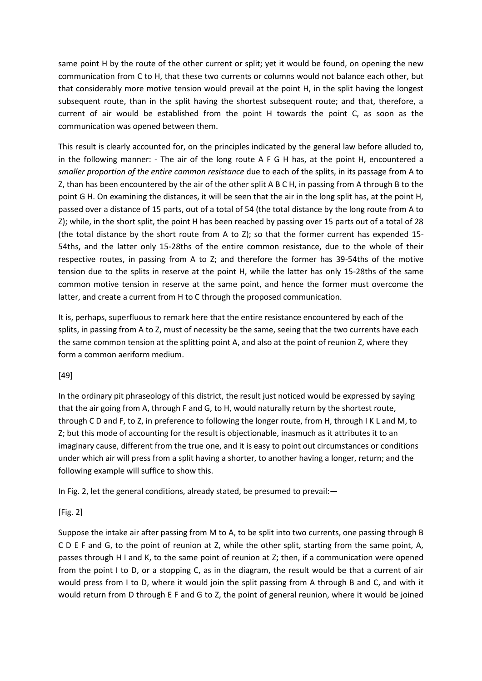same point H by the route of the other current or split; yet it would be found, on opening the new communication from C to H, that these two currents or columns would not balance each other, but that considerably more motive tension would prevail at the point H, in the split having the longest subsequent route, than in the split having the shortest subsequent route; and that, therefore, a current of air would be established from the point H towards the point C, as soon as the communication was opened between them.

This result is clearly accounted for, on the principles indicated by the general law before alluded to, in the following manner: - The air of the long route A F G H has, at the point H, encountered a *smaller proportion of the entire common resistance* due to each of the splits, in its passage from A to Z, than has been encountered by the air of the other split A B C H, in passing from A through B to the point G H. On examining the distances, it will be seen that the air in the long split has, at the point H, passed over a distance of 15 parts, out of a total of 54 (the total distance by the long route from A to Z); while, in the short split, the point H has been reached by passing over 15 parts out of a total of 28 (the total distance by the short route from A to Z); so that the former current has expended 15- 54ths, and the latter only 15-28ths of the entire common resistance, due to the whole of their respective routes, in passing from A to Z; and therefore the former has 39-54ths of the motive tension due to the splits in reserve at the point H, while the latter has only 15-28ths of the same common motive tension in reserve at the same point, and hence the former must overcome the latter, and create a current from H to C through the proposed communication.

It is, perhaps, superfluous to remark here that the entire resistance encountered by each of the splits, in passing from A to Z, must of necessity be the same, seeing that the two currents have each the same common tension at the splitting point A, and also at the point of reunion Z, where they form a common aeriform medium.

# [49]

In the ordinary pit phraseology of this district, the result just noticed would be expressed by saying that the air going from A, through F and G, to H, would naturally return by the shortest route, through C D and F, to Z, in preference to following the longer route, from H, through I K L and M, to Z; but this mode of accounting for the result is objectionable, inasmuch as it attributes it to an imaginary cause, different from the true one, and it is easy to point out circumstances or conditions under which air will press from a split having a shorter, to another having a longer, return; and the following example will suffice to show this.

In Fig. 2, let the general conditions, already stated, be presumed to prevail:—

# [Fig. 2]

Suppose the intake air after passing from M to A, to be split into two currents, one passing through B C D E F and G, to the point of reunion at Z, while the other split, starting from the same point, A, passes through H I and K, to the same point of reunion at Z; then, if a communication were opened from the point I to D, or a stopping C, as in the diagram, the result would be that a current of air would press from I to D, where it would join the split passing from A through B and C, and with it would return from D through E F and G to Z, the point of general reunion, where it would be joined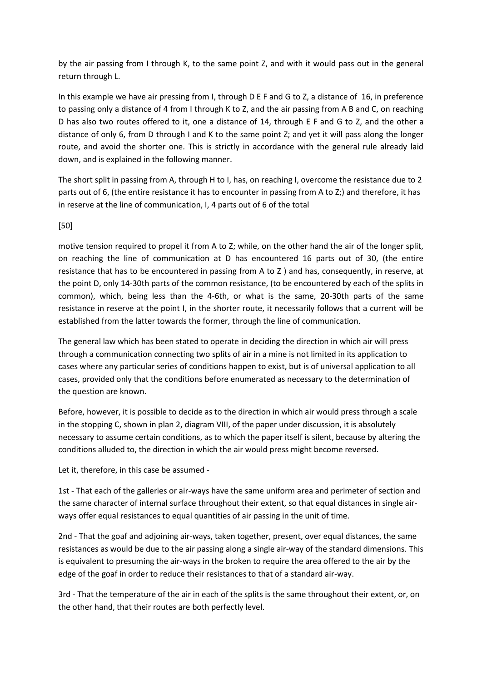by the air passing from I through K, to the same point Z, and with it would pass out in the general return through L.

In this example we have air pressing from I, through D E F and G to Z, a distance of 16, in preference to passing only a distance of 4 from I through K to Z, and the air passing from A B and C, on reaching D has also two routes offered to it, one a distance of 14, through E F and G to Z, and the other a distance of only 6, from D through I and K to the same point Z; and yet it will pass along the longer route, and avoid the shorter one. This is strictly in accordance with the general rule already laid down, and is explained in the following manner.

The short split in passing from A, through H to I, has, on reaching I, overcome the resistance due to 2 parts out of 6, (the entire resistance it has to encounter in passing from A to Z;) and therefore, it has in reserve at the line of communication, I, 4 parts out of 6 of the total

# [50]

motive tension required to propel it from A to Z; while, on the other hand the air of the longer split, on reaching the line of communication at D has encountered 16 parts out of 30, (the entire resistance that has to be encountered in passing from A to Z ) and has, consequently, in reserve, at the point D, only 14-30th parts of the common resistance, (to be encountered by each of the splits in common), which, being less than the 4-6th, or what is the same, 20-30th parts of the same resistance in reserve at the point I, in the shorter route, it necessarily follows that a current will be established from the latter towards the former, through the line of communication.

The general law which has been stated to operate in deciding the direction in which air will press through a communication connecting two splits of air in a mine is not limited in its application to cases where any particular series of conditions happen to exist, but is of universal application to all cases, provided only that the conditions before enumerated as necessary to the determination of the question are known.

Before, however, it is possible to decide as to the direction in which air would press through a scale in the stopping C, shown in plan 2, diagram VIII, of the paper under discussion, it is absolutely necessary to assume certain conditions, as to which the paper itself is silent, because by altering the conditions alluded to, the direction in which the air would press might become reversed.

Let it, therefore, in this case be assumed -

1st - That each of the galleries or air-ways have the same uniform area and perimeter of section and the same character of internal surface throughout their extent, so that equal distances in single airways offer equal resistances to equal quantities of air passing in the unit of time.

2nd - That the goaf and adjoining air-ways, taken together, present, over equal distances, the same resistances as would be due to the air passing along a single air-way of the standard dimensions. This is equivalent to presuming the air-ways in the broken to require the area offered to the air by the edge of the goaf in order to reduce their resistances to that of a standard air-way.

3rd - That the temperature of the air in each of the splits is the same throughout their extent, or, on the other hand, that their routes are both perfectly level.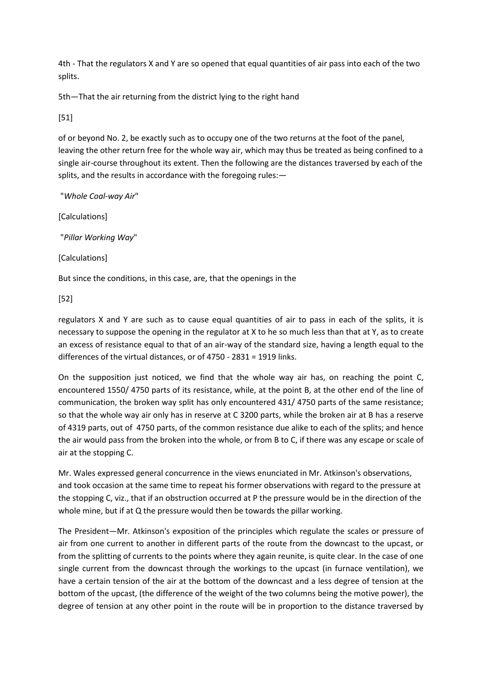4th - That the regulators X and Y are so opened that equal quantities of air pass into each of the two splits.

5th—That the air returning from the district lying to the right hand

[51]

of or beyond No. 2, be exactly such as to occupy one of the two returns at the foot of the panel, leaving the other return free for the whole way air, which may thus be treated as being confined to a single air-course throughout its extent. Then the following are the distances traversed by each of the splits, and the results in accordance with the foregoing rules:—

"*Whole Coal-way Air*"

[Calculations]

"*Pillar Working Way*"

[Calculations]

But since the conditions, in this case, are, that the openings in the

[52]

regulators X and Y are such as to cause equal quantities of air to pass in each of the splits, it is necessary to suppose the opening in the regulator at X to he so much less than that at Y, as to create an excess of resistance equal to that of an air-way of the standard size, having a length equal to the differences of the virtual distances, or of 4750 - 2831 = 1919 links.

On the supposition just noticed, we find that the whole way air has, on reaching the point C, encountered 1550/ 4750 parts of its resistance, while, at the point B, at the other end of the line of communication, the broken way split has only encountered 431/ 4750 parts of the same resistance; so that the whole way air only has in reserve at C 3200 parts, while the broken air at B has a reserve of 4319 parts, out of 4750 parts, of the common resistance due alike to each of the splits; and hence the air would pass from the broken into the whole, or from B to C, if there was any escape or scale of air at the stopping C.

Mr. Wales expressed general concurrence in the views enunciated in Mr. Atkinson's observations, and took occasion at the same time to repeat his former observations with regard to the pressure at the stopping C, viz., that if an obstruction occurred at P the pressure would be in the direction of the whole mine, but if at Q the pressure would then be towards the pillar working.

The President—Mr. Atkinson's exposition of the principles which regulate the scales or pressure of air from one current to another in different parts of the route from the downcast to the upcast, or from the splitting of currents to the points where they again reunite, is quite clear. In the case of one single current from the downcast through the workings to the upcast (in furnace ventilation), we have a certain tension of the air at the bottom of the downcast and a less degree of tension at the bottom of the upcast, (the difference of the weight of the two columns being the motive power), the degree of tension at any other point in the route will be in proportion to the distance traversed by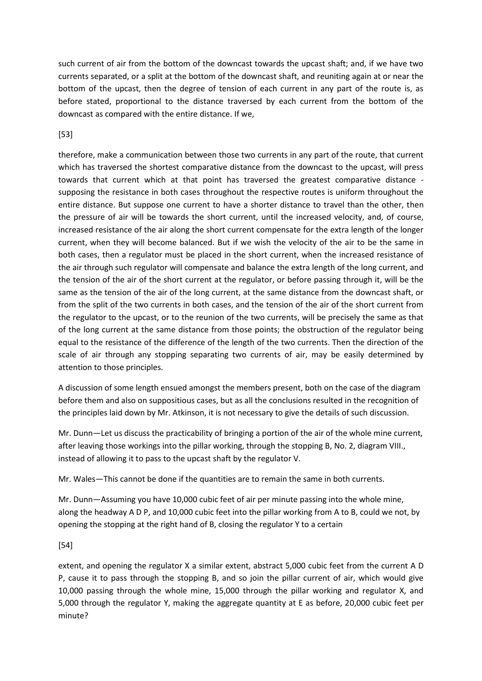such current of air from the bottom of the downcast towards the upcast shaft; and, if we have two currents separated, or a split at the bottom of the downcast shaft, and reuniting again at or near the bottom of the upcast, then the degree of tension of each current in any part of the route is, as before stated, proportional to the distance traversed by each current from the bottom of the downcast as compared with the entire distance. If we,

# [53]

therefore, make a communication between those two currents in any part of the route, that current which has traversed the shortest comparative distance from the downcast to the upcast, will press towards that current which at that point has traversed the greatest comparative distance supposing the resistance in both cases throughout the respective routes is uniform throughout the entire distance. But suppose one current to have a shorter distance to travel than the other, then the pressure of air will be towards the short current, until the increased velocity, and, of course, increased resistance of the air along the short current compensate for the extra length of the longer current, when they will become balanced. But if we wish the velocity of the air to be the same in both cases, then a regulator must be placed in the short current, when the increased resistance of the air through such regulator will compensate and balance the extra length of the long current, and the tension of the air of the short current at the regulator, or before passing through it, will be the same as the tension of the air of the long current, at the same distance from the downcast shaft, or from the split of the two currents in both cases, and the tension of the air of the short current from the regulator to the upcast, or to the reunion of the two currents, will be precisely the same as that of the long current at the same distance from those points; the obstruction of the regulator being equal to the resistance of the difference of the length of the two currents. Then the direction of the scale of air through any stopping separating two currents of air, may be easily determined by attention to those principles.

A discussion of some length ensued amongst the members present, both on the case of the diagram before them and also on suppositious cases, but as all the conclusions resulted in the recognition of the principles laid down by Mr. Atkinson, it is not necessary to give the details of such discussion.

Mr. Dunn—Let us discuss the practicability of bringing a portion of the air of the whole mine current, after leaving those workings into the pillar working, through the stopping B, No. 2, diagram VIII., instead of allowing it to pass to the upcast shaft by the regulator V.

Mr. Wales—This cannot be done if the quantities are to remain the same in both currents.

Mr. Dunn—Assuming you have 10,000 cubic feet of air per minute passing into the whole mine, along the headway A D P, and 10,000 cubic feet into the pillar working from A to B, could we not, by opening the stopping at the right hand of B, closing the regulator Y to a certain

# [54]

extent, and opening the regulator X a similar extent, abstract 5,000 cubic feet from the current A D P, cause it to pass through the stopping B, and so join the pillar current of air, which would give 10,000 passing through the whole mine, 15,000 through the pillar working and regulator X, and 5,000 through the regulator Y, making the aggregate quantity at E as before, 20,000 cubic feet per minute?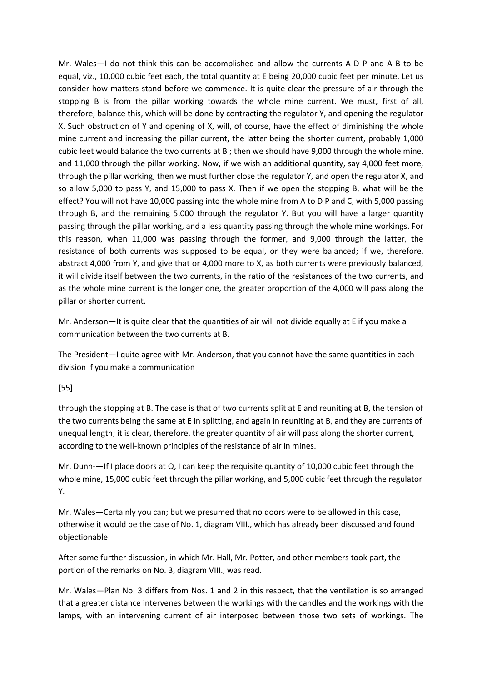Mr. Wales—I do not think this can be accomplished and allow the currents A D P and A B to be equal, viz., 10,000 cubic feet each, the total quantity at E being 20,000 cubic feet per minute. Let us consider how matters stand before we commence. It is quite clear the pressure of air through the stopping B is from the pillar working towards the whole mine current. We must, first of all, therefore, balance this, which will be done by contracting the regulator Y, and opening the regulator X. Such obstruction of Y and opening of X, will, of course, have the effect of diminishing the whole mine current and increasing the pillar current, the latter being the shorter current, probably 1,000 cubic feet would balance the two currents at B ; then we should have 9,000 through the whole mine, and 11,000 through the pillar working. Now, if we wish an additional quantity, say 4,000 feet more, through the pillar working, then we must further close the regulator Y, and open the regulator X, and so allow 5,000 to pass Y, and 15,000 to pass X. Then if we open the stopping B, what will be the effect? You will not have 10,000 passing into the whole mine from A to D P and C, with 5,000 passing through B, and the remaining 5,000 through the regulator Y. But you will have a larger quantity passing through the pillar working, and a less quantity passing through the whole mine workings. For this reason, when 11,000 was passing through the former, and 9,000 through the latter, the resistance of both currents was supposed to be equal, or they were balanced; if we, therefore, abstract 4,000 from Y, and give that or 4,000 more to X, as both currents were previously balanced, it will divide itself between the two currents, in the ratio of the resistances of the two currents, and as the whole mine current is the longer one, the greater proportion of the 4,000 will pass along the pillar or shorter current.

Mr. Anderson—It is quite clear that the quantities of air will not divide equally at E if you make a communication between the two currents at B.

The President—I quite agree with Mr. Anderson, that you cannot have the same quantities in each division if you make a communication

#### [55]

through the stopping at B. The case is that of two currents split at E and reuniting at B, the tension of the two currents being the same at E in splitting, and again in reuniting at B, and they are currents of unequal length; it is clear, therefore, the greater quantity of air will pass along the shorter current, according to the well-known principles of the resistance of air in mines.

Mr. Dunn-—If I place doors at Q, I can keep the requisite quantity of 10,000 cubic feet through the whole mine, 15,000 cubic feet through the pillar working, and 5,000 cubic feet through the regulator Y.

Mr. Wales—Certainly you can; but we presumed that no doors were to be allowed in this case, otherwise it would be the case of No. 1, diagram VIII., which has already been discussed and found objectionable.

After some further discussion, in which Mr. Hall, Mr. Potter, and other members took part, the portion of the remarks on No. 3, diagram VIII., was read.

Mr. Wales—Plan No. 3 differs from Nos. 1 and 2 in this respect, that the ventilation is so arranged that a greater distance intervenes between the workings with the candles and the workings with the lamps, with an intervening current of air interposed between those two sets of workings. The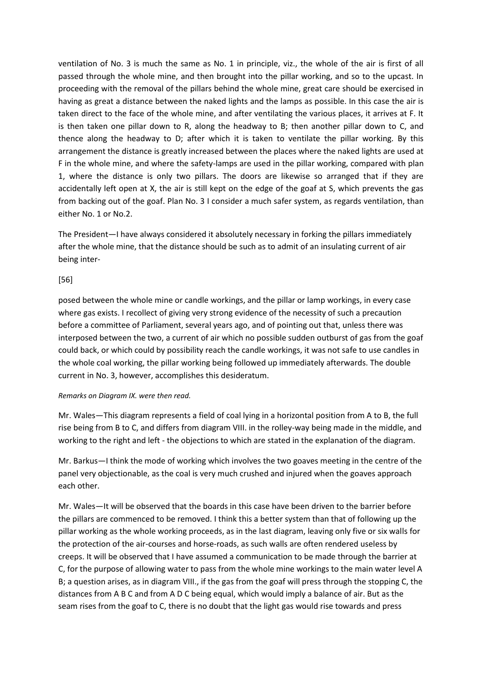ventilation of No. 3 is much the same as No. 1 in principle, viz., the whole of the air is first of all passed through the whole mine, and then brought into the pillar working, and so to the upcast. In proceeding with the removal of the pillars behind the whole mine, great care should be exercised in having as great a distance between the naked lights and the lamps as possible. In this case the air is taken direct to the face of the whole mine, and after ventilating the various places, it arrives at F. It is then taken one pillar down to R, along the headway to B; then another pillar down to C, and thence along the headway to D; after which it is taken to ventilate the pillar working. By this arrangement the distance is greatly increased between the places where the naked lights are used at F in the whole mine, and where the safety-lamps are used in the pillar working, compared with plan 1, where the distance is only two pillars. The doors are likewise so arranged that if they are accidentally left open at X, the air is still kept on the edge of the goaf at S, which prevents the gas from backing out of the goaf. Plan No. 3 I consider a much safer system, as regards ventilation, than either No. 1 or No.2.

The President—I have always considered it absolutely necessary in forking the pillars immediately after the whole mine, that the distance should be such as to admit of an insulating current of air being inter-

### [56]

posed between the whole mine or candle workings, and the pillar or lamp workings, in every case where gas exists. I recollect of giving very strong evidence of the necessity of such a precaution before a committee of Parliament, several years ago, and of pointing out that, unless there was interposed between the two, a current of air which no possible sudden outburst of gas from the goaf could back, or which could by possibility reach the candle workings, it was not safe to use candles in the whole coal working, the pillar working being followed up immediately afterwards. The double current in No. 3, however, accomplishes this desideratum.

#### *Remarks on Diagram IX. were then read.*

Mr. Wales—This diagram represents a field of coal lying in a horizontal position from A to B, the full rise being from B to C, and differs from diagram VIII. in the rolley-way being made in the middle, and working to the right and left - the objections to which are stated in the explanation of the diagram.

Mr. Barkus—I think the mode of working which involves the two goaves meeting in the centre of the panel very objectionable, as the coal is very much crushed and injured when the goaves approach each other.

Mr. Wales—It will be observed that the boards in this case have been driven to the barrier before the pillars are commenced to be removed. I think this a better system than that of following up the pillar working as the whole working proceeds, as in the last diagram, leaving only five or six walls for the protection of the air-courses and horse-roads, as such walls are often rendered useless by creeps. It will be observed that I have assumed a communication to be made through the barrier at C, for the purpose of allowing water to pass from the whole mine workings to the main water level A B; a question arises, as in diagram VIII., if the gas from the goaf will press through the stopping C, the distances from A B C and from A D C being equal, which would imply a balance of air. But as the seam rises from the goaf to C, there is no doubt that the light gas would rise towards and press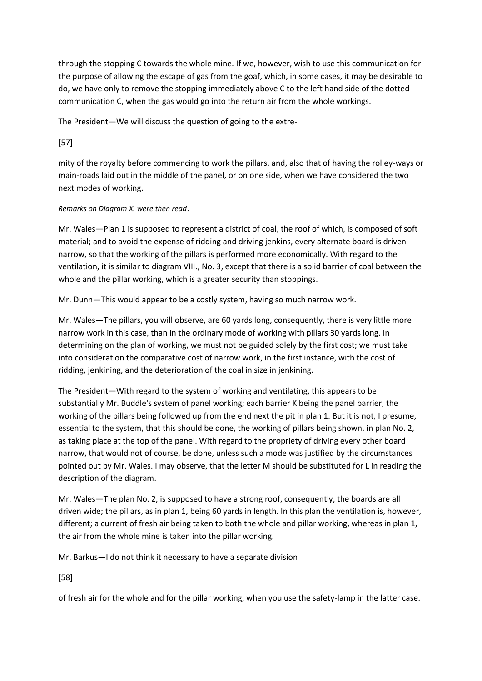through the stopping C towards the whole mine. If we, however, wish to use this communication for the purpose of allowing the escape of gas from the goaf, which, in some cases, it may be desirable to do, we have only to remove the stopping immediately above C to the left hand side of the dotted communication C, when the gas would go into the return air from the whole workings.

The President—We will discuss the question of going to the extre-

[57]

mity of the royalty before commencing to work the pillars, and, also that of having the rolley-ways or main-roads laid out in the middle of the panel, or on one side, when we have considered the two next modes of working.

# *Remarks on Diagram X. were then read*.

Mr. Wales—Plan 1 is supposed to represent a district of coal, the roof of which, is composed of soft material; and to avoid the expense of ridding and driving jenkins, every alternate board is driven narrow, so that the working of the pillars is performed more economically. With regard to the ventilation, it is similar to diagram VIII., No. 3, except that there is a solid barrier of coal between the whole and the pillar working, which is a greater security than stoppings.

Mr. Dunn—This would appear to be a costly system, having so much narrow work.

Mr. Wales—The pillars, you will observe, are 60 yards long, consequently, there is very little more narrow work in this case, than in the ordinary mode of working with pillars 30 yards long. In determining on the plan of working, we must not be guided solely by the first cost; we must take into consideration the comparative cost of narrow work, in the first instance, with the cost of ridding, jenkining, and the deterioration of the coal in size in jenkining.

The President—With regard to the system of working and ventilating, this appears to be substantially Mr. Buddle's system of panel working; each barrier K being the panel barrier, the working of the pillars being followed up from the end next the pit in plan 1. But it is not, I presume, essential to the system, that this should be done, the working of pillars being shown, in plan No. 2, as taking place at the top of the panel. With regard to the propriety of driving every other board narrow, that would not of course, be done, unless such a mode was justified by the circumstances pointed out by Mr. Wales. I may observe, that the letter M should be substituted for L in reading the description of the diagram.

Mr. Wales—The plan No. 2, is supposed to have a strong roof, consequently, the boards are all driven wide; the pillars, as in plan 1, being 60 yards in length. In this plan the ventilation is, however, different; a current of fresh air being taken to both the whole and pillar working, whereas in plan 1, the air from the whole mine is taken into the pillar working.

Mr. Barkus—I do not think it necessary to have a separate division

[58]

of fresh air for the whole and for the pillar working, when you use the safety-lamp in the latter case.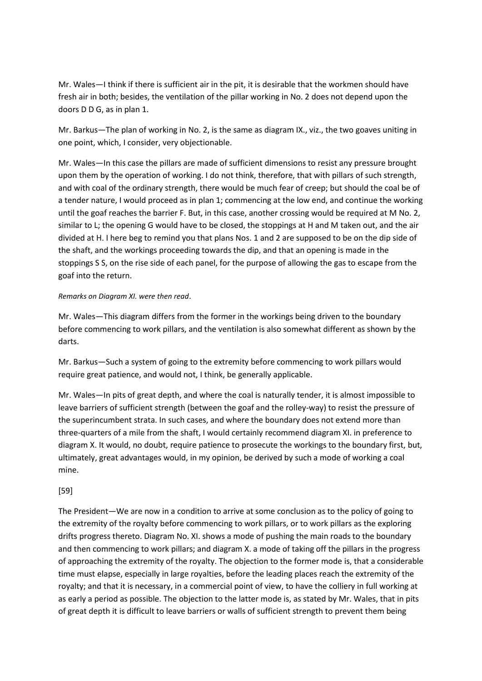Mr. Wales—I think if there is sufficient air in the pit, it is desirable that the workmen should have fresh air in both; besides, the ventilation of the pillar working in No. 2 does not depend upon the doors D D G, as in plan 1.

Mr. Barkus—The plan of working in No. 2, is the same as diagram IX., viz., the two goaves uniting in one point, which, I consider, very objectionable.

Mr. Wales—In this case the pillars are made of sufficient dimensions to resist any pressure brought upon them by the operation of working. I do not think, therefore, that with pillars of such strength, and with coal of the ordinary strength, there would be much fear of creep; but should the coal be of a tender nature, I would proceed as in plan 1; commencing at the low end, and continue the working until the goaf reaches the barrier F. But, in this case, another crossing would be required at M No. 2, similar to L; the opening G would have to be closed, the stoppings at H and M taken out, and the air divided at H. I here beg to remind you that plans Nos. 1 and 2 are supposed to be on the dip side of the shaft, and the workings proceeding towards the dip, and that an opening is made in the stoppings S S, on the rise side of each panel, for the purpose of allowing the gas to escape from the goaf into the return.

#### *Remarks on Diagram XI. were then read*.

Mr. Wales—This diagram differs from the former in the workings being driven to the boundary before commencing to work pillars, and the ventilation is also somewhat different as shown by the darts.

Mr. Barkus—Such a system of going to the extremity before commencing to work pillars would require great patience, and would not, I think, be generally applicable.

Mr. Wales—In pits of great depth, and where the coal is naturally tender, it is almost impossible to leave barriers of sufficient strength (between the goaf and the rolley-way) to resist the pressure of the superincumbent strata. In such cases, and where the boundary does not extend more than three-quarters of a mile from the shaft, I would certainly recommend diagram XI. in preference to diagram X. It would, no doubt, require patience to prosecute the workings to the boundary first, but, ultimately, great advantages would, in my opinion, be derived by such a mode of working a coal mine.

#### [59]

The President—We are now in a condition to arrive at some conclusion as to the policy of going to the extremity of the royalty before commencing to work pillars, or to work pillars as the exploring drifts progress thereto. Diagram No. XI. shows a mode of pushing the main roads to the boundary and then commencing to work pillars; and diagram X. a mode of taking off the pillars in the progress of approaching the extremity of the royalty. The objection to the former mode is, that a considerable time must elapse, especially in large royalties, before the leading places reach the extremity of the royalty; and that it is necessary, in a commercial point of view, to have the colliery in full working at as early a period as possible. The objection to the latter mode is, as stated by Mr. Wales, that in pits of great depth it is difficult to leave barriers or walls of sufficient strength to prevent them being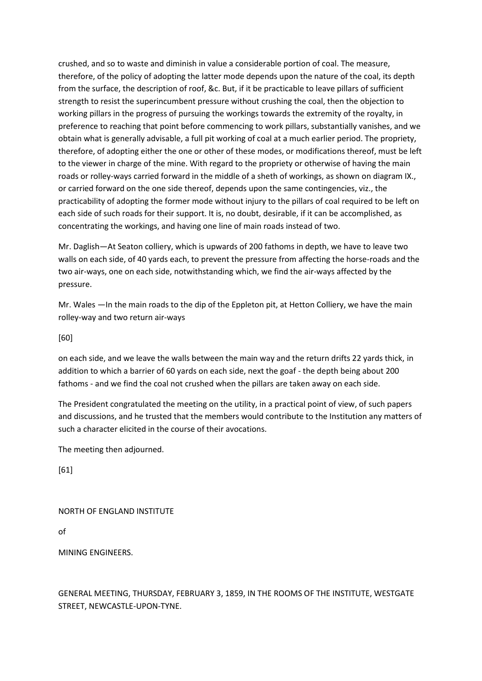crushed, and so to waste and diminish in value a considerable portion of coal. The measure, therefore, of the policy of adopting the latter mode depends upon the nature of the coal, its depth from the surface, the description of roof, &c. But, if it be practicable to leave pillars of sufficient strength to resist the superincumbent pressure without crushing the coal, then the objection to working pillars in the progress of pursuing the workings towards the extremity of the royalty, in preference to reaching that point before commencing to work pillars, substantially vanishes, and we obtain what is generally advisable, a full pit working of coal at a much earlier period. The propriety, therefore, of adopting either the one or other of these modes, or modifications thereof, must be left to the viewer in charge of the mine. With regard to the propriety or otherwise of having the main roads or rolley-ways carried forward in the middle of a sheth of workings, as shown on diagram IX., or carried forward on the one side thereof, depends upon the same contingencies, viz., the practicability of adopting the former mode without injury to the pillars of coal required to be left on each side of such roads for their support. It is, no doubt, desirable, if it can be accomplished, as concentrating the workings, and having one line of main roads instead of two.

Mr. Daglish—At Seaton colliery, which is upwards of 200 fathoms in depth, we have to leave two walls on each side, of 40 yards each, to prevent the pressure from affecting the horse-roads and the two air-ways, one on each side, notwithstanding which, we find the air-ways affected by the pressure.

Mr. Wales —In the main roads to the dip of the Eppleton pit, at Hetton Colliery, we have the main rolley-way and two return air-ways

[60]

on each side, and we leave the walls between the main way and the return drifts 22 yards thick, in addition to which a barrier of 60 yards on each side, next the goaf - the depth being about 200 fathoms - and we find the coal not crushed when the pillars are taken away on each side.

The President congratulated the meeting on the utility, in a practical point of view, of such papers and discussions, and he trusted that the members would contribute to the Institution any matters of such a character elicited in the course of their avocations.

The meeting then adjourned.

[61]

# NORTH OF ENGLAND INSTITUTE

of

MINING ENGINEERS.

GENERAL MEETING, THURSDAY, FEBRUARY 3, 1859, IN THE ROOMS OF THE INSTITUTE, WESTGATE STREET, NEWCASTLE-UPON-TYNE.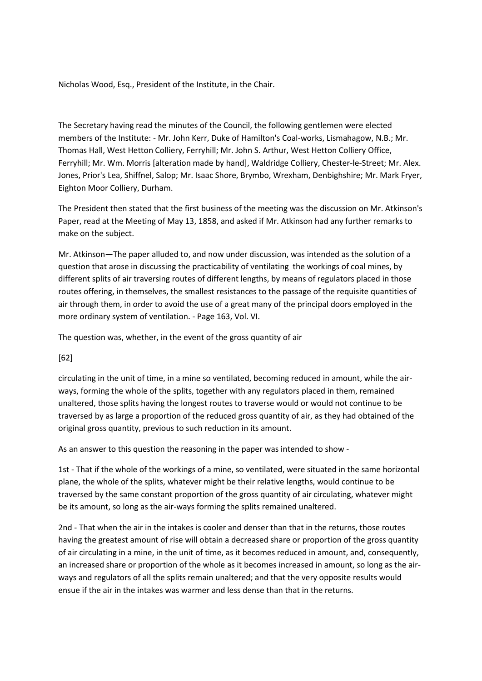Nicholas Wood, Esq., President of the Institute, in the Chair.

The Secretary having read the minutes of the Council, the following gentlemen were elected members of the Institute: - Mr. John Kerr, Duke of Hamilton's Coal-works, Lismahagow, N.B.; Mr. Thomas Hall, West Hetton Colliery, Ferryhill; Mr. John S. Arthur, West Hetton Colliery Office, Ferryhill; Mr. Wm. Morris [alteration made by hand], Waldridge Colliery, Chester-le-Street; Mr. Alex. Jones, Prior's Lea, Shiffnel, Salop; Mr. Isaac Shore, Brymbo, Wrexham, Denbighshire; Mr. Mark Fryer, Eighton Moor Colliery, Durham.

The President then stated that the first business of the meeting was the discussion on Mr. Atkinson's Paper, read at the Meeting of May 13, 1858, and asked if Mr. Atkinson had any further remarks to make on the subject.

Mr. Atkinson—The paper alluded to, and now under discussion, was intended as the solution of a question that arose in discussing the practicability of ventilating the workings of coal mines, by different splits of air traversing routes of different lengths, by means of regulators placed in those routes offering, in themselves, the smallest resistances to the passage of the requisite quantities of air through them, in order to avoid the use of a great many of the principal doors employed in the more ordinary system of ventilation. - Page 163, Vol. VI.

The question was, whether, in the event of the gross quantity of air

[62]

circulating in the unit of time, in a mine so ventilated, becoming reduced in amount, while the airways, forming the whole of the splits, together with any regulators placed in them, remained unaltered, those splits having the longest routes to traverse would or would not continue to be traversed by as large a proportion of the reduced gross quantity of air, as they had obtained of the original gross quantity, previous to such reduction in its amount.

As an answer to this question the reasoning in the paper was intended to show -

1st - That if the whole of the workings of a mine, so ventilated, were situated in the same horizontal plane, the whole of the splits, whatever might be their relative lengths, would continue to be traversed by the same constant proportion of the gross quantity of air circulating, whatever might be its amount, so long as the air-ways forming the splits remained unaltered.

2nd - That when the air in the intakes is cooler and denser than that in the returns, those routes having the greatest amount of rise will obtain a decreased share or proportion of the gross quantity of air circulating in a mine, in the unit of time, as it becomes reduced in amount, and, consequently, an increased share or proportion of the whole as it becomes increased in amount, so long as the airways and regulators of all the splits remain unaltered; and that the very opposite results would ensue if the air in the intakes was warmer and less dense than that in the returns.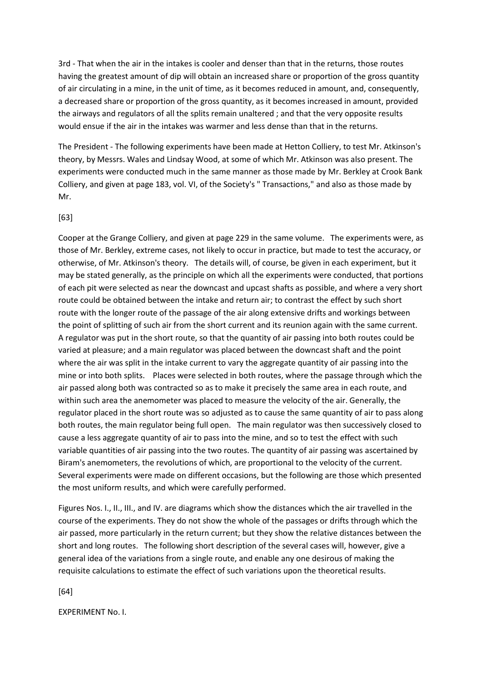3rd - That when the air in the intakes is cooler and denser than that in the returns, those routes having the greatest amount of dip will obtain an increased share or proportion of the gross quantity of air circulating in a mine, in the unit of time, as it becomes reduced in amount, and, consequently, a decreased share or proportion of the gross quantity, as it becomes increased in amount, provided the airways and regulators of all the splits remain unaltered ; and that the very opposite results would ensue if the air in the intakes was warmer and less dense than that in the returns.

The President - The following experiments have been made at Hetton Colliery, to test Mr. Atkinson's theory, by Messrs. Wales and Lindsay Wood, at some of which Mr. Atkinson was also present. The experiments were conducted much in the same manner as those made by Mr. Berkley at Crook Bank Colliery, and given at page 183, vol. VI, of the Society's " Transactions," and also as those made by Mr.

#### [63]

Cooper at the Grange Colliery, and given at page 229 in the same volume. The experiments were, as those of Mr. Berkley, extreme cases, not likely to occur in practice, but made to test the accuracy, or otherwise, of Mr. Atkinson's theory. The details will, of course, be given in each experiment, but it may be stated generally, as the principle on which all the experiments were conducted, that portions of each pit were selected as near the downcast and upcast shafts as possible, and where a very short route could be obtained between the intake and return air; to contrast the effect by such short route with the longer route of the passage of the air along extensive drifts and workings between the point of splitting of such air from the short current and its reunion again with the same current. A regulator was put in the short route, so that the quantity of air passing into both routes could be varied at pleasure; and a main regulator was placed between the downcast shaft and the point where the air was split in the intake current to vary the aggregate quantity of air passing into the mine or into both splits. Places were selected in both routes, where the passage through which the air passed along both was contracted so as to make it precisely the same area in each route, and within such area the anemometer was placed to measure the velocity of the air. Generally, the regulator placed in the short route was so adjusted as to cause the same quantity of air to pass along both routes, the main regulator being full open. The main regulator was then successively closed to cause a less aggregate quantity of air to pass into the mine, and so to test the effect with such variable quantities of air passing into the two routes. The quantity of air passing was ascertained by Biram's anemometers, the revolutions of which, are proportional to the velocity of the current. Several experiments were made on different occasions, but the following are those which presented the most uniform results, and which were carefully performed.

Figures Nos. I., II., III., and IV. are diagrams which show the distances which the air travelled in the course of the experiments. They do not show the whole of the passages or drifts through which the air passed, more particularly in the return current; but they show the relative distances between the short and long routes. The following short description of the several cases will, however, give a general idea of the variations from a single route, and enable any one desirous of making the requisite calculations to estimate the effect of such variations upon the theoretical results.

[64]

EXPERIMENT No. I.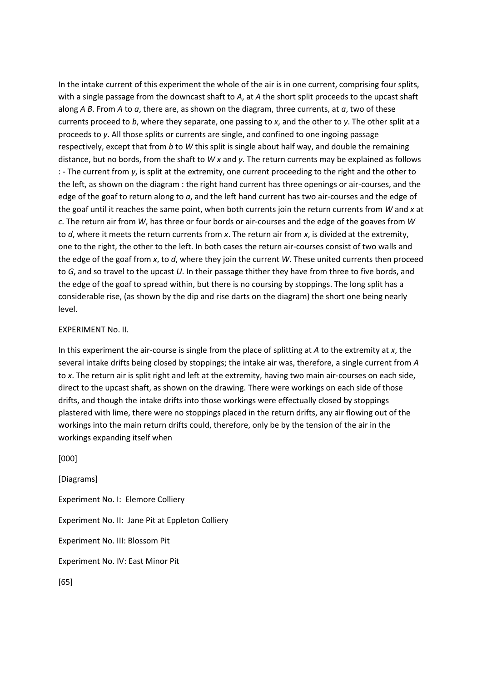In the intake current of this experiment the whole of the air is in one current, comprising four splits, with a single passage from the downcast shaft to *A*, at *A* the short split proceeds to the upcast shaft along *A B*. From *A* to *a*, there are, as shown on the diagram, three currents, at *a*, two of these currents proceed to *b*, where they separate, one passing to *x*, and the other to *y*. The other split at a proceeds to *y*. All those splits or currents are single, and confined to one ingoing passage respectively, except that from *b* to *W* this split is single about half way, and double the remaining distance, but no bords, from the shaft to *W x* and *y*. The return currents may be explained as follows : - The current from *y*, is split at the extremity, one current proceeding to the right and the other to the left, as shown on the diagram : the right hand current has three openings or air-courses, and the edge of the goaf to return along to *a*, and the left hand current has two air-courses and the edge of the goaf until it reaches the same point, when both currents join the return currents from *W* and *x* at *c*. The return air from *W*, has three or four bords or air-courses and the edge of the goaves from *W* to *d*, where it meets the return currents from *x*. The return air from *x*, is divided at the extremity, one to the right, the other to the left. In both cases the return air-courses consist of two walls and the edge of the goaf from *x*, to *d*, where they join the current *W*. These united currents then proceed to *G*, and so travel to the upcast *U*. In their passage thither they have from three to five bords, and the edge of the goaf to spread within, but there is no coursing by stoppings. The long split has a considerable rise, (as shown by the dip and rise darts on the diagram) the short one being nearly level.

#### EXPERIMENT No. II.

In this experiment the air-course is single from the place of splitting at *A* to the extremity at *x*, the several intake drifts being closed by stoppings; the intake air was, therefore, a single current from *A* to *x*. The return air is split right and left at the extremity, having two main air-courses on each side, direct to the upcast shaft, as shown on the drawing. There were workings on each side of those drifts, and though the intake drifts into those workings were effectually closed by stoppings plastered with lime, there were no stoppings placed in the return drifts, any air flowing out of the workings into the main return drifts could, therefore, only be by the tension of the air in the workings expanding itself when

[000]

[Diagrams] Experiment No. I: Elemore Colliery Experiment No. II: Jane Pit at Eppleton Colliery Experiment No. III: Blossom Pit Experiment No. IV: East Minor Pit [65]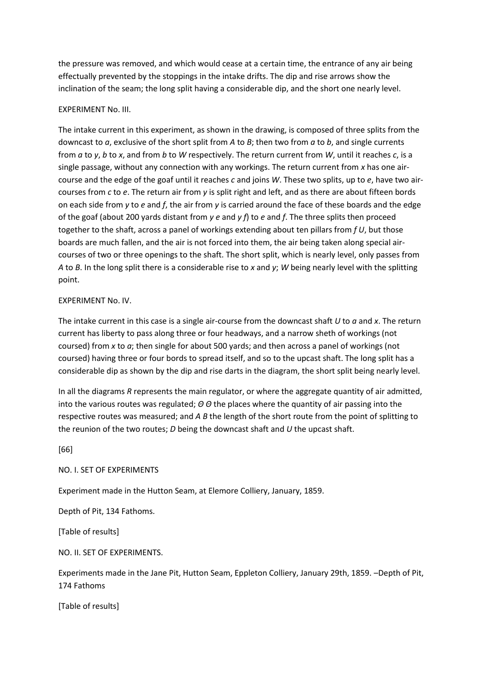the pressure was removed, and which would cease at a certain time, the entrance of any air being effectually prevented by the stoppings in the intake drifts. The dip and rise arrows show the inclination of the seam; the long split having a considerable dip, and the short one nearly level.

### EXPERIMENT No. III.

The intake current in this experiment, as shown in the drawing, is composed of three splits from the downcast to *a*, exclusive of the short split from *A* to *B*; then two from *a* to *b*, and single currents from *a* to *y*, *b* to *x*, and from *b* to *W* respectively. The return current from *W*, until it reaches *c*, is a single passage, without any connection with any workings. The return current from *x* has one aircourse and the edge of the goaf until it reaches *c* and joins *W*. These two splits, up to *e*, have two aircourses from *c* to *e*. The return air from *y* is split right and left, and as there are about fifteen bords on each side from *y* to *e* and *f*, the air from *y* is carried around the face of these boards and the edge of the goaf (about 200 yards distant from *y e* and *y f*) to *e* and *f*. The three splits then proceed together to the shaft, across a panel of workings extending about ten pillars from *f U*, but those boards are much fallen, and the air is not forced into them, the air being taken along special aircourses of two or three openings to the shaft. The short split, which is nearly level, only passes from *A* to *B*. In the long split there is a considerable rise to *x* and *y*; *W* being nearly level with the splitting point.

#### EXPERIMENT No. IV.

The intake current in this case is a single air-course from the downcast shaft *U* to *a* and *x*. The return current has liberty to pass along three or four headways, and a narrow sheth of workings (not coursed) from *x* to *a*; then single for about 500 yards; and then across a panel of workings (not coursed) having three or four bords to spread itself, and so to the upcast shaft. The long split has a considerable dip as shown by the dip and rise darts in the diagram, the short split being nearly level.

In all the diagrams *R* represents the main regulator, or where the aggregate quantity of air admitted, into the various routes was regulated; *Θ Θ* the places where the quantity of air passing into the respective routes was measured; and *A B* the length of the short route from the point of splitting to the reunion of the two routes; *D* being the downcast shaft and *U* the upcast shaft.

[66]

NO. I. SET OF EXPERIMENTS

Experiment made in the Hutton Seam, at Elemore Colliery, January, 1859.

Depth of Pit, 134 Fathoms.

[Table of results]

NO. II. SET OF EXPERIMENTS.

Experiments made in the Jane Pit, Hutton Seam, Eppleton Colliery, January 29th, 1859. –Depth of Pit, 174 Fathoms

[Table of results]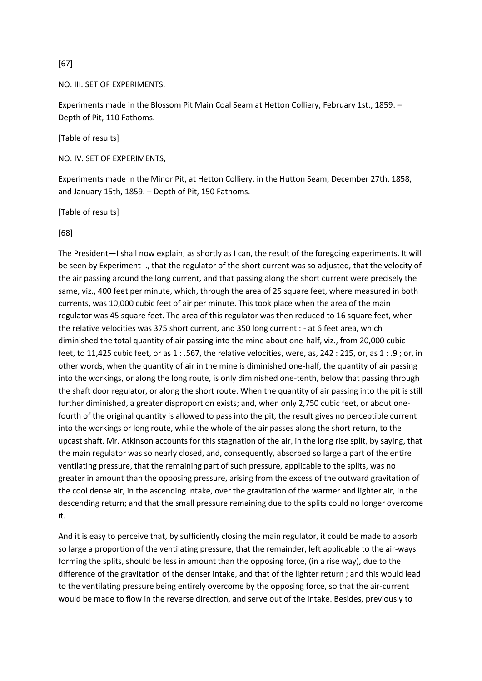[67]

NO. III. SET OF EXPERIMENTS.

Experiments made in the Blossom Pit Main Coal Seam at Hetton Colliery, February 1st., 1859. – Depth of Pit, 110 Fathoms.

[Table of results]

NO. IV. SET OF EXPERIMENTS,

Experiments made in the Minor Pit, at Hetton Colliery, in the Hutton Seam, December 27th, 1858, and January 15th, 1859. – Depth of Pit, 150 Fathoms.

[Table of results]

[68]

The President—I shall now explain, as shortly as I can, the result of the foregoing experiments. It will be seen by Experiment I., that the regulator of the short current was so adjusted, that the velocity of the air passing around the long current, and that passing along the short current were precisely the same, viz., 400 feet per minute, which, through the area of 25 square feet, where measured in both currents, was 10,000 cubic feet of air per minute. This took place when the area of the main regulator was 45 square feet. The area of this regulator was then reduced to 16 square feet, when the relative velocities was 375 short current, and 350 long current : - at 6 feet area, which diminished the total quantity of air passing into the mine about one-half, viz., from 20,000 cubic feet, to 11,425 cubic feet, or as 1 : .567, the relative velocities, were, as, 242 : 215, or, as 1 : .9 ; or, in other words, when the quantity of air in the mine is diminished one-half, the quantity of air passing into the workings, or along the long route, is only diminished one-tenth, below that passing through the shaft door regulator, or along the short route. When the quantity of air passing into the pit is still further diminished, a greater disproportion exists; and, when only 2,750 cubic feet, or about onefourth of the original quantity is allowed to pass into the pit, the result gives no perceptible current into the workings or long route, while the whole of the air passes along the short return, to the upcast shaft. Mr. Atkinson accounts for this stagnation of the air, in the long rise split, by saying, that the main regulator was so nearly closed, and, consequently, absorbed so large a part of the entire ventilating pressure, that the remaining part of such pressure, applicable to the splits, was no greater in amount than the opposing pressure, arising from the excess of the outward gravitation of the cool dense air, in the ascending intake, over the gravitation of the warmer and lighter air, in the descending return; and that the small pressure remaining due to the splits could no longer overcome it.

And it is easy to perceive that, by sufficiently closing the main regulator, it could be made to absorb so large a proportion of the ventilating pressure, that the remainder, left applicable to the air-ways forming the splits, should be less in amount than the opposing force, (in a rise way), due to the difference of the gravitation of the denser intake, and that of the lighter return ; and this would lead to the ventilating pressure being entirely overcome by the opposing force, so that the air-current would be made to flow in the reverse direction, and serve out of the intake. Besides, previously to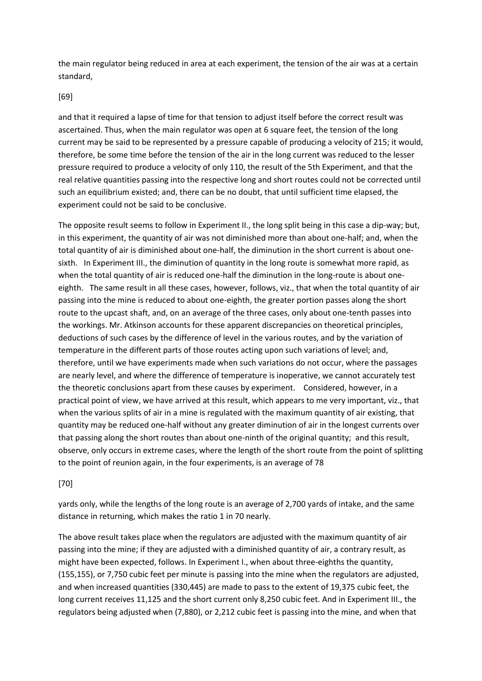the main regulator being reduced in area at each experiment, the tension of the air was at a certain standard,

#### [69]

and that it required a lapse of time for that tension to adjust itself before the correct result was ascertained. Thus, when the main regulator was open at 6 square feet, the tension of the long current may be said to be represented by a pressure capable of producing a velocity of 215; it would, therefore, be some time before the tension of the air in the long current was reduced to the lesser pressure required to produce a velocity of only 110, the result of the 5th Experiment, and that the real relative quantities passing into the respective long and short routes could not be corrected until such an equilibrium existed; and, there can be no doubt, that until sufficient time elapsed, the experiment could not be said to be conclusive.

The opposite result seems to follow in Experiment II., the long split being in this case a dip-way; but, in this experiment, the quantity of air was not diminished more than about one-half; and, when the total quantity of air is diminished about one-half, the diminution in the short current is about onesixth. In Experiment III., the diminution of quantity in the long route is somewhat more rapid, as when the total quantity of air is reduced one-half the diminution in the long-route is about oneeighth. The same result in all these cases, however, follows, viz., that when the total quantity of air passing into the mine is reduced to about one-eighth, the greater portion passes along the short route to the upcast shaft, and, on an average of the three cases, only about one-tenth passes into the workings. Mr. Atkinson accounts for these apparent discrepancies on theoretical principles, deductions of such cases by the difference of level in the various routes, and by the variation of temperature in the different parts of those routes acting upon such variations of level; and, therefore, until we have experiments made when such variations do not occur, where the passages are nearly level, and where the difference of temperature is inoperative, we cannot accurately test the theoretic conclusions apart from these causes by experiment. Considered, however, in a practical point of view, we have arrived at this result, which appears to me very important, viz., that when the various splits of air in a mine is regulated with the maximum quantity of air existing, that quantity may be reduced one-half without any greater diminution of air in the longest currents over that passing along the short routes than about one-ninth of the original quantity; and this result, observe, only occurs in extreme cases, where the length of the short route from the point of splitting to the point of reunion again, in the four experiments, is an average of 78

## [70]

yards only, while the lengths of the long route is an average of 2,700 yards of intake, and the same distance in returning, which makes the ratio 1 in 70 nearly.

The above result takes place when the regulators are adjusted with the maximum quantity of air passing into the mine; if they are adjusted with a diminished quantity of air, a contrary result, as might have been expected, follows. In Experiment I., when about three-eighths the quantity, (155,155), or 7,750 cubic feet per minute is passing into the mine when the regulators are adjusted, and when increased quantities (330,445) are made to pass to the extent of 19,375 cubic feet, the long current receives 11,125 and the short current only 8,250 cubic feet. And in Experiment III., the regulators being adjusted when (7,880), or 2,212 cubic feet is passing into the mine, and when that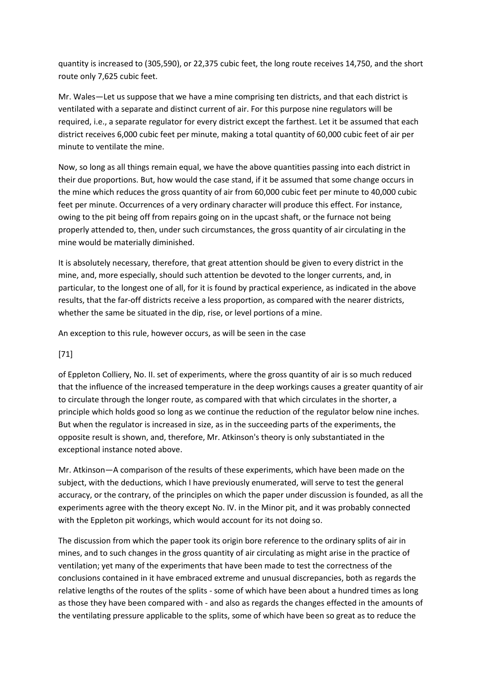quantity is increased to (305,590), or 22,375 cubic feet, the long route receives 14,750, and the short route only 7,625 cubic feet.

Mr. Wales—Let us suppose that we have a mine comprising ten districts, and that each district is ventilated with a separate and distinct current of air. For this purpose nine regulators will be required, i.e., a separate regulator for every district except the farthest. Let it be assumed that each district receives 6,000 cubic feet per minute, making a total quantity of 60,000 cubic feet of air per minute to ventilate the mine.

Now, so long as all things remain equal, we have the above quantities passing into each district in their due proportions. But, how would the case stand, if it be assumed that some change occurs in the mine which reduces the gross quantity of air from 60,000 cubic feet per minute to 40,000 cubic feet per minute. Occurrences of a very ordinary character will produce this effect. For instance, owing to the pit being off from repairs going on in the upcast shaft, or the furnace not being properly attended to, then, under such circumstances, the gross quantity of air circulating in the mine would be materially diminished.

It is absolutely necessary, therefore, that great attention should be given to every district in the mine, and, more especially, should such attention be devoted to the longer currents, and, in particular, to the longest one of all, for it is found by practical experience, as indicated in the above results, that the far-off districts receive a less proportion, as compared with the nearer districts, whether the same be situated in the dip, rise, or level portions of a mine.

An exception to this rule, however occurs, as will be seen in the case

# [71]

of Eppleton Colliery, No. II. set of experiments, where the gross quantity of air is so much reduced that the influence of the increased temperature in the deep workings causes a greater quantity of air to circulate through the longer route, as compared with that which circulates in the shorter, a principle which holds good so long as we continue the reduction of the regulator below nine inches. But when the regulator is increased in size, as in the succeeding parts of the experiments, the opposite result is shown, and, therefore, Mr. Atkinson's theory is only substantiated in the exceptional instance noted above.

Mr. Atkinson—A comparison of the results of these experiments, which have been made on the subject, with the deductions, which I have previously enumerated, will serve to test the general accuracy, or the contrary, of the principles on which the paper under discussion is founded, as all the experiments agree with the theory except No. IV. in the Minor pit, and it was probably connected with the Eppleton pit workings, which would account for its not doing so.

The discussion from which the paper took its origin bore reference to the ordinary splits of air in mines, and to such changes in the gross quantity of air circulating as might arise in the practice of ventilation; yet many of the experiments that have been made to test the correctness of the conclusions contained in it have embraced extreme and unusual discrepancies, both as regards the relative lengths of the routes of the splits - some of which have been about a hundred times as long as those they have been compared with - and also as regards the changes effected in the amounts of the ventilating pressure applicable to the splits, some of which have been so great as to reduce the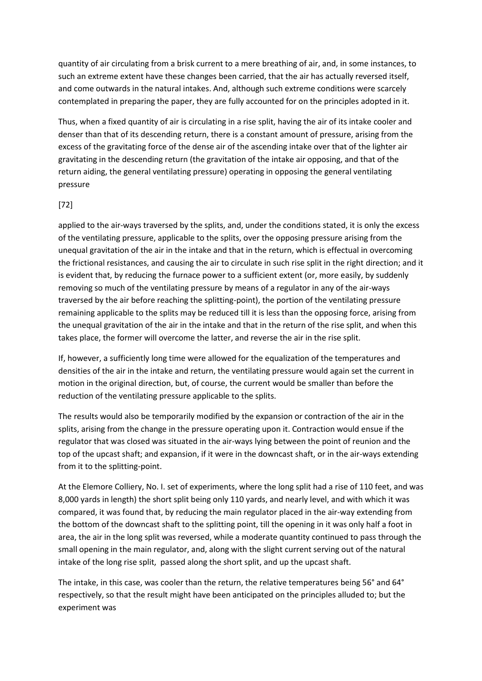quantity of air circulating from a brisk current to a mere breathing of air, and, in some instances, to such an extreme extent have these changes been carried, that the air has actually reversed itself, and come outwards in the natural intakes. And, although such extreme conditions were scarcely contemplated in preparing the paper, they are fully accounted for on the principles adopted in it.

Thus, when a fixed quantity of air is circulating in a rise split, having the air of its intake cooler and denser than that of its descending return, there is a constant amount of pressure, arising from the excess of the gravitating force of the dense air of the ascending intake over that of the lighter air gravitating in the descending return (the gravitation of the intake air opposing, and that of the return aiding, the general ventilating pressure) operating in opposing the general ventilating pressure

### [72]

applied to the air-ways traversed by the splits, and, under the conditions stated, it is only the excess of the ventilating pressure, applicable to the splits, over the opposing pressure arising from the unequal gravitation of the air in the intake and that in the return, which is effectual in overcoming the frictional resistances, and causing the air to circulate in such rise split in the right direction; and it is evident that, by reducing the furnace power to a sufficient extent (or, more easily, by suddenly removing so much of the ventilating pressure by means of a regulator in any of the air-ways traversed by the air before reaching the splitting-point), the portion of the ventilating pressure remaining applicable to the splits may be reduced till it is less than the opposing force, arising from the unequal gravitation of the air in the intake and that in the return of the rise split, and when this takes place, the former will overcome the latter, and reverse the air in the rise split.

If, however, a sufficiently long time were allowed for the equalization of the temperatures and densities of the air in the intake and return, the ventilating pressure would again set the current in motion in the original direction, but, of course, the current would be smaller than before the reduction of the ventilating pressure applicable to the splits.

The results would also be temporarily modified by the expansion or contraction of the air in the splits, arising from the change in the pressure operating upon it. Contraction would ensue if the regulator that was closed was situated in the air-ways lying between the point of reunion and the top of the upcast shaft; and expansion, if it were in the downcast shaft, or in the air-ways extending from it to the splitting-point.

At the Elemore Colliery, No. I. set of experiments, where the long split had a rise of 110 feet, and was 8,000 yards in length) the short split being only 110 yards, and nearly level, and with which it was compared, it was found that, by reducing the main regulator placed in the air-way extending from the bottom of the downcast shaft to the splitting point, till the opening in it was only half a foot in area, the air in the long split was reversed, while a moderate quantity continued to pass through the small opening in the main regulator, and, along with the slight current serving out of the natural intake of the long rise split, passed along the short split, and up the upcast shaft.

The intake, in this case, was cooler than the return, the relative temperatures being 56° and 64° respectively, so that the result might have been anticipated on the principles alluded to; but the experiment was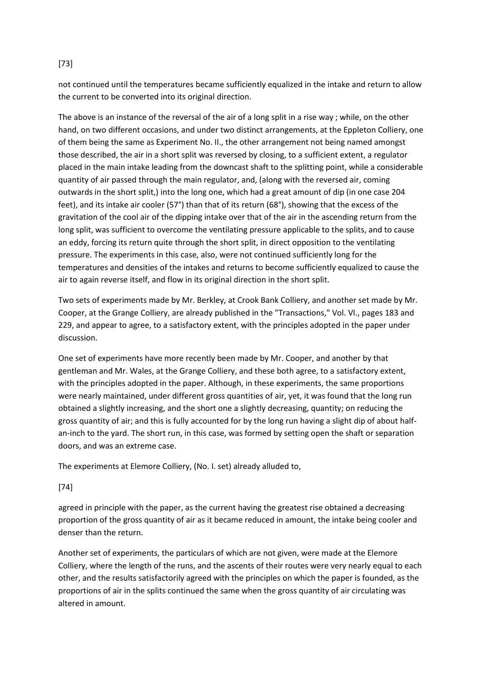## [73]

not continued until the temperatures became sufficiently equalized in the intake and return to allow the current to be converted into its original direction.

The above is an instance of the reversal of the air of a long split in a rise way ; while, on the other hand, on two different occasions, and under two distinct arrangements, at the Eppleton Colliery, one of them being the same as Experiment No. II., the other arrangement not being named amongst those described, the air in a short split was reversed by closing, to a sufficient extent, a regulator placed in the main intake leading from the downcast shaft to the splitting point, while a considerable quantity of air passed through the main regulator, and, (along with the reversed air, coming outwards in the short split,) into the long one, which had a great amount of dip (in one case 204 feet), and its intake air cooler (57°) than that of its return (68°), showing that the excess of the gravitation of the cool air of the dipping intake over that of the air in the ascending return from the long split, was sufficient to overcome the ventilating pressure applicable to the splits, and to cause an eddy, forcing its return quite through the short split, in direct opposition to the ventilating pressure. The experiments in this case, also, were not continued sufficiently long for the temperatures and densities of the intakes and returns to become sufficiently equalized to cause the air to again reverse itself, and flow in its original direction in the short split.

Two sets of experiments made by Mr. Berkley, at Crook Bank Colliery, and another set made by Mr. Cooper, at the Grange Colliery, are already published in the "Transactions," Vol. VI., pages 183 and 229, and appear to agree, to a satisfactory extent, with the principles adopted in the paper under discussion.

One set of experiments have more recently been made by Mr. Cooper, and another by that gentleman and Mr. Wales, at the Grange Colliery, and these both agree, to a satisfactory extent, with the principles adopted in the paper. Although, in these experiments, the same proportions were nearly maintained, under different gross quantities of air, yet, it was found that the long run obtained a slightly increasing, and the short one a slightly decreasing, quantity; on reducing the gross quantity of air; and this is fully accounted for by the long run having a slight dip of about halfan-inch to the yard. The short run, in this case, was formed by setting open the shaft or separation doors, and was an extreme case.

The experiments at Elemore Colliery, (No. I. set) already alluded to,

## [74]

agreed in principle with the paper, as the current having the greatest rise obtained a decreasing proportion of the gross quantity of air as it became reduced in amount, the intake being cooler and denser than the return.

Another set of experiments, the particulars of which are not given, were made at the Elemore Colliery, where the length of the runs, and the ascents of their routes were very nearly equal to each other, and the results satisfactorily agreed with the principles on which the paper is founded, as the proportions of air in the splits continued the same when the gross quantity of air circulating was altered in amount.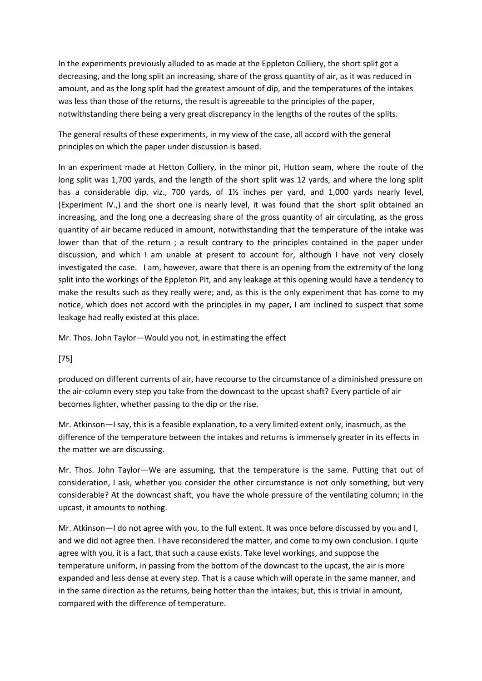In the experiments previously alluded to as made at the Eppleton Colliery, the short split got a decreasing, and the long split an increasing, share of the gross quantity of air, as it was reduced in amount, and as the long split had the greatest amount of dip, and the temperatures of the intakes was less than those of the returns, the result is agreeable to the principles of the paper, notwithstanding there being a very great discrepancy in the lengths of the routes of the splits.

The general results of these experiments, in my view of the case, all accord with the general principles on which the paper under discussion is based.

In an experiment made at Hetton Colliery, in the minor pit, Hutton seam, where the route of the long split was 1,700 yards, and the length of the short split was 12 yards, and where the long split has a considerable dip, viz., 700 yards, of  $1\frac{1}{2}$  inches per yard, and 1,000 yards nearly level, (Experiment IV.,) and the short one is nearly level, it was found that the short split obtained an increasing, and the long one a decreasing share of the gross quantity of air circulating, as the gross quantity of air became reduced in amount, notwithstanding that the temperature of the intake was lower than that of the return; a result contrary to the principles contained in the paper under discussion, and which I am unable at present to account for, although I have not very closely investigated the case. I am, however, aware that there is an opening from the extremity of the long split into the workings of the Eppleton Pit, and any leakage at this opening would have a tendency to make the results such as they really were; and, as this is the only experiment that has come to my notice, which does not accord with the principles in my paper, I am inclined to suspect that some leakage had really existed at this place.

Mr. Thos. John Taylor—Would you not, in estimating the effect

[75]

produced on different currents of air, have recourse to the circumstance of a diminished pressure on the air-column every step you take from the downcast to the upcast shaft? Every particle of air becomes lighter, whether passing to the dip or the rise.

Mr. Atkinson—I say, this is a feasible explanation, to a very limited extent only, inasmuch, as the difference of the temperature between the intakes and returns is immensely greater in its effects in the matter we are discussing.

Mr. Thos. John Taylor—We are assuming, that the temperature is the same. Putting that out of consideration, I ask, whether you consider the other circumstance is not only something, but very considerable? At the downcast shaft, you have the whole pressure of the ventilating column; in the upcast, it amounts to nothing.

Mr. Atkinson—I do not agree with you, to the full extent. It was once before discussed by you and I, and we did not agree then. I have reconsidered the matter, and come to my own conclusion. I quite agree with you, it is a fact, that such a cause exists. Take level workings, and suppose the temperature uniform, in passing from the bottom of the downcast to the upcast, the air is more expanded and less dense at every step. That is a cause which will operate in the same manner, and in the same direction as the returns, being hotter than the intakes; but, this is trivial in amount, compared with the difference of temperature.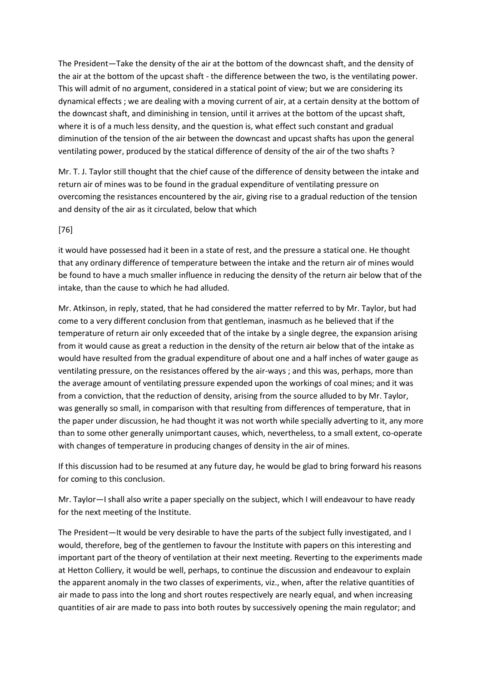The President—Take the density of the air at the bottom of the downcast shaft, and the density of the air at the bottom of the upcast shaft - the difference between the two, is the ventilating power. This will admit of no argument, considered in a statical point of view; but we are considering its dynamical effects ; we are dealing with a moving current of air, at a certain density at the bottom of the downcast shaft, and diminishing in tension, until it arrives at the bottom of the upcast shaft, where it is of a much less density, and the question is, what effect such constant and gradual diminution of the tension of the air between the downcast and upcast shafts has upon the general ventilating power, produced by the statical difference of density of the air of the two shafts ?

Mr. T. J. Taylor still thought that the chief cause of the difference of density between the intake and return air of mines was to be found in the gradual expenditure of ventilating pressure on overcoming the resistances encountered by the air, giving rise to a gradual reduction of the tension and density of the air as it circulated, below that which

### [76]

it would have possessed had it been in a state of rest, and the pressure a statical one. He thought that any ordinary difference of temperature between the intake and the return air of mines would be found to have a much smaller influence in reducing the density of the return air below that of the intake, than the cause to which he had alluded.

Mr. Atkinson, in reply, stated, that he had considered the matter referred to by Mr. Taylor, but had come to a very different conclusion from that gentleman, inasmuch as he believed that if the temperature of return air only exceeded that of the intake by a single degree, the expansion arising from it would cause as great a reduction in the density of the return air below that of the intake as would have resulted from the gradual expenditure of about one and a half inches of water gauge as ventilating pressure, on the resistances offered by the air-ways ; and this was, perhaps, more than the average amount of ventilating pressure expended upon the workings of coal mines; and it was from a conviction, that the reduction of density, arising from the source alluded to by Mr. Taylor, was generally so small, in comparison with that resulting from differences of temperature, that in the paper under discussion, he had thought it was not worth while specially adverting to it, any more than to some other generally unimportant causes, which, nevertheless, to a small extent, co-operate with changes of temperature in producing changes of density in the air of mines.

If this discussion had to be resumed at any future day, he would be glad to bring forward his reasons for coming to this conclusion.

Mr. Taylor—I shall also write a paper specially on the subject, which I will endeavour to have ready for the next meeting of the Institute.

The President—It would be very desirable to have the parts of the subject fully investigated, and I would, therefore, beg of the gentlemen to favour the Institute with papers on this interesting and important part of the theory of ventilation at their next meeting. Reverting to the experiments made at Hetton Colliery, it would be well, perhaps, to continue the discussion and endeavour to explain the apparent anomaly in the two classes of experiments, viz., when, after the relative quantities of air made to pass into the long and short routes respectively are nearly equal, and when increasing quantities of air are made to pass into both routes by successively opening the main regulator; and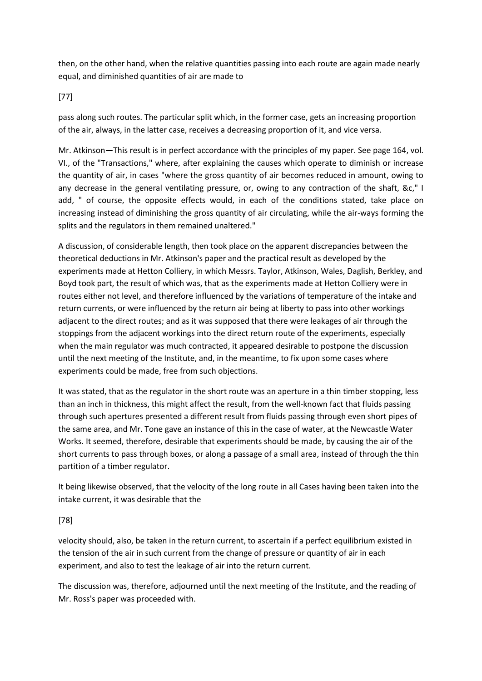then, on the other hand, when the relative quantities passing into each route are again made nearly equal, and diminished quantities of air are made to

## [77]

pass along such routes. The particular split which, in the former case, gets an increasing proportion of the air, always, in the latter case, receives a decreasing proportion of it, and vice versa.

Mr. Atkinson—This result is in perfect accordance with the principles of my paper. See page 164, vol. VI., of the "Transactions," where, after explaining the causes which operate to diminish or increase the quantity of air, in cases "where the gross quantity of air becomes reduced in amount, owing to any decrease in the general ventilating pressure, or, owing to any contraction of the shaft, &c," I add, " of course, the opposite effects would, in each of the conditions stated, take place on increasing instead of diminishing the gross quantity of air circulating, while the air-ways forming the splits and the regulators in them remained unaltered."

A discussion, of considerable length, then took place on the apparent discrepancies between the theoretical deductions in Mr. Atkinson's paper and the practical result as developed by the experiments made at Hetton Colliery, in which Messrs. Taylor, Atkinson, Wales, Daglish, Berkley, and Boyd took part, the result of which was, that as the experiments made at Hetton Colliery were in routes either not level, and therefore influenced by the variations of temperature of the intake and return currents, or were influenced by the return air being at liberty to pass into other workings adjacent to the direct routes; and as it was supposed that there were leakages of air through the stoppings from the adjacent workings into the direct return route of the experiments, especially when the main regulator was much contracted, it appeared desirable to postpone the discussion until the next meeting of the Institute, and, in the meantime, to fix upon some cases where experiments could be made, free from such objections.

It was stated, that as the regulator in the short route was an aperture in a thin timber stopping, less than an inch in thickness, this might affect the result, from the well-known fact that fluids passing through such apertures presented a different result from fluids passing through even short pipes of the same area, and Mr. Tone gave an instance of this in the case of water, at the Newcastle Water Works. It seemed, therefore, desirable that experiments should be made, by causing the air of the short currents to pass through boxes, or along a passage of a small area, instead of through the thin partition of a timber regulator.

It being likewise observed, that the velocity of the long route in all Cases having been taken into the intake current, it was desirable that the

# [78]

velocity should, also, be taken in the return current, to ascertain if a perfect equilibrium existed in the tension of the air in such current from the change of pressure or quantity of air in each experiment, and also to test the leakage of air into the return current.

The discussion was, therefore, adjourned until the next meeting of the Institute, and the reading of Mr. Ross's paper was proceeded with.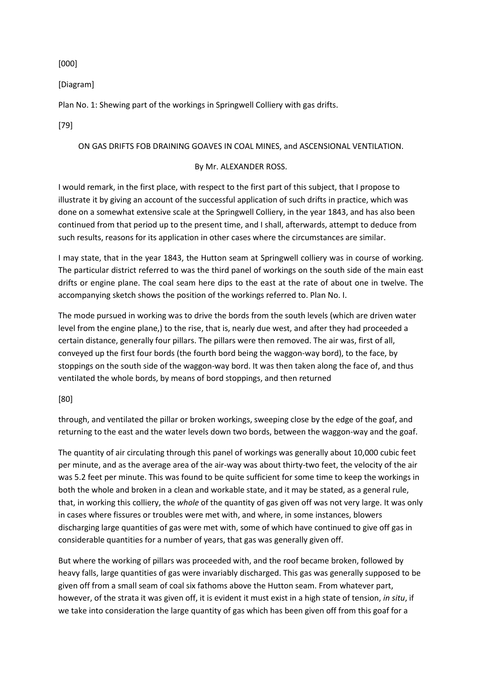[000]

[Diagram]

Plan No. 1: Shewing part of the workings in Springwell Colliery with gas drifts.

[79]

## ON GAS DRIFTS FOB DRAINING GOAVES IN COAL MINES, and ASCENSIONAL VENTILATION.

## By Mr. ALEXANDER ROSS.

I would remark, in the first place, with respect to the first part of this subject, that I propose to illustrate it by giving an account of the successful application of such drifts in practice, which was done on a somewhat extensive scale at the Springwell Colliery, in the year 1843, and has also been continued from that period up to the present time, and I shall, afterwards, attempt to deduce from such results, reasons for its application in other cases where the circumstances are similar.

I may state, that in the year 1843, the Hutton seam at Springwell colliery was in course of working. The particular district referred to was the third panel of workings on the south side of the main east drifts or engine plane. The coal seam here dips to the east at the rate of about one in twelve. The accompanying sketch shows the position of the workings referred to. Plan No. I.

The mode pursued in working was to drive the bords from the south levels (which are driven water level from the engine plane,) to the rise, that is, nearly due west, and after they had proceeded a certain distance, generally four pillars. The pillars were then removed. The air was, first of all, conveyed up the first four bords (the fourth bord being the waggon-way bord), to the face, by stoppings on the south side of the waggon-way bord. It was then taken along the face of, and thus ventiIated the whole bords, by means of bord stoppings, and then returned

## [80]

through, and ventilated the pillar or broken workings, sweeping close by the edge of the goaf, and returning to the east and the water levels down two bords, between the waggon-way and the goaf.

The quantity of air circulating through this panel of workings was generally about 10,000 cubic feet per minute, and as the average area of the air-way was about thirty-two feet, the velocity of the air was 5.2 feet per minute. This was found to be quite sufficient for some time to keep the workings in both the whole and broken in a clean and workable state, and it may be stated, as a general rule, that, in working this colliery, the *whole* of the quantity of gas given off was not very large. It was only in cases where fissures or troubles were met with, and where, in some instances, blowers discharging large quantities of gas were met with, some of which have continued to give off gas in considerable quantities for a number of years, that gas was generally given off.

But where the working of pillars was proceeded with, and the roof became broken, followed by heavy falls, large quantities of gas were invariably discharged. This gas was generally supposed to be given off from a small seam of coal six fathoms above the Hutton seam. From whatever part, however, of the strata it was given off, it is evident it must exist in a high state of tension, *in situ*, if we take into consideration the large quantity of gas which has been given off from this goaf for a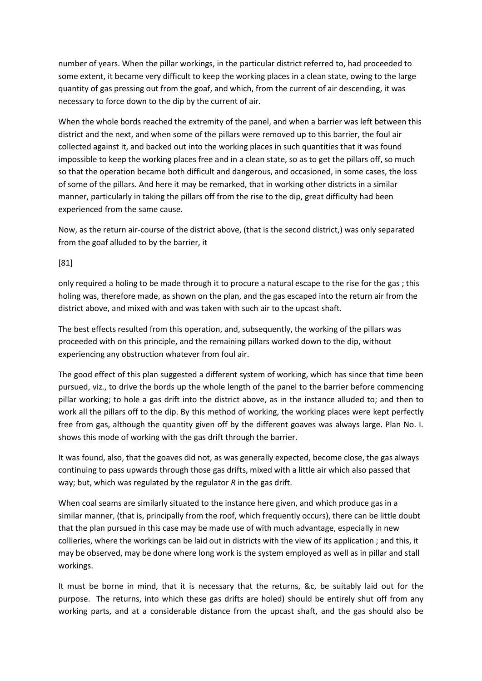number of years. When the pillar workings, in the particular district referred to, had proceeded to some extent, it became very difficult to keep the working places in a clean state, owing to the large quantity of gas pressing out from the goaf, and which, from the current of air descending, it was necessary to force down to the dip by the current of air.

When the whole bords reached the extremity of the panel, and when a barrier was left between this district and the next, and when some of the pillars were removed up to this barrier, the foul air collected against it, and backed out into the working places in such quantities that it was found impossible to keep the working places free and in a clean state, so as to get the pillars off, so much so that the operation became both difficult and dangerous, and occasioned, in some cases, the loss of some of the pillars. And here it may be remarked, that in working other districts in a similar manner, particularly in taking the pillars off from the rise to the dip, great difficulty had been experienced from the same cause.

Now, as the return air-course of the district above, (that is the second district,) was only separated from the goaf alluded to by the barrier, it

### [81]

only required a holing to be made through it to procure a natural escape to the rise for the gas ; this holing was, therefore made, as shown on the plan, and the gas escaped into the return air from the district above, and mixed with and was taken with such air to the upcast shaft.

The best effects resulted from this operation, and, subsequently, the working of the pillars was proceeded with on this principle, and the remaining pillars worked down to the dip, without experiencing any obstruction whatever from foul air.

The good effect of this plan suggested a different system of working, which has since that time been pursued, viz., to drive the bords up the whole length of the panel to the barrier before commencing pillar working; to hole a gas drift into the district above, as in the instance alluded to; and then to work all the pillars off to the dip. By this method of working, the working places were kept perfectly free from gas, although the quantity given off by the different goaves was always large. Plan No. I. shows this mode of working with the gas drift through the barrier.

It was found, also, that the goaves did not, as was generally expected, become close, the gas always continuing to pass upwards through those gas drifts, mixed with a little air which also passed that way; but, which was regulated by the regulator *R* in the gas drift.

When coal seams are similarly situated to the instance here given, and which produce gas in a similar manner, (that is, principally from the roof, which frequently occurs), there can be little doubt that the plan pursued in this case may be made use of with much advantage, especially in new collieries, where the workings can be laid out in districts with the view of its application ; and this, it may be observed, may be done where long work is the system employed as well as in pillar and stall workings.

It must be borne in mind, that it is necessary that the returns, &c, be suitably laid out for the purpose. The returns, into which these gas drifts are holed) should be entirely shut off from any working parts, and at a considerable distance from the upcast shaft, and the gas should also be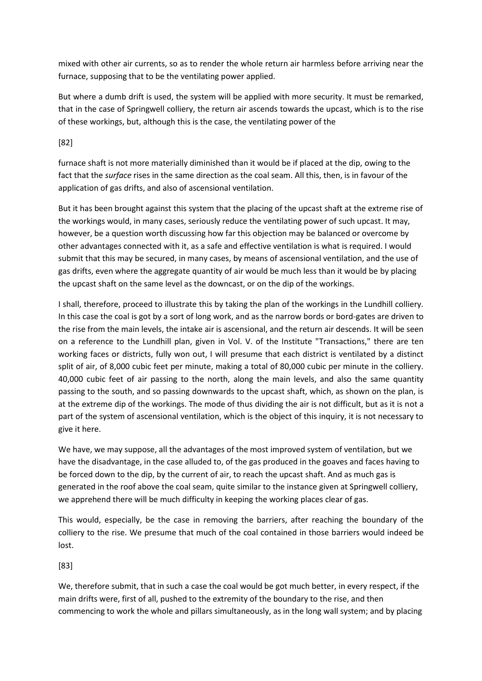mixed with other air currents, so as to render the whole return air harmless before arriving near the furnace, supposing that to be the ventilating power applied.

But where a dumb drift is used, the system will be applied with more security. It must be remarked, that in the case of Springwell colliery, the return air ascends towards the upcast, which is to the rise of these workings, but, although this is the case, the ventilating power of the

[82]

furnace shaft is not more materially diminished than it would be if placed at the dip, owing to the fact that the *surface* rises in the same direction as the coal seam. All this, then, is in favour of the application of gas drifts, and also of ascensional ventilation.

But it has been brought against this system that the placing of the upcast shaft at the extreme rise of the workings would, in many cases, seriously reduce the ventilating power of such upcast. It may, however, be a question worth discussing how far this objection may be balanced or overcome by other advantages connected with it, as a safe and effective ventilation is what is required. I would submit that this may be secured, in many cases, by means of ascensional ventilation, and the use of gas drifts, even where the aggregate quantity of air would be much less than it would be by placing the upcast shaft on the same level as the downcast, or on the dip of the workings.

I shall, therefore, proceed to illustrate this by taking the plan of the workings in the Lundhill colliery. In this case the coal is got by a sort of long work, and as the narrow bords or bord-gates are driven to the rise from the main levels, the intake air is ascensional, and the return air descends. It will be seen on a reference to the Lundhill plan, given in Vol. V. of the Institute "Transactions," there are ten working faces or districts, fully won out, I will presume that each district is ventilated by a distinct split of air, of 8,000 cubic feet per minute, making a total of 80,000 cubic per minute in the colliery. 40,000 cubic feet of air passing to the north, along the main levels, and also the same quantity passing to the south, and so passing downwards to the upcast shaft, which, as shown on the plan, is at the extreme dip of the workings. The mode of thus dividing the air is not difficult, but as it is not a part of the system of ascensional ventilation, which is the object of this inquiry, it is not necessary to give it here.

We have, we may suppose, all the advantages of the most improved system of ventilation, but we have the disadvantage, in the case alluded to, of the gas produced in the goaves and faces having to be forced down to the dip, by the current of air, to reach the upcast shaft. And as much gas is generated in the roof above the coal seam, quite similar to the instance given at Springwell colliery, we apprehend there will be much difficulty in keeping the working places clear of gas.

This would, especially, be the case in removing the barriers, after reaching the boundary of the colliery to the rise. We presume that much of the coal contained in those barriers would indeed be lost.

[83]

We, therefore submit, that in such a case the coal would be got much better, in every respect, if the main drifts were, first of all, pushed to the extremity of the boundary to the rise, and then commencing to work the whole and pillars simultaneously, as in the long wall system; and by placing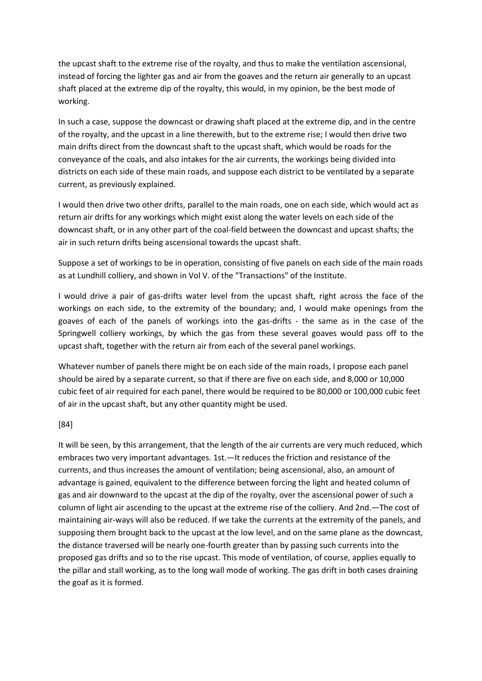the upcast shaft to the extreme rise of the royalty, and thus to make the ventilation ascensional, instead of forcing the lighter gas and air from the goaves and the return air generally to an upcast shaft placed at the extreme dip of the royalty, this would, in my opinion, be the best mode of working.

In such a case, suppose the downcast or drawing shaft placed at the extreme dip, and in the centre of the royalty, and the upcast in a line therewith, but to the extreme rise; I would then drive two main drifts direct from the downcast shaft to the upcast shaft, which would be roads for the conveyance of the coals, and also intakes for the air currents, the workings being divided into districts on each side of these main roads, and suppose each district to be ventilated by a separate current, as previously explained.

I would then drive two other drifts, parallel to the main roads, one on each side, which would act as return air drifts for any workings which might exist along the water levels on each side of the downcast shaft, or in any other part of the coal-field between the downcast and upcast shafts; the air in such return drifts being ascensional towards the upcast shaft.

Suppose a set of workings to be in operation, consisting of five panels on each side of the main roads as at Lundhill colliery, and shown in Vol V. of the "Transactions" of the Institute.

I would drive a pair of gas-drifts water level from the upcast shaft, right across the face of the workings on each side, to the extremity of the boundary; and, I would make openings from the goaves of each of the panels of workings into the gas-drifts - the same as in the case of the Springwell colliery workings, by which the gas from these several goaves would pass off to the upcast shaft, together with the return air from each of the several panel workings.

Whatever number of panels there might be on each side of the main roads, I propose each panel should be aired by a separate current, so that if there are five on each side, and 8,000 or 10,000 cubic feet of air required for each panel, there would be required to be 80,000 or 100,000 cubic feet of air in the upcast shaft, but any other quantity might be used.

#### [84]

It will be seen, by this arrangement, that the length of the air currents are very much reduced, which embraces two very important advantages. 1st.—It reduces the friction and resistance of the currents, and thus increases the amount of ventilation; being ascensional, also, an amount of advantage is gained, equivalent to the difference between forcing the light and heated column of gas and air downward to the upcast at the dip of the royalty, over the ascensional power of such a column of light air ascending to the upcast at the extreme rise of the colliery. And 2nd.—The cost of maintaining air-ways will also be reduced. If we take the currents at the extremity of the panels, and supposing them brought back to the upcast at the low level, and on the same plane as the downcast, the distance traversed will be nearly one-fourth greater than by passing such currents into the proposed gas drifts and so to the rise upcast. This mode of ventilation, of course, applies equally to the pillar and stall working, as to the long wall mode of working. The gas drift in both cases draining the goaf as it is formed.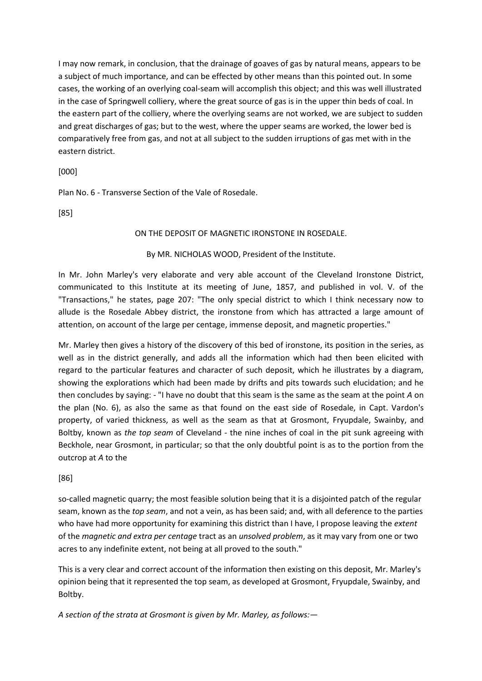I may now remark, in conclusion, that the drainage of goaves of gas by natural means, appears to be a subject of much importance, and can be effected by other means than this pointed out. In some cases, the working of an overlying coal-seam will accomplish this object; and this was well illustrated in the case of Springwell colliery, where the great source of gas is in the upper thin beds of coal. In the eastern part of the colliery, where the overlying seams are not worked, we are subject to sudden and great discharges of gas; but to the west, where the upper seams are worked, the lower bed is comparatively free from gas, and not at all subject to the sudden irruptions of gas met with in the eastern district.

[000]

Plan No. 6 - Transverse Section of the Vale of Rosedale.

[85]

#### ON THE DEPOSIT OF MAGNETIC IRONSTONE IN ROSEDALE.

#### By MR. NICHOLAS WOOD, President of the Institute.

In Mr. John Marley's very elaborate and very able account of the Cleveland Ironstone District, communicated to this Institute at its meeting of June, 1857, and published in vol. V. of the "Transactions," he states, page 207: "The only special district to which I think necessary now to allude is the Rosedale Abbey district, the ironstone from which has attracted a large amount of attention, on account of the large per centage, immense deposit, and magnetic properties."

Mr. Marley then gives a history of the discovery of this bed of ironstone, its position in the series, as well as in the district generally, and adds all the information which had then been elicited with regard to the particular features and character of such deposit, which he illustrates by a diagram, showing the explorations which had been made by drifts and pits towards such elucidation; and he then concludes by saying: - "I have no doubt that this seam is the same as the seam at the point *A* on the plan (No. 6), as also the same as that found on the east side of Rosedale, in Capt. Vardon's property, of varied thickness, as well as the seam as that at Grosmont, Fryupdale, Swainby, and Boltby, known as *the top seam* of Cleveland - the nine inches of coal in the pit sunk agreeing with Beckhole, near Grosmont, in particular; so that the only doubtful point is as to the portion from the outcrop at *A* to the

#### [86]

so-called magnetic quarry; the most feasible solution being that it is a disjointed patch of the regular seam, known as the *top seam*, and not a vein, as has been said; and, with all deference to the parties who have had more opportunity for examining this district than I have, I propose leaving the *extent* of the *magnetic and extra per centage* tract as an *unsolved problem*, as it may vary from one or two acres to any indefinite extent, not being at all proved to the south."

This is a very clear and correct account of the information then existing on this deposit, Mr. Marley's opinion being that it represented the top seam, as developed at Grosmont, Fryupdale, Swainby, and Boltby.

*A section of the strata at Grosmont is given by Mr. Marley, as follows:—*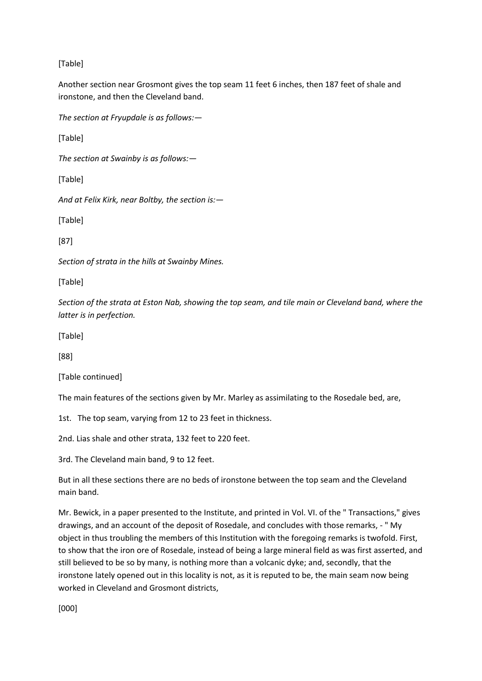# [Table]

Another section near Grosmont gives the top seam 11 feet 6 inches, then 187 feet of shale and ironstone, and then the Cleveland band.

*The section at Fryupdale is as follows:—*

[Table]

*The section at Swainby is as follows:—*

[Table]

*And at Felix Kirk, near Boltby, the section is:—*

[Table]

[87]

*Section of strata in the hills at Swainby Mines.* 

[Table]

*Section of the strata at Eston Nab, showing the top seam, and tile main or Cleveland band, where the latter is in perfection.*

[Table]

[88]

[Table continued]

The main features of the sections given by Mr. Marley as assimilating to the Rosedale bed, are,

1st. The top seam, varying from 12 to 23 feet in thickness.

2nd. Lias shale and other strata, 132 feet to 220 feet.

3rd. The Cleveland main band, 9 to 12 feet.

But in all these sections there are no beds of ironstone between the top seam and the Cleveland main band.

Mr. Bewick, in a paper presented to the Institute, and printed in Vol. VI. of the " Transactions," gives drawings, and an account of the deposit of Rosedale, and concludes with those remarks, - " My object in thus troubling the members of this Institution with the foregoing remarks is twofold. First, to show that the iron ore of Rosedale, instead of being a large mineral field as was first asserted, and still believed to be so by many, is nothing more than a volcanic dyke; and, secondly, that the ironstone lately opened out in this locality is not, as it is reputed to be, the main seam now being worked in Cleveland and Grosmont districts,

[000]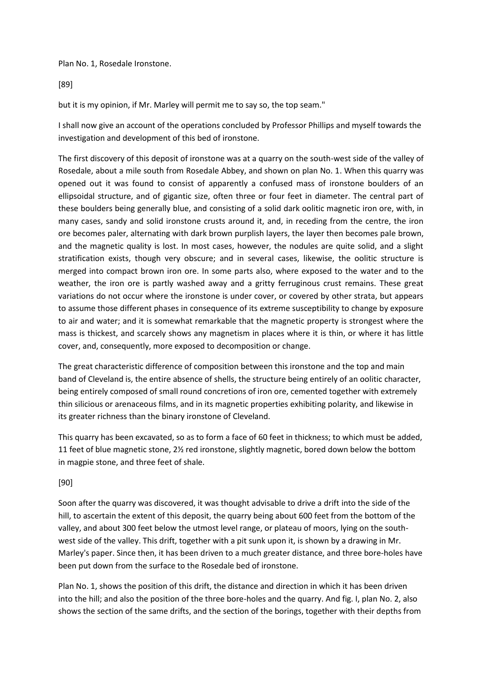Plan No. 1, Rosedale Ironstone.

[89]

but it is my opinion, if Mr. Marley will permit me to say so, the top seam."

I shall now give an account of the operations concluded by Professor Phillips and myself towards the investigation and development of this bed of ironstone.

The first discovery of this deposit of ironstone was at a quarry on the south-west side of the valley of Rosedale, about a mile south from Rosedale Abbey, and shown on plan No. 1. When this quarry was opened out it was found to consist of apparently a confused mass of ironstone boulders of an ellipsoidal structure, and of gigantic size, often three or four feet in diameter. The central part of these boulders being generally blue, and consisting of a solid dark oolitic magnetic iron ore, with, in many cases, sandy and solid ironstone crusts around it, and, in receding from the centre, the iron ore becomes paler, alternating with dark brown purplish layers, the layer then becomes pale brown, and the magnetic quality is lost. In most cases, however, the nodules are quite solid, and a slight stratification exists, though very obscure; and in several cases, likewise, the oolitic structure is merged into compact brown iron ore. In some parts also, where exposed to the water and to the weather, the iron ore is partly washed away and a gritty ferruginous crust remains. These great variations do not occur where the ironstone is under cover, or covered by other strata, but appears to assume those different phases in consequence of its extreme susceptibility to change by exposure to air and water; and it is somewhat remarkable that the magnetic property is strongest where the mass is thickest, and scarcely shows any magnetism in places where it is thin, or where it has little cover, and, consequently, more exposed to decomposition or change.

The great characteristic difference of composition between this ironstone and the top and main band of Cleveland is, the entire absence of shells, the structure being entirely of an oolitic character, being entirely composed of small round concretions of iron ore, cemented together with extremely thin silicious or arenaceous films, and in its magnetic properties exhibiting polarity, and likewise in its greater richness than the binary ironstone of Cleveland.

This quarry has been excavated, so as to form a face of 60 feet in thickness; to which must be added, 11 feet of blue magnetic stone, 2½ red ironstone, slightly magnetic, bored down below the bottom in magpie stone, and three feet of shale.

## [90]

Soon after the quarry was discovered, it was thought advisable to drive a drift into the side of the hill, to ascertain the extent of this deposit, the quarry being about 600 feet from the bottom of the valley, and about 300 feet below the utmost level range, or plateau of moors, lying on the southwest side of the valley. This drift, together with a pit sunk upon it, is shown by a drawing in Mr. Marley's paper. Since then, it has been driven to a much greater distance, and three bore-holes have been put down from the surface to the Rosedale bed of ironstone.

Plan No. 1, shows the position of this drift, the distance and direction in which it has been driven into the hill; and also the position of the three bore-holes and the quarry. And fig. I, plan No. 2, also shows the section of the same drifts, and the section of the borings, together with their depths from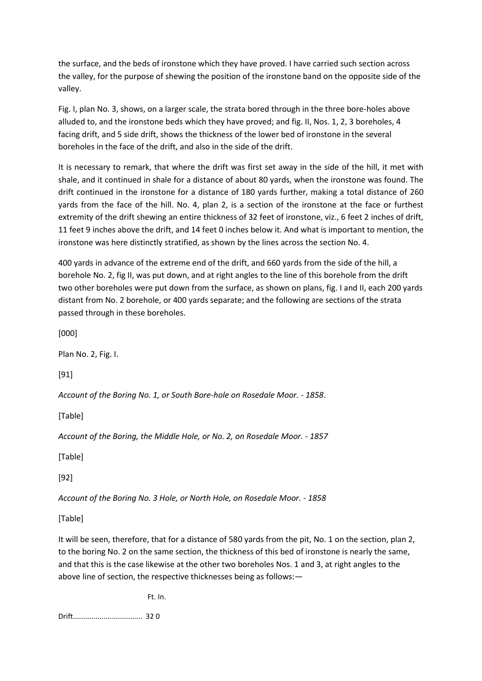the surface, and the beds of ironstone which they have proved. I have carried such section across the valley, for the purpose of shewing the position of the ironstone band on the opposite side of the valley.

Fig. I, plan No. 3, shows, on a larger scale, the strata bored through in the three bore-holes above alluded to, and the ironstone beds which they have proved; and fig. II, Nos. 1, 2, 3 boreholes, 4 facing drift, and 5 side drift, shows the thickness of the lower bed of ironstone in the several boreholes in the face of the drift, and also in the side of the drift.

It is necessary to remark, that where the drift was first set away in the side of the hill, it met with shale, and it continued in shale for a distance of about 80 yards, when the ironstone was found. The drift continued in the ironstone for a distance of 180 yards further, making a total distance of 260 yards from the face of the hill. No. 4, plan 2, is a section of the ironstone at the face or furthest extremity of the drift shewing an entire thickness of 32 feet of ironstone, viz., 6 feet 2 inches of drift, 11 feet 9 inches above the drift, and 14 feet 0 inches below it. And what is important to mention, the ironstone was here distinctly stratified, as shown by the lines across the section No. 4.

400 yards in advance of the extreme end of the drift, and 660 yards from the side of the hill, a borehole No. 2, fig II, was put down, and at right angles to the line of this borehole from the drift two other boreholes were put down from the surface, as shown on plans, fig. I and II, each 200 yards distant from No. 2 borehole, or 400 yards separate; and the following are sections of the strata passed through in these boreholes.

[000]

Plan No. 2, Fig. I.

[91]

*Account of the Boring No. 1, or South Bore-hole on Rosedale Moor. - 1858*.

[Table]

*Account of the Boring, the Middle Hole, or No. 2, on Rosedale Moor. - 1857*

[Table]

[92]

*Account of the Boring No. 3 Hole, or North Hole, on Rosedale Moor. - 1858*

[Table]

It will be seen, therefore, that for a distance of 580 yards from the pit, No. 1 on the section, plan 2, to the boring No. 2 on the same section, the thickness of this bed of ironstone is nearly the same, and that this is the case likewise at the other two boreholes Nos. 1 and 3, at right angles to the above line of section, the respective thicknesses being as follows:—

Ft. In.

Drift.................................. 32 0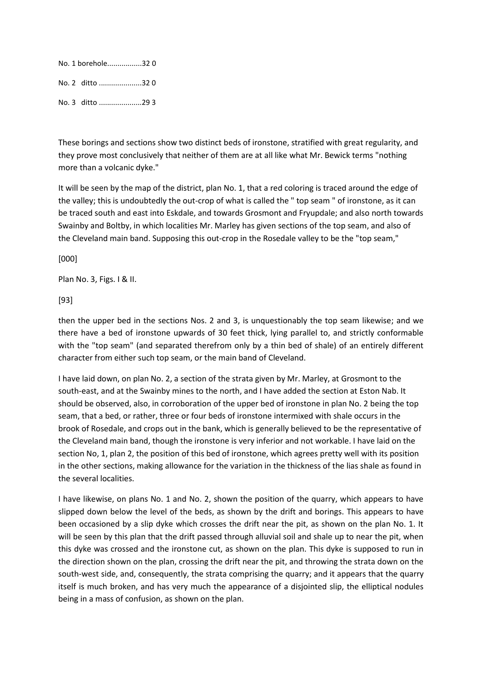| No. 1 borehole320 |  |
|-------------------|--|
| No. 2 ditto 32 0  |  |
| No. 3 ditto 29 3  |  |

These borings and sections show two distinct beds of ironstone, stratified with great regularity, and they prove most conclusively that neither of them are at all like what Mr. Bewick terms "nothing more than a volcanic dyke."

It will be seen by the map of the district, plan No. 1, that a red coloring is traced around the edge of the valley; this is undoubtedly the out-crop of what is called the " top seam " of ironstone, as it can be traced south and east into Eskdale, and towards Grosmont and Fryupdale; and also north towards Swainby and Boltby, in which localities Mr. Marley has given sections of the top seam, and also of the Cleveland main band. Supposing this out-crop in the Rosedale valley to be the "top seam,"

[000]

Plan No. 3, Figs. I & II.

[93]

then the upper bed in the sections Nos. 2 and 3, is unquestionably the top seam likewise; and we there have a bed of ironstone upwards of 30 feet thick, lying parallel to, and strictly conformable with the "top seam" (and separated therefrom only by a thin bed of shale) of an entirely different character from either such top seam, or the main band of Cleveland.

I have laid down, on plan No. 2, a section of the strata given by Mr. Marley, at Grosmont to the south-east, and at the Swainby mines to the north, and I have added the section at Eston Nab. It should be observed, also, in corroboration of the upper bed of ironstone in plan No. 2 being the top seam, that a bed, or rather, three or four beds of ironstone intermixed with shale occurs in the brook of Rosedale, and crops out in the bank, which is generally believed to be the representative of the Cleveland main band, though the ironstone is very inferior and not workable. I have laid on the section No, 1, plan 2, the position of this bed of ironstone, which agrees pretty well with its position in the other sections, making allowance for the variation in the thickness of the lias shale as found in the several localities.

I have likewise, on plans No. 1 and No. 2, shown the position of the quarry, which appears to have slipped down below the level of the beds, as shown by the drift and borings. This appears to have been occasioned by a slip dyke which crosses the drift near the pit, as shown on the plan No. 1. It will be seen by this plan that the drift passed through alluvial soil and shale up to near the pit, when this dyke was crossed and the ironstone cut, as shown on the plan. This dyke is supposed to run in the direction shown on the plan, crossing the drift near the pit, and throwing the strata down on the south-west side, and, consequently, the strata comprising the quarry; and it appears that the quarry itself is much broken, and has very much the appearance of a disjointed slip, the elliptical nodules being in a mass of confusion, as shown on the plan.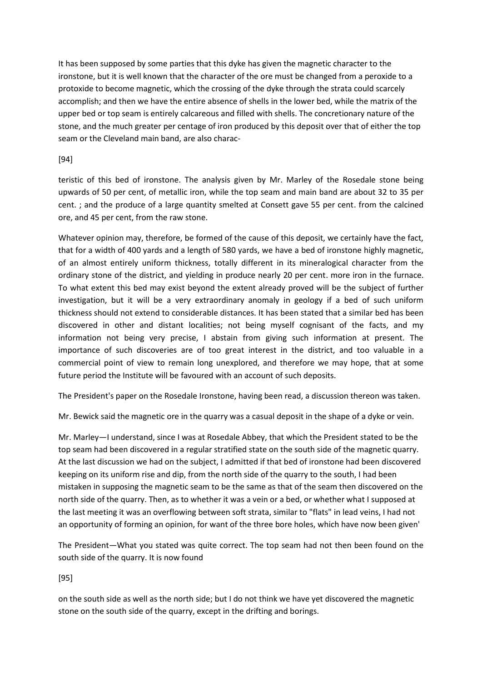It has been supposed by some parties that this dyke has given the magnetic character to the ironstone, but it is well known that the character of the ore must be changed from a peroxide to a protoxide to become magnetic, which the crossing of the dyke through the strata could scarcely accomplish; and then we have the entire absence of shells in the lower bed, while the matrix of the upper bed or top seam is entirely calcareous and filled with shells. The concretionary nature of the stone, and the much greater per centage of iron produced by this deposit over that of either the top seam or the Cleveland main band, are also charac-

### [94]

teristic of this bed of ironstone. The analysis given by Mr. Marley of the Rosedale stone being upwards of 50 per cent, of metallic iron, while the top seam and main band are about 32 to 35 per cent. ; and the produce of a large quantity smelted at Consett gave 55 per cent. from the calcined ore, and 45 per cent, from the raw stone.

Whatever opinion may, therefore, be formed of the cause of this deposit, we certainly have the fact, that for a width of 400 yards and a length of 580 yards, we have a bed of ironstone highly magnetic, of an almost entirely uniform thickness, totally different in its mineralogical character from the ordinary stone of the district, and yielding in produce nearly 20 per cent. more iron in the furnace. To what extent this bed may exist beyond the extent already proved will be the subject of further investigation, but it will be a very extraordinary anomaly in geology if a bed of such uniform thickness should not extend to considerable distances. It has been stated that a similar bed has been discovered in other and distant localities; not being myself cognisant of the facts, and my information not being very precise, I abstain from giving such information at present. The importance of such discoveries are of too great interest in the district, and too valuable in a commercial point of view to remain long unexplored, and therefore we may hope, that at some future period the Institute will be favoured with an account of such deposits.

The President's paper on the Rosedale Ironstone, having been read, a discussion thereon was taken.

Mr. Bewick said the magnetic ore in the quarry was a casual deposit in the shape of a dyke or vein.

Mr. Marley—I understand, since I was at Rosedale Abbey, that which the President stated to be the top seam had been discovered in a regular stratified state on the south side of the magnetic quarry. At the last discussion we had on the subject, I admitted if that bed of ironstone had been discovered keeping on its uniform rise and dip, from the north side of the quarry to the south, I had been mistaken in supposing the magnetic seam to be the same as that of the seam then discovered on the north side of the quarry. Then, as to whether it was a vein or a bed, or whether what I supposed at the last meeting it was an overflowing between soft strata, similar to "flats" in lead veins, I had not an opportunity of forming an opinion, for want of the three bore holes, which have now been given'

The President—What you stated was quite correct. The top seam had not then been found on the south side of the quarry. It is now found

[95]

on the south side as well as the north side; but I do not think we have yet discovered the magnetic stone on the south side of the quarry, except in the drifting and borings.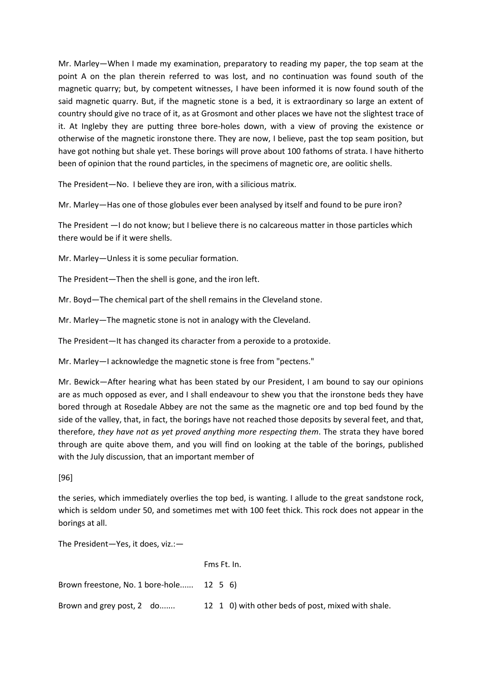Mr. Marley—When I made my examination, preparatory to reading my paper, the top seam at the point A on the plan therein referred to was lost, and no continuation was found south of the magnetic quarry; but, by competent witnesses, I have been informed it is now found south of the said magnetic quarry. But, if the magnetic stone is a bed, it is extraordinary so large an extent of country should give no trace of it, as at Grosmont and other places we have not the slightest trace of it. At Ingleby they are putting three bore-holes down, with a view of proving the existence or otherwise of the magnetic ironstone there. They are now, I believe, past the top seam position, but have got nothing but shale yet. These borings will prove about 100 fathoms of strata. I have hitherto been of opinion that the round particles, in the specimens of magnetic ore, are oolitic shells.

The President—No. I believe they are iron, with a silicious matrix.

Mr. Marley—Has one of those globules ever been analysed by itself and found to be pure iron?

The President —I do not know; but I believe there is no calcareous matter in those particles which there would be if it were shells.

Mr. Marley—Unless it is some peculiar formation.

The President—Then the shell is gone, and the iron left.

Mr. Boyd—The chemical part of the shell remains in the Cleveland stone.

Mr. Marley—The magnetic stone is not in analogy with the Cleveland.

The President—It has changed its character from a peroxide to a protoxide.

Mr. Marley—I acknowledge the magnetic stone is free from "pectens."

Mr. Bewick—After hearing what has been stated by our President, I am bound to say our opinions are as much opposed as ever, and I shall endeavour to shew you that the ironstone beds they have bored through at Rosedale Abbey are not the same as the magnetic ore and top bed found by the side of the valley, that, in fact, the borings have not reached those deposits by several feet, and that, therefore, *they have not as yet proved anything more respecting them*. The strata they have bored through are quite above them, and you will find on looking at the table of the borings, published with the July discussion, that an important member of

[96]

the series, which immediately overlies the top bed, is wanting. I allude to the great sandstone rock, which is seldom under 50, and sometimes met with 100 feet thick. This rock does not appear in the borings at all.

The President—Yes, it does, viz.:—

|                                          | Fms Ft. In.                                        |
|------------------------------------------|----------------------------------------------------|
| Brown freestone, No. 1 bore-hole 12 5 6) |                                                    |
| Brown and grey post, 2 do                | 12 1 0) with other beds of post, mixed with shale. |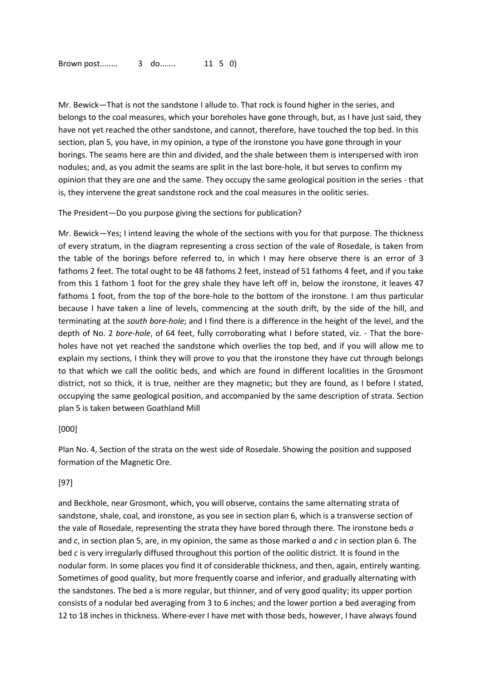Mr. Bewick—That is not the sandstone I allude to. That rock is found higher in the series, and belongs to the coal measures, which your boreholes have gone through, but, as I have just said, they have not yet reached the other sandstone, and cannot, therefore, have touched the top bed. In this section, plan 5, you have, in my opinion, a type of the ironstone you have gone through in your borings. The seams here are thin and divided, and the shale between them is interspersed with iron nodules; and, as you admit the seams are split in the last bore-hole, it but serves to confirm my opinion that they are one and the same. They occupy the same geological position in the series - that is, they intervene the great sandstone rock and the coal measures in the oolitic series.

The President—Do you purpose giving the sections for publication?

Mr. Bewick—Yes; I intend leaving the whole of the sections with you for that purpose. The thickness of every stratum, in the diagram representing a cross section of the vale of Rosedale, is taken from the table of the borings before referred to, in which I may here observe there is an error of 3 fathoms 2 feet. The total ought to be 48 fathoms 2 feet, instead of 51 fathoms 4 feet, and if you take from this 1 fathom 1 foot for the grey shale they have left off in, below the ironstone, it leaves 47 fathoms 1 foot, from the top of the bore-hole to the bottom of the ironstone. I am thus particular because I have taken a line of levels, commencing at the south drift, by the side of the hill, and terminating at the *south bore-hole*; and I find there is a difference in the height of the level, and the depth of No. 2 *bore-hole*, of 64 feet, fully corroborating what I before stated, viz. - That the boreholes have not yet reached the sandstone which overlies the top bed, and if you will allow me to explain my sections, I think they will prove to you that the ironstone they have cut through belongs to that which we call the oolitic beds, and which are found in different localities in the Grosmont district, not so thick, it is true, neither are they magnetic; but they are found, as I before I stated, occupying the same geological position, and accompanied by the same description of strata. Section plan 5 is taken between Goathland Mill

#### [000]

Plan No. 4, Section of the strata on the west side of Rosedale. Showing the position and supposed formation of the Magnetic Ore.

#### [97]

and Beckhole, near Grosmont, which, you will observe, contains the same alternating strata of sandstone, shale, coal, and ironstone, as you see in section plan 6, which is a transverse section of the vale of Rosedale, representing the strata they have bored through there. The ironstone beds *a* and *c*, in section plan 5, are, in my opinion, the same as those marked *a* and *c* in section plan 6. The bed *c* is very irregularly diffused throughout this portion of the oolitic district. It is found in the nodular form. In some places you find it of considerable thickness, and then, again, entirely wanting. Sometimes of good quality, but more frequently coarse and inferior, and gradually alternating with the sandstones. The bed a is more regular, but thinner, and of very good quality; its upper portion consists of a nodular bed averaging from 3 to 6 inches; and the lower portion a bed averaging from 12 to 18 inches in thickness. Where-ever I have met with those beds, however, I have always found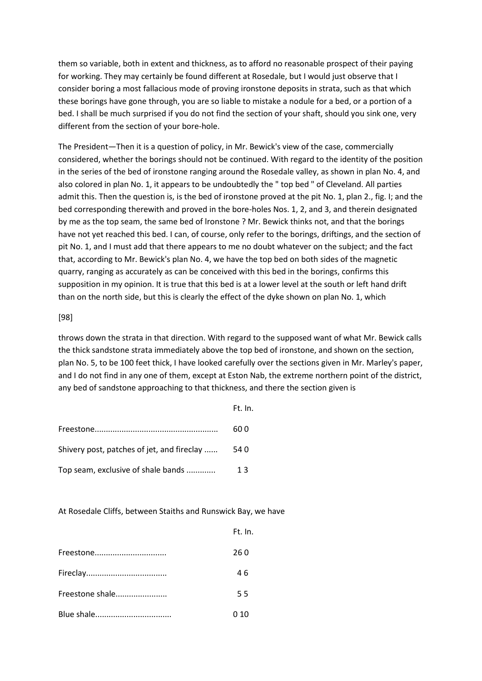them so variable, both in extent and thickness, as to afford no reasonable prospect of their paying for working. They may certainly be found different at Rosedale, but I would just observe that I consider boring a most fallacious mode of proving ironstone deposits in strata, such as that which these borings have gone through, you are so liable to mistake a nodule for a bed, or a portion of a bed. I shall be much surprised if you do not find the section of your shaft, should you sink one, very different from the section of your bore-hole.

The President—Then it is a question of policy, in Mr. Bewick's view of the case, commercially considered, whether the borings should not be continued. With regard to the identity of the position in the series of the bed of ironstone ranging around the Rosedale valley, as shown in plan No. 4, and also colored in plan No. 1, it appears to be undoubtedly the " top bed " of Cleveland. All parties admit this. Then the question is, is the bed of ironstone proved at the pit No. 1, plan 2., fig. I; and the bed corresponding therewith and proved in the bore-holes Nos. 1, 2, and 3, and therein designated by me as the top seam, the same bed of lronstone ? Mr. Bewick thinks not, and that the borings have not yet reached this bed. I can, of course, only refer to the borings, driftings, and the section of pit No. 1, and I must add that there appears to me no doubt whatever on the subject; and the fact that, according to Mr. Bewick's plan No. 4, we have the top bed on both sides of the magnetic quarry, ranging as accurately as can be conceived with this bed in the borings, confirms this supposition in my opinion. It is true that this bed is at a lower level at the south or left hand drift than on the north side, but this is clearly the effect of the dyke shown on plan No. 1, which

#### [98]

throws down the strata in that direction. With regard to the supposed want of what Mr. Bewick calls the thick sandstone strata immediately above the top bed of ironstone, and shown on the section, plan No. 5, to be 100 feet thick, I have looked carefully over the sections given in Mr. Marley's paper, and I do not find in any one of them, except at Eston Nab, the extreme northern point of the district, any bed of sandstone approaching to that thickness, and there the section given is

|                                            | Ft. In. |
|--------------------------------------------|---------|
|                                            | 60 O    |
| Shivery post, patches of jet, and fireclay | -54 0   |
| Top seam, exclusive of shale bands         | 13      |

At Rosedale Cliffs, between Staiths and Runswick Bay, we have

|                 | Ft. In. |
|-----------------|---------|
| Freestone       | 26 0    |
|                 | 46      |
| Freestone shale | 55      |
|                 | 0 10    |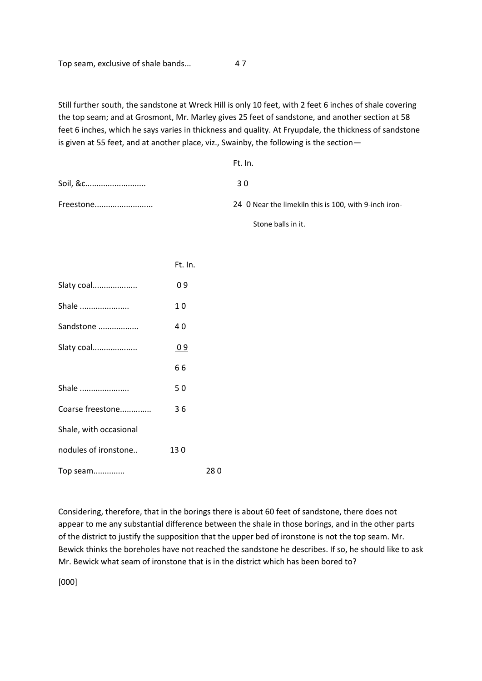Top seam, exclusive of shale bands... 4 7

Still further south, the sandstone at Wreck Hill is only 10 feet, with 2 feet 6 inches of shale covering the top seam; and at Grosmont, Mr. Marley gives 25 feet of sandstone, and another section at 58 feet 6 inches, which he says varies in thickness and quality. At Fryupdale, the thickness of sandstone is given at 55 feet, and at another place, viz., Swainby, the following is the section—

|           | Ft. In.                                               |
|-----------|-------------------------------------------------------|
| Soil, &c  | 3 O                                                   |
| Freestone | 24 0 Near the limekiln this is 100, with 9-inch iron- |

Stone balls in it.

|                        | Ft. In. |      |
|------------------------|---------|------|
| Slaty coal             | 09      |      |
| Shale                  | 10      |      |
| Sandstone              | 40      |      |
| Slaty coal             | 09      |      |
|                        | 66      |      |
| Shale                  | 50      |      |
| Coarse freestone       | 36      |      |
| Shale, with occasional |         |      |
| nodules of ironstone   | 130     |      |
| Top seam               |         | 28 O |

Considering, therefore, that in the borings there is about 60 feet of sandstone, there does not appear to me any substantial difference between the shale in those borings, and in the other parts of the district to justify the supposition that the upper bed of ironstone is not the top seam. Mr. Bewick thinks the boreholes have not reached the sandstone he describes. If so, he should like to ask Mr. Bewick what seam of ironstone that is in the district which has been bored to?

[000]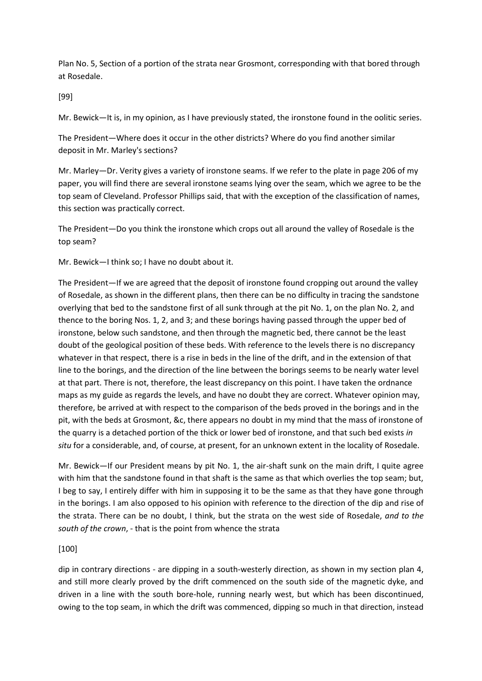Plan No. 5, Section of a portion of the strata near Grosmont, corresponding with that bored through at Rosedale.

[99]

Mr. Bewick—It is, in my opinion, as I have previously stated, the ironstone found in the oolitic series.

The President—Where does it occur in the other districts? Where do you find another similar deposit in Mr. Marley's sections?

Mr. Marley—Dr. Verity gives a variety of ironstone seams. If we refer to the plate in page 206 of my paper, you will find there are several ironstone seams lying over the seam, which we agree to be the top seam of Cleveland. Professor Phillips said, that with the exception of the classification of names, this section was practically correct.

The President—Do you think the ironstone which crops out all around the valley of Rosedale is the top seam?

Mr. Bewick—I think so; I have no doubt about it.

The President—If we are agreed that the deposit of ironstone found cropping out around the valley of Rosedale, as shown in the different plans, then there can be no difficulty in tracing the sandstone overlying that bed to the sandstone first of all sunk through at the pit No. 1, on the plan No. 2, and thence to the boring Nos. 1, 2, and 3; and these borings having passed through the upper bed of ironstone, below such sandstone, and then through the magnetic bed, there cannot be the least doubt of the geological position of these beds. With reference to the levels there is no discrepancy whatever in that respect, there is a rise in beds in the line of the drift, and in the extension of that line to the borings, and the direction of the line between the borings seems to be nearly water level at that part. There is not, therefore, the least discrepancy on this point. I have taken the ordnance maps as my guide as regards the levels, and have no doubt they are correct. Whatever opinion may, therefore, be arrived at with respect to the comparison of the beds proved in the borings and in the pit, with the beds at Grosmont, &c, there appears no doubt in my mind that the mass of ironstone of the quarry is a detached portion of the thick or lower bed of ironstone, and that such bed exists *in situ* for a considerable, and, of course, at present, for an unknown extent in the locality of Rosedale.

Mr. Bewick—If our President means by pit No. 1, the air-shaft sunk on the main drift, I quite agree with him that the sandstone found in that shaft is the same as that which overlies the top seam; but, I beg to say, I entirely differ with him in supposing it to be the same as that they have gone through in the borings. I am also opposed to his opinion with reference to the direction of the dip and rise of the strata. There can be no doubt, I think, but the strata on the west side of Rosedale, *and to the south of the crown*, - that is the point from whence the strata

## [100]

dip in contrary directions - are dipping in a south-westerly direction, as shown in my section plan 4, and still more clearly proved by the drift commenced on the south side of the magnetic dyke, and driven in a line with the south bore-hole, running nearly west, but which has been discontinued, owing to the top seam, in which the drift was commenced, dipping so much in that direction, instead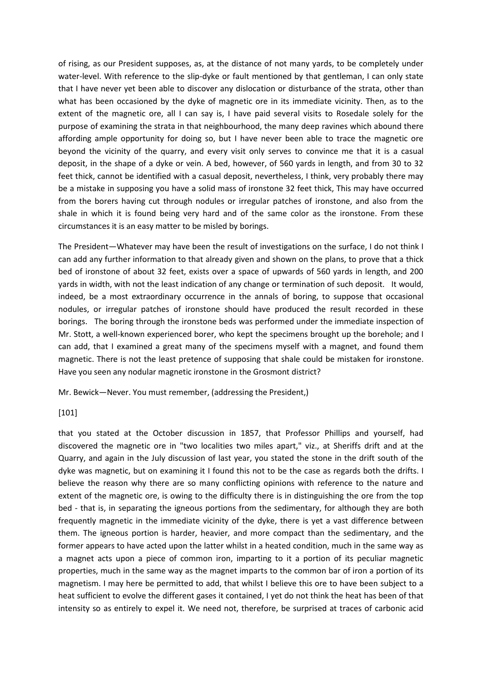of rising, as our President supposes, as, at the distance of not many yards, to be completely under water-level. With reference to the slip-dyke or fault mentioned by that gentleman, I can only state that I have never yet been able to discover any dislocation or disturbance of the strata, other than what has been occasioned by the dyke of magnetic ore in its immediate vicinity. Then, as to the extent of the magnetic ore, all I can say is, I have paid several visits to Rosedale solely for the purpose of examining the strata in that neighbourhood, the many deep ravines which abound there affording ample opportunity for doing so, but I have never been able to trace the magnetic ore beyond the vicinity of the quarry, and every visit only serves to convince me that it is a casual deposit, in the shape of a dyke or vein. A bed, however, of 560 yards in length, and from 30 to 32 feet thick, cannot be identified with a casual deposit, nevertheless, I think, very probably there may be a mistake in supposing you have a solid mass of ironstone 32 feet thick, This may have occurred from the borers having cut through nodules or irregular patches of ironstone, and also from the shale in which it is found being very hard and of the same color as the ironstone. From these circumstances it is an easy matter to be misled by borings.

The President—Whatever may have been the result of investigations on the surface, I do not think I can add any further information to that already given and shown on the plans, to prove that a thick bed of ironstone of about 32 feet, exists over a space of upwards of 560 yards in length, and 200 yards in width, with not the least indication of any change or termination of such deposit. It would, indeed, be a most extraordinary occurrence in the annals of boring, to suppose that occasional nodules, or irregular patches of ironstone should have produced the result recorded in these borings. The boring through the ironstone beds was performed under the immediate inspection of Mr. Stott, a well-known experienced borer, who kept the specimens brought up the borehole; and I can add, that I examined a great many of the specimens myself with a magnet, and found them magnetic. There is not the least pretence of supposing that shale could be mistaken for ironstone. Have you seen any nodular magnetic ironstone in the Grosmont district?

Mr. Bewick—Never. You must remember, (addressing the President,)

#### [101]

that you stated at the October discussion in 1857, that Professor Phillips and yourself, had discovered the magnetic ore in "two localities two miles apart," viz., at Sheriffs drift and at the Quarry, and again in the July discussion of last year, you stated the stone in the drift south of the dyke was magnetic, but on examining it I found this not to be the case as regards both the drifts. I believe the reason why there are so many conflicting opinions with reference to the nature and extent of the magnetic ore, is owing to the difficulty there is in distinguishing the ore from the top bed - that is, in separating the igneous portions from the sedimentary, for although they are both frequently magnetic in the immediate vicinity of the dyke, there is yet a vast difference between them. The igneous portion is harder, heavier, and more compact than the sedimentary, and the former appears to have acted upon the latter whilst in a heated condition, much in the same way as a magnet acts upon a piece of common iron, imparting to it a portion of its peculiar magnetic properties, much in the same way as the magnet imparts to the common bar of iron a portion of its magnetism. I may here be permitted to add, that whilst I believe this ore to have been subject to a heat sufficient to evolve the different gases it contained, I yet do not think the heat has been of that intensity so as entirely to expel it. We need not, therefore, be surprised at traces of carbonic acid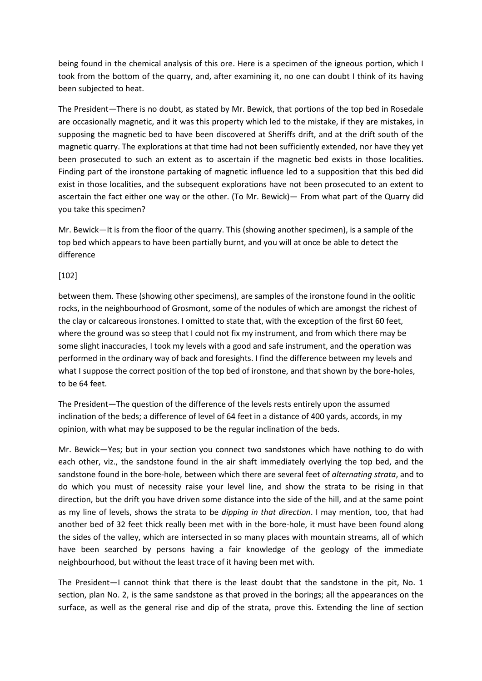being found in the chemical analysis of this ore. Here is a specimen of the igneous portion, which I took from the bottom of the quarry, and, after examining it, no one can doubt I think of its having been subjected to heat.

The President—There is no doubt, as stated by Mr. Bewick, that portions of the top bed in Rosedale are occasionally magnetic, and it was this property which led to the mistake, if they are mistakes, in supposing the magnetic bed to have been discovered at Sheriffs drift, and at the drift south of the magnetic quarry. The explorations at that time had not been sufficiently extended, nor have they yet been prosecuted to such an extent as to ascertain if the magnetic bed exists in those localities. Finding part of the ironstone partaking of magnetic influence led to a supposition that this bed did exist in those localities, and the subsequent explorations have not been prosecuted to an extent to ascertain the fact either one way or the other. (To Mr. Bewick)— From what part of the Quarry did you take this specimen?

Mr. Bewick—It is from the floor of the quarry. This (showing another specimen), is a sample of the top bed which appears to have been partially burnt, and you will at once be able to detect the difference

### [102]

between them. These (showing other specimens), are samples of the ironstone found in the oolitic rocks, in the neighbourhood of Grosmont, some of the nodules of which are amongst the richest of the clay or calcareous ironstones. I omitted to state that, with the exception of the first 60 feet, where the ground was so steep that I could not fix my instrument, and from which there may be some slight inaccuracies, I took my levels with a good and safe instrument, and the operation was performed in the ordinary way of back and foresights. I find the difference between my levels and what I suppose the correct position of the top bed of ironstone, and that shown by the bore-holes, to be 64 feet.

The President—The question of the difference of the levels rests entirely upon the assumed inclination of the beds; a difference of level of 64 feet in a distance of 400 yards, accords, in my opinion, with what may be supposed to be the regular inclination of the beds.

Mr. Bewick—Yes; but in your section you connect two sandstones which have nothing to do with each other, viz., the sandstone found in the air shaft immediately overlying the top bed, and the sandstone found in the bore-hole, between which there are several feet of *alternating strata*, and to do which you must of necessity raise your level line, and show the strata to be rising in that direction, but the drift you have driven some distance into the side of the hill, and at the same point as my line of levels, shows the strata to be *dipping in that direction*. I may mention, too, that had another bed of 32 feet thick really been met with in the bore-hole, it must have been found along the sides of the valley, which are intersected in so many places with mountain streams, all of which have been searched by persons having a fair knowledge of the geology of the immediate neighbourhood, but without the least trace of it having been met with.

The President—I cannot think that there is the least doubt that the sandstone in the pit, No. 1 section, plan No. 2, is the same sandstone as that proved in the borings; all the appearances on the surface, as well as the general rise and dip of the strata, prove this. Extending the line of section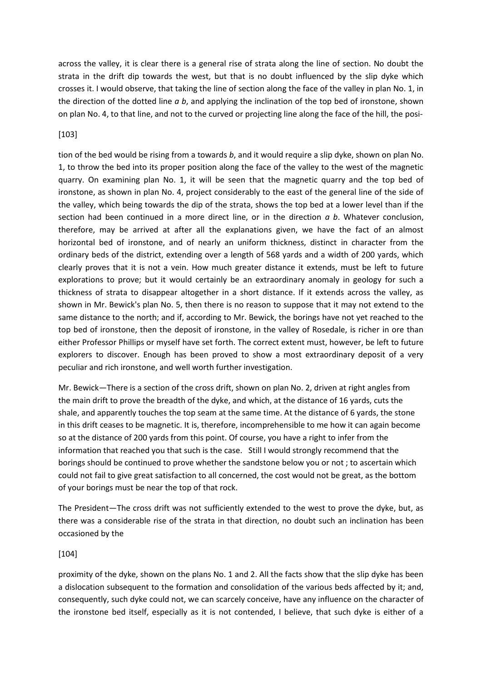across the valley, it is clear there is a general rise of strata along the line of section. No doubt the strata in the drift dip towards the west, but that is no doubt influenced by the slip dyke which crosses it. I would observe, that taking the line of section along the face of the valley in plan No. 1, in the direction of the dotted line *a b*, and applying the inclination of the top bed of ironstone, shown on plan No. 4, to that line, and not to the curved or projecting line along the face of the hill, the posi-

## [103]

tion of the bed would be rising from a towards *b*, and it would require a slip dyke, shown on plan No. 1, to throw the bed into its proper position along the face of the valley to the west of the magnetic quarry. On examining plan No. 1, it will be seen that the magnetic quarry and the top bed of ironstone, as shown in plan No. 4, project considerably to the east of the general line of the side of the valley, which being towards the dip of the strata, shows the top bed at a lower level than if the section had been continued in a more direct line, or in the direction *a b*. Whatever conclusion, therefore, may be arrived at after all the explanations given, we have the fact of an almost horizontal bed of ironstone, and of nearly an uniform thickness, distinct in character from the ordinary beds of the district, extending over a length of 568 yards and a width of 200 yards, which clearly proves that it is not a vein. How much greater distance it extends, must be left to future explorations to prove; but it would certainly be an extraordinary anomaly in geology for such a thickness of strata to disappear altogether in a short distance. If it extends across the valley, as shown in Mr. Bewick's plan No. 5, then there is no reason to suppose that it may not extend to the same distance to the north; and if, according to Mr. Bewick, the borings have not yet reached to the top bed of ironstone, then the deposit of ironstone, in the valley of Rosedale, is richer in ore than either Professor Phillips or myself have set forth. The correct extent must, however, be left to future explorers to discover. Enough has been proved to show a most extraordinary deposit of a very peculiar and rich ironstone, and well worth further investigation.

Mr. Bewick—There is a section of the cross drift, shown on plan No. 2, driven at right angles from the main drift to prove the breadth of the dyke, and which, at the distance of 16 yards, cuts the shale, and apparently touches the top seam at the same time. At the distance of 6 yards, the stone in this drift ceases to be magnetic. It is, therefore, incomprehensible to me how it can again become so at the distance of 200 yards from this point. Of course, you have a right to infer from the information that reached you that such is the case. Still I would strongly recommend that the borings should be continued to prove whether the sandstone below you or not ; to ascertain which could not fail to give great satisfaction to all concerned, the cost would not be great, as the bottom of your borings must be near the top of that rock.

The President—The cross drift was not sufficiently extended to the west to prove the dyke, but, as there was a considerable rise of the strata in that direction, no doubt such an inclination has been occasioned by the

## [104]

proximity of the dyke, shown on the plans No. 1 and 2. All the facts show that the slip dyke has been a dislocation subsequent to the formation and consolidation of the various beds affected by it; and, consequently, such dyke could not, we can scarcely conceive, have any influence on the character of the ironstone bed itself, especially as it is not contended, I believe, that such dyke is either of a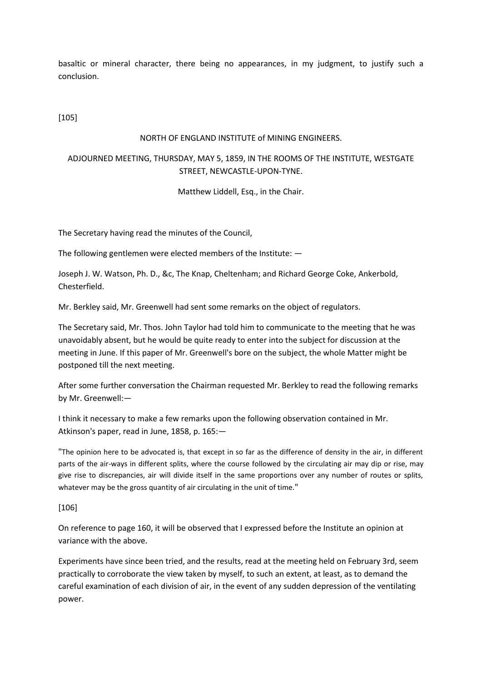basaltic or mineral character, there being no appearances, in my judgment, to justify such a conclusion.

[105]

### NORTH OF ENGLAND INSTITUTE of MINING ENGINEERS.

## ADJOURNED MEETING, THURSDAY, MAY 5, 1859, IN THE ROOMS OF THE INSTITUTE, WESTGATE STREET, NEWCASTLE-UPON-TYNE.

Matthew Liddell, Esq., in the Chair.

The Secretary having read the minutes of the Council,

The following gentlemen were elected members of the Institute: —

Joseph J. W. Watson, Ph. D., &c, The Knap, Cheltenham; and Richard George Coke, Ankerbold, Chesterfield.

Mr. Berkley said, Mr. Greenwell had sent some remarks on the object of regulators.

The Secretary said, Mr. Thos. John Taylor had told him to communicate to the meeting that he was unavoidably absent, but he would be quite ready to enter into the subject for discussion at the meeting in June. If this paper of Mr. Greenwell's bore on the subject, the whole Matter might be postponed till the next meeting.

After some further conversation the Chairman requested Mr. Berkley to read the following remarks by Mr. Greenwell:—

I think it necessary to make a few remarks upon the following observation contained in Mr. Atkinson's paper, read in June, 1858, p. 165:—

"The opinion here to be advocated is, that except in so far as the difference of density in the air, in different parts of the air-ways in different splits, where the course followed by the circulating air may dip or rise, may give rise to discrepancies, air will divide itself in the same proportions over any number of routes or splits, whatever may be the gross quantity of air circulating in the unit of time."

#### [106]

On reference to page 160, it will be observed that I expressed before the Institute an opinion at variance with the above.

Experiments have since been tried, and the results, read at the meeting held on February 3rd, seem practically to corroborate the view taken by myself, to such an extent, at least, as to demand the careful examination of each division of air, in the event of any sudden depression of the ventilating power.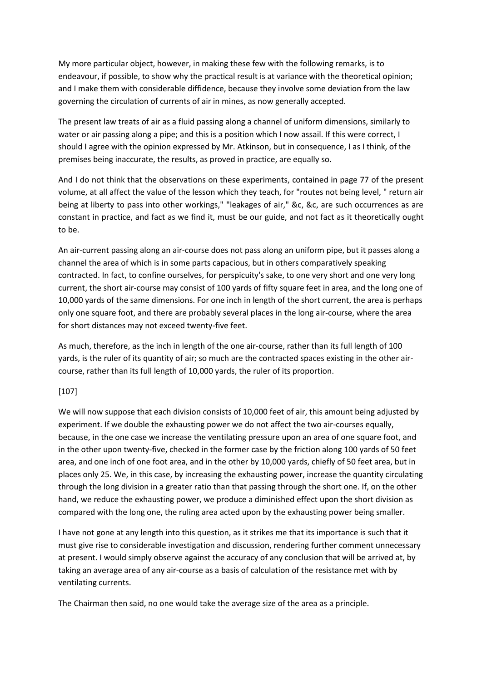My more particular object, however, in making these few with the following remarks, is to endeavour, if possible, to show why the practical result is at variance with the theoretical opinion; and I make them with considerable diffidence, because they involve some deviation from the law governing the circulation of currents of air in mines, as now generally accepted.

The present law treats of air as a fluid passing along a channel of uniform dimensions, similarly to water or air passing along a pipe; and this is a position which I now assail. If this were correct, I should I agree with the opinion expressed by Mr. Atkinson, but in consequence, I as I think, of the premises being inaccurate, the results, as proved in practice, are equally so.

And I do not think that the observations on these experiments, contained in page 77 of the present volume, at all affect the value of the lesson which they teach, for "routes not being level, " return air being at liberty to pass into other workings," "leakages of air," &c, &c, are such occurrences as are constant in practice, and fact as we find it, must be our guide, and not fact as it theoretically ought to be.

An air-current passing along an air-course does not pass along an uniform pipe, but it passes along a channel the area of which is in some parts capacious, but in others comparatively speaking contracted. In fact, to confine ourselves, for perspicuity's sake, to one very short and one very long current, the short air-course may consist of 100 yards of fifty square feet in area, and the long one of 10,000 yards of the same dimensions. For one inch in length of the short current, the area is perhaps only one square foot, and there are probably several places in the long air-course, where the area for short distances may not exceed twenty-five feet.

As much, therefore, as the inch in length of the one air-course, rather than its full length of 100 yards, is the ruler of its quantity of air; so much are the contracted spaces existing in the other aircourse, rather than its full length of 10,000 yards, the ruler of its proportion.

## [107]

We will now suppose that each division consists of 10,000 feet of air, this amount being adjusted by experiment. If we double the exhausting power we do not affect the two air-courses equally, because, in the one case we increase the ventilating pressure upon an area of one square foot, and in the other upon twenty-five, checked in the former case by the friction along 100 yards of 50 feet area, and one inch of one foot area, and in the other by 10,000 yards, chiefly of 50 feet area, but in places only 25. We, in this case, by increasing the exhausting power, increase the quantity circulating through the long division in a greater ratio than that passing through the short one. If, on the other hand, we reduce the exhausting power, we produce a diminished effect upon the short division as compared with the long one, the ruling area acted upon by the exhausting power being smaller.

I have not gone at any length into this question, as it strikes me that its importance is such that it must give rise to considerable investigation and discussion, rendering further comment unnecessary at present. I would simply observe against the accuracy of any conclusion that will be arrived at, by taking an average area of any air-course as a basis of calculation of the resistance met with by ventilating currents.

The Chairman then said, no one would take the average size of the area as a principle.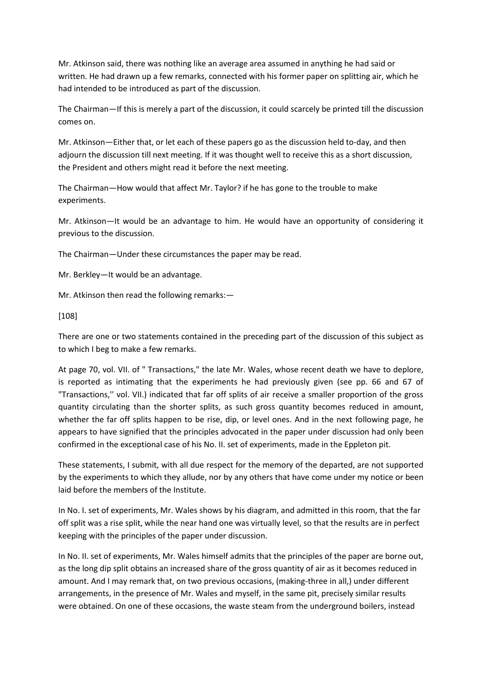Mr. Atkinson said, there was nothing like an average area assumed in anything he had said or written. He had drawn up a few remarks, connected with his former paper on splitting air, which he had intended to be introduced as part of the discussion.

The Chairman—If this is merely a part of the discussion, it could scarcely be printed till the discussion comes on.

Mr. Atkinson—Either that, or let each of these papers go as the discussion held to-day, and then adjourn the discussion till next meeting. If it was thought well to receive this as a short discussion, the President and others might read it before the next meeting.

The Chairman—How would that affect Mr. Taylor? if he has gone to the trouble to make experiments.

Mr. Atkinson—It would be an advantage to him. He would have an opportunity of considering it previous to the discussion.

The Chairman—Under these circumstances the paper may be read.

Mr. Berkley—It would be an advantage.

Mr. Atkinson then read the following remarks:—

[108]

There are one or two statements contained in the preceding part of the discussion of this subject as to which I beg to make a few remarks.

At page 70, vol. VII. of " Transactions," the late Mr. Wales, whose recent death we have to deplore, is reported as intimating that the experiments he had previously given (see pp. 66 and 67 of "Transactions,'' vol. VII.) indicated that far off splits of air receive a smaller proportion of the gross quantity circulating than the shorter splits, as such gross quantity becomes reduced in amount, whether the far off splits happen to be rise, dip, or level ones. And in the next following page, he appears to have signified that the principles advocated in the paper under discussion had only been confirmed in the exceptional case of his No. II. set of experiments, made in the Eppleton pit.

These statements, I submit, with all due respect for the memory of the departed, are not supported by the experiments to which they allude, nor by any others that have come under my notice or been laid before the members of the Institute.

In No. I. set of experiments, Mr. Wales shows by his diagram, and admitted in this room, that the far off split was a rise split, while the near hand one was virtually level, so that the results are in perfect keeping with the principles of the paper under discussion.

In No. II. set of experiments, Mr. Wales himself admits that the principles of the paper are borne out, as the long dip split obtains an increased share of the gross quantity of air as it becomes reduced in amount. And I may remark that, on two previous occasions, (making-three in all,) under different arrangements, in the presence of Mr. Wales and myself, in the same pit, precisely similar results were obtained. On one of these occasions, the waste steam from the underground boilers, instead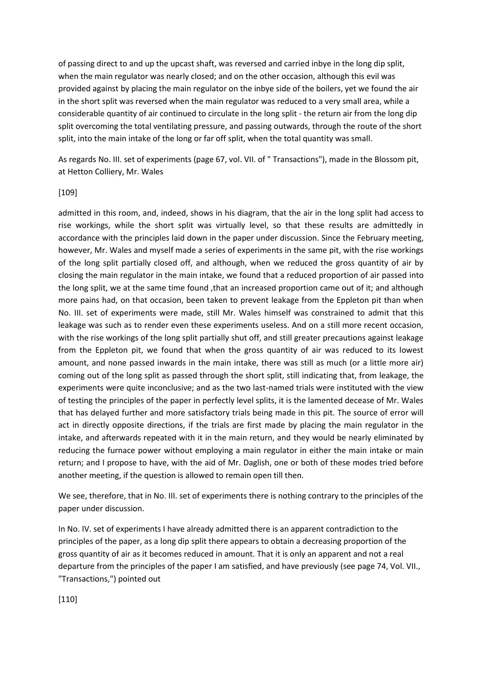of passing direct to and up the upcast shaft, was reversed and carried inbye in the long dip split, when the main regulator was nearly closed; and on the other occasion, although this evil was provided against by placing the main regulator on the inbye side of the boilers, yet we found the air in the short split was reversed when the main regulator was reduced to a very small area, while a considerable quantity of air continued to circulate in the long split - the return air from the long dip split overcoming the total ventilating pressure, and passing outwards, through the route of the short split, into the main intake of the long or far off split, when the total quantity was small.

As regards No. III. set of experiments (page 67, vol. VII. of " Transactions"), made in the Blossom pit, at Hetton Colliery, Mr. Wales

#### [109]

admitted in this room, and, indeed, shows in his diagram, that the air in the long split had access to rise workings, while the short split was virtually level, so that these results are admittedly in accordance with the principles laid down in the paper under discussion. Since the February meeting, however, Mr. Wales and myself made a series of experiments in the same pit, with the rise workings of the long split partially closed off, and although, when we reduced the gross quantity of air by closing the main regulator in the main intake, we found that a reduced proportion of air passed into the long split, we at the same time found ,that an increased proportion came out of it; and although more pains had, on that occasion, been taken to prevent leakage from the Eppleton pit than when No. III. set of experiments were made, still Mr. Wales himself was constrained to admit that this leakage was such as to render even these experiments useless. And on a still more recent occasion, with the rise workings of the long split partially shut off, and still greater precautions against leakage from the Eppleton pit, we found that when the gross quantity of air was reduced to its lowest amount, and none passed inwards in the main intake, there was still as much (or a little more air) coming out of the long split as passed through the short split, still indicating that, from leakage, the experiments were quite inconclusive; and as the two last-named trials were instituted with the view of testing the principles of the paper in perfectly level splits, it is the lamented decease of Mr. Wales that has delayed further and more satisfactory trials being made in this pit. The source of error will act in directly opposite directions, if the trials are first made by placing the main regulator in the intake, and afterwards repeated with it in the main return, and they would be nearly eliminated by reducing the furnace power without employing a main regulator in either the main intake or main return; and I propose to have, with the aid of Mr. Daglish, one or both of these modes tried before another meeting, if the question is allowed to remain open till then.

We see, therefore, that in No. III. set of experiments there is nothing contrary to the principles of the paper under discussion.

In No. IV. set of experiments I have already admitted there is an apparent contradiction to the principles of the paper, as a long dip split there appears to obtain a decreasing proportion of the gross quantity of air as it becomes reduced in amount. That it is only an apparent and not a real departure from the principles of the paper I am satisfied, and have previously (see page 74, Vol. VII., "Transactions,") pointed out

[110]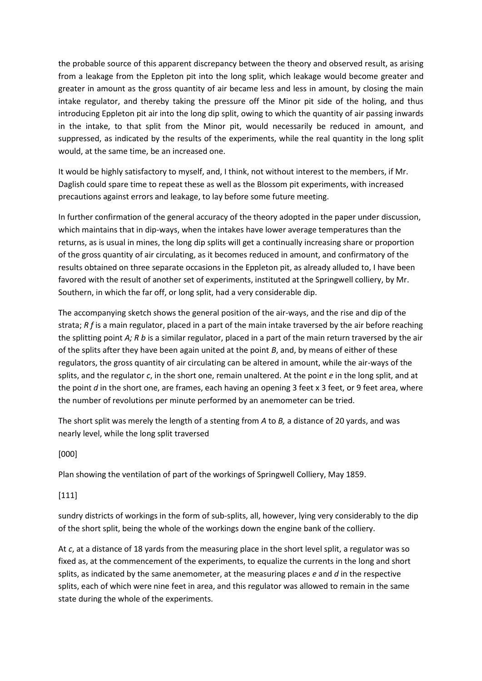the probable source of this apparent discrepancy between the theory and observed result, as arising from a leakage from the Eppleton pit into the long split, which leakage would become greater and greater in amount as the gross quantity of air became less and less in amount, by closing the main intake regulator, and thereby taking the pressure off the Minor pit side of the holing, and thus introducing Eppleton pit air into the long dip split, owing to which the quantity of air passing inwards in the intake, to that split from the Minor pit, would necessarily be reduced in amount, and suppressed, as indicated by the results of the experiments, while the real quantity in the long split would, at the same time, be an increased one.

It would be highly satisfactory to myself, and, I think, not without interest to the members, if Mr. Daglish could spare time to repeat these as well as the Blossom pit experiments, with increased precautions against errors and leakage, to lay before some future meeting.

In further confirmation of the general accuracy of the theory adopted in the paper under discussion, which maintains that in dip-ways, when the intakes have lower average temperatures than the returns, as is usual in mines, the long dip splits will get a continually increasing share or proportion of the gross quantity of air circulating, as it becomes reduced in amount, and confirmatory of the results obtained on three separate occasions in the Eppleton pit, as already alluded to, I have been favored with the result of another set of experiments, instituted at the Springwell colliery, by Mr. Southern, in which the far off, or long split, had a very considerable dip.

The accompanying sketch shows the general position of the air-ways, and the rise and dip of the strata; *R f* is a main regulator, placed in a part of the main intake traversed by the air before reaching the splitting point *A; R b* is a similar regulator, placed in a part of the main return traversed by the air of the splits after they have been again united at the point *B*, and, by means of either of these regulators, the gross quantity of air circulating can be altered in amount, while the air-ways of the splits, and the regulator *c*, in the short one, remain unaltered. At the point *e* in the long split, and at the point *d* in the short one, are frames, each having an opening 3 feet x 3 feet, or 9 feet area, where the number of revolutions per minute performed by an anemometer can be tried.

The short split was merely the length of a stenting from *A* to *B,* a distance of 20 yards, and was nearly level, while the long split traversed

## [000]

Plan showing the ventilation of part of the workings of Springwell Colliery, May 1859.

## [111]

sundry districts of workings in the form of sub-splits, all, however, lying very considerably to the dip of the short split, being the whole of the workings down the engine bank of the colliery.

At *c*, at a distance of 18 yards from the measuring place in the short level split, a regulator was so fixed as, at the commencement of the experiments, to equalize the currents in the long and short splits, as indicated by the same anemometer, at the measuring places *e* and *d* in the respective splits, each of which were nine feet in area, and this regulator was allowed to remain in the same state during the whole of the experiments.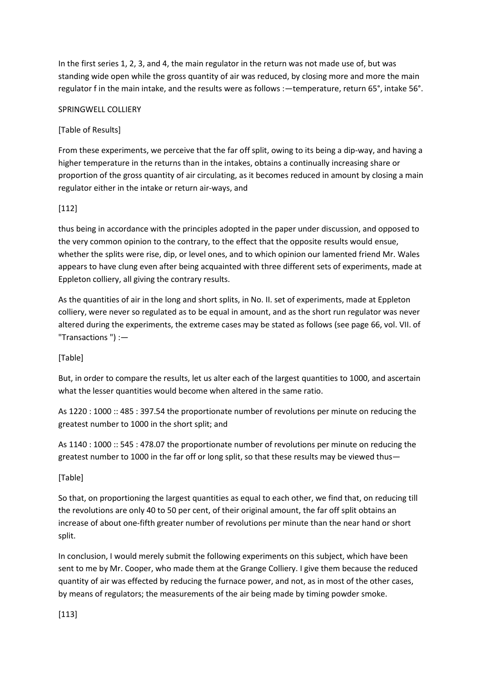In the first series 1, 2, 3, and 4, the main regulator in the return was not made use of, but was standing wide open while the gross quantity of air was reduced, by closing more and more the main regulator f in the main intake, and the results were as follows :—temperature, return 65°, intake 56°.

## SPRINGWELL COLLIERY

# [Table of Results]

From these experiments, we perceive that the far off split, owing to its being a dip-way, and having a higher temperature in the returns than in the intakes, obtains a continually increasing share or proportion of the gross quantity of air circulating, as it becomes reduced in amount by closing a main regulator either in the intake or return air-ways, and

# [112]

thus being in accordance with the principles adopted in the paper under discussion, and opposed to the very common opinion to the contrary, to the effect that the opposite results would ensue, whether the splits were rise, dip, or level ones, and to which opinion our lamented friend Mr. Wales appears to have clung even after being acquainted with three different sets of experiments, made at Eppleton colliery, all giving the contrary results.

As the quantities of air in the long and short splits, in No. II. set of experiments, made at Eppleton colliery, were never so regulated as to be equal in amount, and as the short run regulator was never altered during the experiments, the extreme cases may be stated as follows (see page 66, vol. VII. of "Transactions ") :—

# [Table]

But, in order to compare the results, let us alter each of the largest quantities to 1000, and ascertain what the lesser quantities would become when altered in the same ratio.

As 1220 : 1000 :: 485 : 397.54 the proportionate number of revolutions per minute on reducing the greatest number to 1000 in the short split; and

As 1140 : 1000 :: 545 : 478.07 the proportionate number of revolutions per minute on reducing the greatest number to 1000 in the far off or long split, so that these results may be viewed thus—

## [Table]

So that, on proportioning the largest quantities as equal to each other, we find that, on reducing till the revolutions are only 40 to 50 per cent, of their original amount, the far off split obtains an increase of about one-fifth greater number of revolutions per minute than the near hand or short split.

In conclusion, I would merely submit the following experiments on this subject, which have been sent to me by Mr. Cooper, who made them at the Grange Colliery. I give them because the reduced quantity of air was effected by reducing the furnace power, and not, as in most of the other cases, by means of regulators; the measurements of the air being made by timing powder smoke.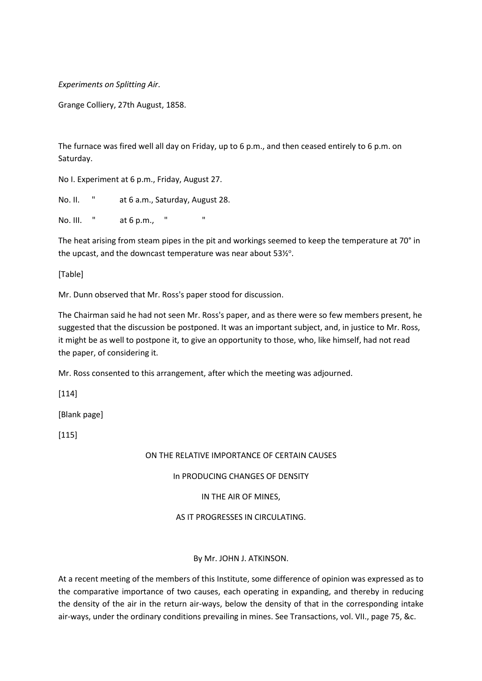*Experiments on Splitting Air*.

Grange Colliery, 27th August, 1858.

The furnace was fired well all day on Friday, up to 6 p.m., and then ceased entirely to 6 p.m. on Saturday.

No I. Experiment at 6 p.m., Friday, August 27.

No. II. " at 6 a.m., Saturday, August 28.

No. III. " at 6 p.m., " "

The heat arising from steam pipes in the pit and workings seemed to keep the temperature at 70° in the upcast, and the downcast temperature was near about 531/2°.

[Table]

Mr. Dunn observed that Mr. Ross's paper stood for discussion.

The Chairman said he had not seen Mr. Ross's paper, and as there were so few members present, he suggested that the discussion be postponed. It was an important subject, and, in justice to Mr. Ross, it might be as well to postpone it, to give an opportunity to those, who, like himself, had not read the paper, of considering it.

Mr. Ross consented to this arrangement, after which the meeting was adjourned.

[114]

[Blank page]

[115]

#### ON THE RELATIVE IMPORTANCE OF CERTAIN CAUSES

In PRODUCING CHANGES OF DENSITY

IN THE AIR OF MINES,

AS IT PROGRESSES IN CIRCULATING.

#### By Mr. JOHN J. ATKINSON.

At a recent meeting of the members of this Institute, some difference of opinion was expressed as to the comparative importance of two causes, each operating in expanding, and thereby in reducing the density of the air in the return air-ways, below the density of that in the corresponding intake air-ways, under the ordinary conditions prevailing in mines. See Transactions, vol. VII., page 75, &c.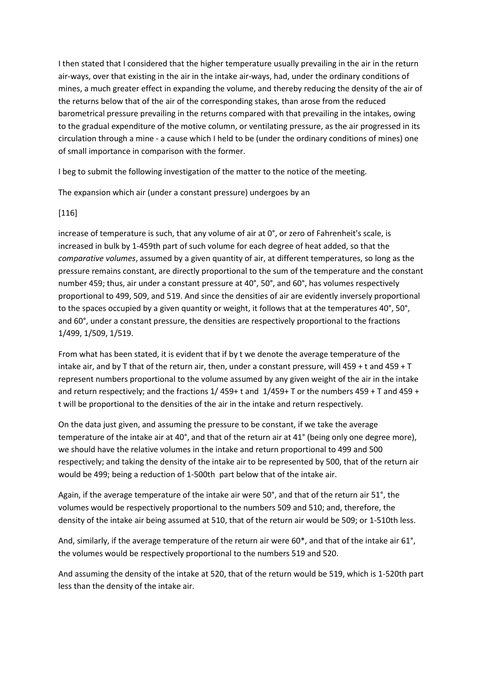I then stated that I considered that the higher temperature usually prevailing in the air in the return air-ways, over that existing in the air in the intake air-ways, had, under the ordinary conditions of mines, a much greater effect in expanding the volume, and thereby reducing the density of the air of the returns below that of the air of the corresponding stakes, than arose from the reduced barometrical pressure prevailing in the returns compared with that prevailing in the intakes, owing to the gradual expenditure of the motive column, or ventilating pressure, as the air progressed in its circulation through a mine - a cause which I held to be (under the ordinary conditions of mines) one of small importance in comparison with the former.

I beg to submit the following investigation of the matter to the notice of the meeting.

The expansion which air (under a constant pressure) undergoes by an

## [116]

increase of temperature is such, that any volume of air at 0°, or zero of Fahrenheit's scale, is increased in bulk by 1-459th part of such volume for each degree of heat added, so that the *comparative volumes*, assumed by a given quantity of air, at different temperatures, so long as the pressure remains constant, are directly proportional to the sum of the temperature and the constant number 459; thus, air under a constant pressure at 40°, 50°, and 60°, has volumes respectively proportional to 499, 509, and 519. And since the densities of air are evidently inversely proportional to the spaces occupied by a given quantity or weight, it follows that at the temperatures 40°, 50°, and 60°, under a constant pressure, the densities are respectively proportional to the fractions 1/499, 1/509, 1/519.

From what has been stated, it is evident that if by t we denote the average temperature of the intake air, and by T that of the return air, then, under a constant pressure, will 459 + t and 459 + T represent numbers proportional to the volume assumed by any given weight of the air in the intake and return respectively; and the fractions 1/ 459+ t and 1/459+ T or the numbers 459 + T and 459 + t will be proportional to the densities of the air in the intake and return respectively.

On the data just given, and assuming the pressure to be constant, if we take the average temperature of the intake air at 40°, and that of the return air at 41° (being only one degree more), we should have the relative volumes in the intake and return proportional to 499 and 500 respectively; and taking the density of the intake air to be represented by 500, that of the return air would be 499; being a reduction of 1-500th part below that of the intake air.

Again, if the average temperature of the intake air were 50°, and that of the return air 51°, the volumes would be respectively proportional to the numbers 509 and 510; and, therefore, the density of the intake air being assumed at 510, that of the return air would be 509; or 1-510th less.

And, similarly, if the average temperature of the return air were 60<sup>\*</sup>, and that of the intake air 61<sup>°</sup>, the volumes would be respectively proportional to the numbers 519 and 520.

And assuming the density of the intake at 520, that of the return would be 519, which is 1-520th part less than the density of the intake air.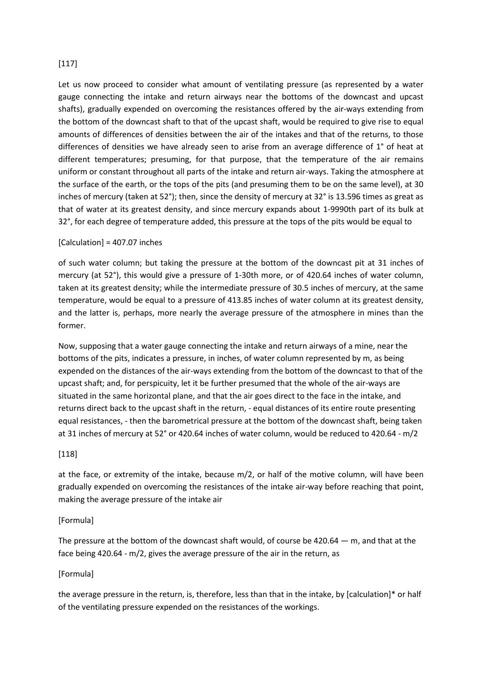## [117]

Let us now proceed to consider what amount of ventilating pressure (as represented by a water gauge connecting the intake and return airways near the bottoms of the downcast and upcast shafts), gradually expended on overcoming the resistances offered by the air-ways extending from the bottom of the downcast shaft to that of the upcast shaft, would be required to give rise to equal amounts of differences of densities between the air of the intakes and that of the returns, to those differences of densities we have already seen to arise from an average difference of 1° of heat at different temperatures; presuming, for that purpose, that the temperature of the air remains uniform or constant throughout all parts of the intake and return air-ways. Taking the atmosphere at the surface of the earth, or the tops of the pits (and presuming them to be on the same level), at 30 inches of mercury (taken at 52°); then, since the density of mercury at 32° is 13.596 times as great as that of water at its greatest density, and since mercury expands about 1-9990th part of its bulk at 32°, for each degree of temperature added, this pressure at the tops of the pits would be equal to

## $[Calculation] = 407.07$  inches

of such water column; but taking the pressure at the bottom of the downcast pit at 31 inches of mercury (at 52°), this would give a pressure of 1-30th more, or of 420.64 inches of water column, taken at its greatest density; while the intermediate pressure of 30.5 inches of mercury, at the same temperature, would be equal to a pressure of 413.85 inches of water column at its greatest density, and the latter is, perhaps, more nearly the average pressure of the atmosphere in mines than the former.

Now, supposing that a water gauge connecting the intake and return airways of a mine, near the bottoms of the pits, indicates a pressure, in inches, of water column represented by m, as being expended on the distances of the air-ways extending from the bottom of the downcast to that of the upcast shaft; and, for perspicuity, let it be further presumed that the whole of the air-ways are situated in the same horizontal plane, and that the air goes direct to the face in the intake, and returns direct back to the upcast shaft in the return, - equal distances of its entire route presenting equal resistances, - then the barometrical pressure at the bottom of the downcast shaft, being taken at 31 inches of mercury at 52° or 420.64 inches of water column, would be reduced to 420.64 - m/2

#### [118]

at the face, or extremity of the intake, because m/2, or half of the motive column, will have been gradually expended on overcoming the resistances of the intake air-way before reaching that point, making the average pressure of the intake air

#### [Formula]

The pressure at the bottom of the downcast shaft would, of course be  $420.64 - m$ , and that at the face being 420.64 - m/2, gives the average pressure of the air in the return, as

## [Formula]

the average pressure in the return, is, therefore, less than that in the intake, by [calculation]\* or half of the ventilating pressure expended on the resistances of the workings.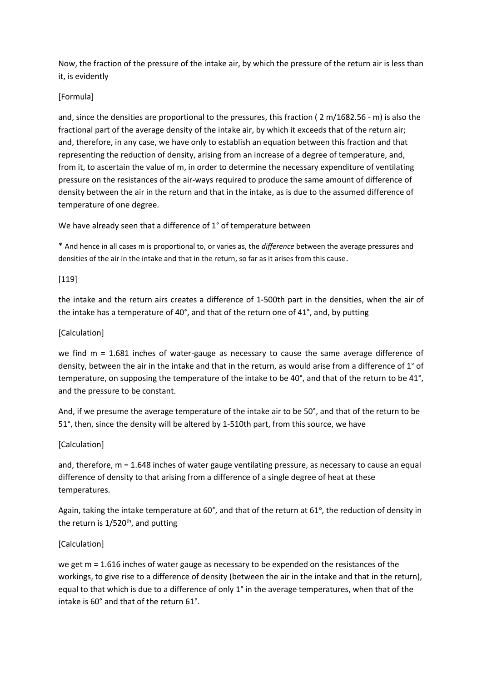Now, the fraction of the pressure of the intake air, by which the pressure of the return air is less than it, is evidently

## [Formula]

and, since the densities are proportional to the pressures, this fraction ( 2 m/1682.56 - m) is also the fractional part of the average density of the intake air, by which it exceeds that of the return air; and, therefore, in any case, we have only to establish an equation between this fraction and that representing the reduction of density, arising from an increase of a degree of temperature, and, from it, to ascertain the value of m, in order to determine the necessary expenditure of ventilating pressure on the resistances of the air-ways required to produce the same amount of difference of density between the air in the return and that in the intake, as is due to the assumed difference of temperature of one degree.

We have already seen that a difference of 1° of temperature between

\* And hence in all cases m is proportional to, or varies as, the *difference* between the average pressures and densities of the air in the intake and that in the return, so far as it arises from this cause.

## [119]

the intake and the return airs creates a difference of 1-500th part in the densities, when the air of the intake has a temperature of 40°, and that of the return one of 41°, and, by putting

## [Calculation]

we find m = 1.681 inches of water-gauge as necessary to cause the same average difference of density, between the air in the intake and that in the return, as would arise from a difference of 1° of temperature, on supposing the temperature of the intake to be 40°, and that of the return to be 41°, and the pressure to be constant.

And, if we presume the average temperature of the intake air to be 50°, and that of the return to be 51°, then, since the density will be altered by 1-510th part, from this source, we have

## [Calculation]

and, therefore, m = 1.648 inches of water gauge ventilating pressure, as necessary to cause an equal difference of density to that arising from a difference of a single degree of heat at these temperatures.

Again, taking the intake temperature at 60°, and that of the return at 61°, the reduction of density in the return is  $1/520^{th}$ , and putting

# [Calculation]

we get m = 1.616 inches of water gauge as necessary to be expended on the resistances of the workings, to give rise to a difference of density (between the air in the intake and that in the return), equal to that which is due to a difference of only 1° in the average temperatures, when that of the intake is 60° and that of the return 61°.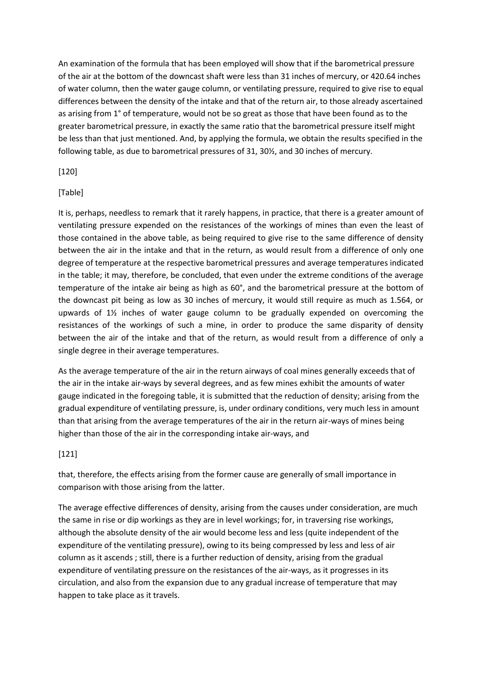An examination of the formula that has been employed will show that if the barometrical pressure of the air at the bottom of the downcast shaft were less than 31 inches of mercury, or 420.64 inches of water column, then the water gauge column, or ventilating pressure, required to give rise to equal differences between the density of the intake and that of the return air, to those already ascertained as arising from 1° of temperature, would not be so great as those that have been found as to the greater barometrical pressure, in exactly the same ratio that the barometrical pressure itself might be less than that just mentioned. And, by applying the formula, we obtain the results specified in the following table, as due to barometrical pressures of 31, 30½, and 30 inches of mercury.

## [120]

### [Table]

It is, perhaps, needless to remark that it rarely happens, in practice, that there is a greater amount of ventilating pressure expended on the resistances of the workings of mines than even the least of those contained in the above table, as being required to give rise to the same difference of density between the air in the intake and that in the return, as would result from a difference of only one degree of temperature at the respective barometrical pressures and average temperatures indicated in the table; it may, therefore, be concluded, that even under the extreme conditions of the average temperature of the intake air being as high as 60°, and the barometrical pressure at the bottom of the downcast pit being as low as 30 inches of mercury, it would still require as much as 1.564, or upwards of 1½ inches of water gauge column to be gradually expended on overcoming the resistances of the workings of such a mine, in order to produce the same disparity of density between the air of the intake and that of the return, as would result from a difference of only a single degree in their average temperatures.

As the average temperature of the air in the return airways of coal mines generally exceeds that of the air in the intake air-ways by several degrees, and as few mines exhibit the amounts of water gauge indicated in the foregoing table, it is submitted that the reduction of density; arising from the gradual expenditure of ventilating pressure, is, under ordinary conditions, very much less in amount than that arising from the average temperatures of the air in the return air-ways of mines being higher than those of the air in the corresponding intake air-ways, and

## [121]

that, therefore, the effects arising from the former cause are generally of small importance in comparison with those arising from the latter.

The average effective differences of density, arising from the causes under consideration, are much the same in rise or dip workings as they are in level workings; for, in traversing rise workings, although the absolute density of the air would become less and less (quite independent of the expenditure of the ventilating pressure), owing to its being compressed by less and less of air column as it ascends ; still, there is a further reduction of density, arising from the gradual expenditure of ventilating pressure on the resistances of the air-ways, as it progresses in its circulation, and also from the expansion due to any gradual increase of temperature that may happen to take place as it travels.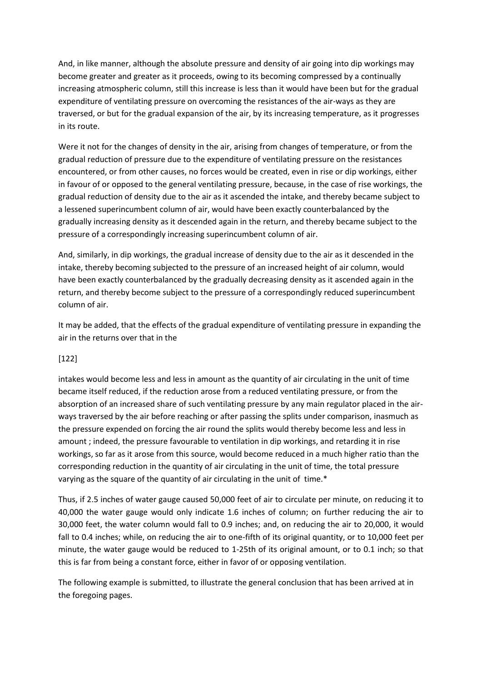And, in like manner, although the absolute pressure and density of air going into dip workings may become greater and greater as it proceeds, owing to its becoming compressed by a continually increasing atmospheric column, still this increase is less than it would have been but for the gradual expenditure of ventilating pressure on overcoming the resistances of the air-ways as they are traversed, or but for the gradual expansion of the air, by its increasing temperature, as it progresses in its route.

Were it not for the changes of density in the air, arising from changes of temperature, or from the gradual reduction of pressure due to the expenditure of ventilating pressure on the resistances encountered, or from other causes, no forces would be created, even in rise or dip workings, either in favour of or opposed to the general ventilating pressure, because, in the case of rise workings, the gradual reduction of density due to the air as it ascended the intake, and thereby became subject to a lessened superincumbent column of air, would have been exactly counterbalanced by the gradually increasing density as it descended again in the return, and thereby became subject to the pressure of a correspondingly increasing superincumbent column of air.

And, similarly, in dip workings, the gradual increase of density due to the air as it descended in the intake, thereby becoming subjected to the pressure of an increased height of air column, would have been exactly counterbalanced by the gradually decreasing density as it ascended again in the return, and thereby become subject to the pressure of a correspondingly reduced superincumbent column of air.

It may be added, that the effects of the gradual expenditure of ventilating pressure in expanding the air in the returns over that in the

## [122]

intakes would become less and less in amount as the quantity of air circulating in the unit of time became itself reduced, if the reduction arose from a reduced ventilating pressure, or from the absorption of an increased share of such ventilating pressure by any main regulator placed in the airways traversed by the air before reaching or after passing the splits under comparison, inasmuch as the pressure expended on forcing the air round the splits would thereby become less and less in amount ; indeed, the pressure favourable to ventilation in dip workings, and retarding it in rise workings, so far as it arose from this source, would become reduced in a much higher ratio than the corresponding reduction in the quantity of air circulating in the unit of time, the total pressure varying as the square of the quantity of air circulating in the unit of time.\*

Thus, if 2.5 inches of water gauge caused 50,000 feet of air to circulate per minute, on reducing it to 40,000 the water gauge would only indicate 1.6 inches of column; on further reducing the air to 30,000 feet, the water column would fall to 0.9 inches; and, on reducing the air to 20,000, it would fall to 0.4 inches; while, on reducing the air to one-fifth of its original quantity, or to 10,000 feet per minute, the water gauge would be reduced to 1-25th of its original amount, or to 0.1 inch; so that this is far from being a constant force, either in favor of or opposing ventilation.

The following example is submitted, to illustrate the general conclusion that has been arrived at in the foregoing pages.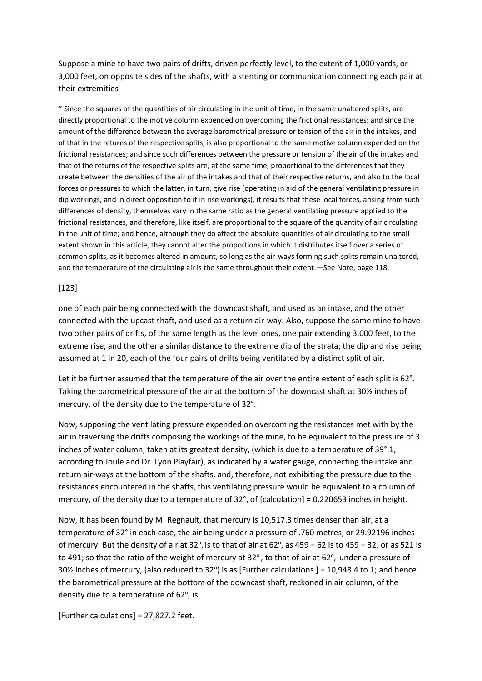Suppose a mine to have two pairs of drifts, driven perfectly level, to the extent of 1,000 yards, or 3,000 feet, on opposite sides of the shafts, with a stenting or communication connecting each pair at their extremities

\* Since the squares of the quantities of air circulating in the unit of time, in the same unaltered splits, are directly proportional to the motive column expended on overcoming the frictional resistances; and since the amount of the difference between the average barometrical pressure or tension of the air in the intakes, and of that in the returns of the respective splits, is also proportional to the same motive column expended on the frictional resistances; and since such differences between the pressure or tension of the air of the intakes and that of the returns of the respective splits are, at the same time, proportional to the differences that they create between the densities of the air of the intakes and that of their respective returns, and also to the local forces or pressures to which the latter, in turn, give rise (operating in aid of the general ventilating pressure in dip workings, and in direct opposition to it in rise workings), it results that these local forces, arising from such differences of density, themselves vary in the same ratio as the general ventilating pressure applied to the frictional resistances, and therefore, like itself, are proportional to the square of the quantity of air circulating in the unit of time; and hence, although they do affect the absolute quantities of air circulating to the small extent shown in this article, they cannot alter the proportions in which it distributes itself over a series of common splits, as it becomes altered in amount, so long as the air-ways forming such splits remain unaltered, and the temperature of the circulating air is the same throughout their extent.—See Note, page 118.

#### [123]

one of each pair being connected with the downcast shaft, and used as an intake, and the other connected with the upcast shaft, and used as a return air-way. Also, suppose the same mine to have two other pairs of drifts, of the same length as the level ones, one pair extending 3,000 feet, to the extreme rise, and the other a similar distance to the extreme dip of the strata; the dip and rise being assumed at 1 in 20, each of the four pairs of drifts being ventilated by a distinct split of air.

Let it be further assumed that the temperature of the air over the entire extent of each split is 62°. Taking the barometrical pressure of the air at the bottom of the downcast shaft at 30½ inches of mercury, of the density due to the temperature of 32°.

Now, supposing the ventilating pressure expended on overcoming the resistances met with by the air in traversing the drifts composing the workings of the mine, to be equivalent to the pressure of 3 inches of water column, taken at its greatest density, (which is due to a temperature of 39°.1, according to Joule and Dr. Lyon Playfair), as indicated by a water gauge, connecting the intake and return air-ways at the bottom of the shafts, and, therefore, not exhibiting the pressure due to the resistances encountered in the shafts, this ventilating pressure would be equivalent to a column of mercury, of the density due to a temperature of 32°, of [calculation] = 0.220653 inches in height.

Now, it has been found by M. Regnault, that mercury is 10,517.3 times denser than air, at a temperature of 32° in each case, the air being under a pressure of .760 metres, or 29.92196 inches of mercury. But the density of air at 32°, is to that of air at 62°, as 459 + 62 is to 459 + 32, or as 521 is to 491; so that the ratio of the weight of mercury at 32 $^{\circ}$ , to that of air at 62 $^{\circ}$ , under a pressure of 30% inches of mercury, (also reduced to 32°) is as [Further calculations ] = 10,948.4 to 1; and hence the barometrical pressure at the bottom of the downcast shaft, reckoned in air column, of the density due to a temperature of 62°, is

 $[Further calculations] = 27,827.2 feet.$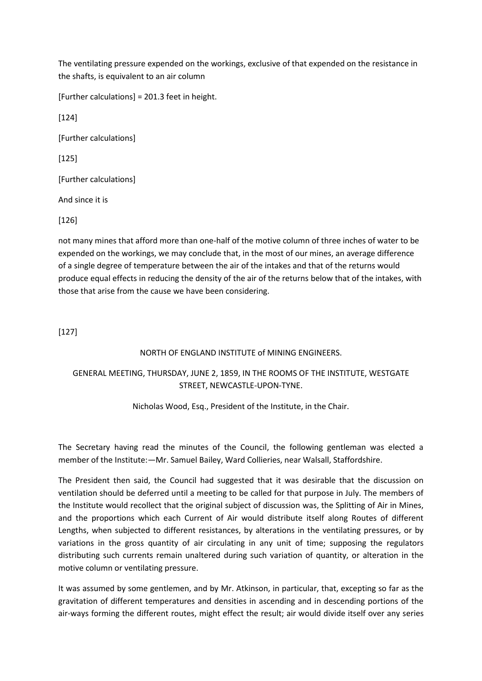The ventilating pressure expended on the workings, exclusive of that expended on the resistance in the shafts, is equivalent to an air column

[Further calculations] = 201.3 feet in height.

[124]

[Further calculations]

[125]

[Further calculations]

And since it is

[126]

not many mines that afford more than one-half of the motive column of three inches of water to be expended on the workings, we may conclude that, in the most of our mines, an average difference of a single degree of temperature between the air of the intakes and that of the returns would produce equal effects in reducing the density of the air of the returns below that of the intakes, with those that arise from the cause we have been considering.

[127]

#### NORTH OF ENGLAND INSTITUTE of MINING ENGINEERS.

# GENERAL MEETING, THURSDAY, JUNE 2, 1859, IN THE ROOMS OF THE INSTITUTE, WESTGATE STREET, NEWCASTLE-UPON-TYNE.

Nicholas Wood, Esq., President of the Institute, in the Chair.

The Secretary having read the minutes of the Council, the following gentleman was elected a member of the Institute:—Mr. Samuel Bailey, Ward Collieries, near Walsall, Staffordshire.

The President then said, the Council had suggested that it was desirable that the discussion on ventilation should be deferred until a meeting to be called for that purpose in July. The members of the Institute would recollect that the original subject of discussion was, the Splitting of Air in Mines, and the proportions which each Current of Air would distribute itself along Routes of different Lengths, when subjected to different resistances, by alterations in the ventilating pressures, or by variations in the gross quantity of air circulating in any unit of time; supposing the regulators distributing such currents remain unaltered during such variation of quantity, or alteration in the motive column or ventilating pressure.

It was assumed by some gentlemen, and by Mr. Atkinson, in particular, that, excepting so far as the gravitation of different temperatures and densities in ascending and in descending portions of the air-ways forming the different routes, might effect the result; air would divide itself over any series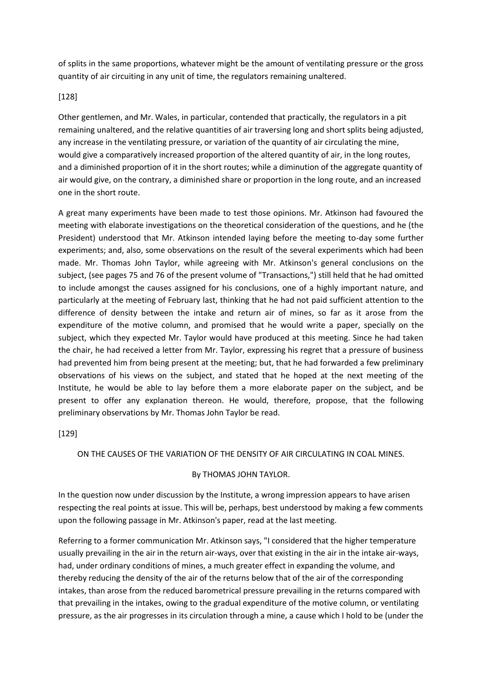of splits in the same proportions, whatever might be the amount of ventilating pressure or the gross quantity of air circuiting in any unit of time, the regulators remaining unaltered.

#### [128]

Other gentlemen, and Mr. Wales, in particular, contended that practically, the regulators in a pit remaining unaltered, and the relative quantities of air traversing long and short splits being adjusted, any increase in the ventilating pressure, or variation of the quantity of air circulating the mine, would give a comparatively increased proportion of the altered quantity of air, in the long routes, and a diminished proportion of it in the short routes; while a diminution of the aggregate quantity of air would give, on the contrary, a diminished share or proportion in the long route, and an increased one in the short route.

A great many experiments have been made to test those opinions. Mr. Atkinson had favoured the meeting with elaborate investigations on the theoretical consideration of the questions, and he (the President) understood that Mr. Atkinson intended laying before the meeting to-day some further experiments; and, also, some observations on the result of the several experiments which had been made. Mr. Thomas John Taylor, while agreeing with Mr. Atkinson's general conclusions on the subject, (see pages 75 and 76 of the present volume of "Transactions,") still held that he had omitted to include amongst the causes assigned for his conclusions, one of a highly important nature, and particularly at the meeting of February last, thinking that he had not paid sufficient attention to the difference of density between the intake and return air of mines, so far as it arose from the expenditure of the motive column, and promised that he would write a paper, specially on the subject, which they expected Mr. Taylor would have produced at this meeting. Since he had taken the chair, he had received a letter from Mr. Taylor, expressing his regret that a pressure of business had prevented him from being present at the meeting; but, that he had forwarded a few preliminary observations of his views on the subject, and stated that he hoped at the next meeting of the Institute, he would be able to lay before them a more elaborate paper on the subject, and be present to offer any explanation thereon. He would, therefore, propose, that the following preliminary observations by Mr. Thomas John Taylor be read.

## [129]

#### ON THE CAUSES OF THE VARIATION OF THE DENSITY OF AIR CIRCULATING IN COAL MINES.

#### By THOMAS JOHN TAYLOR.

In the question now under discussion by the Institute, a wrong impression appears to have arisen respecting the real points at issue. This will be, perhaps, best understood by making a few comments upon the following passage in Mr. Atkinson's paper, read at the last meeting.

Referring to a former communication Mr. Atkinson says, "I considered that the higher temperature usually prevailing in the air in the return air-ways, over that existing in the air in the intake air-ways, had, under ordinary conditions of mines, a much greater effect in expanding the volume, and thereby reducing the density of the air of the returns below that of the air of the corresponding intakes, than arose from the reduced barometrical pressure prevailing in the returns compared with that prevailing in the intakes, owing to the gradual expenditure of the motive column, or ventilating pressure, as the air progresses in its circulation through a mine, a cause which I hold to be (under the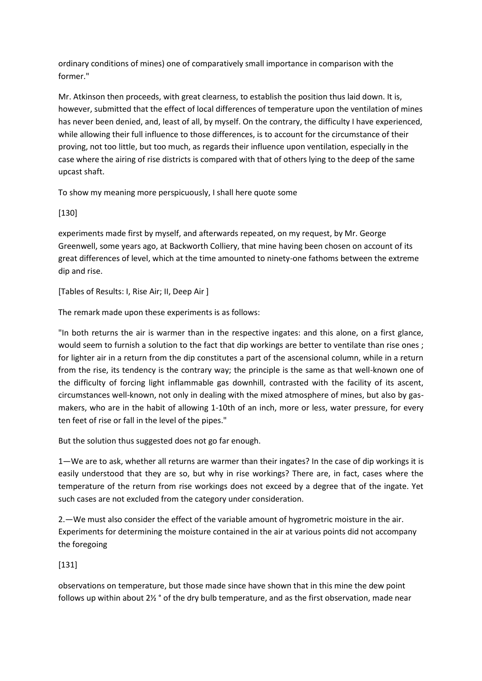ordinary conditions of mines) one of comparatively small importance in comparison with the former."

Mr. Atkinson then proceeds, with great clearness, to establish the position thus laid down. It is, however, submitted that the effect of local differences of temperature upon the ventilation of mines has never been denied, and, least of all, by myself. On the contrary, the difficulty I have experienced, while allowing their full influence to those differences, is to account for the circumstance of their proving, not too little, but too much, as regards their influence upon ventilation, especially in the case where the airing of rise districts is compared with that of others lying to the deep of the same upcast shaft.

To show my meaning more perspicuously, I shall here quote some

[130]

experiments made first by myself, and afterwards repeated, on my request, by Mr. George Greenwell, some years ago, at Backworth Colliery, that mine having been chosen on account of its great differences of level, which at the time amounted to ninety-one fathoms between the extreme dip and rise.

[Tables of Results: I, Rise Air; II, Deep Air ]

The remark made upon these experiments is as follows:

"In both returns the air is warmer than in the respective ingates: and this alone, on a first glance, would seem to furnish a solution to the fact that dip workings are better to ventilate than rise ones ; for lighter air in a return from the dip constitutes a part of the ascensional column, while in a return from the rise, its tendency is the contrary way; the principle is the same as that well-known one of the difficulty of forcing light inflammable gas downhill, contrasted with the facility of its ascent, circumstances well-known, not only in dealing with the mixed atmosphere of mines, but also by gasmakers, who are in the habit of allowing 1-10th of an inch, more or less, water pressure, for every ten feet of rise or fall in the level of the pipes."

But the solution thus suggested does not go far enough.

1—We are to ask, whether all returns are warmer than their ingates? In the case of dip workings it is easily understood that they are so, but why in rise workings? There are, in fact, cases where the temperature of the return from rise workings does not exceed by a degree that of the ingate. Yet such cases are not excluded from the category under consideration.

2.—We must also consider the effect of the variable amount of hygrometric moisture in the air. Experiments for determining the moisture contained in the air at various points did not accompany the foregoing

[131]

observations on temperature, but those made since have shown that in this mine the dew point follows up within about 2½ ° of the dry bulb temperature, and as the first observation, made near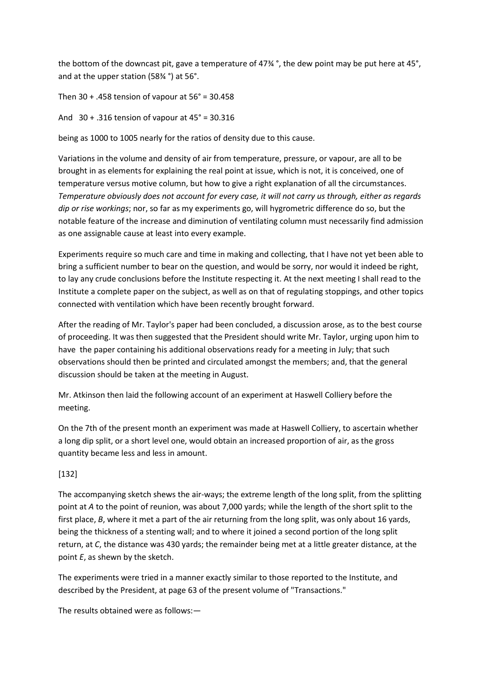the bottom of the downcast pit, gave a temperature of 47¾ °, the dew point may be put here at 45°, and at the upper station (58¾ °) at 56°.

Then  $30 + .458$  tension of vapour at  $56^\circ = 30.458$ 

And 30 + .316 tension of vapour at 45° = 30.316

being as 1000 to 1005 nearly for the ratios of density due to this cause.

Variations in the volume and density of air from temperature, pressure, or vapour, are all to be brought in as elements for explaining the real point at issue, which is not, it is conceived, one of temperature versus motive column, but how to give a right explanation of all the circumstances. *Temperature obviously does not account for every case, it will not carry us through, either as regards dip or rise workings*; nor, so far as my experiments go, will hygrometric difference do so, but the notable feature of the increase and diminution of ventilating column must necessarily find admission as one assignable cause at least into every example.

Experiments require so much care and time in making and collecting, that I have not yet been able to bring a sufficient number to bear on the question, and would be sorry, nor would it indeed be right, to lay any crude conclusions before the Institute respecting it. At the next meeting I shall read to the Institute a complete paper on the subject, as well as on that of regulating stoppings, and other topics connected with ventilation which have been recently brought forward.

After the reading of Mr. Taylor's paper had been concluded, a discussion arose, as to the best course of proceeding. It was then suggested that the President should write Mr. Taylor, urging upon him to have the paper containing his additional observations ready for a meeting in July; that such observations should then be printed and circulated amongst the members; and, that the general discussion should be taken at the meeting in August.

Mr. Atkinson then laid the following account of an experiment at Haswell Colliery before the meeting.

On the 7th of the present month an experiment was made at Haswell Colliery, to ascertain whether a long dip split, or a short level one, would obtain an increased proportion of air, as the gross quantity became less and less in amount.

## [132]

The accompanying sketch shews the air-ways; the extreme length of the long split, from the splitting point at *A* to the point of reunion, was about 7,000 yards; while the length of the short split to the first place, *B*, where it met a part of the air returning from the long split, was only about 16 yards, being the thickness of a stenting wall; and to where it joined a second portion of the long split return, at *C*, the distance was 430 yards; the remainder being met at a little greater distance, at the point *E*, as shewn by the sketch.

The experiments were tried in a manner exactly similar to those reported to the Institute, and described by the President, at page 63 of the present volume of "Transactions."

The results obtained were as follows:—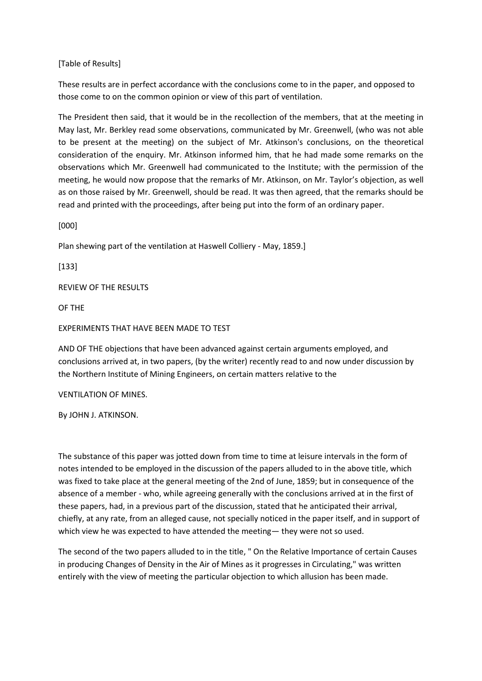### [Table of Results]

These results are in perfect accordance with the conclusions come to in the paper, and opposed to those come to on the common opinion or view of this part of ventilation.

The President then said, that it would be in the recollection of the members, that at the meeting in May last, Mr. Berkley read some observations, communicated by Mr. Greenwell, (who was not able to be present at the meeting) on the subject of Mr. Atkinson's conclusions, on the theoretical consideration of the enquiry. Mr. Atkinson informed him, that he had made some remarks on the observations which Mr. Greenwell had communicated to the Institute; with the permission of the meeting, he would now propose that the remarks of Mr. Atkinson, on Mr. Taylor's objection, as well as on those raised by Mr. Greenwell, should be read. It was then agreed, that the remarks should be read and printed with the proceedings, after being put into the form of an ordinary paper.

[000]

Plan shewing part of the ventilation at Haswell Colliery - May, 1859.]

[133]

REVIEW OF THE RESULTS

OF THE

#### EXPERIMENTS THAT HAVE BEEN MADE TO TEST

AND OF THE objections that have been advanced against certain arguments employed, and conclusions arrived at, in two papers, (by the writer) recently read to and now under discussion by the Northern Institute of Mining Engineers, on certain matters relative to the

VENTILATION OF MINES.

By JOHN J. ATKINSON.

The substance of this paper was jotted down from time to time at leisure intervals in the form of notes intended to be employed in the discussion of the papers alluded to in the above title, which was fixed to take place at the general meeting of the 2nd of June, 1859; but in consequence of the absence of a member - who, while agreeing generally with the conclusions arrived at in the first of these papers, had, in a previous part of the discussion, stated that he anticipated their arrival, chiefly, at any rate, from an alleged cause, not specially noticed in the paper itself, and in support of which view he was expected to have attended the meeting— they were not so used.

The second of the two papers alluded to in the title, " On the Relative Importance of certain Causes in producing Changes of Density in the Air of Mines as it progresses in Circulating," was written entirely with the view of meeting the particular objection to which allusion has been made.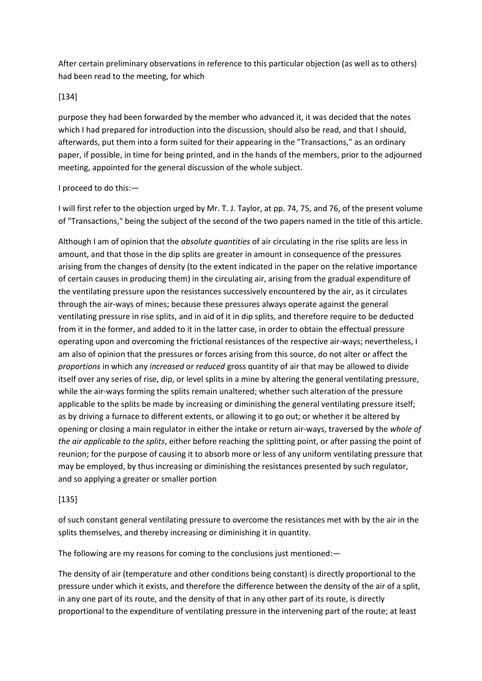After certain preliminary observations in reference to this particular objection (as well as to others) had been read to the meeting, for which

### [134]

purpose they had been forwarded by the member who advanced it, it was decided that the notes which I had prepared for introduction into the discussion, should also be read, and that I should, afterwards, put them into a form suited for their appearing in the "Transactions," as an ordinary paper, if possible, in time for being printed, and in the hands of the members, prior to the adjourned meeting, appointed for the general discussion of the whole subject.

#### I proceed to do this:—

I will first refer to the objection urged by Mr. T. J. Taylor, at pp. 74, 75, and 76, of the present volume of "Transactions," being the subject of the second of the two papers named in the title of this article.

Although I am of opinion that the *absolute quantities* of air circulating in the rise splits are less in amount, and that those in the dip splits are greater in amount in consequence of the pressures arising from the changes of density (to the extent indicated in the paper on the relative importance of certain causes in producing them) in the circulating air, arising from the gradual expenditure of the ventilating pressure upon the resistances successively encountered by the air, as it circulates through the air-ways of mines; because these pressures always operate against the general ventilating pressure in rise splits, and in aid of it in dip splits, and therefore require to be deducted from it in the former, and added to it in the latter case, in order to obtain the effectual pressure operating upon and overcoming the frictional resistances of the respective air-ways; nevertheless, I am also of opinion that the pressures or forces arising from this source, do not alter or affect the *proportions* in which any *increased* or *reduced* gross quantity of air that may be allowed to divide itself over any series of rise, dip, or level splits in a mine by altering the general ventilating pressure, while the air-ways forming the splits remain unaltered; whether such alteration of the pressure applicable to the splits be made by increasing or diminishing the general ventilating pressure itself; as by driving a furnace to different extents, or allowing it to go out; or whether it be altered by opening or closing a main regulator in either the intake or return air-ways, traversed by the *whole of the air applicable to the splits*, either before reaching the splitting point, or after passing the point of reunion; for the purpose of causing it to absorb more or less of any uniform ventilating pressure that may be employed, by thus increasing or diminishing the resistances presented by such regulator, and so applying a greater or smaller portion

## [135]

of such constant general ventilating pressure to overcome the resistances met with by the air in the splits themselves, and thereby increasing or diminishing it in quantity.

The following are my reasons for coming to the conclusions just mentioned:—

The density of air (temperature and other conditions being constant) is directly proportional to the pressure under which it exists, and therefore the difference between the density of the air of a split, in any one part of its route, and the density of that in any other part of its route, is directly proportional to the expenditure of ventilating pressure in the intervening part of the route; at least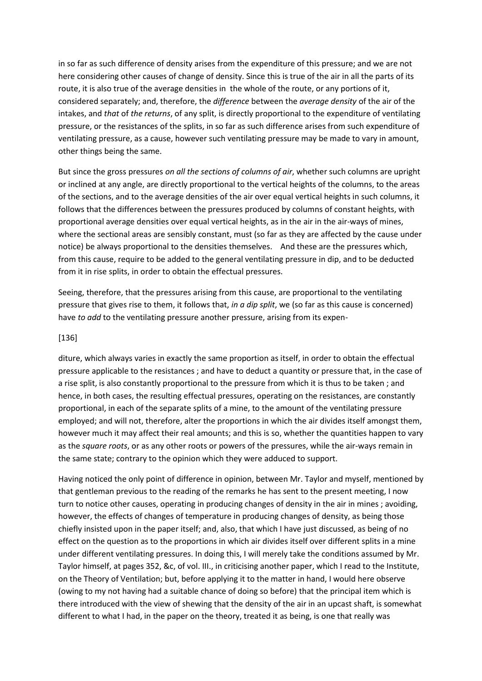in so far as such difference of density arises from the expenditure of this pressure; and we are not here considering other causes of change of density. Since this is true of the air in all the parts of its route, it is also true of the average densities in the whole of the route, or any portions of it, considered separately; and, therefore, the *difference* between the *average density* of the air of the intakes, and *that* of *the returns*, of any split, is directly proportional to the expenditure of ventilating pressure, or the resistances of the splits, in so far as such difference arises from such expenditure of ventilating pressure, as a cause, however such ventilating pressure may be made to vary in amount, other things being the same.

But since the gross pressures *on all the sections of columns of air*, whether such columns are upright or inclined at any angle, are directly proportional to the vertical heights of the columns, to the areas of the sections, and to the average densities of the air over equal vertical heights in such columns, it follows that the differences between the pressures produced by columns of constant heights, with proportional average densities over equal vertical heights, as in the air in the air-ways of mines, where the sectional areas are sensibly constant, must (so far as they are affected by the cause under notice) be always proportional to the densities themselves. And these are the pressures which, from this cause, require to be added to the general ventilating pressure in dip, and to be deducted from it in rise splits, in order to obtain the effectual pressures.

Seeing, therefore, that the pressures arising from this cause, are proportional to the ventilating pressure that gives rise to them, it follows that, *in a dip split*, we (so far as this cause is concerned) have *to add* to the ventilating pressure another pressure, arising from its expen-

#### [136]

diture, which always varies in exactly the same proportion as itself, in order to obtain the effectual pressure applicable to the resistances ; and have to deduct a quantity or pressure that, in the case of a rise split, is also constantly proportional to the pressure from which it is thus to be taken ; and hence, in both cases, the resulting effectual pressures, operating on the resistances, are constantly proportional, in each of the separate splits of a mine, to the amount of the ventilating pressure employed; and will not, therefore, alter the proportions in which the air divides itself amongst them, however much it may affect their real amounts; and this is so, whether the quantities happen to vary as the *square roots*, or as any other roots or powers of the pressures, while the air-ways remain in the same state; contrary to the opinion which they were adduced to support.

Having noticed the only point of difference in opinion, between Mr. Taylor and myself, mentioned by that gentleman previous to the reading of the remarks he has sent to the present meeting, I now turn to notice other causes, operating in producing changes of density in the air in mines ; avoiding, however, the effects of changes of temperature in producing changes of density, as being those chiefly insisted upon in the paper itself; and, also, that which I have just discussed, as being of no effect on the question as to the proportions in which air divides itself over different splits in a mine under different ventilating pressures. In doing this, I will merely take the conditions assumed by Mr. Taylor himself, at pages 352, &c, of vol. III., in criticising another paper, which I read to the Institute, on the Theory of Ventilation; but, before applying it to the matter in hand, I would here observe (owing to my not having had a suitable chance of doing so before) that the principal item which is there introduced with the view of shewing that the density of the air in an upcast shaft, is somewhat different to what I had, in the paper on the theory, treated it as being, is one that really was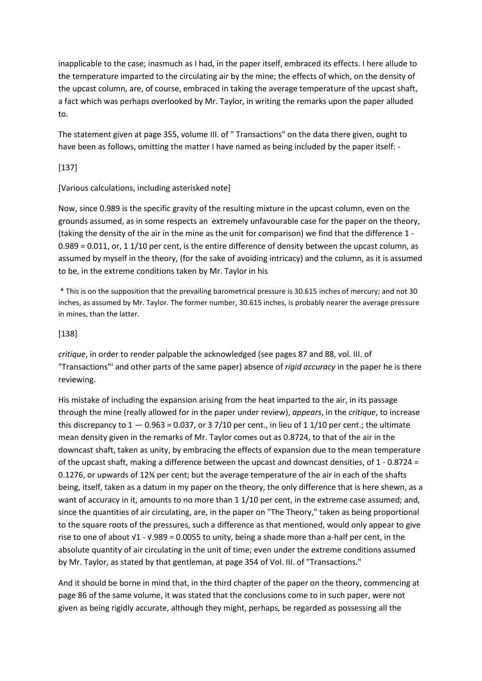inapplicable to the case; inasmuch as I had, in the paper itself, embraced its effects. I here allude to the temperature imparted to the circulating air by the mine; the effects of which, on the density of the upcast column, are, of course, embraced in taking the average temperature of the upcast shaft, a fact which was perhaps overlooked by Mr. Taylor, in writing the remarks upon the paper alluded to.

The statement given at page 355, volume III. of " Transactions" on the data there given, ought to have been as follows, omitting the matter I have named as being included by the paper itself: -

## [137]

# [Various calculations, including asterisked note]

Now, since 0.989 is the specific gravity of the resulting mixture in the upcast column, even on the grounds assumed, as in some respects an extremely unfavourable case for the paper on the theory, (taking the density of the air in the mine as the unit for comparison) we find that the difference 1 -  $0.989 = 0.011$ , or, 1 1/10 per cent, is the entire difference of density between the upcast column, as assumed by myself in the theory, (for the sake of avoiding intricacy) and the column, as it is assumed to be, in the extreme conditions taken by Mr. Taylor in his

\* This is on the supposition that the prevailing barometrical pressure is 30.615 inches of mercury; and not 30 inches, as assumed by Mr. Taylor. The former number, 30.615 inches, is probably nearer the average pressure in mines, than the latter.

# [138]

*critique*, in order to render palpable the acknowledged (see pages 87 and 88, vol. III. of "Transactions"' and other parts of the same paper) absence of *rigid accuracy* in the paper he is there reviewing.

His mistake of including the expansion arising from the heat imparted to the air, in its passage through the mine (really allowed for in the paper under review), *appears*, in the *critique*, to increase this discrepancy to  $1 - 0.963 = 0.037$ , or 3 7/10 per cent., in lieu of 1 1/10 per cent.; the ultimate mean density given in the remarks of Mr. Taylor comes out as 0.8724, to that of the air in the downcast shaft, taken as unity, by embracing the effects of expansion due to the mean temperature of the upcast shaft, making a difference between the upcast and downcast densities, of 1 - 0.8724 = 0.1276, or upwards of 12¾ per cent; but the average temperature of the air in each of the shafts being, itself, taken as a datum in my paper on the theory, the only difference that is here shewn, as a want of accuracy in it, amounts to no more than 1 1/10 per cent, in the extreme case assumed; and, since the quantities of air circulating, are, in the paper on "The Theory," taken as being proportional to the square roots of the pressures, such a difference as that mentioned, would only appear to give rise to one of about √1 - √.989 = 0.0055 to unity, being a shade more than a-half per cent, in the absolute quantity of air circulating in the unit of time; even under the extreme conditions assumed by Mr. Taylor, as stated by that gentleman, at page 354 of Vol. III. of "Transactions."

And it should be borne in mind that, in the third chapter of the paper on the theory, commencing at page 86 of the same volume, it was stated that the conclusions come to in such paper, were not given as being rigidly accurate, although they might, perhaps, be regarded as possessing all the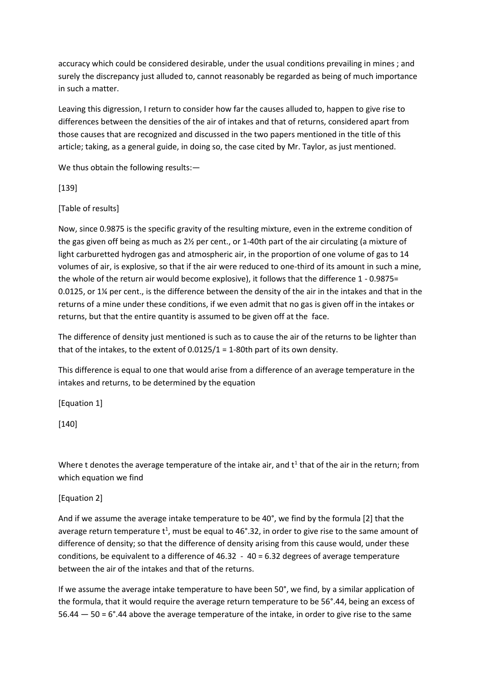accuracy which could be considered desirable, under the usual conditions prevailing in mines ; and surely the discrepancy just alluded to, cannot reasonably be regarded as being of much importance in such a matter.

Leaving this digression, I return to consider how far the causes alluded to, happen to give rise to differences between the densities of the air of intakes and that of returns, considered apart from those causes that are recognized and discussed in the two papers mentioned in the title of this article; taking, as a general guide, in doing so, the case cited by Mr. Taylor, as just mentioned.

We thus obtain the following results: -

[139]

[Table of results]

Now, since 0.9875 is the specific gravity of the resulting mixture, even in the extreme condition of the gas given off being as much as 2½ per cent., or 1-40th part of the air circulating (a mixture of light carburetted hydrogen gas and atmospheric air, in the proportion of one volume of gas to 14 volumes of air, is explosive, so that if the air were reduced to one-third of its amount in such a mine, the whole of the return air would become explosive), it follows that the difference 1 - 0.9875= 0.0125, or 1¼ per cent., is the difference between the density of the air in the intakes and that in the returns of a mine under these conditions, if we even admit that no gas is given off in the intakes or returns, but that the entire quantity is assumed to be given off at the face.

The difference of density just mentioned is such as to cause the air of the returns to be lighter than that of the intakes, to the extent of 0.0125/1 = 1-80th part of its own density.

This difference is equal to one that would arise from a difference of an average temperature in the intakes and returns, to be determined by the equation

[Equation 1]

[140]

Where t denotes the average temperature of the intake air, and  $t^1$  that of the air in the return; from which equation we find

[Equation 2]

And if we assume the average intake temperature to be 40°, we find by the formula [2] that the average return temperature  $t^1$ , must be equal to 46°.32, in order to give rise to the same amount of difference of density; so that the difference of density arising from this cause would, under these conditions, be equivalent to a difference of  $46.32 - 40 = 6.32$  degrees of average temperature between the air of the intakes and that of the returns.

If we assume the average intake temperature to have been 50°, we find, by a similar application of the formula, that it would require the average return temperature to be 56°.44, being an excess of 56.44 — 50 = 6°.44 above the average temperature of the intake, in order to give rise to the same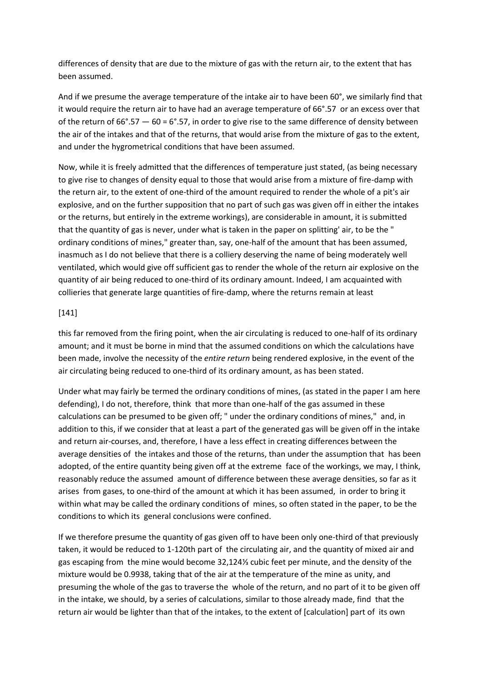differences of density that are due to the mixture of gas with the return air, to the extent that has been assumed.

And if we presume the average temperature of the intake air to have been 60°, we similarly find that it would require the return air to have had an average temperature of 66°.57 or an excess over that of the return of  $66^{\circ}$ .57  $-60 = 6^{\circ}$ .57, in order to give rise to the same difference of density between the air of the intakes and that of the returns, that would arise from the mixture of gas to the extent, and under the hygrometrical conditions that have been assumed.

Now, while it is freely admitted that the differences of temperature just stated, (as being necessary to give rise to changes of density equal to those that would arise from a mixture of fire-damp with the return air, to the extent of one-third of the amount required to render the whole of a pit's air explosive, and on the further supposition that no part of such gas was given off in either the intakes or the returns, but entirely in the extreme workings), are considerable in amount, it is submitted that the quantity of gas is never, under what is taken in the paper on splitting' air, to be the " ordinary conditions of mines," greater than, say, one-half of the amount that has been assumed, inasmuch as I do not believe that there is a colliery deserving the name of being moderately well ventilated, which would give off sufficient gas to render the whole of the return air explosive on the quantity of air being reduced to one-third of its ordinary amount. Indeed, I am acquainted with collieries that generate large quantities of fire-damp, where the returns remain at least

#### [141]

this far removed from the firing point, when the air circulating is reduced to one-half of its ordinary amount; and it must be borne in mind that the assumed conditions on which the calculations have been made, involve the necessity of the *entire return* being rendered explosive, in the event of the air circulating being reduced to one-third of its ordinary amount, as has been stated.

Under what may fairly be termed the ordinary conditions of mines, (as stated in the paper I am here defending), I do not, therefore, think that more than one-half of the gas assumed in these calculations can be presumed to be given off; " under the ordinary conditions of mines," and, in addition to this, if we consider that at least a part of the generated gas will be given off in the intake and return air-courses, and, therefore, I have a less effect in creating differences between the average densities of the intakes and those of the returns, than under the assumption that has been adopted, of the entire quantity being given off at the extreme face of the workings, we may, I think, reasonably reduce the assumed amount of difference between these average densities, so far as it arises from gases, to one-third of the amount at which it has been assumed, in order to bring it within what may be called the ordinary conditions of mines, so often stated in the paper, to be the conditions to which its general conclusions were confined.

If we therefore presume the quantity of gas given off to have been only one-third of that previously taken, it would be reduced to 1-120th part of the circulating air, and the quantity of mixed air and gas escaping from the mine would become 32,124⅓ cubic feet per minute, and the density of the mixture would be 0.9938, taking that of the air at the temperature of the mine as unity, and presuming the whole of the gas to traverse the whole of the return, and no part of it to be given off in the intake, we should, by a series of calculations, similar to those already made, find that the return air would be lighter than that of the intakes, to the extent of [calculation] part of its own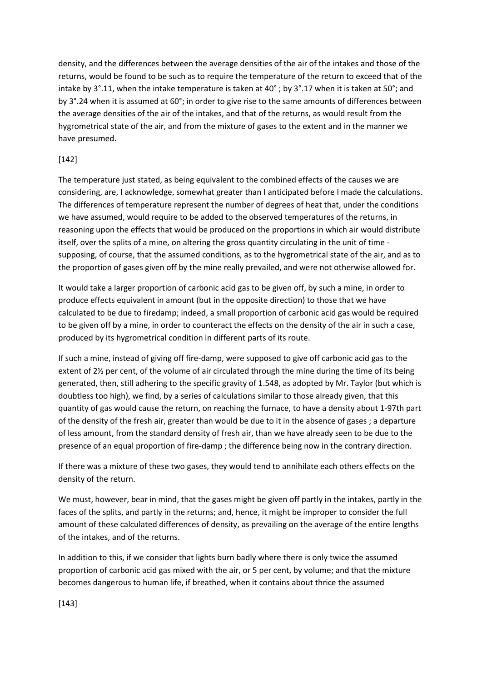density, and the differences between the average densities of the air of the intakes and those of the returns, would be found to be such as to require the temperature of the return to exceed that of the intake by 3°.11, when the intake temperature is taken at 40° ; by 3°.17 when it is taken at 50°; and by 3°.24 when it is assumed at 60°; in order to give rise to the same amounts of differences between the average densities of the air of the intakes, and that of the returns, as would result from the hygrometrical state of the air, and from the mixture of gases to the extent and in the manner we have presumed.

## [142]

The temperature just stated, as being equivalent to the combined effects of the causes we are considering, are, I acknowledge, somewhat greater than I anticipated before I made the calculations. The differences of temperature represent the number of degrees of heat that, under the conditions we have assumed, would require to be added to the observed temperatures of the returns, in reasoning upon the effects that would be produced on the proportions in which air would distribute itself, over the splits of a mine, on altering the gross quantity circulating in the unit of time supposing, of course, that the assumed conditions, as to the hygrometrical state of the air, and as to the proportion of gases given off by the mine really prevailed, and were not otherwise allowed for.

It would take a larger proportion of carbonic acid gas to be given off, by such a mine, in order to produce effects equivalent in amount (but in the opposite direction) to those that we have calculated to be due to firedamp; indeed, a small proportion of carbonic acid gas would be required to be given off by a mine, in order to counteract the effects on the density of the air in such a case, produced by its hygrometrical condition in different parts of its route.

If such a mine, instead of giving off fire-damp, were supposed to give off carbonic acid gas to the extent of 2½ per cent, of the volume of air circulated through the mine during the time of its being generated, then, still adhering to the specific gravity of 1.548, as adopted by Mr. Taylor (but which is doubtless too high), we find, by a series of calculations similar to those already given, that this quantity of gas would cause the return, on reaching the furnace, to have a density about 1-97th part of the density of the fresh air, greater than would be due to it in the absence of gases ; a departure of less amount, from the standard density of fresh air, than we have already seen to be due to the presence of an equal proportion of fire-damp ; the difference being now in the contrary direction.

If there was a mixture of these two gases, they would tend to annihilate each others effects on the density of the return.

We must, however, bear in mind, that the gases might be given off partly in the intakes, partly in the faces of the splits, and partly in the returns; and, hence, it might be improper to consider the full amount of these calculated differences of density, as prevailing on the average of the entire lengths of the intakes, and of the returns.

In addition to this, if we consider that lights burn badly where there is only twice the assumed proportion of carbonic acid gas mixed with the air, or 5 per cent, by volume; and that the mixture becomes dangerous to human life, if breathed, when it contains about thrice the assumed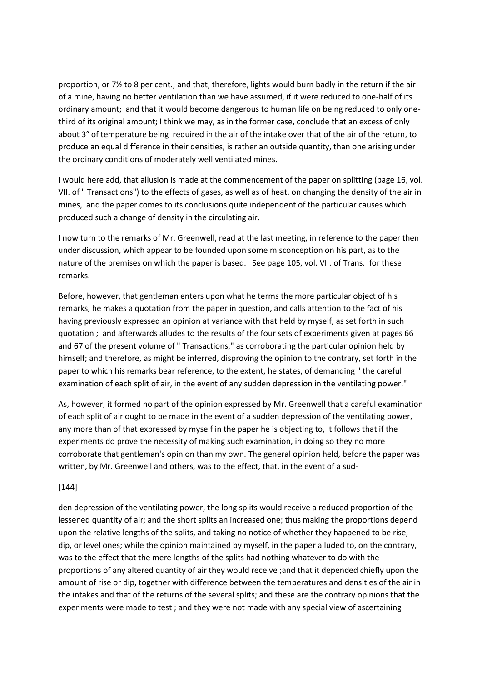proportion, or 7½ to 8 per cent.; and that, therefore, lights would burn badly in the return if the air of a mine, having no better ventilation than we have assumed, if it were reduced to one-half of its ordinary amount; and that it would become dangerous to human life on being reduced to only onethird of its original amount; I think we may, as in the former case, conclude that an excess of only about 3° of temperature being required in the air of the intake over that of the air of the return, to produce an equal difference in their densities, is rather an outside quantity, than one arising under the ordinary conditions of moderately well ventilated mines.

I would here add, that allusion is made at the commencement of the paper on splitting (page 16, vol. VII. of " Transactions") to the effects of gases, as well as of heat, on changing the density of the air in mines, and the paper comes to its conclusions quite independent of the particular causes which produced such a change of density in the circulating air.

I now turn to the remarks of Mr. Greenwell, read at the last meeting, in reference to the paper then under discussion, which appear to be founded upon some misconception on his part, as to the nature of the premises on which the paper is based. See page 105, vol. VII. of Trans. for these remarks.

Before, however, that gentleman enters upon what he terms the more particular object of his remarks, he makes a quotation from the paper in question, and calls attention to the fact of his having previously expressed an opinion at variance with that held by myself, as set forth in such quotation ; and afterwards alludes to the results of the four sets of experiments given at pages 66 and 67 of the present volume of " Transactions," as corroborating the particular opinion held by himself; and therefore, as might be inferred, disproving the opinion to the contrary, set forth in the paper to which his remarks bear reference, to the extent, he states, of demanding " the careful examination of each split of air, in the event of any sudden depression in the ventilating power."

As, however, it formed no part of the opinion expressed by Mr. Greenwell that a careful examination of each split of air ought to be made in the event of a sudden depression of the ventilating power, any more than of that expressed by myself in the paper he is objecting to, it follows that if the experiments do prove the necessity of making such examination, in doing so they no more corroborate that gentleman's opinion than my own. The general opinion held, before the paper was written, by Mr. Greenwell and others, was to the effect, that, in the event of a sud-

#### [144]

den depression of the ventilating power, the long splits would receive a reduced proportion of the lessened quantity of air; and the short splits an increased one; thus making the proportions depend upon the relative lengths of the splits, and taking no notice of whether they happened to be rise, dip, or level ones; while the opinion maintained by myself, in the paper alluded to, on the contrary, was to the effect that the mere lengths of the splits had nothing whatever to do with the proportions of any altered quantity of air they would receive ;and that it depended chiefly upon the amount of rise or dip, together with difference between the temperatures and densities of the air in the intakes and that of the returns of the several splits; and these are the contrary opinions that the experiments were made to test ; and they were not made with any special view of ascertaining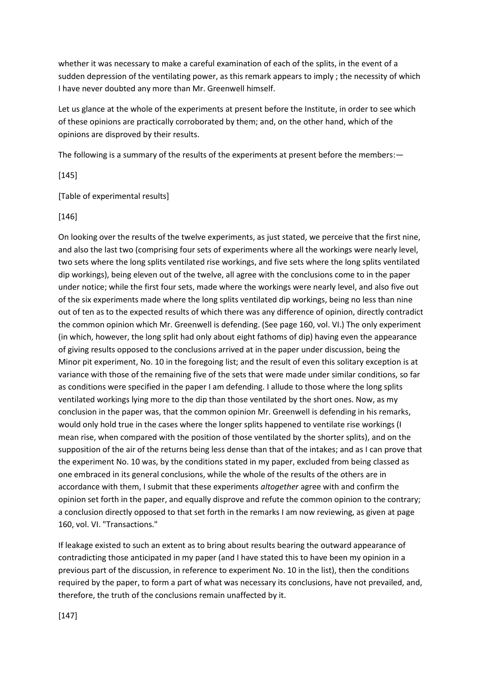whether it was necessary to make a careful examination of each of the splits, in the event of a sudden depression of the ventilating power, as this remark appears to imply ; the necessity of which I have never doubted any more than Mr. Greenwell himself.

Let us glance at the whole of the experiments at present before the Institute, in order to see which of these opinions are practically corroborated by them; and, on the other hand, which of the opinions are disproved by their results.

The following is a summary of the results of the experiments at present before the members: -

[145]

[Table of experimental results]

[146]

On looking over the results of the twelve experiments, as just stated, we perceive that the first nine, and also the last two (comprising four sets of experiments where all the workings were nearly level, two sets where the long splits ventilated rise workings, and five sets where the long splits ventilated dip workings), being eleven out of the twelve, all agree with the conclusions come to in the paper under notice; while the first four sets, made where the workings were nearly level, and also five out of the six experiments made where the long splits ventilated dip workings, being no less than nine out of ten as to the expected results of which there was any difference of opinion, directly contradict the common opinion which Mr. Greenwell is defending. (See page 160, vol. VI.) The only experiment (in which, however, the long split had only about eight fathoms of dip) having even the appearance of giving results opposed to the conclusions arrived at in the paper under discussion, being the Minor pit experiment, No. 10 in the foregoing list; and the result of even this solitary exception is at variance with those of the remaining five of the sets that were made under similar conditions, so far as conditions were specified in the paper I am defending. I allude to those where the long splits ventilated workings lying more to the dip than those ventilated by the short ones. Now, as my conclusion in the paper was, that the common opinion Mr. Greenwell is defending in his remarks, would only hold true in the cases where the longer splits happened to ventilate rise workings (I mean rise, when compared with the position of those ventilated by the shorter splits), and on the supposition of the air of the returns being less dense than that of the intakes; and as I can prove that the experiment No. 10 was, by the conditions stated in my paper, excluded from being classed as one embraced in its general conclusions, while the whole of the results of the others are in accordance with them, I submit that these experiments *altogether* agree with and confirm the opinion set forth in the paper, and equally disprove and refute the common opinion to the contrary; a conclusion directly opposed to that set forth in the remarks I am now reviewing, as given at page 160, vol. VI. "Transactions."

If leakage existed to such an extent as to bring about results bearing the outward appearance of contradicting those anticipated in my paper (and I have stated this to have been my opinion in a previous part of the discussion, in reference to experiment No. 10 in the list), then the conditions required by the paper, to form a part of what was necessary its conclusions, have not prevailed, and, therefore, the truth of the conclusions remain unaffected by it.

[147]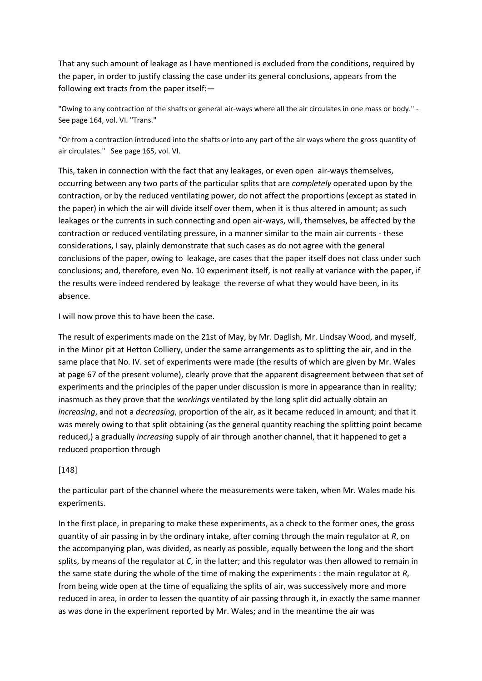That any such amount of leakage as I have mentioned is excluded from the conditions, required by the paper, in order to justify classing the case under its general conclusions, appears from the following ext tracts from the paper itself:—

"Owing to any contraction of the shafts or general air-ways where all the air circulates in one mass or body." - See page 164, vol. VI. "Trans."

"Or from a contraction introduced into the shafts or into any part of the air ways where the gross quantity of air circulates." See page 165, vol. VI.

This, taken in connection with the fact that any leakages, or even open air-ways themselves, occurring between any two parts of the particular splits that are *completely* operated upon by the contraction, or by the reduced ventilating power, do not affect the proportions (except as stated in the paper) in which the air will divide itself over them, when it is thus altered in amount; as such leakages or the currents in such connecting and open air-ways, will, themselves, be affected by the contraction or reduced ventilating pressure, in a manner similar to the main air currents - these considerations, I say, plainly demonstrate that such cases as do not agree with the general conclusions of the paper, owing to leakage, are cases that the paper itself does not class under such conclusions; and, therefore, even No. 10 experiment itself, is not really at variance with the paper, if the results were indeed rendered by leakage the reverse of what they would have been, in its absence.

I will now prove this to have been the case.

The result of experiments made on the 21st of May, by Mr. Daglish, Mr. Lindsay Wood, and myself, in the Minor pit at Hetton Colliery, under the same arrangements as to splitting the air, and in the same place that No. IV. set of experiments were made (the results of which are given by Mr. Wales at page 67 of the present volume), clearly prove that the apparent disagreement between that set of experiments and the principles of the paper under discussion is more in appearance than in reality; inasmuch as they prove that the *workings* ventilated by the long split did actually obtain an *increasing*, and not a *decreasing*, proportion of the air, as it became reduced in amount; and that it was merely owing to that split obtaining (as the general quantity reaching the splitting point became reduced,) a gradually *increasing* supply of air through another channel, that it happened to get a reduced proportion through

## [148]

the particular part of the channel where the measurements were taken, when Mr. Wales made his experiments.

In the first place, in preparing to make these experiments, as a check to the former ones, the gross quantity of air passing in by the ordinary intake, after coming through the main regulator at *R*, on the accompanying plan, was divided, as nearly as possible, equally between the long and the short splits, by means of the regulator at *C*, in the latter; and this regulator was then allowed to remain in the same state during the whole of the time of making the experiments : the main regulator at *R*, from being wide open at the time of equalizing the splits of air, was successively more and more reduced in area, in order to lessen the quantity of air passing through it, in exactly the same manner as was done in the experiment reported by Mr. Wales; and in the meantime the air was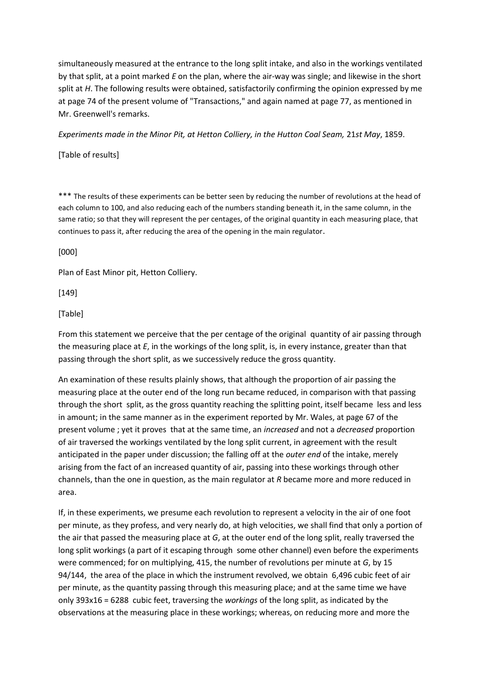simultaneously measured at the entrance to the long split intake, and also in the workings ventilated by that split, at a point marked *E* on the plan, where the air-way was single; and likewise in the short split at *H*. The following results were obtained, satisfactorily confirming the opinion expressed by me at page 74 of the present volume of "Transactions," and again named at page 77, as mentioned in Mr. Greenwell's remarks.

*Experiments made in the Minor Pit, at Hetton Colliery, in the Hutton Coal Seam,* 21*st May*, 1859.

[Table of results]

\*\*\* The results of these experiments can be better seen by reducing the number of revolutions at the head of each column to 100, and also reducing each of the numbers standing beneath it, in the same column, in the same ratio; so that they will represent the per centages, of the original quantity in each measuring place, that continues to pass it, after reducing the area of the opening in the main regulator.

[000]

Plan of East Minor pit, Hetton Colliery.

[149]

[Table]

From this statement we perceive that the per centage of the original quantity of air passing through the measuring place at *E*, in the workings of the long split, is, in every instance, greater than that passing through the short split, as we successively reduce the gross quantity.

An examination of these results plainly shows, that although the proportion of air passing the measuring place at the outer end of the long run became reduced, in comparison with that passing through the short split, as the gross quantity reaching the splitting point, itself became less and less in amount; in the same manner as in the experiment reported by Mr. Wales, at page 67 of the present volume ; yet it proves that at the same time, an *increased* and not a *decreased* proportion of air traversed the workings ventilated by the long split current, in agreement with the result anticipated in the paper under discussion; the falling off at the *outer end* of the intake, merely arising from the fact of an increased quantity of air, passing into these workings through other channels, than the one in question, as the main regulator at *R* became more and more reduced in area.

If, in these experiments, we presume each revolution to represent a velocity in the air of one foot per minute, as they profess, and very nearly do, at high velocities, we shall find that only a portion of the air that passed the measuring place at *G*, at the outer end of the long split, really traversed the long split workings (a part of it escaping through some other channel) even before the experiments were commenced; for on multiplying, 415, the number of revolutions per minute at *G*, by 15 94/144, the area of the place in which the instrument revolved, we obtain 6,496 cubic feet of air per minute, as the quantity passing through this measuring place; and at the same time we have only 393x16 = 6288 cubic feet, traversing the *workings* of the long split, as indicated by the observations at the measuring place in these workings; whereas, on reducing more and more the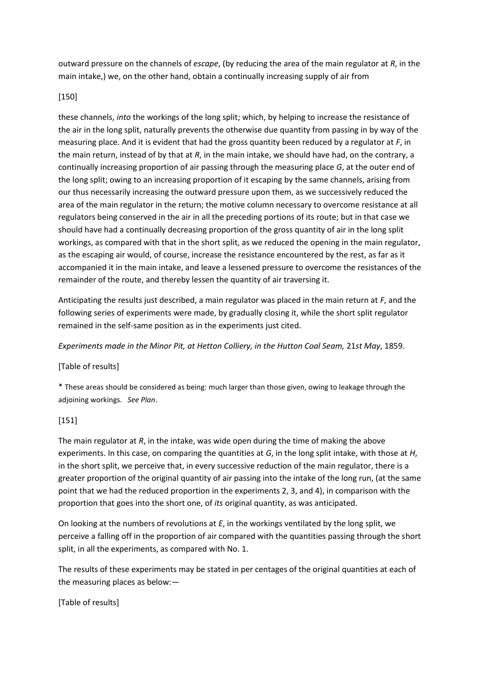outward pressure on the channels of *escape*, (by reducing the area of the main regulator at *R*, in the main intake,) we, on the other hand, obtain a continually increasing supply of air from

### [150]

these channels, *into* the workings of the long split; which, by helping to increase the resistance of the air in the long split, naturally prevents the otherwise due quantity from passing in by way of the measuring place. And it is evident that had the gross quantity been reduced by a regulator at *F*, in the main return, instead of by that at *R*, in the main intake, we should have had, on the contrary, a continually increasing proportion of air passing through the measuring place *G*, at the outer end of the long split; owing to an increasing proportion of it escaping by the same channels, arising from our thus necessarily increasing the outward pressure upon them, as we successively reduced the area of the main regulator in the return; the motive column necessary to overcome resistance at all regulators being conserved in the air in all the preceding portions of its route; but in that case we should have had a continually decreasing proportion of the gross quantity of air in the long split workings, as compared with that in the short split, as we reduced the opening in the main regulator, as the escaping air would, of course, increase the resistance encountered by the rest, as far as it accompanied it in the main intake, and leave a lessened pressure to overcome the resistances of the remainder of the route, and thereby lessen the quantity of air traversing it.

Anticipating the results just described, a main regulator was placed in the main return at *F*, and the following series of experiments were made, by gradually closing it, while the short split regulator remained in the self-same position as in the experiments just cited.

*Experiments made in the Minor Pit, at Hetton Colliery, in the Hutton Coal Seam,* 21*st May*, 1859.

## [Table of results]

\* These areas should be considered as being: much larger than those given, owing to leakage through the adjoining workings. *See Plan*.

## [151]

The main regulator at *R*, in the intake, was wide open during the time of making the above experiments. In this case, on comparing the quantities at *G*, in the long split intake, with those at *H*, in the short split, we perceive that, in every successive reduction of the main regulator, there is a greater proportion of the original quantity of air passing into the intake of the long run, (at the same point that we had the reduced proportion in the experiments 2, 3, and 4), in comparison with the proportion that goes into the short one, of *its* original quantity, as was anticipated.

On looking at the numbers of revolutions at *E*, in the workings ventilated by the long split, we perceive a falling off in the proportion of air compared with the quantities passing through the short split, in all the experiments, as compared with No. 1.

The results of these experiments may be stated in per centages of the original quantities at each of the measuring places as below:—

[Table of results]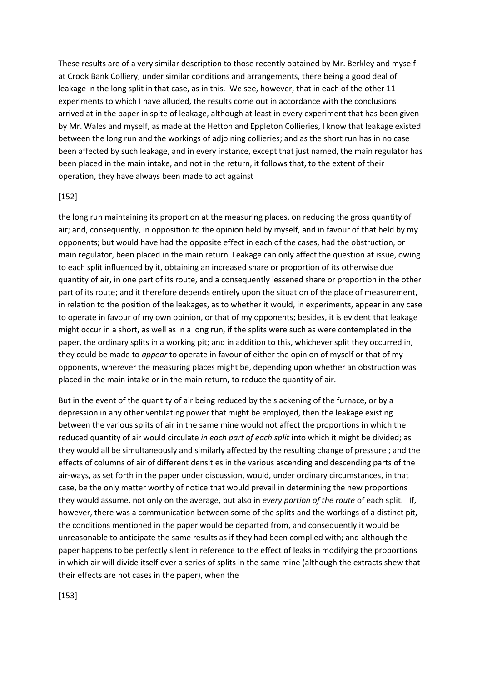These results are of a very similar description to those recently obtained by Mr. Berkley and myself at Crook Bank Colliery, under similar conditions and arrangements, there being a good deal of leakage in the long split in that case, as in this. We see, however, that in each of the other 11 experiments to which I have alluded, the results come out in accordance with the conclusions arrived at in the paper in spite of leakage, although at least in every experiment that has been given by Mr. Wales and myself, as made at the Hetton and Eppleton Collieries, I know that leakage existed between the long run and the workings of adjoining collieries; and as the short run has in no case been affected by such leakage, and in every instance, except that just named, the main regulator has been placed in the main intake, and not in the return, it follows that, to the extent of their operation, they have always been made to act against

#### [152]

the long run maintaining its proportion at the measuring places, on reducing the gross quantity of air; and, consequently, in opposition to the opinion held by myself, and in favour of that held by my opponents; but would have had the opposite effect in each of the cases, had the obstruction, or main regulator, been placed in the main return. Leakage can only affect the question at issue, owing to each split influenced by it, obtaining an increased share or proportion of its otherwise due quantity of air, in one part of its route, and a consequently lessened share or proportion in the other part of its route; and it therefore depends entirely upon the situation of the place of measurement, in relation to the position of the leakages, as to whether it would, in experiments, appear in any case to operate in favour of my own opinion, or that of my opponents; besides, it is evident that leakage might occur in a short, as well as in a long run, if the splits were such as were contemplated in the paper, the ordinary splits in a working pit; and in addition to this, whichever split they occurred in, they could be made to *appear* to operate in favour of either the opinion of myself or that of my opponents, wherever the measuring places might be, depending upon whether an obstruction was placed in the main intake or in the main return, to reduce the quantity of air.

But in the event of the quantity of air being reduced by the slackening of the furnace, or by a depression in any other ventilating power that might be employed, then the leakage existing between the various splits of air in the same mine would not affect the proportions in which the reduced quantity of air would circulate *in each part of each split* into which it might be divided; as they would all be simultaneously and similarly affected by the resulting change of pressure ; and the effects of columns of air of different densities in the various ascending and descending parts of the air-ways, as set forth in the paper under discussion, would, under ordinary circumstances, in that case, be the only matter worthy of notice that would prevail in determining the new proportions they would assume, not only on the average, but also in *every portion of the route* of each split. If, however, there was a communication between some of the splits and the workings of a distinct pit, the conditions mentioned in the paper would be departed from, and consequently it would be unreasonable to anticipate the same results as if they had been complied with; and although the paper happens to be perfectly silent in reference to the effect of leaks in modifying the proportions in which air will divide itself over a series of splits in the same mine (although the extracts shew that their effects are not cases in the paper), when the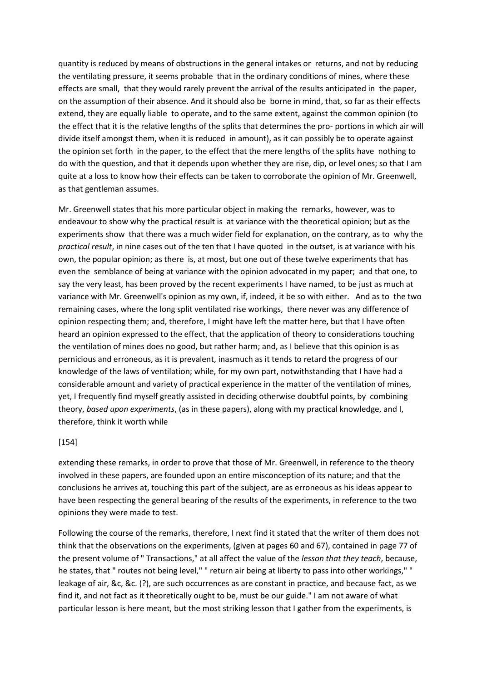quantity is reduced by means of obstructions in the general intakes or returns, and not by reducing the ventilating pressure, it seems probable that in the ordinary conditions of mines, where these effects are small, that they would rarely prevent the arrival of the results anticipated in the paper, on the assumption of their absence. And it should also be borne in mind, that, so far as their effects extend, they are equally liable to operate, and to the same extent, against the common opinion (to the effect that it is the relative lengths of the splits that determines the pro- portions in which air will divide itself amongst them, when it is reduced in amount), as it can possibly be to operate against the opinion set forth in the paper, to the effect that the mere lengths of the splits have nothing to do with the question, and that it depends upon whether they are rise, dip, or level ones; so that I am quite at a loss to know how their effects can be taken to corroborate the opinion of Mr. Greenwell, as that gentleman assumes.

Mr. Greenwell states that his more particular object in making the remarks, however, was to endeavour to show why the practical result is at variance with the theoretical opinion; but as the experiments show that there was a much wider field for explanation, on the contrary, as to why the *practical result*, in nine cases out of the ten that I have quoted in the outset, is at variance with his own, the popular opinion; as there is, at most, but one out of these twelve experiments that has even the semblance of being at variance with the opinion advocated in my paper; and that one, to say the very least, has been proved by the recent experiments I have named, to be just as much at variance with Mr. Greenwell's opinion as my own, if, indeed, it be so with either. And as to the two remaining cases, where the long split ventilated rise workings, there never was any difference of opinion respecting them; and, therefore, I might have left the matter here, but that I have often heard an opinion expressed to the effect, that the application of theory to considerations touching the ventilation of mines does no good, but rather harm; and, as I believe that this opinion is as pernicious and erroneous, as it is prevalent, inasmuch as it tends to retard the progress of our knowledge of the laws of ventilation; while, for my own part, notwithstanding that I have had a considerable amount and variety of practical experience in the matter of the ventilation of mines, yet, I frequently find myself greatly assisted in deciding otherwise doubtful points, by combining theory, *based upon experiments*, (as in these papers), along with my practical knowledge, and I, therefore, think it worth while

#### [154]

extending these remarks, in order to prove that those of Mr. Greenwell, in reference to the theory involved in these papers, are founded upon an entire misconception of its nature; and that the conclusions he arrives at, touching this part of the subject, are as erroneous as his ideas appear to have been respecting the general bearing of the results of the experiments, in reference to the two opinions they were made to test.

Following the course of the remarks, therefore, I next find it stated that the writer of them does not think that the observations on the experiments, (given at pages 60 and 67), contained in page 77 of the present volume of " Transactions," at all affect the value of the *lesson that they teach*, because, he states, that " routes not being level," " return air being at liberty to pass into other workings," " leakage of air, &c, &c. (?), are such occurrences as are constant in practice, and because fact, as we find it, and not fact as it theoretically ought to be, must be our guide." I am not aware of what particular lesson is here meant, but the most striking lesson that I gather from the experiments, is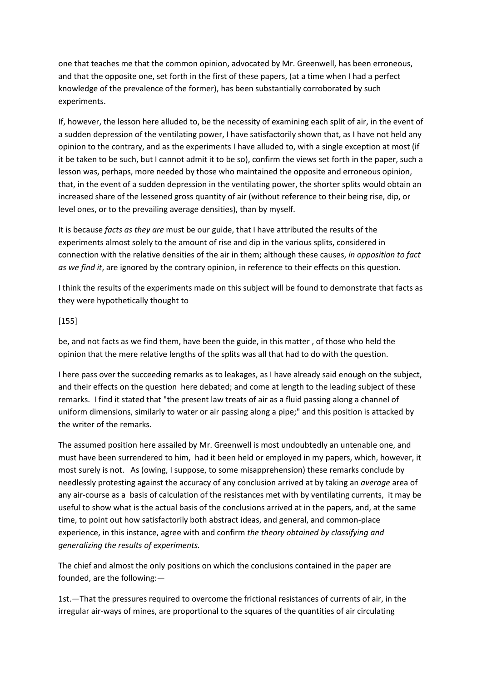one that teaches me that the common opinion, advocated by Mr. Greenwell, has been erroneous, and that the opposite one, set forth in the first of these papers, (at a time when I had a perfect knowledge of the prevalence of the former), has been substantially corroborated by such experiments.

If, however, the lesson here alluded to, be the necessity of examining each split of air, in the event of a sudden depression of the ventilating power, I have satisfactorily shown that, as I have not held any opinion to the contrary, and as the experiments I have alluded to, with a single exception at most (if it be taken to be such, but I cannot admit it to be so), confirm the views set forth in the paper, such a lesson was, perhaps, more needed by those who maintained the opposite and erroneous opinion, that, in the event of a sudden depression in the ventilating power, the shorter splits would obtain an increased share of the lessened gross quantity of air (without reference to their being rise, dip, or level ones, or to the prevailing average densities), than by myself.

It is because *facts as they are* must be our guide, that I have attributed the results of the experiments almost solely to the amount of rise and dip in the various splits, considered in connection with the relative densities of the air in them; although these causes, *in opposition to fact as we find it*, are ignored by the contrary opinion, in reference to their effects on this question.

I think the results of the experiments made on this subject will be found to demonstrate that facts as they were hypothetically thought to

## [155]

be, and not facts as we find them, have been the guide, in this matter , of those who held the opinion that the mere relative lengths of the splits was all that had to do with the question.

I here pass over the succeeding remarks as to leakages, as I have already said enough on the subject, and their effects on the question here debated; and come at length to the leading subject of these remarks. I find it stated that "the present law treats of air as a fluid passing along a channel of uniform dimensions, similarly to water or air passing along a pipe;" and this position is attacked by the writer of the remarks.

The assumed position here assailed by Mr. Greenwell is most undoubtedly an untenable one, and must have been surrendered to him, had it been held or employed in my papers, which, however, it most surely is not. As (owing, I suppose, to some misapprehension) these remarks conclude by needlessly protesting against the accuracy of any conclusion arrived at by taking an *average* area of any air-course as a basis of calculation of the resistances met with by ventilating currents, it may be useful to show what is the actual basis of the conclusions arrived at in the papers, and, at the same time, to point out how satisfactorily both abstract ideas, and general, and common-place experience, in this instance, agree with and confirm *the theory obtained by classifying and generalizing the results of experiments.*

The chief and almost the only positions on which the conclusions contained in the paper are founded, are the following:—

1st.—That the pressures required to overcome the frictional resistances of currents of air, in the irregular air-ways of mines, are proportional to the squares of the quantities of air circulating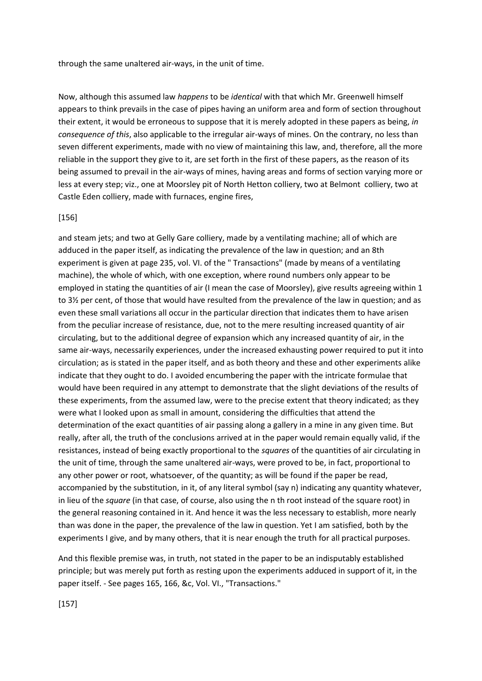through the same unaltered air-ways, in the unit of time.

Now, although this assumed law *happens* to be *identical* with that which Mr. Greenwell himself appears to think prevails in the case of pipes having an uniform area and form of section throughout their extent, it would be erroneous to suppose that it is merely adopted in these papers as being, *in consequence of this*, also applicable to the irregular air-ways of mines. On the contrary, no less than seven different experiments, made with no view of maintaining this law, and, therefore, all the more reliable in the support they give to it, are set forth in the first of these papers, as the reason of its being assumed to prevail in the air-ways of mines, having areas and forms of section varying more or less at every step; viz., one at Moorsley pit of North Hetton colliery, two at Belmont colliery, two at Castle Eden colliery, made with furnaces, engine fires,

#### [156]

and steam jets; and two at Gelly Gare colliery, made by a ventilating machine; all of which are adduced in the paper itself, as indicating the prevalence of the law in question; and an 8th experiment is given at page 235, vol. VI. of the " Transactions" (made by means of a ventilating machine), the whole of which, with one exception, where round numbers only appear to be employed in stating the quantities of air (I mean the case of Moorsley), give results agreeing within 1 to 3½ per cent, of those that would have resulted from the prevalence of the law in question; and as even these small variations all occur in the particular direction that indicates them to have arisen from the peculiar increase of resistance, due, not to the mere resulting increased quantity of air circulating, but to the additional degree of expansion which any increased quantity of air, in the same air-ways, necessarily experiences, under the increased exhausting power required to put it into circulation; as is stated in the paper itself, and as both theory and these and other experiments alike indicate that they ought to do. I avoided encumbering the paper with the intricate formulae that would have been required in any attempt to demonstrate that the slight deviations of the results of these experiments, from the assumed law, were to the precise extent that theory indicated; as they were what I looked upon as small in amount, considering the difficulties that attend the determination of the exact quantities of air passing along a gallery in a mine in any given time. But really, after all, the truth of the conclusions arrived at in the paper would remain equally valid, if the resistances, instead of being exactly proportional to the *squares* of the quantities of air circulating in the unit of time, through the same unaltered air-ways, were proved to be, in fact, proportional to any other power or root, whatsoever, of the quantity; as will be found if the paper be read, accompanied by the substitution, in it, of any literal symbol (say n) indicating any quantity whatever, in lieu of the *square* (in that case, of course, also using the n th root instead of the square root) in the general reasoning contained in it. And hence it was the less necessary to establish, more nearly than was done in the paper, the prevalence of the law in question. Yet I am satisfied, both by the experiments I give, and by many others, that it is near enough the truth for all practical purposes.

And this flexible premise was, in truth, not stated in the paper to be an indisputably established principle; but was merely put forth as resting upon the experiments adduced in support of it, in the paper itself. - See pages 165, 166, &c, Vol. VI., "Transactions."

[157]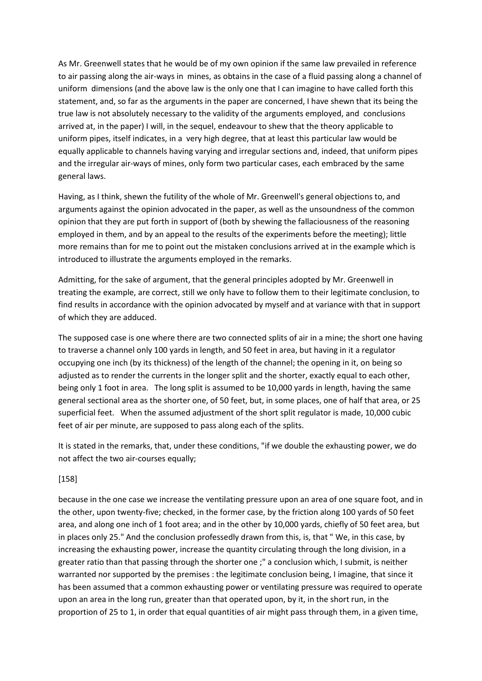As Mr. Greenwell states that he would be of my own opinion if the same law prevailed in reference to air passing along the air-ways in mines, as obtains in the case of a fluid passing along a channel of uniform dimensions (and the above law is the only one that I can imagine to have called forth this statement, and, so far as the arguments in the paper are concerned, I have shewn that its being the true law is not absolutely necessary to the validity of the arguments employed, and conclusions arrived at, in the paper) I will, in the sequel, endeavour to shew that the theory applicable to uniform pipes, itself indicates, in a very high degree, that at least this particular law would be equally applicable to channels having varying and irregular sections and, indeed, that uniform pipes and the irregular air-ways of mines, only form two particular cases, each embraced by the same general laws.

Having, as I think, shewn the futility of the whole of Mr. Greenwell's general objections to, and arguments against the opinion advocated in the paper, as well as the unsoundness of the common opinion that they are put forth in support of (both by shewing the fallaciousness of the reasoning employed in them, and by an appeal to the results of the experiments before the meeting); little more remains than for me to point out the mistaken conclusions arrived at in the example which is introduced to illustrate the arguments employed in the remarks.

Admitting, for the sake of argument, that the general principles adopted by Mr. Greenwell in treating the example, are correct, still we only have to follow them to their legitimate conclusion, to find results in accordance with the opinion advocated by myself and at variance with that in support of which they are adduced.

The supposed case is one where there are two connected splits of air in a mine; the short one having to traverse a channel only 100 yards in length, and 50 feet in area, but having in it a regulator occupying one inch (by its thickness) of the length of the channel; the opening in it, on being so adjusted as to render the currents in the longer split and the shorter, exactly equal to each other, being only 1 foot in area. The long split is assumed to be 10,000 yards in length, having the same general sectional area as the shorter one, of 50 feet, but, in some places, one of half that area, or 25 superficial feet. When the assumed adjustment of the short split regulator is made, 10,000 cubic feet of air per minute, are supposed to pass along each of the splits.

It is stated in the remarks, that, under these conditions, "if we double the exhausting power, we do not affect the two air-courses equally;

## [158]

because in the one case we increase the ventilating pressure upon an area of one square foot, and in the other, upon twenty-five; checked, in the former case, by the friction along 100 yards of 50 feet area, and along one inch of 1 foot area; and in the other by 10,000 yards, chiefly of 50 feet area, but in places only 25." And the conclusion professedly drawn from this, is, that " We, in this case, by increasing the exhausting power, increase the quantity circulating through the long division, in a greater ratio than that passing through the shorter one ;" a conclusion which, I submit, is neither warranted nor supported by the premises : the legitimate conclusion being, I imagine, that since it has been assumed that a common exhausting power or ventilating pressure was required to operate upon an area in the long run, greater than that operated upon, by it, in the short run, in the proportion of 25 to 1, in order that equal quantities of air might pass through them, in a given time,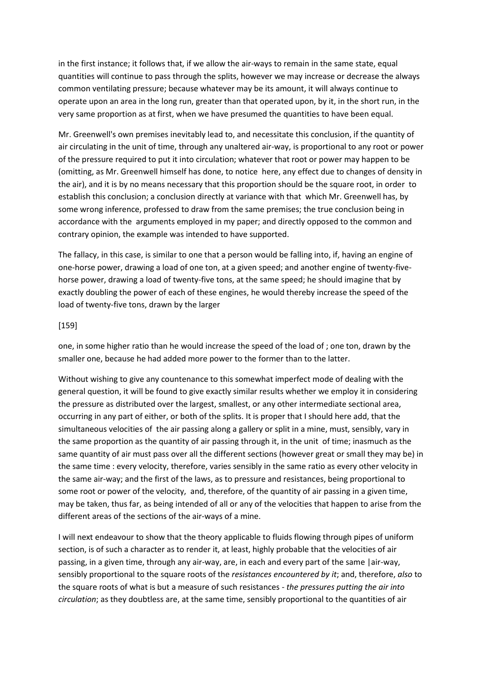in the first instance; it follows that, if we allow the air-ways to remain in the same state, equal quantities will continue to pass through the splits, however we may increase or decrease the always common ventilating pressure; because whatever may be its amount, it will always continue to operate upon an area in the long run, greater than that operated upon, by it, in the short run, in the very same proportion as at first, when we have presumed the quantities to have been equal.

Mr. Greenwell's own premises inevitably lead to, and necessitate this conclusion, if the quantity of air circulating in the unit of time, through any unaltered air-way, is proportional to any root or power of the pressure required to put it into circulation; whatever that root or power may happen to be (omitting, as Mr. Greenwell himself has done, to notice here, any effect due to changes of density in the air), and it is by no means necessary that this proportion should be the square root, in order to establish this conclusion; a conclusion directly at variance with that which Mr. Greenwell has, by some wrong inference, professed to draw from the same premises; the true conclusion being in accordance with the arguments employed in my paper; and directly opposed to the common and contrary opinion, the example was intended to have supported.

The fallacy, in this case, is similar to one that a person would be falling into, if, having an engine of one-horse power, drawing a load of one ton, at a given speed; and another engine of twenty-fivehorse power, drawing a load of twenty-five tons, at the same speed; he should imagine that by exactly doubling the power of each of these engines, he would thereby increase the speed of the load of twenty-five tons, drawn by the larger

#### [159]

one, in some higher ratio than he would increase the speed of the load of ; one ton, drawn by the smaller one, because he had added more power to the former than to the latter.

Without wishing to give any countenance to this somewhat imperfect mode of dealing with the general question, it will be found to give exactly similar results whether we employ it in considering the pressure as distributed over the largest, smallest, or any other intermediate sectional area, occurring in any part of either, or both of the splits. It is proper that I should here add, that the simultaneous velocities of the air passing along a gallery or split in a mine, must, sensibly, vary in the same proportion as the quantity of air passing through it, in the unit of time; inasmuch as the same quantity of air must pass over all the different sections (however great or small they may be) in the same time : every velocity, therefore, varies sensibly in the same ratio as every other velocity in the same air-way; and the first of the laws, as to pressure and resistances, being proportional to some root or power of the velocity, and, therefore, of the quantity of air passing in a given time, may be taken, thus far, as being intended of all or any of the velocities that happen to arise from the different areas of the sections of the air-ways of a mine.

I will next endeavour to show that the theory applicable to fluids flowing through pipes of uniform section, is of such a character as to render it, at least, highly probable that the velocities of air passing, in a given time, through any air-way, are, in each and every part of the same |air-way, sensibly proportional to the square roots of the *resistances encountered by it*; and, therefore, *also* to the square roots of what is but a measure of such resistances - *the pressures putting the air into circulation*; as they doubtless are, at the same time, sensibly proportional to the quantities of air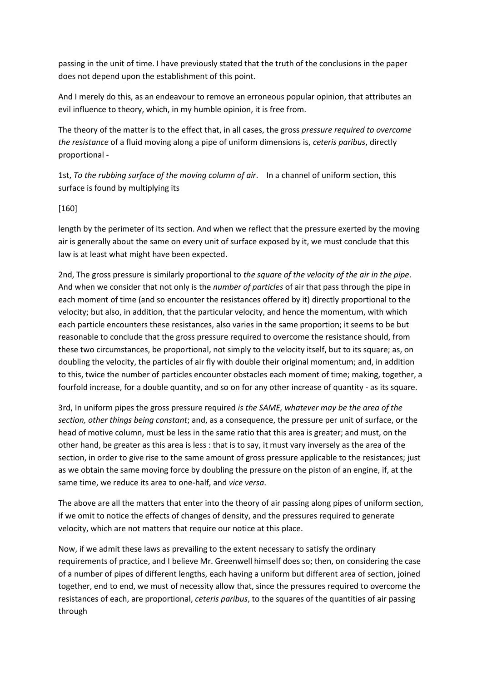passing in the unit of time. I have previously stated that the truth of the conclusions in the paper does not depend upon the establishment of this point.

And I merely do this, as an endeavour to remove an erroneous popular opinion, that attributes an evil influence to theory, which, in my humble opinion, it is free from.

The theory of the matter is to the effect that, in all cases, the gross *pressure required to overcome the resistance* of a fluid moving along a pipe of uniform dimensions is, *ceteris paribus*, directly proportional -

1st, *To the rubbing surface of the moving column of air*. In a channel of uniform section, this surface is found by multiplying its

## [160]

length by the perimeter of its section. And when we reflect that the pressure exerted by the moving air is generally about the same on every unit of surface exposed by it, we must conclude that this law is at least what might have been expected.

2nd, The gross pressure is similarly proportional to *the square of the velocity of the air in the pipe*. And when we consider that not only is the *number of particles* of air that pass through the pipe in each moment of time (and so encounter the resistances offered by it) directly proportional to the velocity; but also, in addition, that the particular velocity, and hence the momentum, with which each particle encounters these resistances, also varies in the same proportion; it seems to be but reasonable to conclude that the gross pressure required to overcome the resistance should, from these two circumstances, be proportional, not simply to the velocity itself, but to its square; as, on doubling the velocity, the particles of air fly with double their original momentum; and, in addition to this, twice the number of particles encounter obstacles each moment of time; making, together, a fourfold increase, for a double quantity, and so on for any other increase of quantity - as its square.

3rd, In uniform pipes the gross pressure required *is the SAME, whatever may be the area of the section, other things being constant*; and, as a consequence, the pressure per unit of surface, or the head of motive column, must be less in the same ratio that this area is greater; and must, on the other hand, be greater as this area is less : that is to say, it must vary inversely as the area of the section, in order to give rise to the same amount of gross pressure applicable to the resistances; just as we obtain the same moving force by doubling the pressure on the piston of an engine, if, at the same time, we reduce its area to one-half, and *vice versa*.

The above are all the matters that enter into the theory of air passing along pipes of uniform section, if we omit to notice the effects of changes of density, and the pressures required to generate velocity, which are not matters that require our notice at this place.

Now, if we admit these laws as prevailing to the extent necessary to satisfy the ordinary requirements of practice, and I believe Mr. Greenwell himself does so; then, on considering the case of a number of pipes of different lengths, each having a uniform but different area of section, joined together, end to end, we must of necessity allow that, since the pressures required to overcome the resistances of each, are proportional, *ceteris paribus*, to the squares of the quantities of air passing through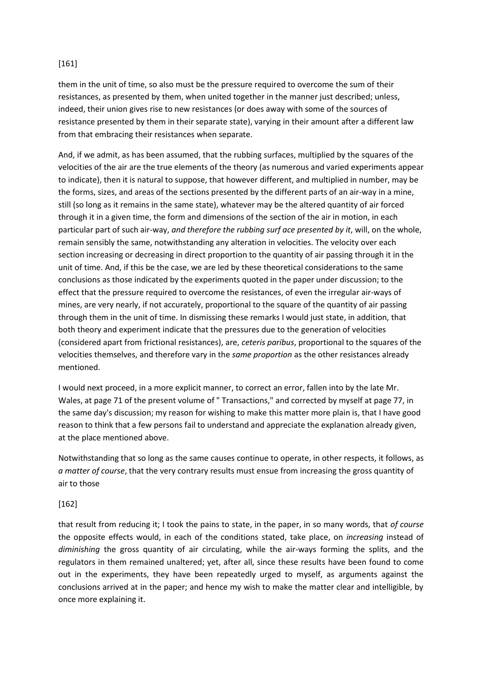## [161]

them in the unit of time, so also must be the pressure required to overcome the sum of their resistances, as presented by them, when united together in the manner just described; unless, indeed, their union gives rise to new resistances (or does away with some of the sources of resistance presented by them in their separate state), varying in their amount after a different law from that embracing their resistances when separate.

And, if we admit, as has been assumed, that the rubbing surfaces, multiplied by the squares of the velocities of the air are the true elements of the theory (as numerous and varied experiments appear to indicate), then it is natural to suppose, that however different, and multiplied in number, may be the forms, sizes, and areas of the sections presented by the different parts of an air-way in a mine, still (so long as it remains in the same state), whatever may be the altered quantity of air forced through it in a given time, the form and dimensions of the section of the air in motion, in each particular part of such air-way, *and therefore the rubbing surf ace presented by it*, will, on the whole, remain sensibly the same, notwithstanding any alteration in velocities. The velocity over each section increasing or decreasing in direct proportion to the quantity of air passing through it in the unit of time. And, if this be the case, we are led by these theoretical considerations to the same conclusions as those indicated by the experiments quoted in the paper under discussion; to the effect that the pressure required to overcome the resistances, of even the irregular air-ways of mines, are very nearly, if not accurately, proportional to the square of the quantity of air passing through them in the unit of time. In dismissing these remarks I would just state, in addition, that both theory and experiment indicate that the pressures due to the generation of velocities (considered apart from frictional resistances), are, *ceteris paribus*, proportional to the squares of the velocities themselves, and therefore vary in the *same proportion* as the other resistances already mentioned.

I would next proceed, in a more explicit manner, to correct an error, fallen into by the late Mr. Wales, at page 71 of the present volume of " Transactions," and corrected by myself at page 77, in the same day's discussion; my reason for wishing to make this matter more plain is, that I have good reason to think that a few persons fail to understand and appreciate the explanation already given, at the place mentioned above.

Notwithstanding that so long as the same causes continue to operate, in other respects, it follows, as *a matter of course*, that the very contrary results must ensue from increasing the gross quantity of air to those

## [162]

that result from reducing it; I took the pains to state, in the paper, in so many words, that *of course* the opposite effects would, in each of the conditions stated, take place, on *increasing* instead of *diminishing* the gross quantity of air circulating, while the air-ways forming the splits, and the regulators in them remained unaltered; yet, after all, since these results have been found to come out in the experiments, they have been repeatedly urged to myself, as arguments against the conclusions arrived at in the paper; and hence my wish to make the matter clear and intelligible, by once more explaining it.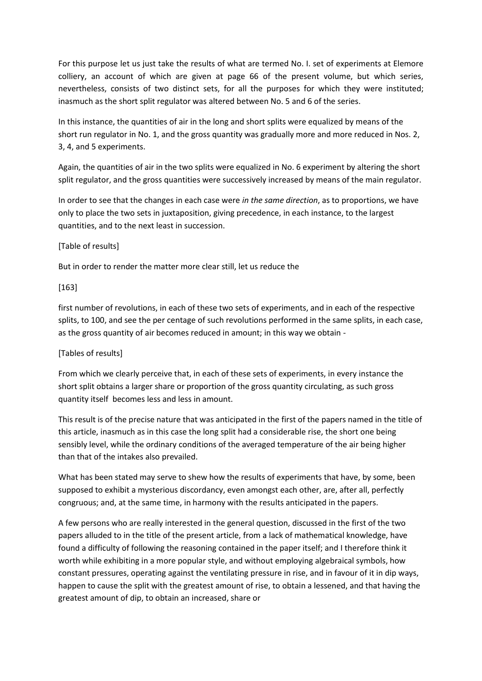For this purpose let us just take the results of what are termed No. I. set of experiments at Elemore colliery, an account of which are given at page 66 of the present volume, but which series, nevertheless, consists of two distinct sets, for all the purposes for which they were instituted; inasmuch as the short split regulator was altered between No. 5 and 6 of the series.

In this instance, the quantities of air in the long and short splits were equalized by means of the short run regulator in No. 1, and the gross quantity was gradually more and more reduced in Nos. 2, 3, 4, and 5 experiments.

Again, the quantities of air in the two splits were equalized in No. 6 experiment by altering the short split regulator, and the gross quantities were successively increased by means of the main regulator.

In order to see that the changes in each case were *in the same direction*, as to proportions, we have only to place the two sets in juxtaposition, giving precedence, in each instance, to the largest quantities, and to the next least in succession.

## [Table of results]

But in order to render the matter more clear still, let us reduce the

#### [163]

first number of revolutions, in each of these two sets of experiments, and in each of the respective splits, to 100, and see the per centage of such revolutions performed in the same splits, in each case, as the gross quantity of air becomes reduced in amount; in this way we obtain -

## [Tables of results]

From which we clearly perceive that, in each of these sets of experiments, in every instance the short split obtains a larger share or proportion of the gross quantity circulating, as such gross quantity itself becomes less and less in amount.

This result is of the precise nature that was anticipated in the first of the papers named in the title of this article, inasmuch as in this case the long split had a considerable rise, the short one being sensibly level, while the ordinary conditions of the averaged temperature of the air being higher than that of the intakes also prevailed.

What has been stated may serve to shew how the results of experiments that have, by some, been supposed to exhibit a mysterious discordancy, even amongst each other, are, after all, perfectly congruous; and, at the same time, in harmony with the results anticipated in the papers.

A few persons who are really interested in the general question, discussed in the first of the two papers alluded to in the title of the present article, from a lack of mathematical knowledge, have found a difficulty of following the reasoning contained in the paper itself; and I therefore think it worth while exhibiting in a more popular style, and without employing algebraical symbols, how constant pressures, operating against the ventilating pressure in rise, and in favour of it in dip ways, happen to cause the split with the greatest amount of rise, to obtain a lessened, and that having the greatest amount of dip, to obtain an increased, share or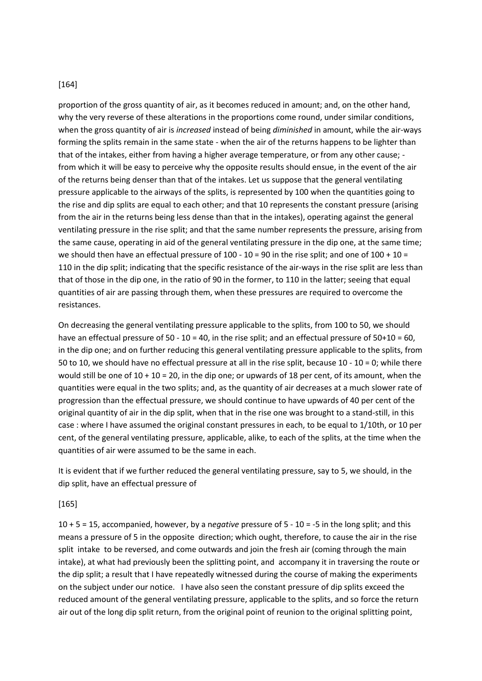#### [164]

proportion of the gross quantity of air, as it becomes reduced in amount; and, on the other hand, why the very reverse of these alterations in the proportions come round, under similar conditions, when the gross quantity of air is *increased* instead of being *diminished* in amount, while the air-ways forming the splits remain in the same state - when the air of the returns happens to be lighter than that of the intakes, either from having a higher average temperature, or from any other cause; from which it will be easy to perceive why the opposite results should ensue, in the event of the air of the returns being denser than that of the intakes. Let us suppose that the general ventilating pressure applicable to the airways of the splits, is represented by 100 when the quantities going to the rise and dip splits are equal to each other; and that 10 represents the constant pressure (arising from the air in the returns being less dense than that in the intakes), operating against the general ventilating pressure in the rise split; and that the same number represents the pressure, arising from the same cause, operating in aid of the general ventilating pressure in the dip one, at the same time; we should then have an effectual pressure of  $100 - 10 = 90$  in the rise split; and one of  $100 + 10 = 100$ 110 in the dip split; indicating that the specific resistance of the air-ways in the rise split are less than that of those in the dip one, in the ratio of 90 in the former, to 110 in the latter; seeing that equal quantities of air are passing through them, when these pressures are required to overcome the resistances.

On decreasing the general ventilating pressure applicable to the splits, from 100 to 50, we should have an effectual pressure of 50 - 10 = 40, in the rise split; and an effectual pressure of 50+10 = 60, in the dip one; and on further reducing this general ventilating pressure applicable to the splits, from 50 to 10, we should have no effectual pressure at all in the rise split, because 10 - 10 = 0; while there would still be one of 10 + 10 = 20, in the dip one; or upwards of 18 per cent, of its amount, when the quantities were equal in the two splits; and, as the quantity of air decreases at a much slower rate of progression than the effectual pressure, we should continue to have upwards of 40 per cent of the original quantity of air in the dip split, when that in the rise one was brought to a stand-still, in this case : where I have assumed the original constant pressures in each, to be equal to 1/10th, or 10 per cent, of the general ventilating pressure, applicable, alike, to each of the splits, at the time when the quantities of air were assumed to be the same in each.

It is evident that if we further reduced the general ventilating pressure, say to 5, we should, in the dip split, have an effectual pressure of

#### [165]

10 + 5 = 15, accompanied, however, by a n*egative* pressure of 5 - 10 = -5 in the long split; and this means a pressure of 5 in the opposite direction; which ought, therefore, to cause the air in the rise split intake to be reversed, and come outwards and join the fresh air (coming through the main intake), at what had previously been the splitting point, and accompany it in traversing the route or the dip split; a result that I have repeatedly witnessed during the course of making the experiments on the subject under our notice. I have also seen the constant pressure of dip splits exceed the reduced amount of the general ventilating pressure, applicable to the splits, and so force the return air out of the long dip split return, from the original point of reunion to the original splitting point,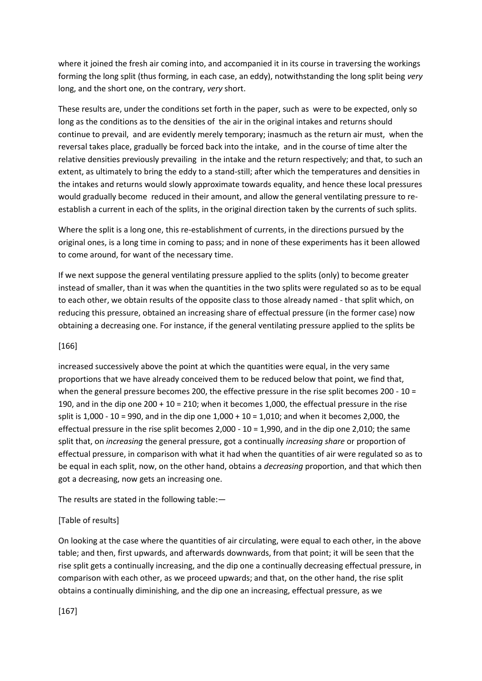where it joined the fresh air coming into, and accompanied it in its course in traversing the workings forming the long split (thus forming, in each case, an eddy), notwithstanding the long split being *very* long, and the short one, on the contrary, *very* short.

These results are, under the conditions set forth in the paper, such as were to be expected, only so long as the conditions as to the densities of the air in the original intakes and returns should continue to prevail, and are evidently merely temporary; inasmuch as the return air must, when the reversal takes place, gradually be forced back into the intake, and in the course of time alter the relative densities previously prevailing in the intake and the return respectively; and that, to such an extent, as ultimately to bring the eddy to a stand-still; after which the temperatures and densities in the intakes and returns would slowly approximate towards equality, and hence these local pressures would gradually become reduced in their amount, and allow the general ventilating pressure to reestablish a current in each of the splits, in the original direction taken by the currents of such splits.

Where the split is a long one, this re-establishment of currents, in the directions pursued by the original ones, is a long time in coming to pass; and in none of these experiments has it been allowed to come around, for want of the necessary time.

If we next suppose the general ventilating pressure applied to the splits (only) to become greater instead of smaller, than it was when the quantities in the two splits were regulated so as to be equal to each other, we obtain results of the opposite class to those already named - that split which, on reducing this pressure, obtained an increasing share of effectual pressure (in the former case) now obtaining a decreasing one. For instance, if the general ventilating pressure applied to the splits be

## [166]

increased successively above the point at which the quantities were equal, in the very same proportions that we have already conceived them to be reduced below that point, we find that, when the general pressure becomes 200, the effective pressure in the rise split becomes 200 - 10 = 190, and in the dip one  $200 + 10 = 210$ ; when it becomes 1,000, the effectual pressure in the rise split is 1,000 - 10 = 990, and in the dip one 1,000 + 10 = 1,010; and when it becomes 2,000, the effectual pressure in the rise split becomes 2,000 - 10 = 1,990, and in the dip one 2,010; the same split that, on *increasing* the general pressure, got a continually *increasing share* or proportion of effectual pressure, in comparison with what it had when the quantities of air were regulated so as to be equal in each split, now, on the other hand, obtains a *decreasing* proportion, and that which then got a decreasing, now gets an increasing one.

The results are stated in the following table:—

## [Table of results]

On looking at the case where the quantities of air circulating, were equal to each other, in the above table; and then, first upwards, and afterwards downwards, from that point; it will be seen that the rise split gets a continually increasing, and the dip one a continually decreasing effectual pressure, in comparison with each other, as we proceed upwards; and that, on the other hand, the rise split obtains a continually diminishing, and the dip one an increasing, effectual pressure, as we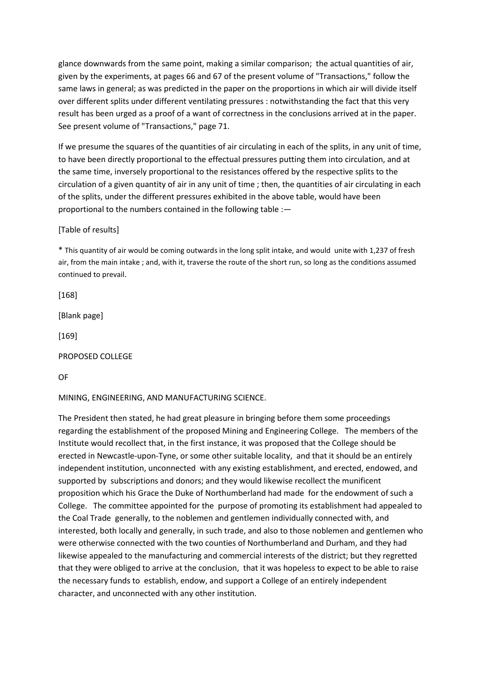glance downwards from the same point, making a similar comparison; the actual quantities of air, given by the experiments, at pages 66 and 67 of the present volume of "Transactions," follow the same laws in general; as was predicted in the paper on the proportions in which air will divide itself over different splits under different ventilating pressures : notwithstanding the fact that this very result has been urged as a proof of a want of correctness in the conclusions arrived at in the paper. See present volume of "Transactions," page 71.

If we presume the squares of the quantities of air circulating in each of the splits, in any unit of time, to have been directly proportional to the effectual pressures putting them into circulation, and at the same time, inversely proportional to the resistances offered by the respective splits to the circulation of a given quantity of air in any unit of time ; then, the quantities of air circulating in each of the splits, under the different pressures exhibited in the above table, would have been proportional to the numbers contained in the following table :—

[Table of results]

\* This quantity of air would be coming outwards in the long split intake, and would unite with 1,237 of fresh air, from the main intake ; and, with it, traverse the route of the short run, so long as the conditions assumed continued to prevail.

[168]

[Blank page]

[169]

PROPOSED COLLEGE

OF

MINING, ENGINEERING, AND MANUFACTURING SCIENCE.

The President then stated, he had great pleasure in bringing before them some proceedings regarding the establishment of the proposed Mining and Engineering College. The members of the Institute would recollect that, in the first instance, it was proposed that the College should be erected in Newcastle-upon-Tyne, or some other suitable locality, and that it should be an entirely independent institution, unconnected with any existing establishment, and erected, endowed, and supported by subscriptions and donors; and they would likewise recollect the munificent proposition which his Grace the Duke of Northumberland had made for the endowment of such a College. The committee appointed for the purpose of promoting its establishment had appealed to the Coal Trade generally, to the noblemen and gentlemen individually connected with, and interested, both locally and generally, in such trade, and also to those noblemen and gentlemen who were otherwise connected with the two counties of Northumberland and Durham, and they had likewise appealed to the manufacturing and commercial interests of the district; but they regretted that they were obliged to arrive at the conclusion, that it was hopeless to expect to be able to raise the necessary funds to establish, endow, and support a College of an entirely independent character, and unconnected with any other institution.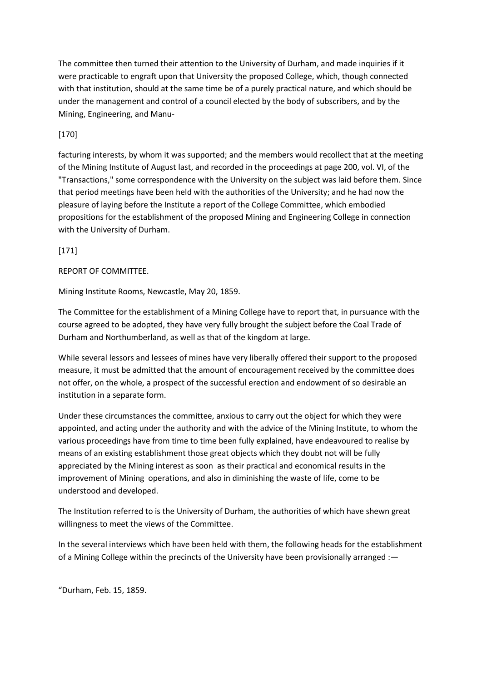The committee then turned their attention to the University of Durham, and made inquiries if it were practicable to engraft upon that University the proposed College, which, though connected with that institution, should at the same time be of a purely practical nature, and which should be under the management and control of a council elected by the body of subscribers, and by the Mining, Engineering, and Manu-

# [170]

facturing interests, by whom it was supported; and the members would recollect that at the meeting of the Mining Institute of August last, and recorded in the proceedings at page 200, vol. VI, of the "Transactions," some correspondence with the University on the subject was laid before them. Since that period meetings have been held with the authorities of the University; and he had now the pleasure of laying before the Institute a report of the College Committee, which embodied propositions for the establishment of the proposed Mining and Engineering College in connection with the University of Durham.

[171]

REPORT OF COMMITTEE.

Mining Institute Rooms, Newcastle, May 20, 1859.

The Committee for the establishment of a Mining College have to report that, in pursuance with the course agreed to be adopted, they have very fully brought the subject before the Coal Trade of Durham and Northumberland, as well as that of the kingdom at large.

While several lessors and lessees of mines have very liberally offered their support to the proposed measure, it must be admitted that the amount of encouragement received by the committee does not offer, on the whole, a prospect of the successful erection and endowment of so desirable an institution in a separate form.

Under these circumstances the committee, anxious to carry out the object for which they were appointed, and acting under the authority and with the advice of the Mining Institute, to whom the various proceedings have from time to time been fully explained, have endeavoured to realise by means of an existing establishment those great objects which they doubt not will be fully appreciated by the Mining interest as soon as their practical and economical results in the improvement of Mining operations, and also in diminishing the waste of life, come to be understood and developed.

The Institution referred to is the University of Durham, the authorities of which have shewn great willingness to meet the views of the Committee.

In the several interviews which have been held with them, the following heads for the establishment of a Mining College within the precincts of the University have been provisionally arranged : —

"Durham, Feb. 15, 1859.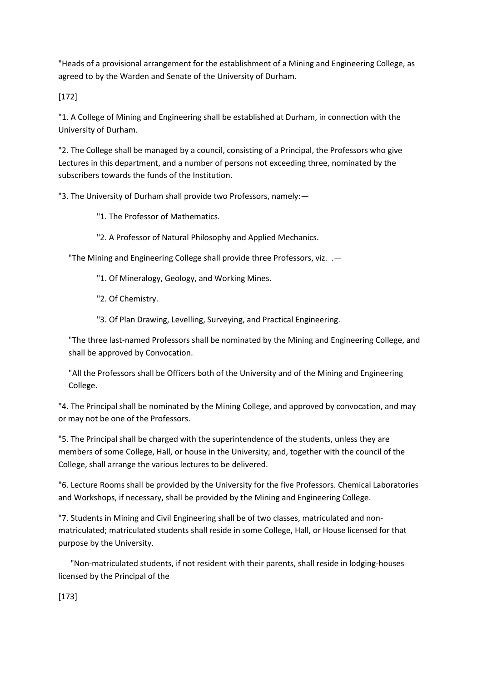"Heads of a provisional arrangement for the establishment of a Mining and Engineering College, as agreed to by the Warden and Senate of the University of Durham.

[172]

"1. A College of Mining and Engineering shall be established at Durham, in connection with the University of Durham.

"2. The College shall be managed by a council, consisting of a Principal, the Professors who give Lectures in this department, and a number of persons not exceeding three, nominated by the subscribers towards the funds of the Institution.

"3. The University of Durham shall provide two Professors, namely:—

"1. The Professor of Mathematics.

"2. A Professor of Natural Philosophy and Applied Mechanics.

"The Mining and Engineering College shall provide three Professors, viz. .—

"1. Of Mineralogy, Geology, and Working Mines.

"2. Of Chemistry.

"3. Of Plan Drawing, Levelling, Surveying, and Practical Engineering.

"The three last-named Professors shall be nominated by the Mining and Engineering College, and shall be approved by Convocation.

"All the Professors shall be Officers both of the University and of the Mining and Engineering College.

"4. The Principal shall be nominated by the Mining College, and approved by convocation, and may or may not be one of the Professors.

"5. The Principal shall be charged with the superintendence of the students, unless they are members of some College, Hall, or house in the University; and, together with the council of the College, shall arrange the various lectures to be delivered.

"6. Lecture Rooms shall be provided by the University for the five Professors. Chemical Laboratories and Workshops, if necessary, shall be provided by the Mining and Engineering College.

"7. Students in Mining and Civil Engineering shall be of two classes, matriculated and nonmatriculated; matriculated students shall reside in some College, Hall, or House licensed for that purpose by the University.

 "Non-matriculated students, if not resident with their parents, shall reside in lodging-houses licensed by the Principal of the

[173]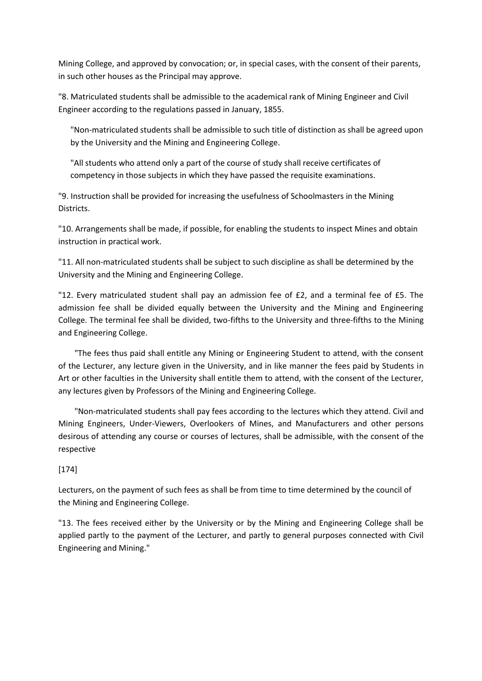Mining College, and approved by convocation; or, in special cases, with the consent of their parents, in such other houses as the Principal may approve.

"8. Matriculated students shall be admissible to the academical rank of Mining Engineer and Civil Engineer according to the regulations passed in January, 1855.

"Non-matriculated students shall be admissible to such title of distinction as shall be agreed upon by the University and the Mining and Engineering College.

"All students who attend only a part of the course of study shall receive certificates of competency in those subjects in which they have passed the requisite examinations.

"9. Instruction shall be provided for increasing the usefulness of Schoolmasters in the Mining Districts.

"10. Arrangements shall be made, if possible, for enabling the students to inspect Mines and obtain instruction in practical work.

"11. All non-matriculated students shall be subject to such discipline as shall be determined by the University and the Mining and Engineering College.

"12. Every matriculated student shall pay an admission fee of £2, and a terminal fee of £5. The admission fee shall be divided equally between the University and the Mining and Engineering College. The terminal fee shall be divided, two-fifths to the University and three-fifths to the Mining and Engineering College.

 "The fees thus paid shall entitle any Mining or Engineering Student to attend, with the consent of the Lecturer, any lecture given in the University, and in like manner the fees paid by Students in Art or other faculties in the University shall entitle them to attend, with the consent of the Lecturer, any lectures given by Professors of the Mining and Engineering College.

 "Non-matriculated students shall pay fees according to the lectures which they attend. Civil and Mining Engineers, Under-Viewers, Overlookers of Mines, and Manufacturers and other persons desirous of attending any course or courses of lectures, shall be admissible, with the consent of the respective

## [174]

Lecturers, on the payment of such fees as shall be from time to time determined by the council of the Mining and Engineering College.

"13. The fees received either by the University or by the Mining and Engineering College shall be applied partly to the payment of the Lecturer, and partly to general purposes connected with Civil Engineering and Mining."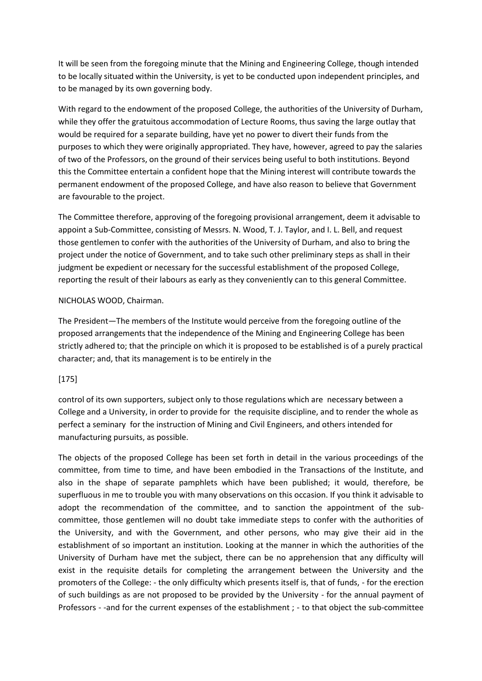It will be seen from the foregoing minute that the Mining and Engineering College, though intended to be locally situated within the University, is yet to be conducted upon independent principles, and to be managed by its own governing body.

With regard to the endowment of the proposed College, the authorities of the University of Durham, while they offer the gratuitous accommodation of Lecture Rooms, thus saving the large outlay that would be required for a separate building, have yet no power to divert their funds from the purposes to which they were originally appropriated. They have, however, agreed to pay the salaries of two of the Professors, on the ground of their services being useful to both institutions. Beyond this the Committee entertain a confident hope that the Mining interest will contribute towards the permanent endowment of the proposed College, and have also reason to believe that Government are favourable to the project.

The Committee therefore, approving of the foregoing provisional arrangement, deem it advisable to appoint a Sub-Committee, consisting of Messrs. N. Wood, T. J. Taylor, and I. L. Bell, and request those gentlemen to confer with the authorities of the University of Durham, and also to bring the project under the notice of Government, and to take such other preliminary steps as shall in their judgment be expedient or necessary for the successful establishment of the proposed College, reporting the result of their labours as early as they conveniently can to this general Committee.

#### NICHOLAS WOOD, Chairman.

The President—The members of the Institute would perceive from the foregoing outline of the proposed arrangements that the independence of the Mining and Engineering College has been strictly adhered to; that the principle on which it is proposed to be established is of a purely practical character; and, that its management is to be entirely in the

## [175]

control of its own supporters, subject only to those regulations which are necessary between a College and a University, in order to provide for the requisite discipline, and to render the whole as perfect a seminary for the instruction of Mining and Civil Engineers, and others intended for manufacturing pursuits, as possible.

The objects of the proposed College has been set forth in detail in the various proceedings of the committee, from time to time, and have been embodied in the Transactions of the Institute, and also in the shape of separate pamphlets which have been published; it would, therefore, be superfluous in me to trouble you with many observations on this occasion. If you think it advisable to adopt the recommendation of the committee, and to sanction the appointment of the subcommittee, those gentlemen will no doubt take immediate steps to confer with the authorities of the University, and with the Government, and other persons, who may give their aid in the establishment of so important an institution. Looking at the manner in which the authorities of the University of Durham have met the subject, there can be no apprehension that any difficulty will exist in the requisite details for completing the arrangement between the University and the promoters of the College: - the only difficulty which presents itself is, that of funds, - for the erection of such buildings as are not proposed to be provided by the University - for the annual payment of Professors - -and for the current expenses of the establishment ; - to that object the sub-committee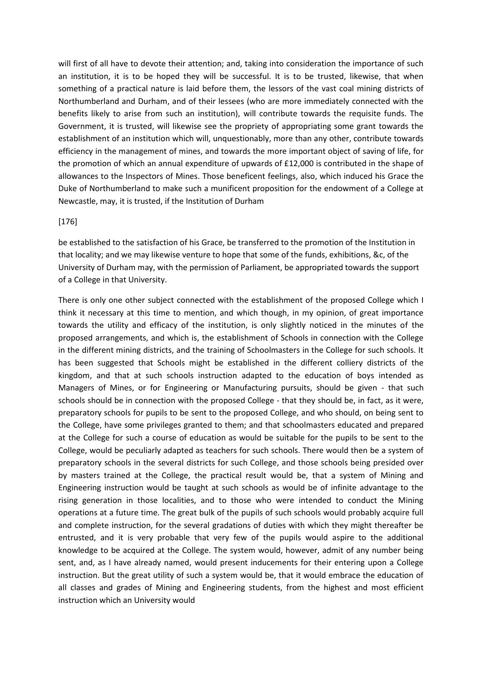will first of all have to devote their attention; and, taking into consideration the importance of such an institution, it is to be hoped they will be successful. It is to be trusted, likewise, that when something of a practical nature is laid before them, the lessors of the vast coal mining districts of Northumberland and Durham, and of their lessees (who are more immediately connected with the benefits likely to arise from such an institution), will contribute towards the requisite funds. The Government, it is trusted, will likewise see the propriety of appropriating some grant towards the establishment of an institution which will, unquestionably, more than any other, contribute towards efficiency in the management of mines, and towards the more important object of saving of life, for the promotion of which an annual expenditure of upwards of £12,000 is contributed in the shape of allowances to the Inspectors of Mines. Those beneficent feelings, also, which induced his Grace the Duke of Northumberland to make such a munificent proposition for the endowment of a College at Newcastle, may, it is trusted, if the Institution of Durham

#### [176]

be established to the satisfaction of his Grace, be transferred to the promotion of the Institution in that locality; and we may likewise venture to hope that some of the funds, exhibitions, &c, of the University of Durham may, with the permission of Parliament, be appropriated towards the support of a College in that University.

There is only one other subject connected with the establishment of the proposed College which I think it necessary at this time to mention, and which though, in my opinion, of great importance towards the utility and efficacy of the institution, is only slightly noticed in the minutes of the proposed arrangements, and which is, the establishment of Schools in connection with the College in the different mining districts, and the training of Schoolmasters in the College for such schools. It has been suggested that Schools might be established in the different colliery districts of the kingdom, and that at such schools instruction adapted to the education of boys intended as Managers of Mines, or for Engineering or Manufacturing pursuits, should be given - that such schools should be in connection with the proposed College - that they should be, in fact, as it were, preparatory schools for pupils to be sent to the proposed College, and who should, on being sent to the College, have some privileges granted to them; and that schoolmasters educated and prepared at the College for such a course of education as would be suitable for the pupils to be sent to the College, would be peculiarly adapted as teachers for such schools. There would then be a system of preparatory schools in the several districts for such College, and those schools being presided over by masters trained at the College, the practical result would be, that a system of Mining and Engineering instruction would be taught at such schools as would be of infinite advantage to the rising generation in those localities, and to those who were intended to conduct the Mining operations at a future time. The great bulk of the pupils of such schools would probably acquire full and complete instruction, for the several gradations of duties with which they might thereafter be entrusted, and it is very probable that very few of the pupils would aspire to the additional knowledge to be acquired at the College. The system would, however, admit of any number being sent, and, as I have already named, would present inducements for their entering upon a College instruction. But the great utility of such a system would be, that it would embrace the education of all classes and grades of Mining and Engineering students, from the highest and most efficient instruction which an University would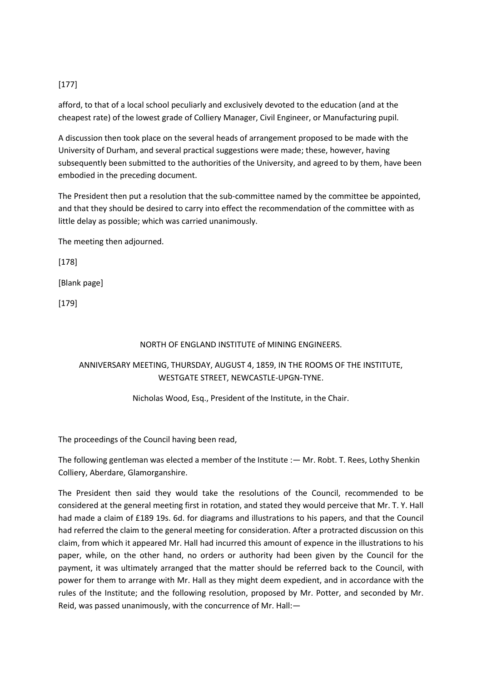# [177]

afford, to that of a local school peculiarly and exclusively devoted to the education (and at the cheapest rate) of the lowest grade of Colliery Manager, Civil Engineer, or Manufacturing pupil.

A discussion then took place on the several heads of arrangement proposed to be made with the University of Durham, and several practical suggestions were made; these, however, having subsequently been submitted to the authorities of the University, and agreed to by them, have been embodied in the preceding document.

The President then put a resolution that the sub-committee named by the committee be appointed, and that they should be desired to carry into effect the recommendation of the committee with as little delay as possible; which was carried unanimously.

The meeting then adjourned.

[178]

[Blank page]

[179]

#### NORTH OF ENGLAND INSTITUTE of MINING ENGINEERS.

# ANNIVERSARY MEETING, THURSDAY, AUGUST 4, 1859, IN THE ROOMS OF THE INSTITUTE, WESTGATE STREET, NEWCASTLE-UPGN-TYNE.

#### Nicholas Wood, Esq., President of the Institute, in the Chair.

The proceedings of the Council having been read,

The following gentleman was elected a member of the Institute :— Mr. Robt. T. Rees, Lothy Shenkin Colliery, Aberdare, Glamorganshire.

The President then said they would take the resolutions of the Council, recommended to be considered at the general meeting first in rotation, and stated they would perceive that Mr. T. Y. Hall had made a claim of £189 19s. 6d. for diagrams and illustrations to his papers, and that the Council had referred the claim to the general meeting for consideration. After a protracted discussion on this claim, from which it appeared Mr. Hall had incurred this amount of expence in the illustrations to his paper, while, on the other hand, no orders or authority had been given by the Council for the payment, it was ultimately arranged that the matter should be referred back to the Council, with power for them to arrange with Mr. Hall as they might deem expedient, and in accordance with the rules of the Institute; and the following resolution, proposed by Mr. Potter, and seconded by Mr. Reid, was passed unanimously, with the concurrence of Mr. Hall:—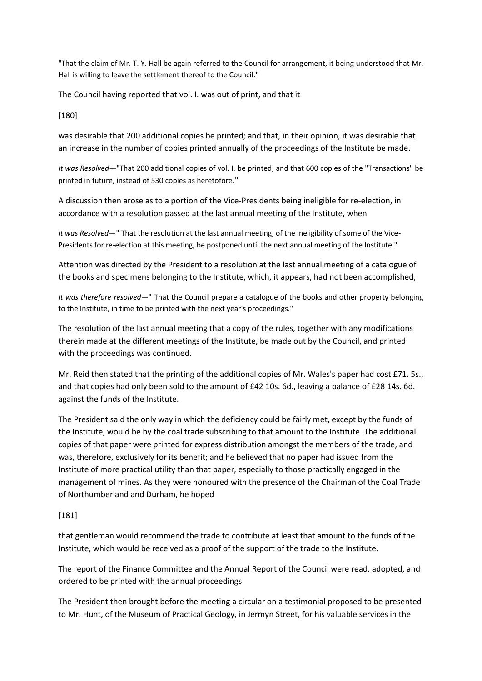"That the claim of Mr. T. Y. Hall be again referred to the Council for arrangement, it being understood that Mr. Hall is willing to leave the settlement thereof to the Council."

The Council having reported that vol. I. was out of print, and that it

[180]

was desirable that 200 additional copies be printed; and that, in their opinion, it was desirable that an increase in the number of copies printed annually of the proceedings of the Institute be made.

*It was Resolved*—"That 200 additional copies of vol. I. be printed; and that 600 copies of the "Transactions" be printed in future, instead of 530 copies as heretofore."

A discussion then arose as to a portion of the Vice-Presidents being ineligible for re-election, in accordance with a resolution passed at the last annual meeting of the Institute, when

*It was Resolved*—" That the resolution at the last annual meeting, of the ineligibility of some of the Vice-Presidents for re-election at this meeting, be postponed until the next annual meeting of the Institute."

Attention was directed by the President to a resolution at the last annual meeting of a catalogue of the books and specimens belonging to the Institute, which, it appears, had not been accomplished,

*It was therefore resolved*—" That the Council prepare a catalogue of the books and other property belonging to the Institute, in time to be printed with the next year's proceedings."

The resolution of the last annual meeting that a copy of the rules, together with any modifications therein made at the different meetings of the Institute, be made out by the Council, and printed with the proceedings was continued.

Mr. Reid then stated that the printing of the additional copies of Mr. Wales's paper had cost £71. 5s., and that copies had only been sold to the amount of £42 10s. 6d., leaving a balance of £28 14s. 6d. against the funds of the Institute.

The President said the only way in which the deficiency could be fairly met, except by the funds of the Institute, would be by the coal trade subscribing to that amount to the Institute. The additional copies of that paper were printed for express distribution amongst the members of the trade, and was, therefore, exclusively for its benefit; and he believed that no paper had issued from the Institute of more practical utility than that paper, especially to those practically engaged in the management of mines. As they were honoured with the presence of the Chairman of the Coal Trade of Northumberland and Durham, he hoped

## [181]

that gentleman would recommend the trade to contribute at least that amount to the funds of the Institute, which would be received as a proof of the support of the trade to the Institute.

The report of the Finance Committee and the Annual Report of the Council were read, adopted, and ordered to be printed with the annual proceedings.

The President then brought before the meeting a circular on a testimonial proposed to be presented to Mr. Hunt, of the Museum of Practical Geology, in Jermyn Street, for his valuable services in the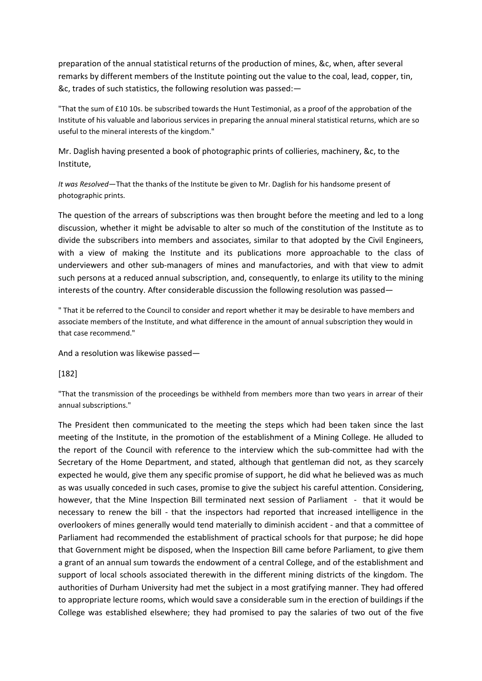preparation of the annual statistical returns of the production of mines, &c, when, after several remarks by different members of the Institute pointing out the value to the coal, lead, copper, tin, &c, trades of such statistics, the following resolution was passed:—

"That the sum of £10 10s. be subscribed towards the Hunt Testimonial, as a proof of the approbation of the Institute of his valuable and laborious services in preparing the annual mineral statistical returns, which are so useful to the mineral interests of the kingdom."

Mr. Daglish having presented a book of photographic prints of collieries, machinery, &c, to the Institute,

*It was Resolved*—That the thanks of the Institute be given to Mr. Daglish for his handsome present of photographic prints.

The question of the arrears of subscriptions was then brought before the meeting and led to a long discussion, whether it might be advisable to alter so much of the constitution of the Institute as to divide the subscribers into members and associates, similar to that adopted by the Civil Engineers, with a view of making the Institute and its publications more approachable to the class of underviewers and other sub-managers of mines and manufactories, and with that view to admit such persons at a reduced annual subscription, and, consequently, to enlarge its utility to the mining interests of the country. After considerable discussion the following resolution was passed—

" That it be referred to the Council to consider and report whether it may be desirable to have members and associate members of the Institute, and what difference in the amount of annual subscription they would in that case recommend."

And a resolution was likewise passed—

### [182]

"That the transmission of the proceedings be withheld from members more than two years in arrear of their annual subscriptions."

The President then communicated to the meeting the steps which had been taken since the last meeting of the Institute, in the promotion of the establishment of a Mining College. He alluded to the report of the Council with reference to the interview which the sub-committee had with the Secretary of the Home Department, and stated, although that gentleman did not, as they scarcely expected he would, give them any specific promise of support, he did what he believed was as much as was usually conceded in such cases, promise to give the subject his careful attention. Considering, however, that the Mine Inspection Bill terminated next session of Parliament - that it would be necessary to renew the bill - that the inspectors had reported that increased intelligence in the overlookers of mines generally would tend materially to diminish accident - and that a committee of Parliament had recommended the establishment of practical schools for that purpose; he did hope that Government might be disposed, when the Inspection Bill came before Parliament, to give them a grant of an annual sum towards the endowment of a central College, and of the establishment and support of local schools associated therewith in the different mining districts of the kingdom. The authorities of Durham University had met the subject in a most gratifying manner. They had offered to appropriate lecture rooms, which would save a considerable sum in the erection of buildings if the College was established elsewhere; they had promised to pay the salaries of two out of the five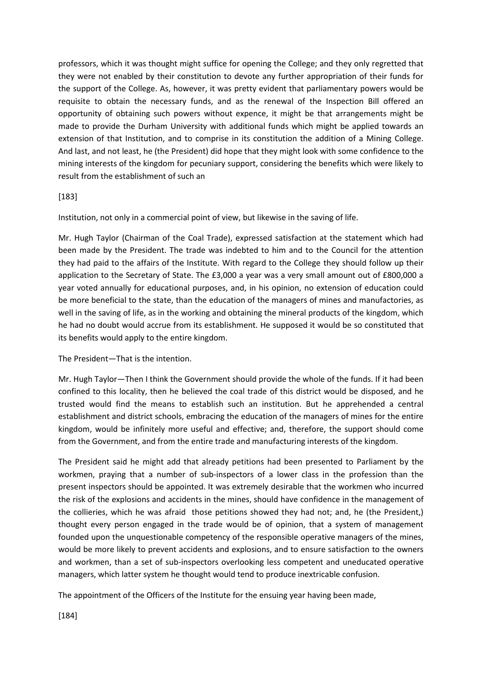professors, which it was thought might suffice for opening the College; and they only regretted that they were not enabled by their constitution to devote any further appropriation of their funds for the support of the College. As, however, it was pretty evident that parliamentary powers would be requisite to obtain the necessary funds, and as the renewal of the Inspection Bill offered an opportunity of obtaining such powers without expence, it might be that arrangements might be made to provide the Durham University with additional funds which might be applied towards an extension of that Institution, and to comprise in its constitution the addition of a Mining College. And last, and not least, he (the President) did hope that they might look with some confidence to the mining interests of the kingdom for pecuniary support, considering the benefits which were likely to result from the establishment of such an

### [183]

Institution, not only in a commercial point of view, but likewise in the saving of life.

Mr. Hugh Taylor (Chairman of the Coal Trade), expressed satisfaction at the statement which had been made by the President. The trade was indebted to him and to the Council for the attention they had paid to the affairs of the Institute. With regard to the College they should follow up their application to the Secretary of State. The £3,000 a year was a very small amount out of £800,000 a year voted annually for educational purposes, and, in his opinion, no extension of education could be more beneficial to the state, than the education of the managers of mines and manufactories, as well in the saving of life, as in the working and obtaining the mineral products of the kingdom, which he had no doubt would accrue from its establishment. He supposed it would be so constituted that its benefits would apply to the entire kingdom.

### The President—That is the intention.

Mr. Hugh Taylor—Then I think the Government should provide the whole of the funds. If it had been confined to this locality, then he believed the coal trade of this district would be disposed, and he trusted would find the means to establish such an institution. But he apprehended a central establishment and district schools, embracing the education of the managers of mines for the entire kingdom, would be infinitely more useful and effective; and, therefore, the support should come from the Government, and from the entire trade and manufacturing interests of the kingdom.

The President said he might add that already petitions had been presented to Parliament by the workmen, praying that a number of sub-inspectors of a lower class in the profession than the present inspectors should be appointed. It was extremely desirable that the workmen who incurred the risk of the explosions and accidents in the mines, should have confidence in the management of the collieries, which he was afraid those petitions showed they had not; and, he (the President,) thought every person engaged in the trade would be of opinion, that a system of management founded upon the unquestionable competency of the responsible operative managers of the mines, would be more likely to prevent accidents and explosions, and to ensure satisfaction to the owners and workmen, than a set of sub-inspectors overlooking less competent and uneducated operative managers, which latter system he thought would tend to produce inextricable confusion.

The appointment of the Officers of the Institute for the ensuing year having been made,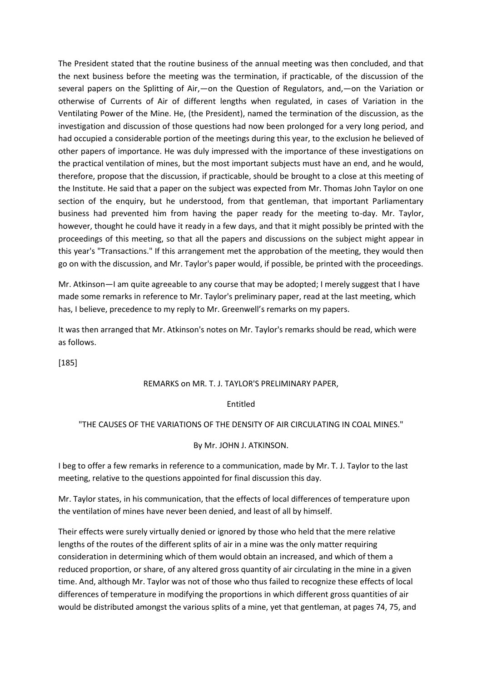The President stated that the routine business of the annual meeting was then concluded, and that the next business before the meeting was the termination, if practicable, of the discussion of the several papers on the Splitting of Air,—on the Question of Regulators, and,—on the Variation or otherwise of Currents of Air of different lengths when regulated, in cases of Variation in the Ventilating Power of the Mine. He, (the President), named the termination of the discussion, as the investigation and discussion of those questions had now been prolonged for a very long period, and had occupied a considerable portion of the meetings during this year, to the exclusion he believed of other papers of importance. He was duly impressed with the importance of these investigations on the practical ventilation of mines, but the most important subjects must have an end, and he would, therefore, propose that the discussion, if practicable, should be brought to a close at this meeting of the Institute. He said that a paper on the subject was expected from Mr. Thomas John Taylor on one section of the enquiry, but he understood, from that gentleman, that important Parliamentary business had prevented him from having the paper ready for the meeting to-day. Mr. Taylor, however, thought he could have it ready in a few days, and that it might possibly be printed with the proceedings of this meeting, so that all the papers and discussions on the subject might appear in this year's "Transactions." If this arrangement met the approbation of the meeting, they would then go on with the discussion, and Mr. Taylor's paper would, if possible, be printed with the proceedings.

Mr. Atkinson—I am quite agreeable to any course that may be adopted; I merely suggest that I have made some remarks in reference to Mr. Taylor's preliminary paper, read at the last meeting, which has, I believe, precedence to my reply to Mr. Greenwell's remarks on my papers.

It was then arranged that Mr. Atkinson's notes on Mr. Taylor's remarks should be read, which were as follows.

[185]

### REMARKS on MR. T. J. TAYLOR'S PRELIMINARY PAPER,

#### Entitled

#### "THE CAUSES OF THE VARIATIONS OF THE DENSITY OF AIR CIRCULATING IN COAL MINES."

#### By Mr. JOHN J. ATKINSON.

I beg to offer a few remarks in reference to a communication, made by Mr. T. J. Taylor to the last meeting, relative to the questions appointed for final discussion this day.

Mr. Taylor states, in his communication, that the effects of local differences of temperature upon the ventilation of mines have never been denied, and least of all by himself.

Their effects were surely virtually denied or ignored by those who held that the mere relative lengths of the routes of the different splits of air in a mine was the only matter requiring consideration in determining which of them would obtain an increased, and which of them a reduced proportion, or share, of any altered gross quantity of air circulating in the mine in a given time. And, although Mr. Taylor was not of those who thus failed to recognize these effects of local differences of temperature in modifying the proportions in which different gross quantities of air would be distributed amongst the various splits of a mine, yet that gentleman, at pages 74, 75, and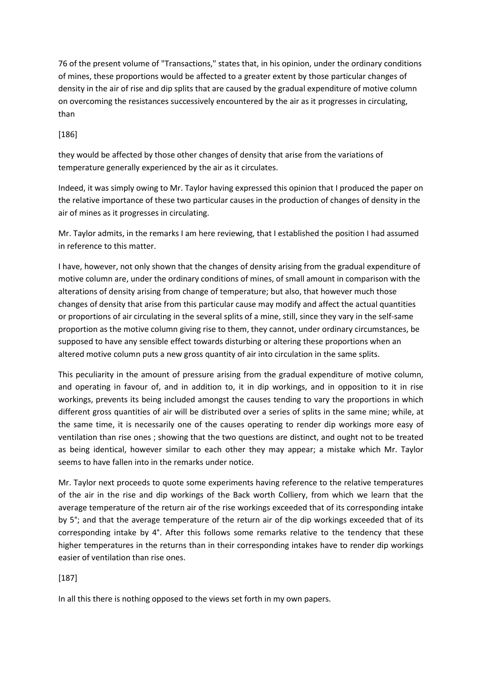76 of the present volume of "Transactions," states that, in his opinion, under the ordinary conditions of mines, these proportions would be affected to a greater extent by those particular changes of density in the air of rise and dip splits that are caused by the gradual expenditure of motive column on overcoming the resistances successively encountered by the air as it progresses in circulating, than

[186]

they would be affected by those other changes of density that arise from the variations of temperature generally experienced by the air as it circulates.

Indeed, it was simply owing to Mr. Taylor having expressed this opinion that I produced the paper on the relative importance of these two particular causes in the production of changes of density in the air of mines as it progresses in circulating.

Mr. Taylor admits, in the remarks I am here reviewing, that I established the position I had assumed in reference to this matter.

I have, however, not only shown that the changes of density arising from the gradual expenditure of motive column are, under the ordinary conditions of mines, of small amount in comparison with the alterations of density arising from change of temperature; but also, that however much those changes of density that arise from this particular cause may modify and affect the actual quantities or proportions of air circulating in the several splits of a mine, still, since they vary in the self-same proportion as the motive column giving rise to them, they cannot, under ordinary circumstances, be supposed to have any sensible effect towards disturbing or altering these proportions when an altered motive column puts a new gross quantity of air into circulation in the same splits.

This peculiarity in the amount of pressure arising from the gradual expenditure of motive column, and operating in favour of, and in addition to, it in dip workings, and in opposition to it in rise workings, prevents its being included amongst the causes tending to vary the proportions in which different gross quantities of air will be distributed over a series of splits in the same mine; while, at the same time, it is necessarily one of the causes operating to render dip workings more easy of ventilation than rise ones ; showing that the two questions are distinct, and ought not to be treated as being identical, however similar to each other they may appear; a mistake which Mr. Taylor seems to have fallen into in the remarks under notice.

Mr. Taylor next proceeds to quote some experiments having reference to the relative temperatures of the air in the rise and dip workings of the Back worth Colliery, from which we learn that the average temperature of the return air of the rise workings exceeded that of its corresponding intake by 5°; and that the average temperature of the return air of the dip workings exceeded that of its corresponding intake by 4°. After this follows some remarks relative to the tendency that these higher temperatures in the returns than in their corresponding intakes have to render dip workings easier of ventilation than rise ones.

## [187]

In all this there is nothing opposed to the views set forth in my own papers.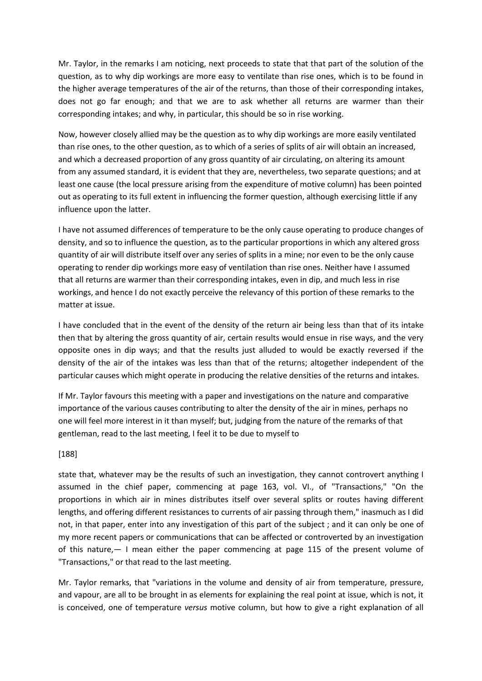Mr. Taylor, in the remarks I am noticing, next proceeds to state that that part of the solution of the question, as to why dip workings are more easy to ventilate than rise ones, which is to be found in the higher average temperatures of the air of the returns, than those of their corresponding intakes, does not go far enough; and that we are to ask whether all returns are warmer than their corresponding intakes; and why, in particular, this should be so in rise working.

Now, however closely allied may be the question as to why dip workings are more easily ventilated than rise ones, to the other question, as to which of a series of splits of air will obtain an increased, and which a decreased proportion of any gross quantity of air circulating, on altering its amount from any assumed standard, it is evident that they are, nevertheless, two separate questions; and at least one cause (the local pressure arising from the expenditure of motive column) has been pointed out as operating to its full extent in influencing the former question, although exercising little if any influence upon the latter.

I have not assumed differences of temperature to be the only cause operating to produce changes of density, and so to influence the question, as to the particular proportions in which any altered gross quantity of air will distribute itself over any series of splits in a mine; nor even to be the only cause operating to render dip workings more easy of ventilation than rise ones. Neither have I assumed that all returns are warmer than their corresponding intakes, even in dip, and much less in rise workings, and hence I do not exactly perceive the relevancy of this portion of these remarks to the matter at issue.

I have concluded that in the event of the density of the return air being less than that of its intake then that by altering the gross quantity of air, certain results would ensue in rise ways, and the very opposite ones in dip ways; and that the results just alluded to would be exactly reversed if the density of the air of the intakes was less than that of the returns; altogether independent of the particular causes which might operate in producing the relative densities of the returns and intakes.

If Mr. Taylor favours this meeting with a paper and investigations on the nature and comparative importance of the various causes contributing to alter the density of the air in mines, perhaps no one will feel more interest in it than myself; but, judging from the nature of the remarks of that gentleman, read to the last meeting, I feel it to be due to myself to

## [188]

state that, whatever may be the results of such an investigation, they cannot controvert anything I assumed in the chief paper, commencing at page 163, vol. VI., of "Transactions," "On the proportions in which air in mines distributes itself over several splits or routes having different lengths, and offering different resistances to currents of air passing through them," inasmuch as I did not, in that paper, enter into any investigation of this part of the subject ; and it can only be one of my more recent papers or communications that can be affected or controverted by an investigation of this nature,— I mean either the paper commencing at page 115 of the present volume of "Transactions," or that read to the last meeting.

Mr. Taylor remarks, that "variations in the volume and density of air from temperature, pressure, and vapour, are all to be brought in as elements for explaining the real point at issue, which is not, it is conceived, one of temperature *versus* motive column, but how to give a right explanation of all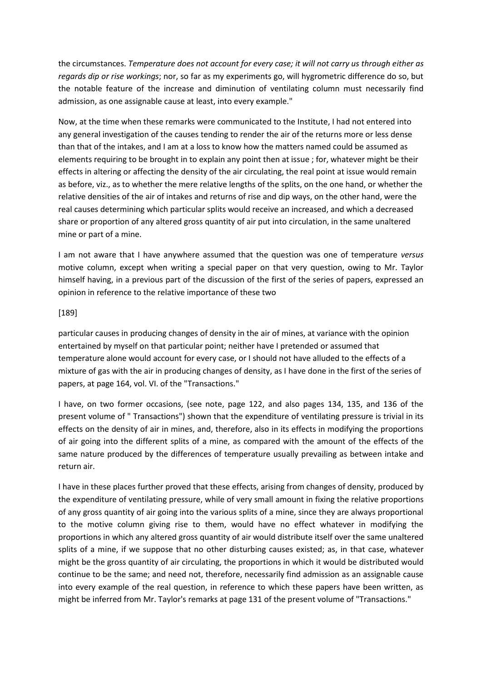the circumstances. *Temperature does not account for every case; it will not carry us through either as regards dip or rise workings*; nor, so far as my experiments go, will hygrometric difference do so, but the notable feature of the increase and diminution of ventilating column must necessarily find admission, as one assignable cause at least, into every example."

Now, at the time when these remarks were communicated to the Institute, I had not entered into any general investigation of the causes tending to render the air of the returns more or less dense than that of the intakes, and I am at a loss to know how the matters named could be assumed as elements requiring to be brought in to explain any point then at issue ; for, whatever might be their effects in altering or affecting the density of the air circulating, the real point at issue would remain as before, viz., as to whether the mere relative lengths of the splits, on the one hand, or whether the relative densities of the air of intakes and returns of rise and dip ways, on the other hand, were the real causes determining which particular splits would receive an increased, and which a decreased share or proportion of any altered gross quantity of air put into circulation, in the same unaltered mine or part of a mine.

I am not aware that I have anywhere assumed that the question was one of temperature *versus* motive column, except when writing a special paper on that very question, owing to Mr. Taylor himself having, in a previous part of the discussion of the first of the series of papers, expressed an opinion in reference to the relative importance of these two

### [189]

particular causes in producing changes of density in the air of mines, at variance with the opinion entertained by myself on that particular point; neither have I pretended or assumed that temperature alone would account for every case, or I should not have alluded to the effects of a mixture of gas with the air in producing changes of density, as I have done in the first of the series of papers, at page 164, vol. VI. of the "Transactions."

I have, on two former occasions, (see note, page 122, and also pages 134, 135, and 136 of the present volume of " Transactions") shown that the expenditure of ventilating pressure is trivial in its effects on the density of air in mines, and, therefore, also in its effects in modifying the proportions of air going into the different splits of a mine, as compared with the amount of the effects of the same nature produced by the differences of temperature usually prevailing as between intake and return air.

I have in these places further proved that these effects, arising from changes of density, produced by the expenditure of ventilating pressure, while of very small amount in fixing the relative proportions of any gross quantity of air going into the various splits of a mine, since they are always proportional to the motive column giving rise to them, would have no effect whatever in modifying the proportions in which any altered gross quantity of air would distribute itself over the same unaltered splits of a mine, if we suppose that no other disturbing causes existed; as, in that case, whatever might be the gross quantity of air circulating, the proportions in which it would be distributed would continue to be the same; and need not, therefore, necessarily find admission as an assignable cause into every example of the real question, in reference to which these papers have been written, as might be inferred from Mr. Taylor's remarks at page 131 of the present volume of "Transactions."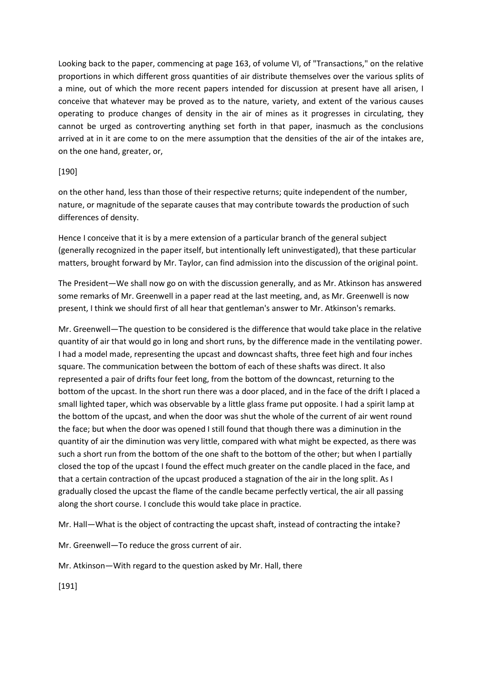Looking back to the paper, commencing at page 163, of volume VI, of "Transactions," on the relative proportions in which different gross quantities of air distribute themselves over the various splits of a mine, out of which the more recent papers intended for discussion at present have all arisen, I conceive that whatever may be proved as to the nature, variety, and extent of the various causes operating to produce changes of density in the air of mines as it progresses in circulating, they cannot be urged as controverting anything set forth in that paper, inasmuch as the conclusions arrived at in it are come to on the mere assumption that the densities of the air of the intakes are, on the one hand, greater, or,

## [190]

on the other hand, less than those of their respective returns; quite independent of the number, nature, or magnitude of the separate causes that may contribute towards the production of such differences of density.

Hence I conceive that it is by a mere extension of a particular branch of the general subject (generally recognized in the paper itself, but intentionally left uninvestigated), that these particular matters, brought forward by Mr. Taylor, can find admission into the discussion of the original point.

The President—We shall now go on with the discussion generally, and as Mr. Atkinson has answered some remarks of Mr. Greenwell in a paper read at the last meeting, and, as Mr. Greenwell is now present, I think we should first of all hear that gentleman's answer to Mr. Atkinson's remarks.

Mr. Greenwell—The question to be considered is the difference that would take place in the relative quantity of air that would go in long and short runs, by the difference made in the ventilating power. I had a model made, representing the upcast and downcast shafts, three feet high and four inches square. The communication between the bottom of each of these shafts was direct. It also represented a pair of drifts four feet long, from the bottom of the downcast, returning to the bottom of the upcast. In the short run there was a door placed, and in the face of the drift I placed a small lighted taper, which was observable by a little glass frame put opposite. I had a spirit lamp at the bottom of the upcast, and when the door was shut the whole of the current of air went round the face; but when the door was opened I still found that though there was a diminution in the quantity of air the diminution was very little, compared with what might be expected, as there was such a short run from the bottom of the one shaft to the bottom of the other; but when I partially closed the top of the upcast I found the effect much greater on the candle placed in the face, and that a certain contraction of the upcast produced a stagnation of the air in the long split. As I gradually closed the upcast the flame of the candle became perfectly vertical, the air all passing along the short course. I conclude this would take place in practice.

Mr. Hall—What is the object of contracting the upcast shaft, instead of contracting the intake?

Mr. Greenwell—To reduce the gross current of air.

Mr. Atkinson—With regard to the question asked by Mr. Hall, there

[191]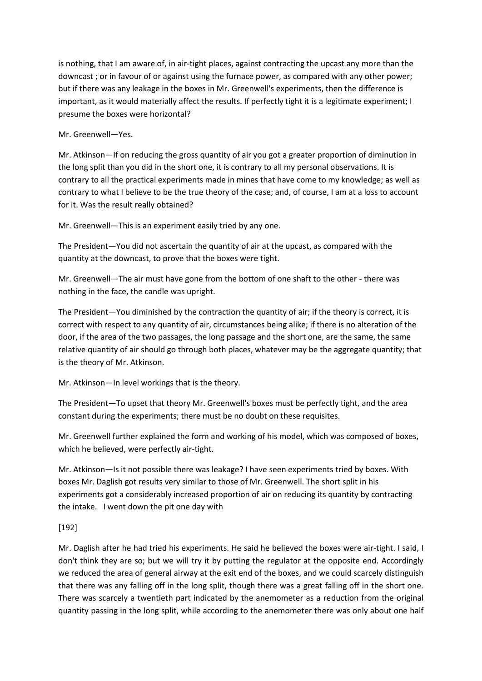is nothing, that I am aware of, in air-tight places, against contracting the upcast any more than the downcast ; or in favour of or against using the furnace power, as compared with any other power; but if there was any leakage in the boxes in Mr. Greenwell's experiments, then the difference is important, as it would materially affect the results. If perfectly tight it is a legitimate experiment; I presume the boxes were horizontal?

Mr. Greenwell—Yes.

Mr. Atkinson—If on reducing the gross quantity of air you got a greater proportion of diminution in the long split than you did in the short one, it is contrary to all my personal observations. It is contrary to all the practical experiments made in mines that have come to my knowledge; as well as contrary to what I believe to be the true theory of the case; and, of course, I am at a loss to account for it. Was the result really obtained?

Mr. Greenwell—This is an experiment easily tried by any one.

The President—You did not ascertain the quantity of air at the upcast, as compared with the quantity at the downcast, to prove that the boxes were tight.

Mr. Greenwell—The air must have gone from the bottom of one shaft to the other - there was nothing in the face, the candle was upright.

The President—You diminished by the contraction the quantity of air; if the theory is correct, it is correct with respect to any quantity of air, circumstances being alike; if there is no alteration of the door, if the area of the two passages, the long passage and the short one, are the same, the same relative quantity of air should go through both places, whatever may be the aggregate quantity; that is the theory of Mr. Atkinson.

Mr. Atkinson—In level workings that is the theory.

The President—To upset that theory Mr. Greenwell's boxes must be perfectly tight, and the area constant during the experiments; there must be no doubt on these requisites.

Mr. Greenwell further explained the form and working of his model, which was composed of boxes, which he believed, were perfectly air-tight.

Mr. Atkinson—Is it not possible there was leakage? I have seen experiments tried by boxes. With boxes Mr. Daglish got results very similar to those of Mr. Greenwell. The short split in his experiments got a considerably increased proportion of air on reducing its quantity by contracting the intake. I went down the pit one day with

# [192]

Mr. Daglish after he had tried his experiments. He said he believed the boxes were air-tight. I said, I don't think they are so; but we will try it by putting the regulator at the opposite end. Accordingly we reduced the area of general airway at the exit end of the boxes, and we could scarcely distinguish that there was any falling off in the long split, though there was a great falling off in the short one. There was scarcely a twentieth part indicated by the anemometer as a reduction from the original quantity passing in the long split, while according to the anemometer there was only about one half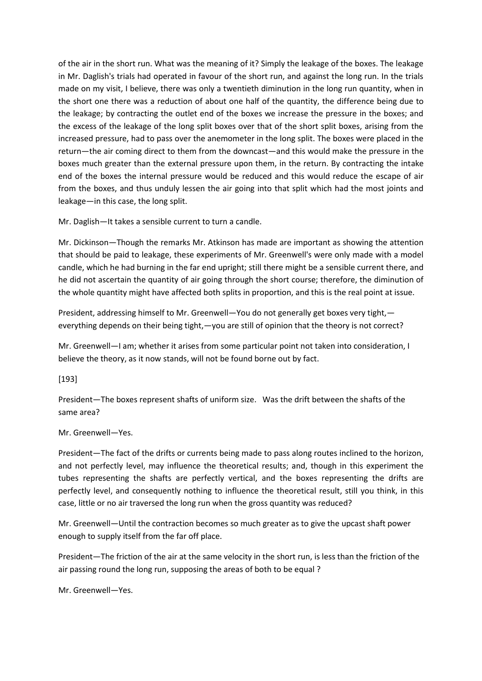of the air in the short run. What was the meaning of it? Simply the leakage of the boxes. The leakage in Mr. Daglish's trials had operated in favour of the short run, and against the long run. In the trials made on my visit, I believe, there was only a twentieth diminution in the long run quantity, when in the short one there was a reduction of about one half of the quantity, the difference being due to the leakage; by contracting the outlet end of the boxes we increase the pressure in the boxes; and the excess of the leakage of the long split boxes over that of the short split boxes, arising from the increased pressure, had to pass over the anemometer in the long split. The boxes were placed in the return—the air coming direct to them from the downcast—and this would make the pressure in the boxes much greater than the external pressure upon them, in the return. By contracting the intake end of the boxes the internal pressure would be reduced and this would reduce the escape of air from the boxes, and thus unduly lessen the air going into that split which had the most joints and leakage—in this case, the long split.

Mr. Daglish—It takes a sensible current to turn a candle.

Mr. Dickinson—Though the remarks Mr. Atkinson has made are important as showing the attention that should be paid to leakage, these experiments of Mr. Greenwell's were only made with a model candle, which he had burning in the far end upright; still there might be a sensible current there, and he did not ascertain the quantity of air going through the short course; therefore, the diminution of the whole quantity might have affected both splits in proportion, and this is the real point at issue.

President, addressing himself to Mr. Greenwell—You do not generally get boxes very tight, everything depends on their being tight,—you are still of opinion that the theory is not correct?

Mr. Greenwell—I am; whether it arises from some particular point not taken into consideration, I believe the theory, as it now stands, will not be found borne out by fact.

[193]

President—The boxes represent shafts of uniform size. Was the drift between the shafts of the same area?

### Mr. Greenwell—Yes.

President—The fact of the drifts or currents being made to pass along routes inclined to the horizon, and not perfectly level, may influence the theoretical results; and, though in this experiment the tubes representing the shafts are perfectly vertical, and the boxes representing the drifts are perfectly level, and consequently nothing to influence the theoretical result, still you think, in this case, little or no air traversed the long run when the gross quantity was reduced?

Mr. Greenwell—Until the contraction becomes so much greater as to give the upcast shaft power enough to supply itself from the far off place.

President—The friction of the air at the same velocity in the short run, is less than the friction of the air passing round the long run, supposing the areas of both to be equal ?

Mr. Greenwell—Yes.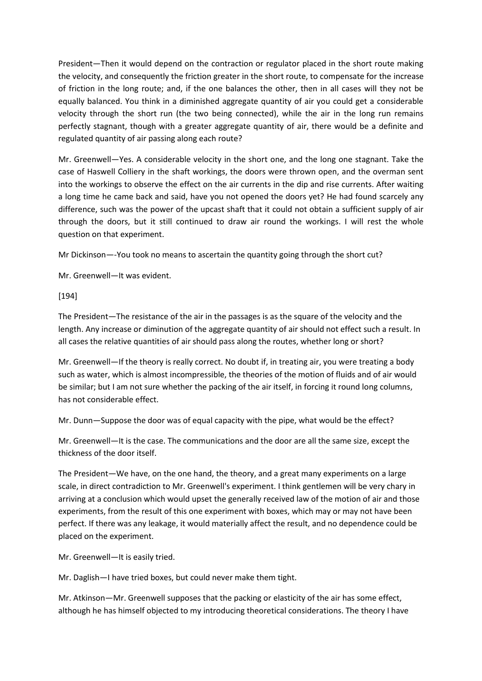President—Then it would depend on the contraction or regulator placed in the short route making the velocity, and consequently the friction greater in the short route, to compensate for the increase of friction in the long route; and, if the one balances the other, then in all cases will they not be equally balanced. You think in a diminished aggregate quantity of air you could get a considerable velocity through the short run (the two being connected), while the air in the long run remains perfectly stagnant, though with a greater aggregate quantity of air, there would be a definite and regulated quantity of air passing along each route?

Mr. Greenwell—Yes. A considerable velocity in the short one, and the long one stagnant. Take the case of Haswell Colliery in the shaft workings, the doors were thrown open, and the overman sent into the workings to observe the effect on the air currents in the dip and rise currents. After waiting a long time he came back and said, have you not opened the doors yet? He had found scarcely any difference, such was the power of the upcast shaft that it could not obtain a sufficient supply of air through the doors, but it still continued to draw air round the workings. I will rest the whole question on that experiment.

Mr Dickinson—-You took no means to ascertain the quantity going through the short cut?

Mr. Greenwell—It was evident.

[194]

The President—The resistance of the air in the passages is as the square of the velocity and the length. Any increase or diminution of the aggregate quantity of air should not effect such a result. In all cases the relative quantities of air should pass along the routes, whether long or short?

Mr. Greenwell—If the theory is really correct. No doubt if, in treating air, you were treating a body such as water, which is almost incompressible, the theories of the motion of fluids and of air would be similar; but I am not sure whether the packing of the air itself, in forcing it round long columns, has not considerable effect.

Mr. Dunn—Suppose the door was of equal capacity with the pipe, what would be the effect?

Mr. Greenwell—It is the case. The communications and the door are all the same size, except the thickness of the door itself.

The President—We have, on the one hand, the theory, and a great many experiments on a large scale, in direct contradiction to Mr. Greenwell's experiment. I think gentlemen will be very chary in arriving at a conclusion which would upset the generally received law of the motion of air and those experiments, from the result of this one experiment with boxes, which may or may not have been perfect. If there was any leakage, it would materially affect the result, and no dependence could be placed on the experiment.

Mr. Greenwell—It is easily tried.

Mr. Daglish—I have tried boxes, but could never make them tight.

Mr. Atkinson—Mr. Greenwell supposes that the packing or elasticity of the air has some effect, although he has himself objected to my introducing theoretical considerations. The theory I have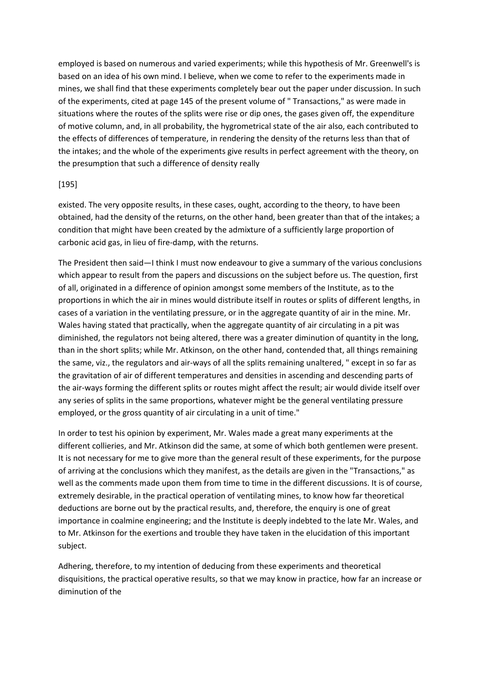employed is based on numerous and varied experiments; while this hypothesis of Mr. Greenwell's is based on an idea of his own mind. I believe, when we come to refer to the experiments made in mines, we shall find that these experiments completely bear out the paper under discussion. In such of the experiments, cited at page 145 of the present volume of " Transactions," as were made in situations where the routes of the splits were rise or dip ones, the gases given off, the expenditure of motive column, and, in all probability, the hygrometrical state of the air also, each contributed to the effects of differences of temperature, in rendering the density of the returns less than that of the intakes; and the whole of the experiments give results in perfect agreement with the theory, on the presumption that such a difference of density really

### [195]

existed. The very opposite results, in these cases, ought, according to the theory, to have been obtained, had the density of the returns, on the other hand, been greater than that of the intakes; a condition that might have been created by the admixture of a sufficiently large proportion of carbonic acid gas, in lieu of fire-damp, with the returns.

The President then said—I think I must now endeavour to give a summary of the various conclusions which appear to result from the papers and discussions on the subject before us. The question, first of all, originated in a difference of opinion amongst some members of the Institute, as to the proportions in which the air in mines would distribute itself in routes or splits of different lengths, in cases of a variation in the ventilating pressure, or in the aggregate quantity of air in the mine. Mr. Wales having stated that practically, when the aggregate quantity of air circulating in a pit was diminished, the regulators not being altered, there was a greater diminution of quantity in the long, than in the short splits; while Mr. Atkinson, on the other hand, contended that, all things remaining the same, viz., the regulators and air-ways of all the splits remaining unaltered, " except in so far as the gravitation of air of different temperatures and densities in ascending and descending parts of the air-ways forming the different splits or routes might affect the result; air would divide itself over any series of splits in the same proportions, whatever might be the general ventilating pressure employed, or the gross quantity of air circulating in a unit of time."

In order to test his opinion by experiment, Mr. Wales made a great many experiments at the different collieries, and Mr. Atkinson did the same, at some of which both gentlemen were present. It is not necessary for me to give more than the general result of these experiments, for the purpose of arriving at the conclusions which they manifest, as the details are given in the "Transactions," as well as the comments made upon them from time to time in the different discussions. It is of course, extremely desirable, in the practical operation of ventilating mines, to know how far theoretical deductions are borne out by the practical results, and, therefore, the enquiry is one of great importance in coalmine engineering; and the Institute is deeply indebted to the late Mr. Wales, and to Mr. Atkinson for the exertions and trouble they have taken in the elucidation of this important subject.

Adhering, therefore, to my intention of deducing from these experiments and theoretical disquisitions, the practical operative results, so that we may know in practice, how far an increase or diminution of the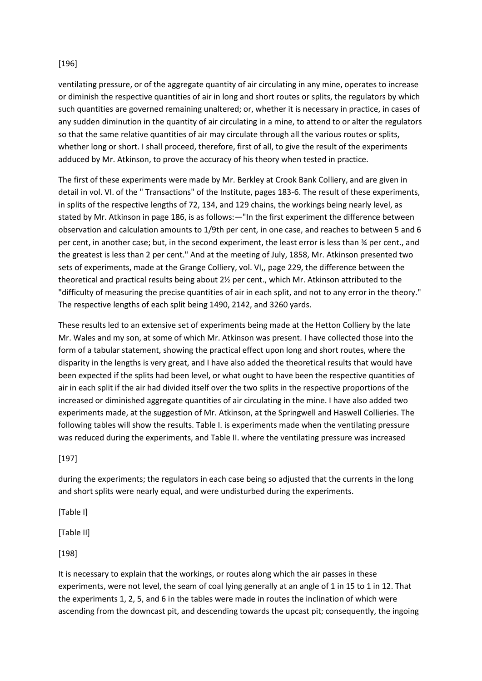## [196]

ventilating pressure, or of the aggregate quantity of air circulating in any mine, operates to increase or diminish the respective quantities of air in long and short routes or splits, the regulators by which such quantities are governed remaining unaltered; or, whether it is necessary in practice, in cases of any sudden diminution in the quantity of air circulating in a mine, to attend to or alter the regulators so that the same relative quantities of air may circulate through all the various routes or splits, whether long or short. I shall proceed, therefore, first of all, to give the result of the experiments adduced by Mr. Atkinson, to prove the accuracy of his theory when tested in practice.

The first of these experiments were made by Mr. Berkley at Crook Bank Colliery, and are given in detail in vol. VI. of the " Transactions" of the Institute, pages 183-6. The result of these experiments, in splits of the respective lengths of 72, 134, and 129 chains, the workings being nearly level, as stated by Mr. Atkinson in page 186, is as follows:—"In the first experiment the difference between observation and calculation amounts to 1/9th per cent, in one case, and reaches to between 5 and 6 per cent, in another case; but, in the second experiment, the least error is less than ¾ per cent., and the greatest is less than 2 per cent." And at the meeting of July, 1858, Mr. Atkinson presented two sets of experiments, made at the Grange Colliery, vol. VI,, page 229, the difference between the theoretical and practical results being about 2½ per cent., which Mr. Atkinson attributed to the "difficulty of measuring the precise quantities of air in each split, and not to any error in the theory." The respective lengths of each split being 1490, 2142, and 3260 yards.

These results led to an extensive set of experiments being made at the Hetton Colliery by the late Mr. Wales and my son, at some of which Mr. Atkinson was present. I have collected those into the form of a tabular statement, showing the practical effect upon long and short routes, where the disparity in the lengths is very great, and I have also added the theoretical results that would have been expected if the splits had been level, or what ought to have been the respective quantities of air in each split if the air had divided itself over the two splits in the respective proportions of the increased or diminished aggregate quantities of air circulating in the mine. I have also added two experiments made, at the suggestion of Mr. Atkinson, at the Springwell and Haswell Collieries. The following tables will show the results. Table I. is experiments made when the ventilating pressure was reduced during the experiments, and Table II. where the ventilating pressure was increased

[197]

during the experiments; the regulators in each case being so adjusted that the currents in the long and short splits were nearly equal, and were undisturbed during the experiments.

[Table I]

[Table II]

[198]

It is necessary to explain that the workings, or routes along which the air passes in these experiments, were not level, the seam of coal lying generally at an angle of 1 in 15 to 1 in 12. That the experiments 1, 2, 5, and 6 in the tables were made in routes the inclination of which were ascending from the downcast pit, and descending towards the upcast pit; consequently, the ingoing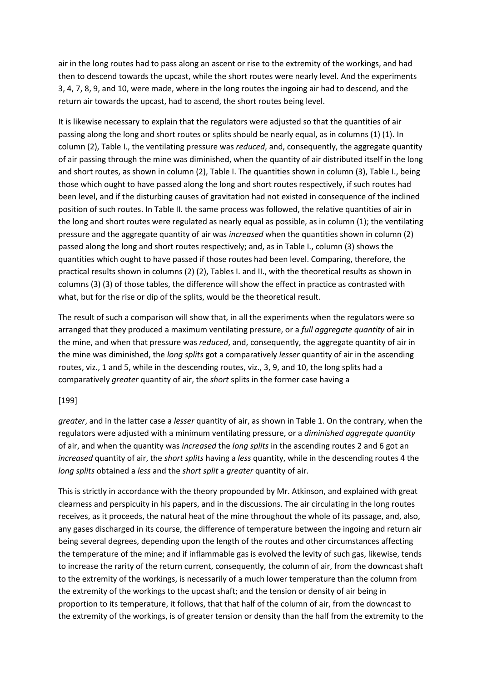air in the long routes had to pass along an ascent or rise to the extremity of the workings, and had then to descend towards the upcast, while the short routes were nearly level. And the experiments 3, 4, 7, 8, 9, and 10, were made, where in the long routes the ingoing air had to descend, and the return air towards the upcast, had to ascend, the short routes being level.

It is likewise necessary to explain that the regulators were adjusted so that the quantities of air passing along the long and short routes or splits should be nearly equal, as in columns (1) (1). In column (2), Table I., the ventilating pressure was *reduced*, and, consequently, the aggregate quantity of air passing through the mine was diminished, when the quantity of air distributed itself in the long and short routes, as shown in column (2), Table I. The quantities shown in column (3), Table I., being those which ought to have passed along the long and short routes respectively, if such routes had been level, and if the disturbing causes of gravitation had not existed in consequence of the inclined position of such routes. In Table II. the same process was followed, the relative quantities of air in the long and short routes were regulated as nearly equal as possible, as in column (1); the ventilating pressure and the aggregate quantity of air was *increased* when the quantities shown in column (2) passed along the long and short routes respectively; and, as in Table I., column (3) shows the quantities which ought to have passed if those routes had been level. Comparing, therefore, the practical results shown in columns (2) (2), Tables I. and II., with the theoretical results as shown in columns (3) (3) of those tables, the difference will show the effect in practice as contrasted with what, but for the rise or dip of the splits, would be the theoretical result.

The result of such a comparison will show that, in all the experiments when the regulators were so arranged that they produced a maximum ventilating pressure, or a *full aggregate quantity* of air in the mine, and when that pressure was *reduced*, and, consequently, the aggregate quantity of air in the mine was diminished, the *long splits* got a comparatively *lesser* quantity of air in the ascending routes, viz., 1 and 5, while in the descending routes, viz., 3, 9, and 10, the long splits had a comparatively *greater* quantity of air, the *short* splits in the former case having a

### [199]

*greater*, and in the latter case a *lesser* quantity of air, as shown in Table 1. On the contrary, when the regulators were adjusted with a minimum ventilating pressure, or a *diminished aggregate quantity* of air, and when the quantity was *increased* the *long splits* in the ascending routes 2 and 6 got an *increased* quantity of air, the *short splits* having a *less* quantity, while in the descending routes 4 the *long splits* obtained a *less* and the *short split* a *greater* quantity of air.

This is strictly in accordance with the theory propounded by Mr. Atkinson, and explained with great clearness and perspicuity in his papers, and in the discussions. The air circulating in the long routes receives, as it proceeds, the natural heat of the mine throughout the whole of its passage, and, also, any gases discharged in its course, the difference of temperature between the ingoing and return air being several degrees, depending upon the length of the routes and other circumstances affecting the temperature of the mine; and if inflammable gas is evolved the levity of such gas, likewise, tends to increase the rarity of the return current, consequently, the column of air, from the downcast shaft to the extremity of the workings, is necessarily of a much lower temperature than the column from the extremity of the workings to the upcast shaft; and the tension or density of air being in proportion to its temperature, it follows, that that half of the column of air, from the downcast to the extremity of the workings, is of greater tension or density than the half from the extremity to the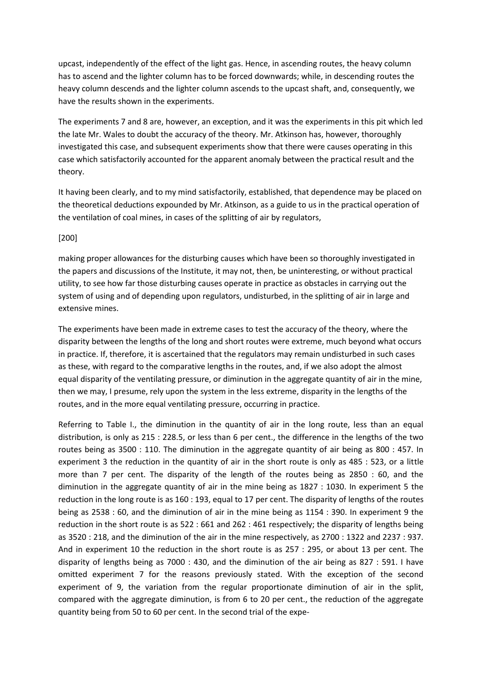upcast, independently of the effect of the light gas. Hence, in ascending routes, the heavy column has to ascend and the lighter column has to be forced downwards; while, in descending routes the heavy column descends and the lighter column ascends to the upcast shaft, and, consequently, we have the results shown in the experiments.

The experiments 7 and 8 are, however, an exception, and it was the experiments in this pit which led the late Mr. Wales to doubt the accuracy of the theory. Mr. Atkinson has, however, thoroughly investigated this case, and subsequent experiments show that there were causes operating in this case which satisfactorily accounted for the apparent anomaly between the practical result and the theory.

It having been clearly, and to my mind satisfactorily, established, that dependence may be placed on the theoretical deductions expounded by Mr. Atkinson, as a guide to us in the practical operation of the ventilation of coal mines, in cases of the splitting of air by regulators,

### [200]

making proper allowances for the disturbing causes which have been so thoroughly investigated in the papers and discussions of the Institute, it may not, then, be uninteresting, or without practical utility, to see how far those disturbing causes operate in practice as obstacles in carrying out the system of using and of depending upon regulators, undisturbed, in the splitting of air in large and extensive mines.

The experiments have been made in extreme cases to test the accuracy of the theory, where the disparity between the lengths of the long and short routes were extreme, much beyond what occurs in practice. If, therefore, it is ascertained that the regulators may remain undisturbed in such cases as these, with regard to the comparative lengths in the routes, and, if we also adopt the almost equal disparity of the ventilating pressure, or diminution in the aggregate quantity of air in the mine, then we may, I presume, rely upon the system in the less extreme, disparity in the lengths of the routes, and in the more equal ventilating pressure, occurring in practice.

Referring to Table I., the diminution in the quantity of air in the long route, less than an equal distribution, is only as 215 : 228.5, or less than 6 per cent., the difference in the lengths of the two routes being as 3500 : 110. The diminution in the aggregate quantity of air being as 800 : 457. In experiment 3 the reduction in the quantity of air in the short route is only as 485 : 523, or a little more than 7 per cent. The disparity of the length of the routes being as 2850 : 60, and the diminution in the aggregate quantity of air in the mine being as 1827 : 1030. In experiment 5 the reduction in the long route is as 160 : 193, equal to 17 per cent. The disparity of lengths of the routes being as 2538 : 60, and the diminution of air in the mine being as 1154 : 390. In experiment 9 the reduction in the short route is as 522 : 661 and 262 : 461 respectively; the disparity of lengths being as 3520 : 218, and the diminution of the air in the mine respectively, as 2700 : 1322 and 2237 : 937. And in experiment 10 the reduction in the short route is as 257 : 295, or about 13 per cent. The disparity of lengths being as 7000 : 430, and the diminution of the air being as 827 : 591. I have omitted experiment 7 for the reasons previously stated. With the exception of the second experiment of 9, the variation from the regular proportionate diminution of air in the split, compared with the aggregate diminution, is from 6 to 20 per cent., the reduction of the aggregate quantity being from 50 to 60 per cent. In the second trial of the expe-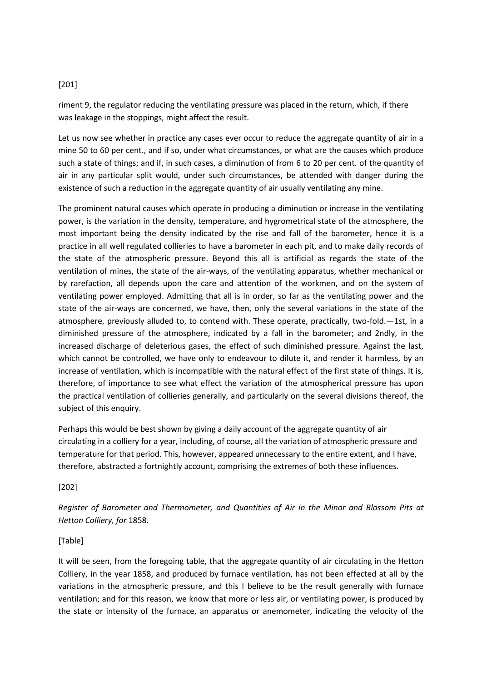## [201]

riment 9, the regulator reducing the ventilating pressure was placed in the return, which, if there was leakage in the stoppings, might affect the result.

Let us now see whether in practice any cases ever occur to reduce the aggregate quantity of air in a mine 50 to 60 per cent., and if so, under what circumstances, or what are the causes which produce such a state of things; and if, in such cases, a diminution of from 6 to 20 per cent. of the quantity of air in any particular split would, under such circumstances, be attended with danger during the existence of such a reduction in the aggregate quantity of air usually ventilating any mine.

The prominent natural causes which operate in producing a diminution or increase in the ventilating power, is the variation in the density, temperature, and hygrometrical state of the atmosphere, the most important being the density indicated by the rise and fall of the barometer, hence it is a practice in all well regulated collieries to have a barometer in each pit, and to make daily records of the state of the atmospheric pressure. Beyond this all is artificial as regards the state of the ventilation of mines, the state of the air-ways, of the ventilating apparatus, whether mechanical or by rarefaction, all depends upon the care and attention of the workmen, and on the system of ventilating power employed. Admitting that all is in order, so far as the ventilating power and the state of the air-ways are concerned, we have, then, only the several variations in the state of the atmosphere, previously alluded to, to contend with. These operate, practically, two-fold.—1st, in a diminished pressure of the atmosphere, indicated by a fall in the barometer; and 2ndly, in the increased discharge of deleterious gases, the effect of such diminished pressure. Against the last, which cannot be controlled, we have only to endeavour to dilute it, and render it harmless, by an increase of ventilation, which is incompatible with the natural effect of the first state of things. It is, therefore, of importance to see what effect the variation of the atmospherical pressure has upon the practical ventilation of collieries generally, and particularly on the several divisions thereof, the subject of this enquiry.

Perhaps this would be best shown by giving a daily account of the aggregate quantity of air circulating in a colliery for a year, including, of course, all the variation of atmospheric pressure and temperature for that period. This, however, appeared unnecessary to the entire extent, and I have, therefore, abstracted a fortnightly account, comprising the extremes of both these influences.

[202]

*Register of Barometer and Thermometer, and Quantities of Air in the Minor and Blossom Pits at Hetton Colliery, for* 1858.

### [Table]

It will be seen, from the foregoing table, that the aggregate quantity of air circulating in the Hetton Colliery, in the year 1858, and produced by furnace ventilation, has not been effected at all by the variations in the atmospheric pressure, and this I believe to be the result generally with furnace ventilation; and for this reason, we know that more or less air, or ventilating power, is produced by the state or intensity of the furnace, an apparatus or anemometer, indicating the velocity of the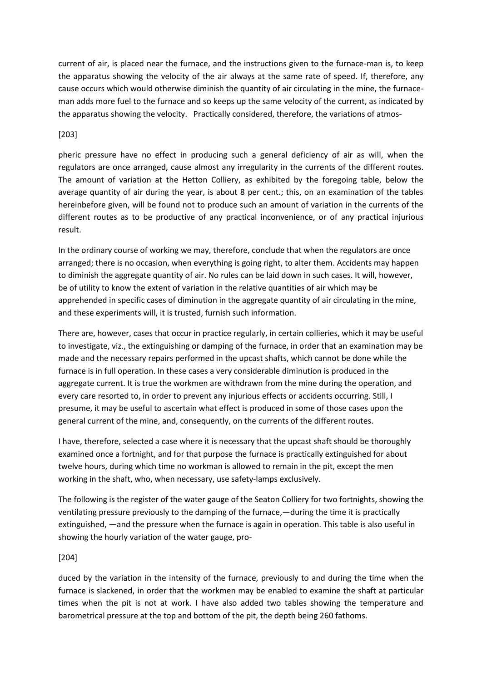current of air, is placed near the furnace, and the instructions given to the furnace-man is, to keep the apparatus showing the velocity of the air always at the same rate of speed. If, therefore, any cause occurs which would otherwise diminish the quantity of air circulating in the mine, the furnaceman adds more fuel to the furnace and so keeps up the same velocity of the current, as indicated by the apparatus showing the velocity. Practically considered, therefore, the variations of atmos-

## [203]

pheric pressure have no effect in producing such a general deficiency of air as will, when the regulators are once arranged, cause almost any irregularity in the currents of the different routes. The amount of variation at the Hetton Colliery, as exhibited by the foregoing table, below the average quantity of air during the year, is about 8 per cent.; this, on an examination of the tables hereinbefore given, will be found not to produce such an amount of variation in the currents of the different routes as to be productive of any practical inconvenience, or of any practical injurious result.

In the ordinary course of working we may, therefore, conclude that when the regulators are once arranged; there is no occasion, when everything is going right, to alter them. Accidents may happen to diminish the aggregate quantity of air. No rules can be laid down in such cases. It will, however, be of utility to know the extent of variation in the relative quantities of air which may be apprehended in specific cases of diminution in the aggregate quantity of air circulating in the mine, and these experiments will, it is trusted, furnish such information.

There are, however, cases that occur in practice regularly, in certain collieries, which it may be useful to investigate, viz., the extinguishing or damping of the furnace, in order that an examination may be made and the necessary repairs performed in the upcast shafts, which cannot be done while the furnace is in full operation. In these cases a very considerable diminution is produced in the aggregate current. It is true the workmen are withdrawn from the mine during the operation, and every care resorted to, in order to prevent any injurious effects or accidents occurring. Still, I presume, it may be useful to ascertain what effect is produced in some of those cases upon the general current of the mine, and, consequently, on the currents of the different routes.

I have, therefore, selected a case where it is necessary that the upcast shaft should be thoroughly examined once a fortnight, and for that purpose the furnace is practically extinguished for about twelve hours, during which time no workman is allowed to remain in the pit, except the men working in the shaft, who, when necessary, use safety-lamps exclusively.

The following is the register of the water gauge of the Seaton Colliery for two fortnights, showing the ventilating pressure previously to the damping of the furnace,—during the time it is practically extinguished, —and the pressure when the furnace is again in operation. This table is also useful in showing the hourly variation of the water gauge, pro-

## [204]

duced by the variation in the intensity of the furnace, previously to and during the time when the furnace is slackened, in order that the workmen may be enabled to examine the shaft at particular times when the pit is not at work. I have also added two tables showing the temperature and barometrical pressure at the top and bottom of the pit, the depth being 260 fathoms.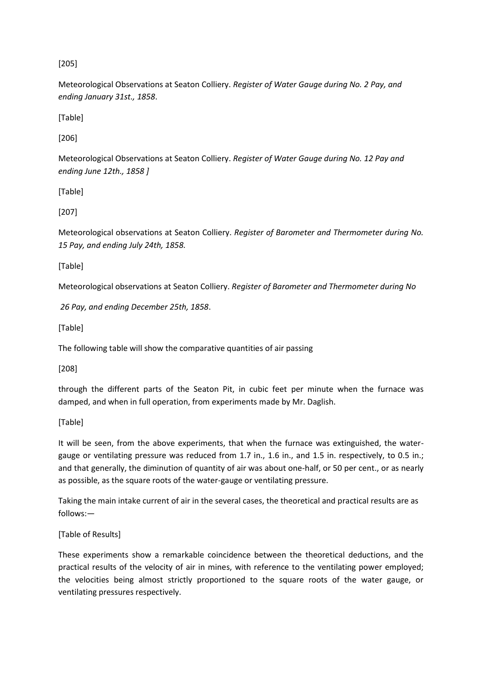# [205]

Meteorological Observations at Seaton Colliery. *Register of Water Gauge during No. 2 Pay, and ending January 31st., 1858*.

[Table]

[206]

Meteorological Observations at Seaton Colliery. *Register of Water Gauge during No. 12 Pay and ending June 12th., 1858 ]* 

[Table]

[207]

Meteorological observations at Seaton Colliery. *Register of Barometer and Thermometer during No. 15 Pay, and ending July 24th, 1858.*

[Table]

Meteorological observations at Seaton Colliery. *Register of Barometer and Thermometer during No*

*26 Pay, and ending December 25th, 1858*.

[Table]

The following table will show the comparative quantities of air passing

[208]

through the different parts of the Seaton Pit, in cubic feet per minute when the furnace was damped, and when in full operation, from experiments made by Mr. Daglish.

[Table]

It will be seen, from the above experiments, that when the furnace was extinguished, the watergauge or ventilating pressure was reduced from 1.7 in., 1.6 in., and 1.5 in. respectively, to 0.5 in.; and that generally, the diminution of quantity of air was about one-half, or 50 per cent., or as nearly as possible, as the square roots of the water-gauge or ventilating pressure.

Taking the main intake current of air in the several cases, the theoretical and practical results are as follows:—

[Table of Results]

These experiments show a remarkable coincidence between the theoretical deductions, and the practical results of the velocity of air in mines, with reference to the ventilating power employed; the velocities being almost strictly proportioned to the square roots of the water gauge, or ventilating pressures respectively.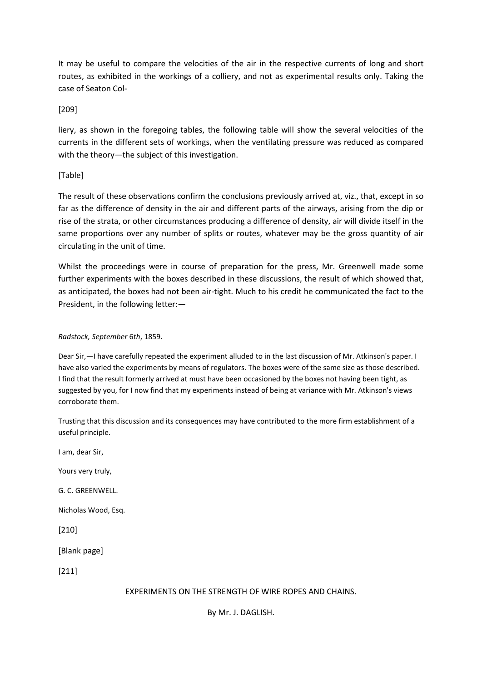It may be useful to compare the velocities of the air in the respective currents of long and short routes, as exhibited in the workings of a colliery, and not as experimental results only. Taking the case of Seaton Col-

## [209]

liery, as shown in the foregoing tables, the following table will show the several velocities of the currents in the different sets of workings, when the ventilating pressure was reduced as compared with the theory—the subject of this investigation.

# [Table]

The result of these observations confirm the conclusions previously arrived at, viz., that, except in so far as the difference of density in the air and different parts of the airways, arising from the dip or rise of the strata, or other circumstances producing a difference of density, air will divide itself in the same proportions over any number of splits or routes, whatever may be the gross quantity of air circulating in the unit of time.

Whilst the proceedings were in course of preparation for the press, Mr. Greenwell made some further experiments with the boxes described in these discussions, the result of which showed that, as anticipated, the boxes had not been air-tight. Much to his credit he communicated the fact to the President, in the following letter:—

### *Radstock, September* 6*th*, 1859.

Dear Sir,—I have carefully repeated the experiment alluded to in the last discussion of Mr. Atkinson's paper. I have also varied the experiments by means of regulators. The boxes were of the same size as those described. I find that the result formerly arrived at must have been occasioned by the boxes not having been tight, as suggested by you, for I now find that my experiments instead of being at variance with Mr. Atkinson's views corroborate them.

Trusting that this discussion and its consequences may have contributed to the more firm establishment of a useful principle.

I am, dear Sir,

Yours very truly,

G. C. GREENWELL.

Nicholas Wood, Esq.

[210]

[Blank page]

[211]

## EXPERIMENTS ON THE STRENGTH OF WIRE ROPES AND CHAINS.

By Mr. J. DAGLISH.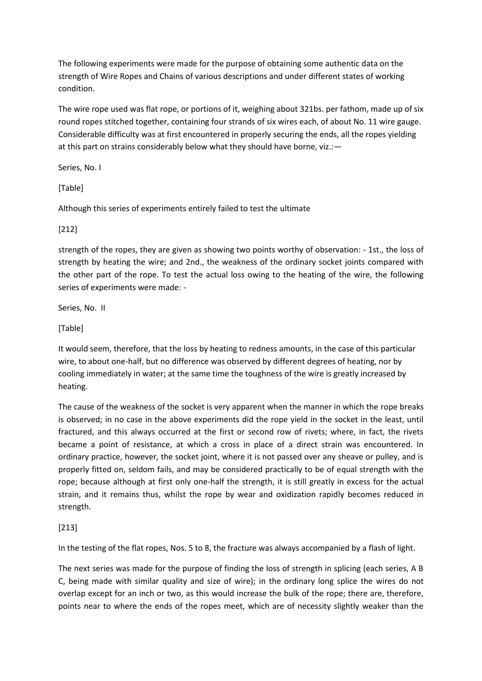The following experiments were made for the purpose of obtaining some authentic data on the strength of Wire Ropes and Chains of various descriptions and under different states of working condition.

The wire rope used was flat rope, or portions of it, weighing about 321bs. per fathom, made up of six round ropes stitched together, containing four strands of six wires each, of about No. 11 wire gauge. Considerable difficulty was at first encountered in properly securing the ends, all the ropes yielding at this part on strains considerably below what they should have borne, viz.:—

Series, No. I

[Table]

Although this series of experiments entirely failed to test the ultimate

### [212]

strength of the ropes, they are given as showing two points worthy of observation: - 1st., the loss of strength by heating the wire; and 2nd., the weakness of the ordinary socket joints compared with the other part of the rope. To test the actual loss owing to the heating of the wire, the following series of experiments were made: -

Series, No. II

[Table]

It would seem, therefore, that the loss by heating to redness amounts, in the case of this particular wire, to about one-half, but no difference was observed by different degrees of heating, nor by cooling immediately in water; at the same time the toughness of the wire is greatly increased by heating.

The cause of the weakness of the socket is very apparent when the manner in which the rope breaks is observed; in no case in the above experiments did the rope yield in the socket in the least, until fractured, and this always occurred at the first or second row of rivets; where, in fact, the rivets became a point of resistance, at which a cross in place of a direct strain was encountered. In ordinary practice, however, the socket joint, where it is not passed over any sheave or pulley, and is properly fitted on, seldom fails, and may be considered practically to be of equal strength with the rope; because although at first only one-half the strength, it is still greatly in excess for the actual strain, and it remains thus, whilst the rope by wear and oxidization rapidly becomes reduced in strength.

## [213]

In the testing of the flat ropes, Nos. 5 to 8, the fracture was always accompanied by a flash of light.

The next series was made for the purpose of finding the loss of strength in splicing (each series, A B C, being made with similar quality and size of wire); in the ordinary long splice the wires do not overlap except for an inch or two, as this would increase the bulk of the rope; there are, therefore, points near to where the ends of the ropes meet, which are of necessity slightly weaker than the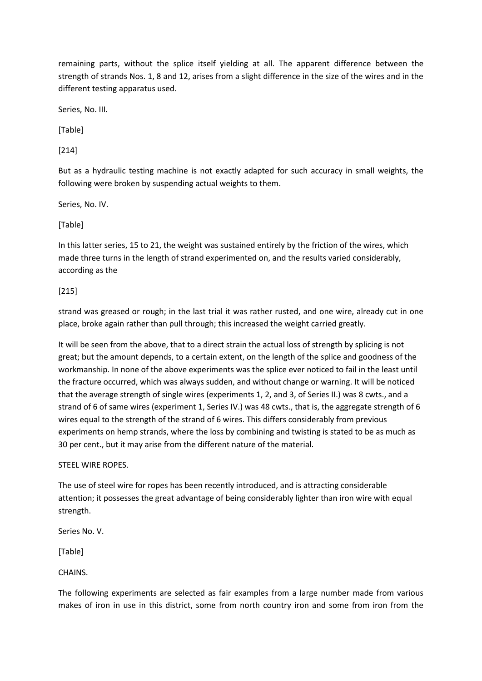remaining parts, without the splice itself yielding at all. The apparent difference between the strength of strands Nos. 1, 8 and 12, arises from a slight difference in the size of the wires and in the different testing apparatus used.

Series, No. III.

[Table]

[214]

But as a hydraulic testing machine is not exactly adapted for such accuracy in small weights, the following were broken by suspending actual weights to them.

Series, No. IV.

[Table]

In this latter series, 15 to 21, the weight was sustained entirely by the friction of the wires, which made three turns in the length of strand experimented on, and the results varied considerably, according as the

[215]

strand was greased or rough; in the last trial it was rather rusted, and one wire, already cut in one place, broke again rather than pull through; this increased the weight carried greatly.

It will be seen from the above, that to a direct strain the actual loss of strength by splicing is not great; but the amount depends, to a certain extent, on the length of the splice and goodness of the workmanship. In none of the above experiments was the splice ever noticed to fail in the least until the fracture occurred, which was always sudden, and without change or warning. It will be noticed that the average strength of single wires (experiments 1, 2, and 3, of Series II.) was 8 cwts., and a strand of 6 of same wires (experiment 1, Series IV.) was 48 cwts., that is, the aggregate strength of 6 wires equal to the strength of the strand of 6 wires. This differs considerably from previous experiments on hemp strands, where the loss by combining and twisting is stated to be as much as 30 per cent., but it may arise from the different nature of the material.

### STEEL WIRE ROPES.

The use of steel wire for ropes has been recently introduced, and is attracting considerable attention; it possesses the great advantage of being considerably lighter than iron wire with equal strength.

Series No. V.

[Table]

CHAINS.

The following experiments are selected as fair examples from a large number made from various makes of iron in use in this district, some from north country iron and some from iron from the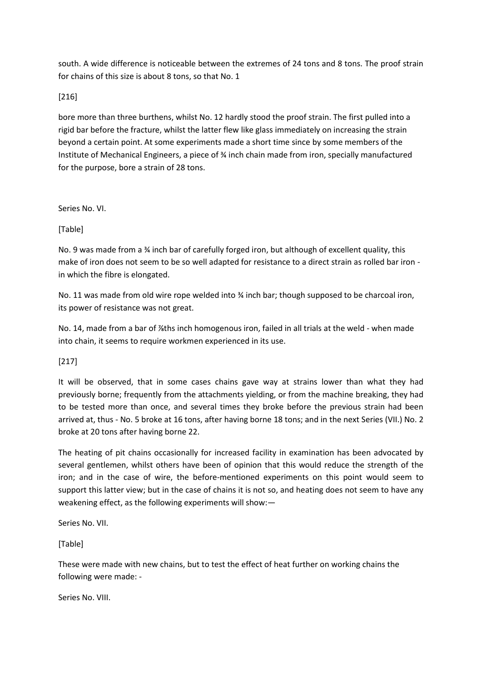south. A wide difference is noticeable between the extremes of 24 tons and 8 tons. The proof strain for chains of this size is about 8 tons, so that No. 1

[216]

bore more than three burthens, whilst No. 12 hardly stood the proof strain. The first pulled into a rigid bar before the fracture, whilst the latter flew like glass immediately on increasing the strain beyond a certain point. At some experiments made a short time since by some members of the Institute of Mechanical Engineers, a piece of ¾ inch chain made from iron, specially manufactured for the purpose, bore a strain of 28 tons.

Series No. VI.

[Table]

No. 9 was made from a ¾ inch bar of carefully forged iron, but although of excellent quality, this make of iron does not seem to be so well adapted for resistance to a direct strain as rolled bar iron in which the fibre is elongated.

No. 11 was made from old wire rope welded into % inch bar; though supposed to be charcoal iron, its power of resistance was not great.

No. 14, made from a bar of %ths inch homogenous iron, failed in all trials at the weld - when made into chain, it seems to require workmen experienced in its use.

[217]

It will be observed, that in some cases chains gave way at strains lower than what they had previously borne; frequently from the attachments yielding, or from the machine breaking, they had to be tested more than once, and several times they broke before the previous strain had been arrived at, thus - No. 5 broke at 16 tons, after having borne 18 tons; and in the next Series (VII.) No. 2 broke at 20 tons after having borne 22.

The heating of pit chains occasionally for increased facility in examination has been advocated by several gentlemen, whilst others have been of opinion that this would reduce the strength of the iron; and in the case of wire, the before-mentioned experiments on this point would seem to support this latter view; but in the case of chains it is not so, and heating does not seem to have any weakening effect, as the following experiments will show:—

Series No. VII.

[Table]

These were made with new chains, but to test the effect of heat further on working chains the following were made: -

Series No. VIII.